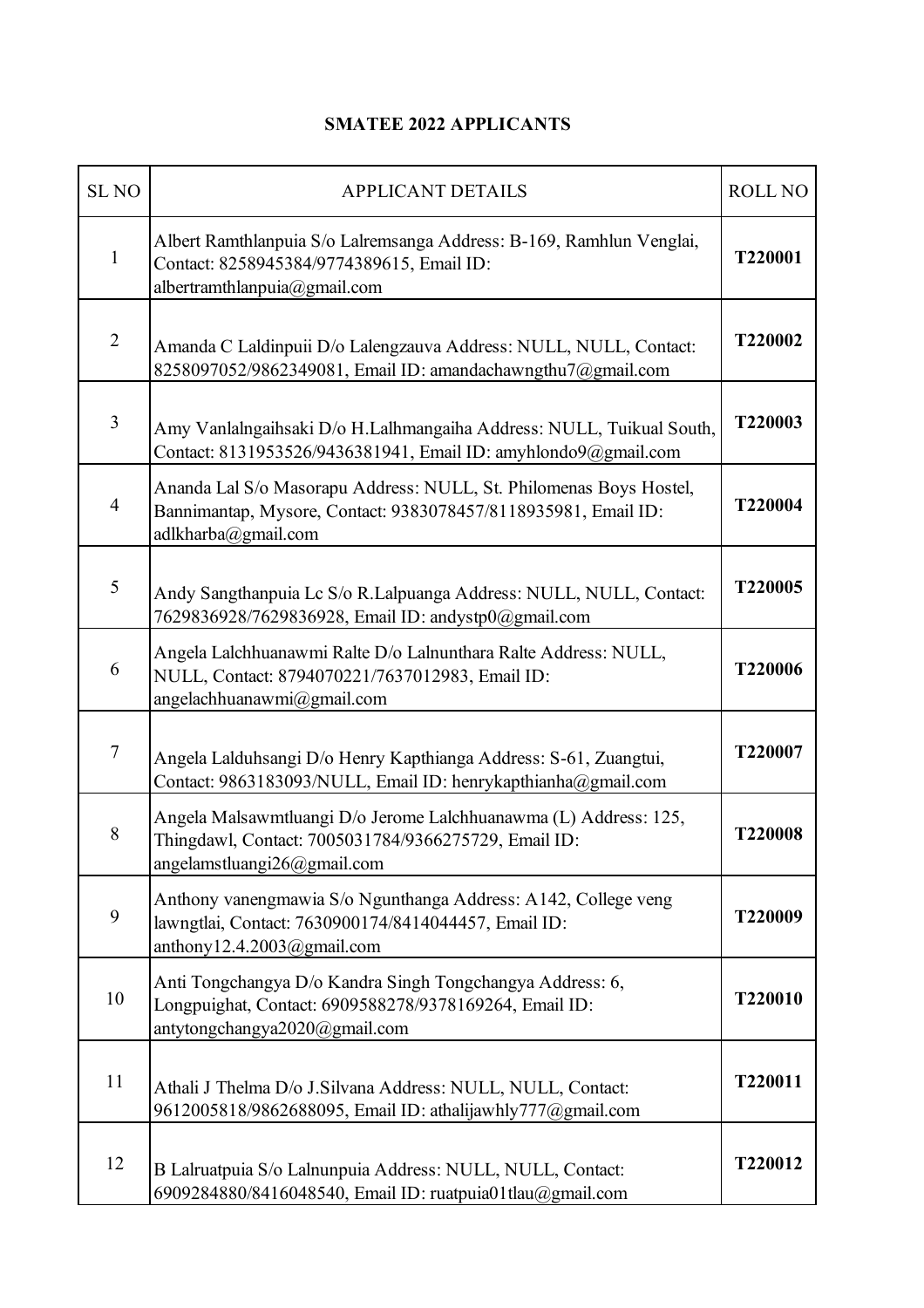## **SMATEE 2022 APPLICANTS**

| <b>SLNO</b>    | <b>APPLICANT DETAILS</b>                                                                                                                                    | ROLL NO |
|----------------|-------------------------------------------------------------------------------------------------------------------------------------------------------------|---------|
| 1              | Albert Ramthlanpuia S/o Lalremsanga Address: B-169, Ramhlun Venglai,<br>Contact: 8258945384/9774389615, Email ID:<br>albertramthlanpuia@gmail.com           | T220001 |
| $\overline{2}$ | Amanda C Laldinpuii D/o Lalengzauva Address: NULL, NULL, Contact:<br>8258097052/9862349081, Email ID: amandachawngthu7@gmail.com                            | T220002 |
| $\overline{3}$ | Amy Vanlalngaihsaki D/o H.Lalhmangaiha Address: NULL, Tuikual South,<br>Contact: 8131953526/9436381941, Email ID: amyhlondo9@gmail.com                      | T220003 |
| $\overline{4}$ | Ananda Lal S/o Masorapu Address: NULL, St. Philomenas Boys Hostel,<br>Bannimantap, Mysore, Contact: 9383078457/8118935981, Email ID:<br>adlkharba@gmail.com | T220004 |
| 5              | Andy Sangthanpuia Lc S/o R.Lalpuanga Address: NULL, NULL, Contact:<br>7629836928/7629836928, Email ID: andystp0@gmail.com                                   | T220005 |
| 6              | Angela Lalchhuanawmi Ralte D/o Lalnunthara Ralte Address: NULL,<br>NULL, Contact: 8794070221/7637012983, Email ID:<br>angelachhuanawmi@gmail.com            | T220006 |
| $\tau$         | Angela Lalduhsangi D/o Henry Kapthianga Address: S-61, Zuangtui,<br>Contact: 9863183093/NULL, Email ID: henrykapthianha@gmail.com                           | T220007 |
| 8              | Angela Malsawmtluangi D/o Jerome Lalchhuanawma (L) Address: 125,<br>Thingdawl, Contact: 7005031784/9366275729, Email ID:<br>angelamstluangi26@gmail.com     | T220008 |
| 9              | Anthony vanengmawia S/o Ngunthanga Address: A142, College veng<br>lawngtlai, Contact: 7630900174/8414044457, Email ID:<br>anthony12.4.2003@gmail.com        | T220009 |
| 10             | Anti Tongchangya D/o Kandra Singh Tongchangya Address: 6,<br>Longpuighat, Contact: 6909588278/9378169264, Email ID:<br>antytongchangya2020@gmail.com        | T220010 |
| 11             | Athali J Thelma D/o J.Silvana Address: NULL, NULL, Contact:<br>9612005818/9862688095, Email ID: athalijawhly777@gmail.com                                   | T220011 |
| 12             | B Lalruatpuia S/o Lalnunpuia Address: NULL, NULL, Contact:<br>6909284880/8416048540, Email ID: ruatpuia01tlau@gmail.com                                     | T220012 |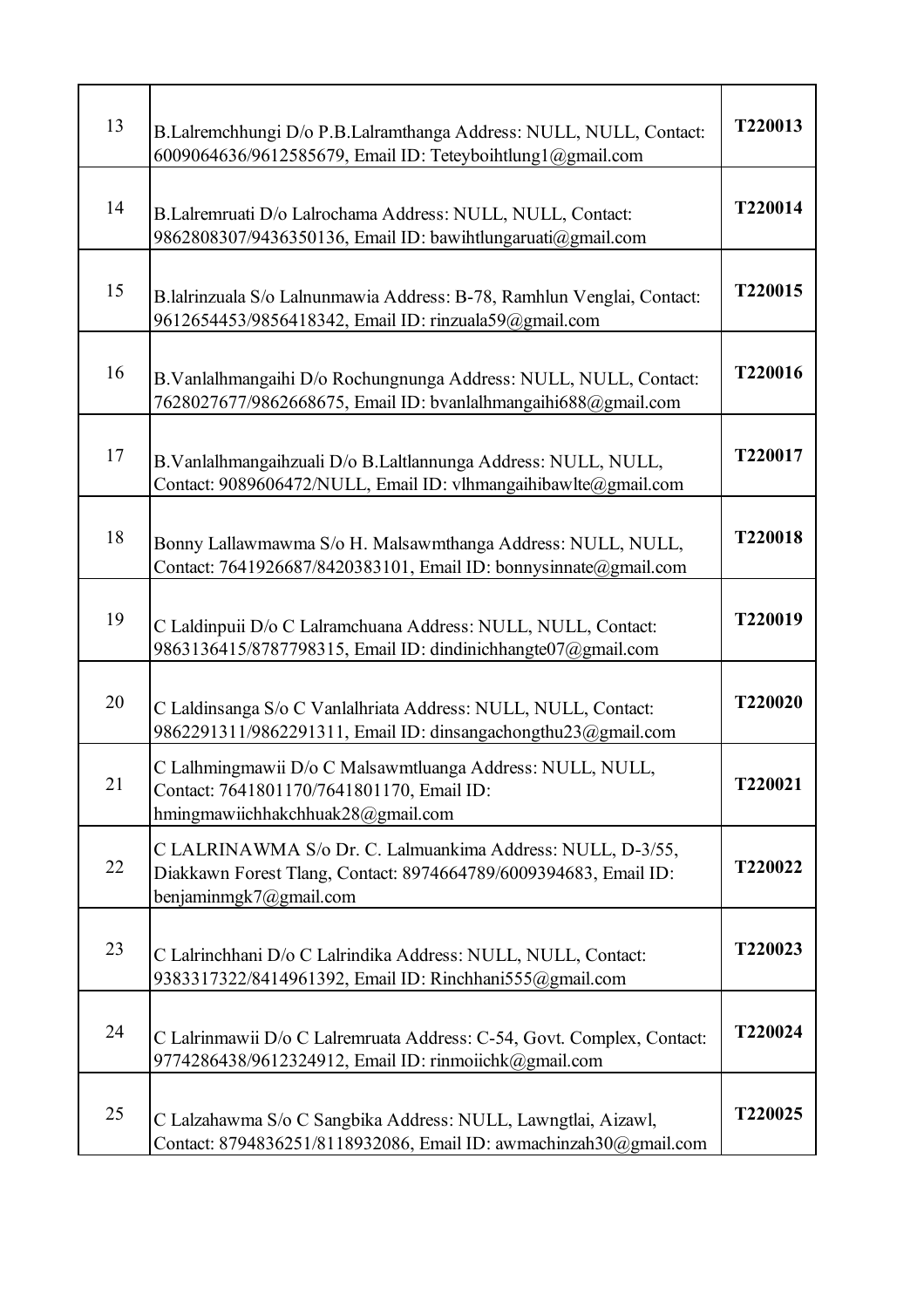| 13 | B.Lalremchhungi D/o P.B.Lalramthanga Address: NULL, NULL, Contact:<br>6009064636/9612585679, Email ID: Teteyboihtlung1@gmail.com                         | T220013 |
|----|----------------------------------------------------------------------------------------------------------------------------------------------------------|---------|
| 14 | B.Lalremruati D/o Lalrochama Address: NULL, NULL, Contact:<br>9862808307/9436350136, Email ID: bawihtlungaruati@gmail.com                                | T220014 |
| 15 | B.lalrinzuala S/o Lalnunmawia Address: B-78, Ramhlun Venglai, Contact:<br>9612654453/9856418342, Email ID: rinzuala59@gmail.com                          | T220015 |
| 16 | B.Vanlalhmangaihi D/o Rochungnunga Address: NULL, NULL, Contact:<br>7628027677/9862668675, Email ID: bvanlalhmangaihi688@gmail.com                       | T220016 |
| 17 | B.Vanlalhmangaihzuali D/o B.Laltlannunga Address: NULL, NULL,<br>Contact: 9089606472/NULL, Email ID: vlhmangaihibawlte@gmail.com                         | T220017 |
| 18 | Bonny Lallawmawma S/o H. Malsawmthanga Address: NULL, NULL,<br>Contact: 7641926687/8420383101, Email ID: bonnysinnate@gmail.com                          | T220018 |
| 19 | C Laldinpuii D/o C Lalramchuana Address: NULL, NULL, Contact:<br>9863136415/8787798315, Email ID: dindinichhangte07@gmail.com                            | T220019 |
| 20 | C Laldinsanga S/o C Vanlalhriata Address: NULL, NULL, Contact:<br>9862291311/9862291311, Email ID: dinsangachongthu23@gmail.com                          | T220020 |
| 21 | C Lalhmingmawii D/o C Malsawmtluanga Address: NULL, NULL,<br>Contact: 7641801170/7641801170, Email ID:<br>hmingmawiichhakchhuak28@gmail.com              | T220021 |
| 22 | C LALRINAWMA S/o Dr. C. Lalmuankima Address: NULL, D-3/55,<br>Diakkawn Forest Tlang, Contact: 8974664789/6009394683, Email ID:<br>benjaminmgk7@gmail.com | T220022 |
| 23 | C Lalrinchhani D/o C Lalrindika Address: NULL, NULL, Contact:<br>9383317322/8414961392, Email ID: Rinchhani555@gmail.com                                 | T220023 |
| 24 | C Lalrinmawii D/o C Lalremruata Address: C-54, Govt. Complex, Contact:<br>9774286438/9612324912, Email ID: rinmoiichk@gmail.com                          | T220024 |
| 25 | C Lalzahawma S/o C Sangbika Address: NULL, Lawngtlai, Aizawl,<br>Contact: 8794836251/8118932086, Email ID: awmachinzah30@gmail.com                       | T220025 |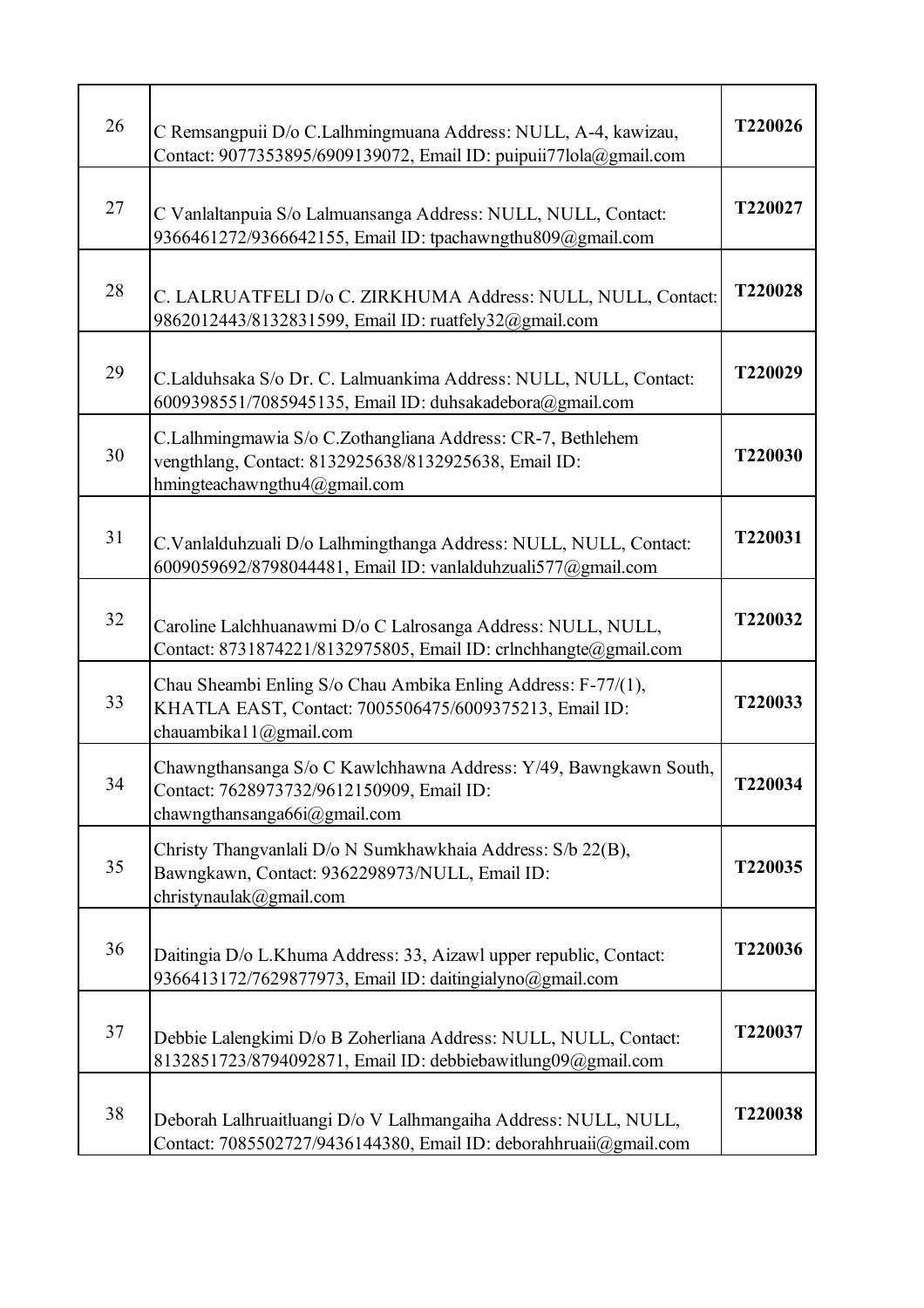| 26 | C Remsangpuii D/o C.Lalhmingmuana Address: NULL, A-4, kawizau,<br>Contact: 9077353895/6909139072, Email ID: puipuii77lola@gmail.com                  | T220026 |
|----|------------------------------------------------------------------------------------------------------------------------------------------------------|---------|
| 27 | C Vanlaltanpuia S/o Lalmuansanga Address: NULL, NULL, Contact:<br>9366461272/9366642155, Email ID: tpachawngthu809@gmail.com                         | T220027 |
| 28 | C. LALRUATFELI D/o C. ZIRKHUMA Address: NULL, NULL, Contact:<br>9862012443/8132831599, Email ID: ruatfely32@gmail.com                                | T220028 |
| 29 | C.Lalduhsaka S/o Dr. C. Lalmuankima Address: NULL, NULL, Contact:<br>6009398551/7085945135, Email ID: duhsakadebora@gmail.com                        | T220029 |
| 30 | C.Lalhmingmawia S/o C.Zothangliana Address: CR-7, Bethlehem<br>vengthlang, Contact: 8132925638/8132925638, Email ID:<br>hmingteachawngthu4@gmail.com | T220030 |
| 31 | C.Vanlalduhzuali D/o Lalhmingthanga Address: NULL, NULL, Contact:<br>6009059692/8798044481, Email ID: vanlalduhzuali577@gmail.com                    | T220031 |
| 32 | Caroline Lalchhuanawmi D/o C Lalrosanga Address: NULL, NULL,<br>Contact: 8731874221/8132975805, Email ID: crlnchhangte@gmail.com                     | T220032 |
| 33 | Chau Sheambi Enling S/o Chau Ambika Enling Address: F-77/(1),<br>KHATLA EAST, Contact: 7005506475/6009375213, Email ID:<br>chauambika11@gmail.com    | T220033 |
| 34 | Chawngthansanga S/o C Kawlchhawna Address: Y/49, Bawngkawn South,<br>Contact: 7628973732/9612150909, Email ID:<br>chawngthansanga66i@gmail.com       | T220034 |
| 35 | Christy Thangvanlali D/o N Sumkhawkhaia Address: S/b 22(B),<br>Bawngkawn, Contact: 9362298973/NULL, Email ID:<br>christynaulak@gmail.com             | T220035 |
| 36 | Daitingia D/o L.Khuma Address: 33, Aizawl upper republic, Contact:<br>9366413172/7629877973, Email ID: daitingialyno@gmail.com                       | T220036 |
| 37 | Debbie Lalengkimi D/o B Zoherliana Address: NULL, NULL, Contact:<br>8132851723/8794092871, Email ID: debbiebawitlung09@gmail.com                     | T220037 |
| 38 | Deborah Lalhruaitluangi D/o V Lalhmangaiha Address: NULL, NULL,<br>Contact: 7085502727/9436144380, Email ID: deborahhruaii@gmail.com                 | T220038 |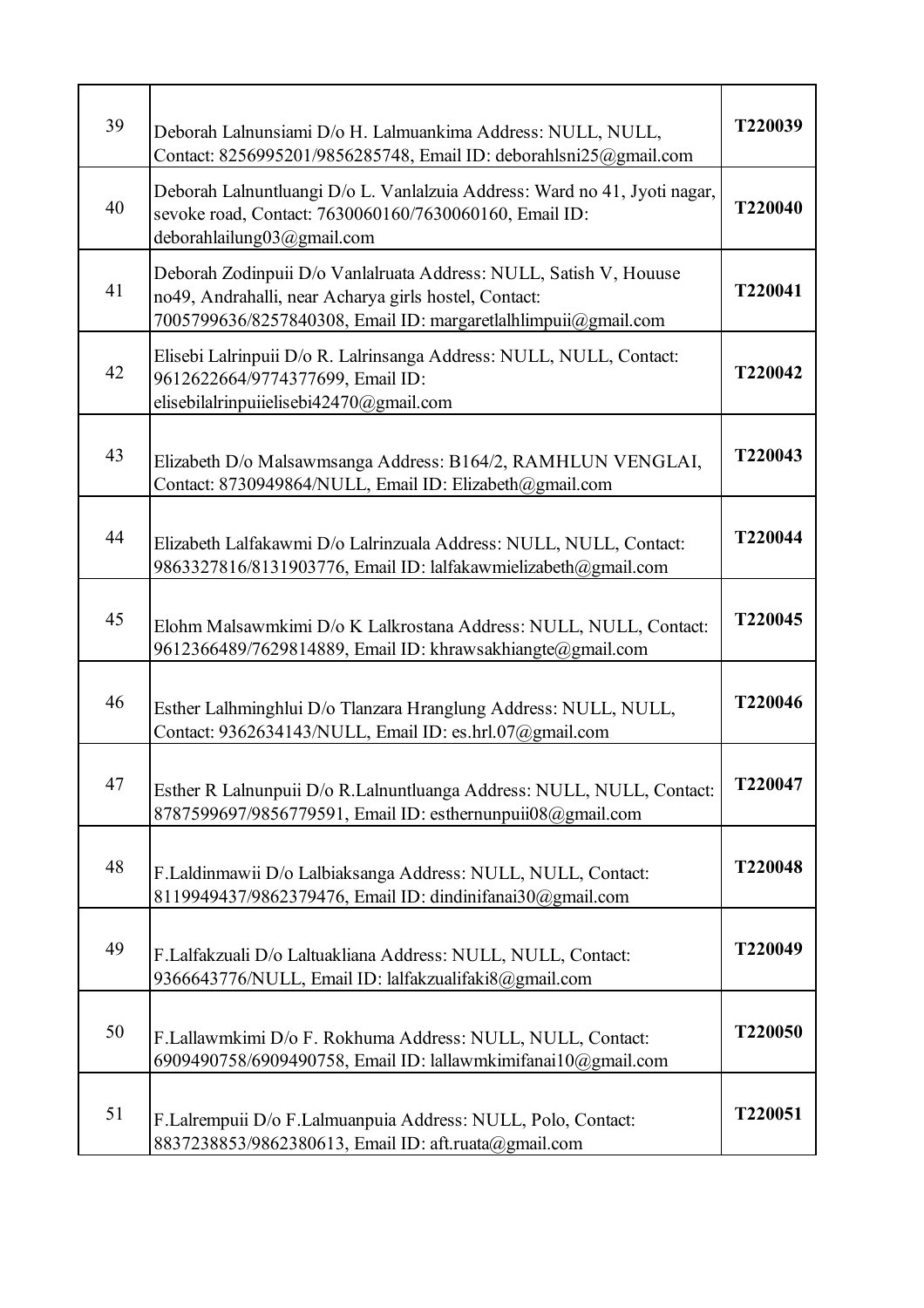| 39 | Deborah Lalnunsiami D/o H. Lalmuankima Address: NULL, NULL,<br>Contact: 8256995201/9856285748, Email ID: deborahlsni25@gmail.com                                                             | T220039 |
|----|----------------------------------------------------------------------------------------------------------------------------------------------------------------------------------------------|---------|
| 40 | Deborah Lalnuntluangi D/o L. Vanlalzuia Address: Ward no 41, Jyoti nagar,<br>sevoke road, Contact: 7630060160/7630060160, Email ID:<br>deborahlailung03@gmail.com                            | T220040 |
| 41 | Deborah Zodinpuii D/o Vanlalruata Address: NULL, Satish V, Houuse<br>no49, Andrahalli, near Acharya girls hostel, Contact:<br>7005799636/8257840308, Email ID: margaretlalhlimpuii@gmail.com | T220041 |
| 42 | Elisebi Lalrinpuii D/o R. Lalrinsanga Address: NULL, NULL, Contact:<br>9612622664/9774377699, Email ID:<br>elisebilalrinpuiielisebi42470@gmail.com                                           | T220042 |
| 43 | Elizabeth D/o Malsawmsanga Address: B164/2, RAMHLUN VENGLAI,<br>Contact: 8730949864/NULL, Email ID: Elizabeth@gmail.com                                                                      | T220043 |
| 44 | Elizabeth Lalfakawmi D/o Lalrinzuala Address: NULL, NULL, Contact:<br>9863327816/8131903776, Email ID: lalfakawmielizabeth@gmail.com                                                         | T220044 |
| 45 | Elohm Malsawmkimi D/o K Lalkrostana Address: NULL, NULL, Contact:<br>9612366489/7629814889, Email ID: khrawsakhiangte@gmail.com                                                              | T220045 |
| 46 | Esther Lalhminghlui D/o Tlanzara Hranglung Address: NULL, NULL,<br>Contact: 9362634143/NULL, Email ID: es.hrl.07@gmail.com                                                                   | T220046 |
| 47 | Esther R Lalnunpuii D/o R.Lalnuntluanga Address: NULL, NULL, Contact:<br>8787599697/9856779591, Email ID: esthernunpuii08@gmail.com                                                          | T220047 |
| 48 | F.Laldinmawii D/o Lalbiaksanga Address: NULL, NULL, Contact:<br>8119949437/9862379476, Email ID: dindinifanai30@gmail.com                                                                    | T220048 |
| 49 | F.Lalfakzuali D/o Laltuakliana Address: NULL, NULL, Contact:<br>9366643776/NULL, Email ID: lalfakzualifaki8@gmail.com                                                                        | T220049 |
| 50 | F.Lallawmkimi D/o F. Rokhuma Address: NULL, NULL, Contact:<br>6909490758/6909490758, Email ID: lallawmkimifanai10@gmail.com                                                                  | T220050 |
| 51 | F.Lalrempuii D/o F.Lalmuanpuia Address: NULL, Polo, Contact:<br>8837238853/9862380613, Email ID: aft.ruata@gmail.com                                                                         | T220051 |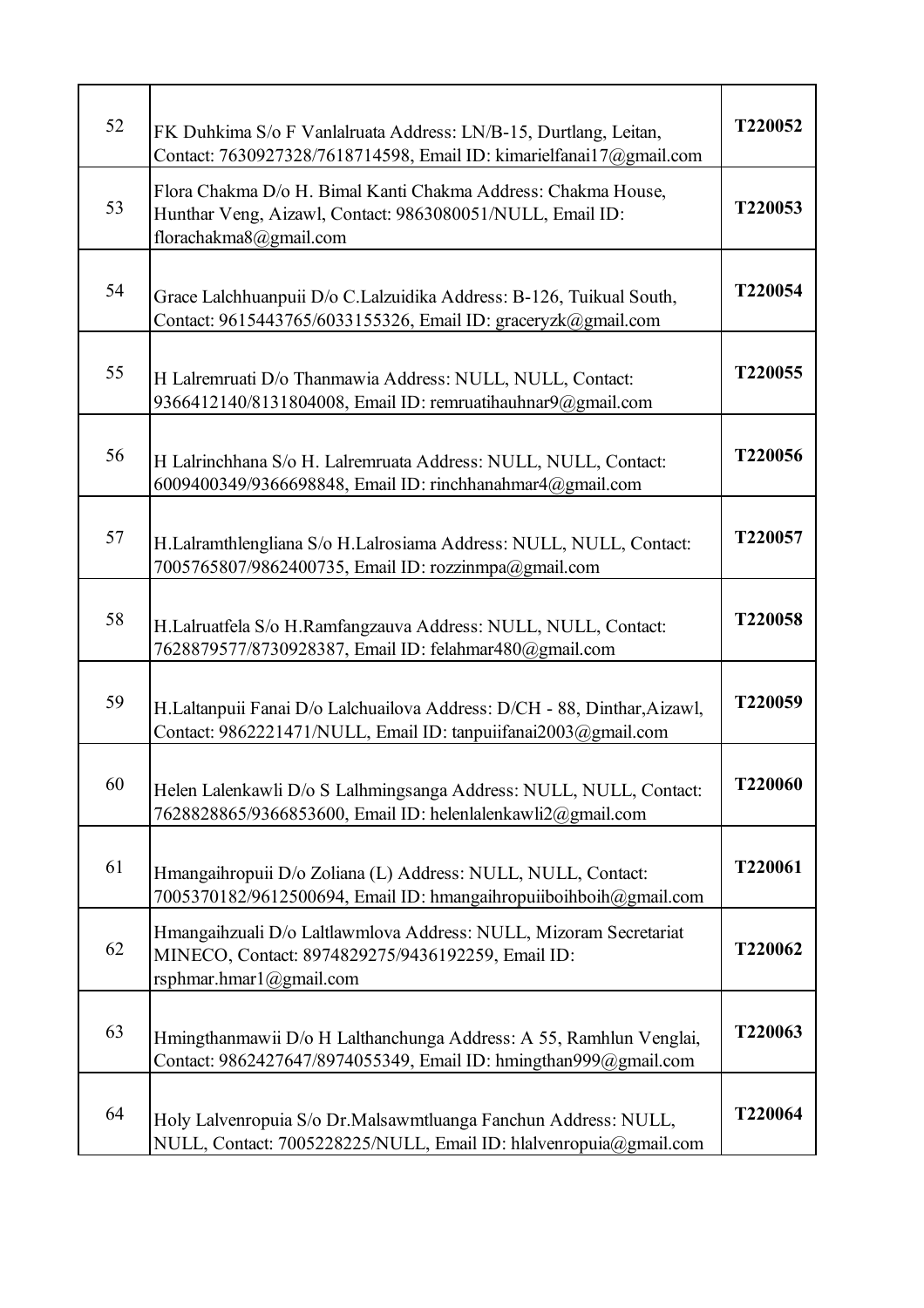| 52 | FK Duhkima S/o F Vanlalruata Address: LN/B-15, Durtlang, Leitan,<br>Contact: 7630927328/7618714598, Email ID: kimarielfanai17@gmail.com              | T220052        |
|----|------------------------------------------------------------------------------------------------------------------------------------------------------|----------------|
| 53 | Flora Chakma D/o H. Bimal Kanti Chakma Address: Chakma House,<br>Hunthar Veng, Aizawl, Contact: 9863080051/NULL, Email ID:<br>florachakma8@gmail.com | T220053        |
| 54 | Grace Lalchhuanpuii D/o C.Lalzuidika Address: B-126, Tuikual South,<br>Contact: 9615443765/6033155326, Email ID: graceryzk@gmail.com                 | T220054        |
| 55 | H Lalremruati D/o Thanmawia Address: NULL, NULL, Contact:<br>9366412140/8131804008, Email ID: remruatihauhnar9@gmail.com                             | T220055        |
| 56 | H Lalrinchhana S/o H. Lalremruata Address: NULL, NULL, Contact:<br>6009400349/9366698848, Email ID: rinchhanahmar4@gmail.com                         | T220056        |
| 57 | H.Lalramthlengliana S/o H.Lalrosiama Address: NULL, NULL, Contact:<br>7005765807/9862400735, Email ID: rozzinmpa@gmail.com                           | T220057        |
| 58 | H.Lalruatfela S/o H.Ramfangzauva Address: NULL, NULL, Contact:<br>7628879577/8730928387, Email ID: felahmar480@gmail.com                             | T220058        |
| 59 | H.Laltanpuii Fanai D/o Lalchuailova Address: D/CH - 88, Dinthar, Aizawl,<br>Contact: 9862221471/NULL, Email ID: tanpuiifanai2003@gmail.com           | T220059        |
| 60 | Helen Lalenkawli D/o S Lalhmingsanga Address: NULL, NULL, Contact:<br>7628828865/9366853600, Email ID: helenlalenkawli2@gmail.com                    | <b>T220060</b> |
| 61 | Hmangaihropuii D/o Zoliana (L) Address: NULL, NULL, Contact:<br>7005370182/9612500694, Email ID: hmangaihropuiiboihboih@gmail.com                    | T220061        |
| 62 | Hmangaihzuali D/o Laltlawmlova Address: NULL, Mizoram Secretariat<br>MINECO, Contact: 8974829275/9436192259, Email ID:<br>rsphmar.hmar1@gmail.com    | T220062        |
| 63 | Hmingthanmawii D/o H Lalthanchunga Address: A 55, Ramhlun Venglai,<br>Contact: 9862427647/8974055349, Email ID: hmingthan999@gmail.com               | T220063        |
| 64 | Holy Lalvenropuia S/o Dr.Malsawmtluanga Fanchun Address: NULL,<br>NULL, Contact: 7005228225/NULL, Email ID: hlalvenropuia@gmail.com                  | T220064        |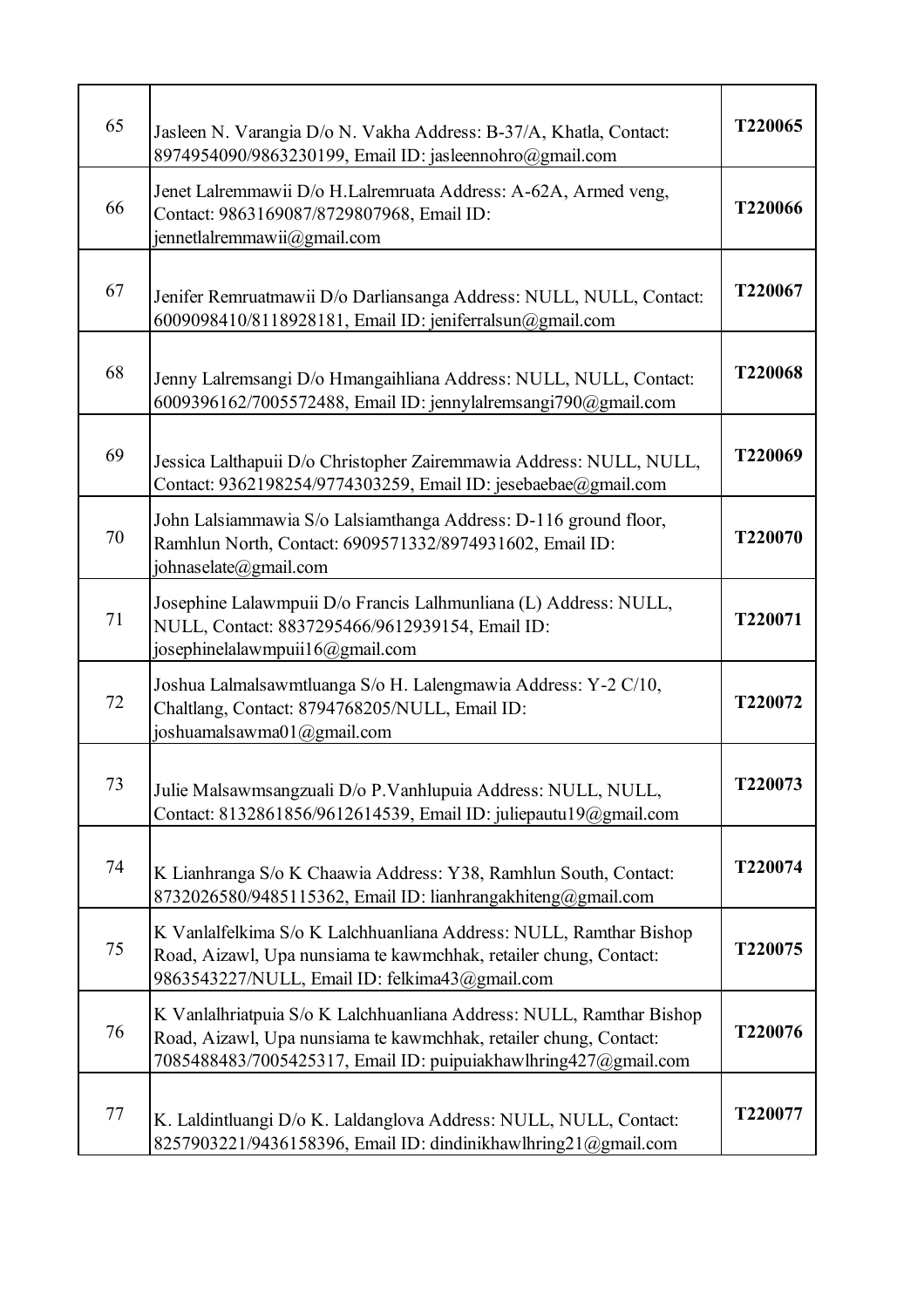| 65 | Jasleen N. Varangia D/o N. Vakha Address: B-37/A, Khatla, Contact:<br>8974954090/9863230199, Email ID: jasleennohro@gmail.com                                                                                | T220065 |
|----|--------------------------------------------------------------------------------------------------------------------------------------------------------------------------------------------------------------|---------|
| 66 | Jenet Lalremmawii D/o H.Lalremruata Address: A-62A, Armed veng,<br>Contact: 9863169087/8729807968, Email ID:<br>jennetlalremmawii@gmail.com                                                                  | T220066 |
| 67 | Jenifer Remruatmawii D/o Darliansanga Address: NULL, NULL, Contact:<br>6009098410/8118928181, Email ID: jeniferralsun@gmail.com                                                                              | T220067 |
| 68 | Jenny Lalremsangi D/o Hmangaihliana Address: NULL, NULL, Contact:<br>6009396162/7005572488, Email ID: jennylalremsangi790@gmail.com                                                                          | T220068 |
| 69 | Jessica Lalthapuii D/o Christopher Zairemmawia Address: NULL, NULL,<br>Contact: 9362198254/9774303259, Email ID: jesebaebae@gmail.com                                                                        | T220069 |
| 70 | John Lalsiammawia S/o Lalsiamthanga Address: D-116 ground floor,<br>Ramhlun North, Contact: 6909571332/8974931602, Email ID:<br>johnaselate@gmail.com                                                        | T220070 |
| 71 | Josephine Lalawmpuii D/o Francis Lalhmunliana (L) Address: NULL,<br>NULL, Contact: 8837295466/9612939154, Email ID:<br>josephinelalawmpuii16@gmail.com                                                       | T220071 |
| 72 | Joshua Lalmalsawmtluanga S/o H. Lalengmawia Address: Y-2 C/10,<br>Chaltlang, Contact: 8794768205/NULL, Email ID:<br>joshuamalsawma01@gmail.com                                                               | T220072 |
| 73 | Julie Malsawmsangzuali D/o P.Vanhlupuia Address: NULL, NULL,<br>Contact: 8132861856/9612614539, Email ID: juliepautu19@gmail.com                                                                             | T220073 |
| 74 | K Lianhranga S/o K Chaawia Address: Y38, Ramhlun South, Contact:<br>8732026580/9485115362, Email ID: lianhrangakhiteng@gmail.com                                                                             | T220074 |
| 75 | K Vanlalfelkima S/o K Lalchhuanliana Address: NULL, Ramthar Bishop<br>Road, Aizawl, Upa nunsiama te kawmchhak, retailer chung, Contact:<br>9863543227/NULL, Email ID: felkima43@gmail.com                    | T220075 |
| 76 | K Vanlalhriatpuia S/o K Lalchhuanliana Address: NULL, Ramthar Bishop<br>Road, Aizawl, Upa nunsiama te kawmchhak, retailer chung, Contact:<br>7085488483/7005425317, Email ID: puipuiakhawlhring427@gmail.com | T220076 |
| 77 | K. Laldintluangi D/o K. Laldanglova Address: NULL, NULL, Contact:<br>8257903221/9436158396, Email ID: dindinikhawlhring21@gmail.com                                                                          | T220077 |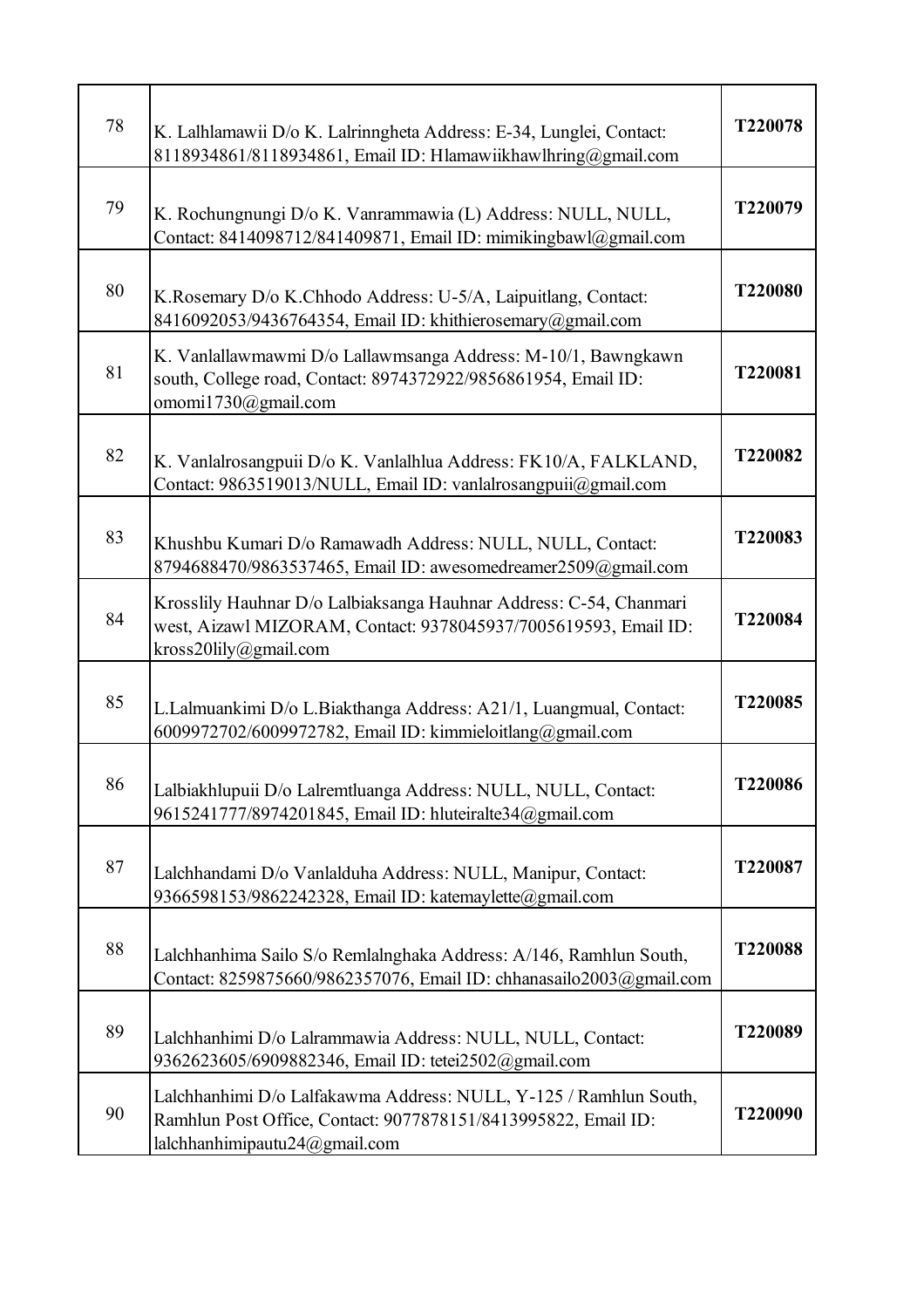| 78 | K. Lalhlamawii D/o K. Lalrinngheta Address: E-34, Lunglei, Contact:<br>8118934861/8118934861, Email ID: Hlamawiikhawlhring@gmail.com                                 | T220078 |
|----|----------------------------------------------------------------------------------------------------------------------------------------------------------------------|---------|
| 79 | K. Rochungnungi D/o K. Vanrammawia (L) Address: NULL, NULL,<br>Contact: 8414098712/841409871, Email ID: mimikingbawl@gmail.com                                       | T220079 |
| 80 | K.Rosemary D/o K.Chhodo Address: U-5/A, Laipuitlang, Contact:<br>8416092053/9436764354, Email ID: khithierosemary@gmail.com                                          | T220080 |
| 81 | K. Vanlallawmawmi D/o Lallawmsanga Address: M-10/1, Bawngkawn<br>south, College road, Contact: 8974372922/9856861954, Email ID:<br>omomi1730@gmail.com               | T220081 |
| 82 | K. Vanlalrosangpuii D/o K. Vanlalhlua Address: FK10/A, FALKLAND,<br>Contact: 9863519013/NULL, Email ID: vanlalrosangpuii@gmail.com                                   | T220082 |
| 83 | Khushbu Kumari D/o Ramawadh Address: NULL, NULL, Contact:<br>8794688470/9863537465, Email ID: awesomedreamer2509@gmail.com                                           | T220083 |
| 84 | Krosslily Hauhnar D/o Lalbiaksanga Hauhnar Address: C-54, Chanmari<br>west, Aizawl MIZORAM, Contact: 9378045937/7005619593, Email ID:<br>kross20lily@gmail.com       | T220084 |
| 85 | L.Lalmuankimi D/o L.Biakthanga Address: A21/1, Luangmual, Contact:<br>6009972702/6009972782, Email ID: kimmieloitlang@gmail.com                                      | T220085 |
| 86 | Lalbiakhlupuii D/o Lalremtluanga Address: NULL, NULL, Contact:<br>9615241777/8974201845, Email ID: hluteiralte34@gmail.com                                           | T220086 |
| 87 | Lalchhandami D/o Vanlalduha Address: NULL, Manipur, Contact:<br>9366598153/9862242328, Email ID: katemaylette@gmail.com                                              | T220087 |
| 88 | Lalchhanhima Sailo S/o Remlalnghaka Address: A/146, Ramhlun South,<br>Contact: 8259875660/9862357076, Email ID: chhanasailo2003@gmail.com                            | T220088 |
| 89 | Lalchhanhimi D/o Lalrammawia Address: NULL, NULL, Contact:<br>9362623605/6909882346, Email ID: tetei2502@gmail.com                                                   | T220089 |
| 90 | Lalchhanhimi D/o Lalfakawma Address: NULL, Y-125 / Ramhlun South,<br>Ramhlun Post Office, Contact: 9077878151/8413995822, Email ID:<br>lalchhanhimipautu24@gmail.com | T220090 |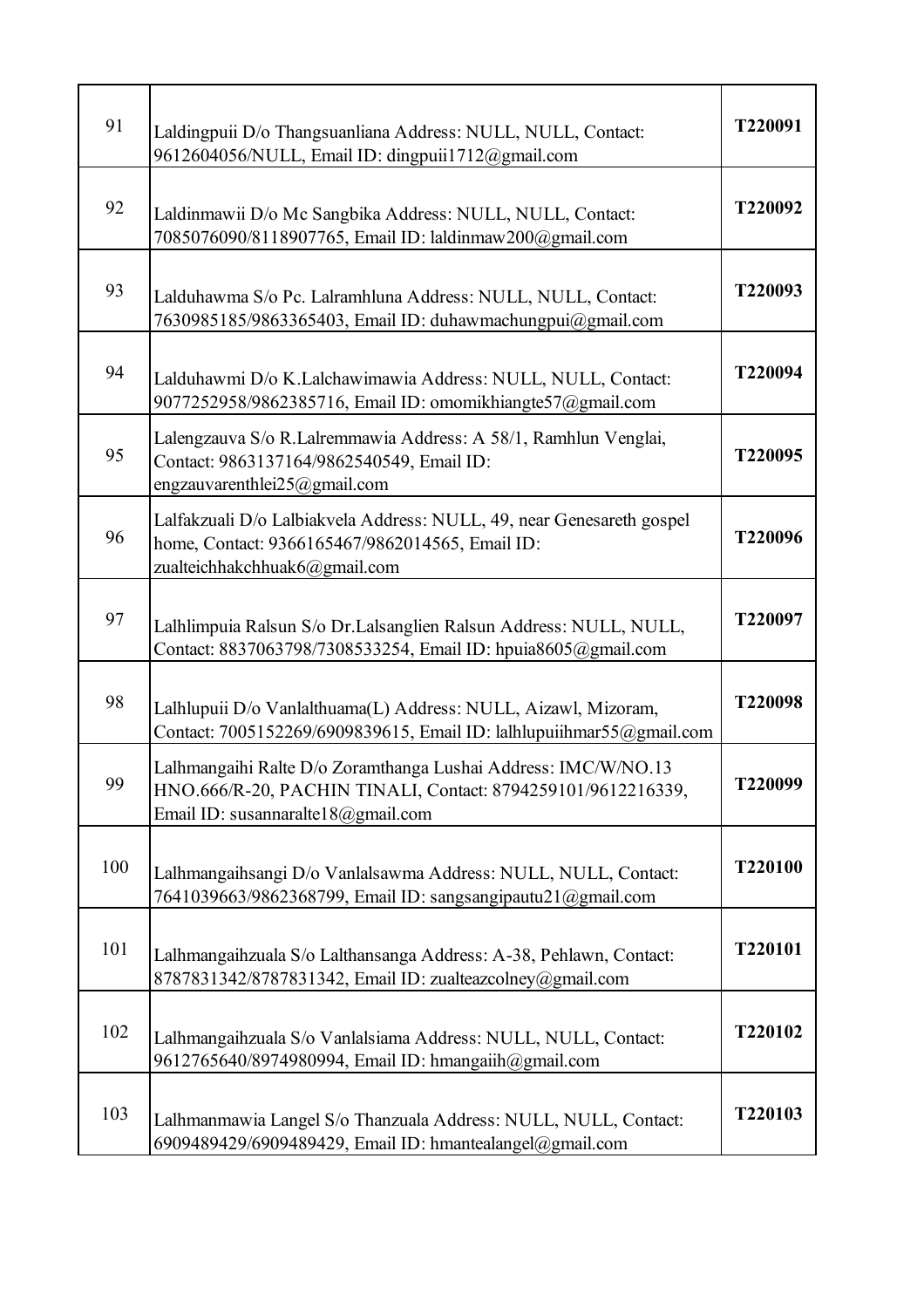| 91  | Laldingpuii D/o Thangsuanliana Address: NULL, NULL, Contact:<br>9612604056/NULL, Email ID: dingpuii1712@gmail.com                                                    | T220091 |
|-----|----------------------------------------------------------------------------------------------------------------------------------------------------------------------|---------|
| 92  | Laldinmawii D/o Mc Sangbika Address: NULL, NULL, Contact:<br>7085076090/8118907765, Email ID: laldinmaw200@gmail.com                                                 | T220092 |
| 93  | Lalduhawma S/o Pc. Lalramhluna Address: NULL, NULL, Contact:<br>7630985185/9863365403, Email ID: duhawmachungpui@gmail.com                                           | T220093 |
| 94  | Lalduhawmi D/o K.Lalchawimawia Address: NULL, NULL, Contact:<br>9077252958/9862385716, Email ID: omomikhiangte57@gmail.com                                           | T220094 |
| 95  | Lalengzauva S/o R.Lalremmawia Address: A 58/1, Ramhlun Venglai,<br>Contact: 9863137164/9862540549, Email ID:<br>engzauvarenthlei25@gmail.com                         | T220095 |
| 96  | Lalfakzuali D/o Lalbiakvela Address: NULL, 49, near Genesareth gospel<br>home, Contact: 9366165467/9862014565, Email ID:<br>zualteichhakchhuak6@gmail.com            | T220096 |
| 97  | Lalhlimpuia Ralsun S/o Dr.Lalsanglien Ralsun Address: NULL, NULL,<br>Contact: 8837063798/7308533254, Email ID: hpuia8605@gmail.com                                   | T220097 |
| 98  | Lalhlupuii D/o Vanlalthuama(L) Address: NULL, Aizawl, Mizoram,<br>Contact: 7005152269/6909839615, Email ID: lalhlupuiihmar55@gmail.com                               | T220098 |
| 99  | Lalhmangaihi Ralte D/o Zoramthanga Lushai Address: IMC/W/NO.13<br>HNO.666/R-20, PACHIN TINALI, Contact: 8794259101/9612216339,<br>Email ID: susannaralte18@gmail.com | T220099 |
| 100 | Lalhmangaihsangi D/o Vanlalsawma Address: NULL, NULL, Contact:<br>7641039663/9862368799, Email ID: sangsangipautu21@gmail.com                                        | T220100 |
| 101 | Lalhmangaihzuala S/o Lalthansanga Address: A-38, Pehlawn, Contact:<br>8787831342/8787831342, Email ID: zualteazcolney@gmail.com                                      | T220101 |
| 102 | Lalhmangaihzuala S/o Vanlalsiama Address: NULL, NULL, Contact:<br>9612765640/8974980994, Email ID: hmangaiih@gmail.com                                               | T220102 |
| 103 | Lalhmanmawia Langel S/o Thanzuala Address: NULL, NULL, Contact:<br>6909489429/6909489429, Email ID: hmantealangel@gmail.com                                          | T220103 |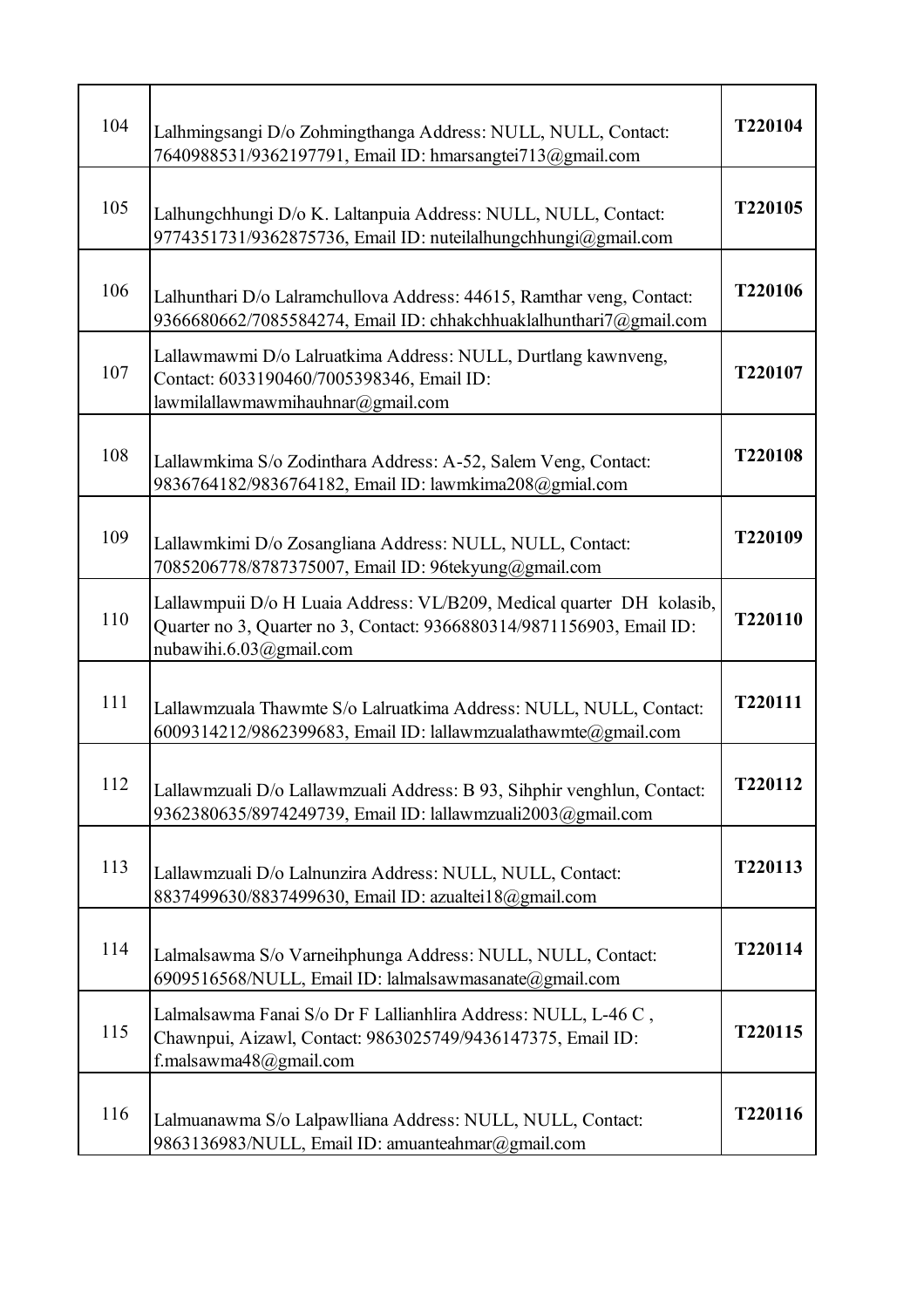| 104 | Lalhmingsangi D/o Zohmingthanga Address: NULL, NULL, Contact:<br>7640988531/9362197791, Email ID: hmarsangtei713@gmail.com                                                | T220104 |
|-----|---------------------------------------------------------------------------------------------------------------------------------------------------------------------------|---------|
| 105 | Lalhungchhungi D/o K. Laltanpuia Address: NULL, NULL, Contact:<br>9774351731/9362875736, Email ID: nuteilalhungchhungi@gmail.com                                          | T220105 |
| 106 | Lalhunthari D/o Lalramchullova Address: 44615, Ramthar veng, Contact:<br>9366680662/7085584274, Email ID: chhakchhuaklalhunthari7@gmail.com                               | T220106 |
| 107 | Lallawmawmi D/o Lalruatkima Address: NULL, Durtlang kawnveng,<br>Contact: 6033190460/7005398346, Email ID:<br>lawmilallawmawmihauhnar@gmail.com                           | T220107 |
| 108 | Lallawmkima S/o Zodinthara Address: A-52, Salem Veng, Contact:<br>9836764182/9836764182, Email ID: lawmkima208@gmial.com                                                  | T220108 |
| 109 | Lallawmkimi D/o Zosangliana Address: NULL, NULL, Contact:<br>7085206778/8787375007, Email ID: 96tekyung@gmail.com                                                         | T220109 |
| 110 | Lallawmpuii D/o H Luaia Address: VL/B209, Medical quarter DH kolasib,<br>Quarter no 3, Quarter no 3, Contact: 9366880314/9871156903, Email ID:<br>nubawihi.6.03@gmail.com | T220110 |
| 111 | Lallawmzuala Thawmte S/o Lalruatkima Address: NULL, NULL, Contact:<br>6009314212/9862399683, Email ID: lallawmzualathawmte@gmail.com                                      | T220111 |
| 112 | Lallawmzuali D/o Lallawmzuali Address: B 93, Sihphir venghlun, Contact:<br>9362380635/8974249739, Email ID: lallawmzuali2003@gmail.com                                    | T220112 |
| 113 | Lallawmzuali D/o Lalnunzira Address: NULL, NULL, Contact:<br>8837499630/8837499630, Email ID: azualtei18@gmail.com                                                        | T220113 |
| 114 | Lalmalsawma S/o Varneihphunga Address: NULL, NULL, Contact:<br>6909516568/NULL, Email ID: lalmalsawmasanate@gmail.com                                                     | T220114 |
| 115 | Lalmalsawma Fanai S/o Dr F Lallianhlira Address: NULL, L-46 C,<br>Chawnpui, Aizawl, Contact: 9863025749/9436147375, Email ID:<br>f.malsawma48@gmail.com                   | T220115 |
| 116 | Lalmuanawma S/o Lalpawlliana Address: NULL, NULL, Contact:<br>9863136983/NULL, Email ID: amuanteahmar@gmail.com                                                           | T220116 |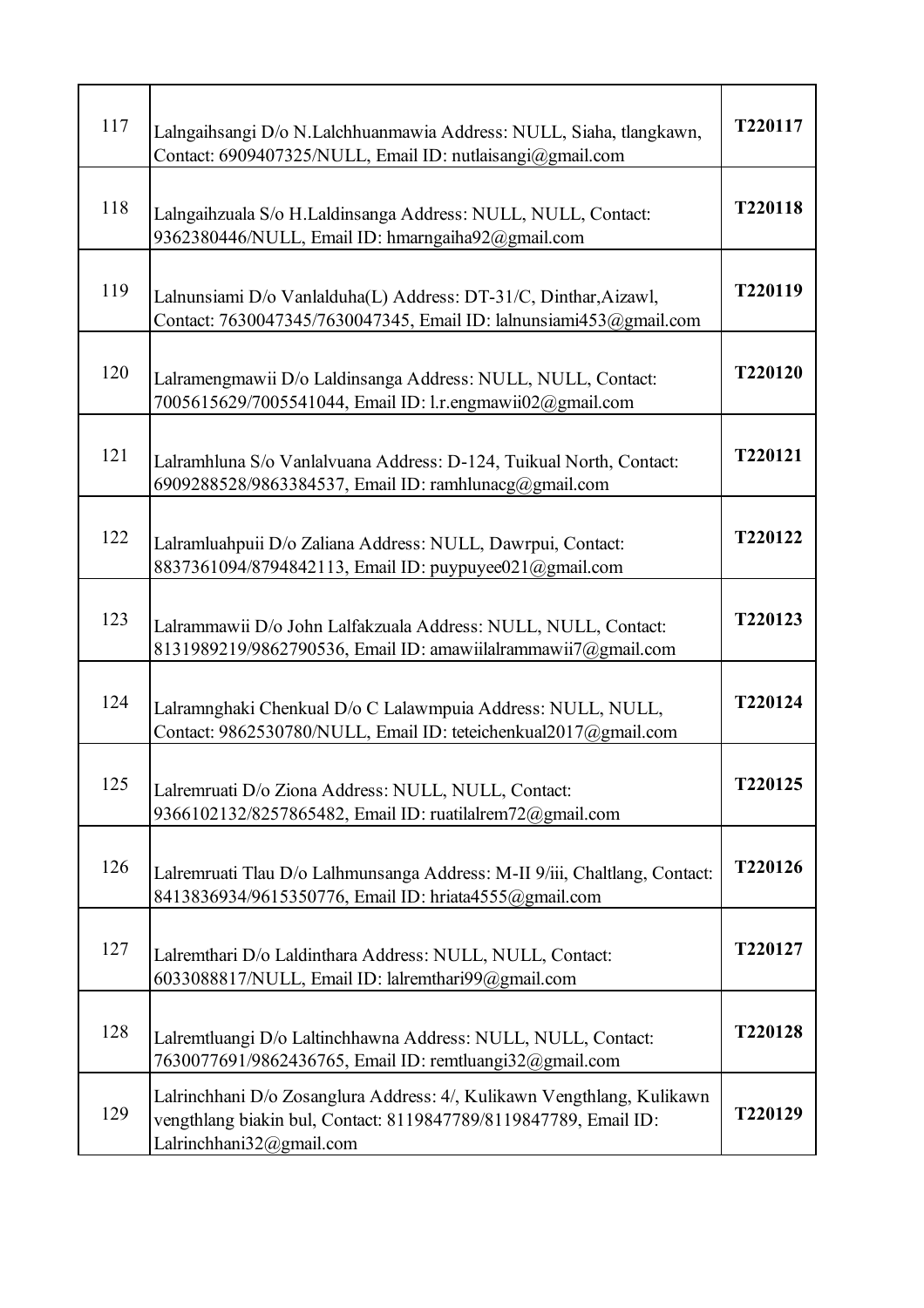| 117 | Lalngaihsangi D/o N.Lalchhuanmawia Address: NULL, Siaha, tlangkawn,<br>Contact: 6909407325/NULL, Email ID: nutlaisangi@gmail.com                                       | T220117 |
|-----|------------------------------------------------------------------------------------------------------------------------------------------------------------------------|---------|
| 118 | Lalngaihzuala S/o H.Laldinsanga Address: NULL, NULL, Contact:<br>9362380446/NULL, Email ID: hmarngaiha92@gmail.com                                                     | T220118 |
| 119 | Lalnunsiami D/o Vanlalduha(L) Address: DT-31/C, Dinthar, Aizawl,<br>Contact: 7630047345/7630047345, Email ID: lalnunsiami453@gmail.com                                 | T220119 |
| 120 | Lalramengmawii D/o Laldinsanga Address: NULL, NULL, Contact:<br>7005615629/7005541044, Email ID: 1.r.engmawii02@gmail.com                                              | T220120 |
| 121 | Lalramhluna S/o Vanlalvuana Address: D-124, Tuikual North, Contact:<br>6909288528/9863384537, Email ID: ramhlunacg@gmail.com                                           | T220121 |
| 122 | Lalramluahpuii D/o Zaliana Address: NULL, Dawrpui, Contact:<br>8837361094/8794842113, Email ID: puypuyee021@gmail.com                                                  | T220122 |
| 123 | Lalrammawii D/o John Lalfakzuala Address: NULL, NULL, Contact:<br>8131989219/9862790536, Email ID: amawiilalrammawii7@gmail.com                                        | T220123 |
| 124 | Lalramnghaki Chenkual D/o C Lalawmpuia Address: NULL, NULL,<br>Contact: 9862530780/NULL, Email ID: teteichenkual2017@gmail.com                                         | T220124 |
| 125 | Lalremruati D/o Ziona Address: NULL, NULL, Contact:<br>9366102132/8257865482, Email ID: ruatilalrem72@gmail.com                                                        | T220125 |
| 126 | Lalremruati Tlau D/o Lalhmunsanga Address: M-II 9/iii, Chaltlang, Contact:<br>8413836934/9615350776, Email ID: hriata4555@gmail.com                                    | T220126 |
| 127 | Lalremthari D/o Laldinthara Address: NULL, NULL, Contact:<br>6033088817/NULL, Email ID: lalremthari99@gmail.com                                                        | T220127 |
| 128 | Lalremtluangi D/o Laltinchhawna Address: NULL, NULL, Contact:<br>7630077691/9862436765, Email ID: remtluangi32@gmail.com                                               | T220128 |
| 129 | Lalrinchhani D/o Zosanglura Address: 4/, Kulikawn Vengthlang, Kulikawn<br>vengthlang biakin bul, Contact: 8119847789/8119847789, Email ID:<br>Lalrinchhani32@gmail.com | T220129 |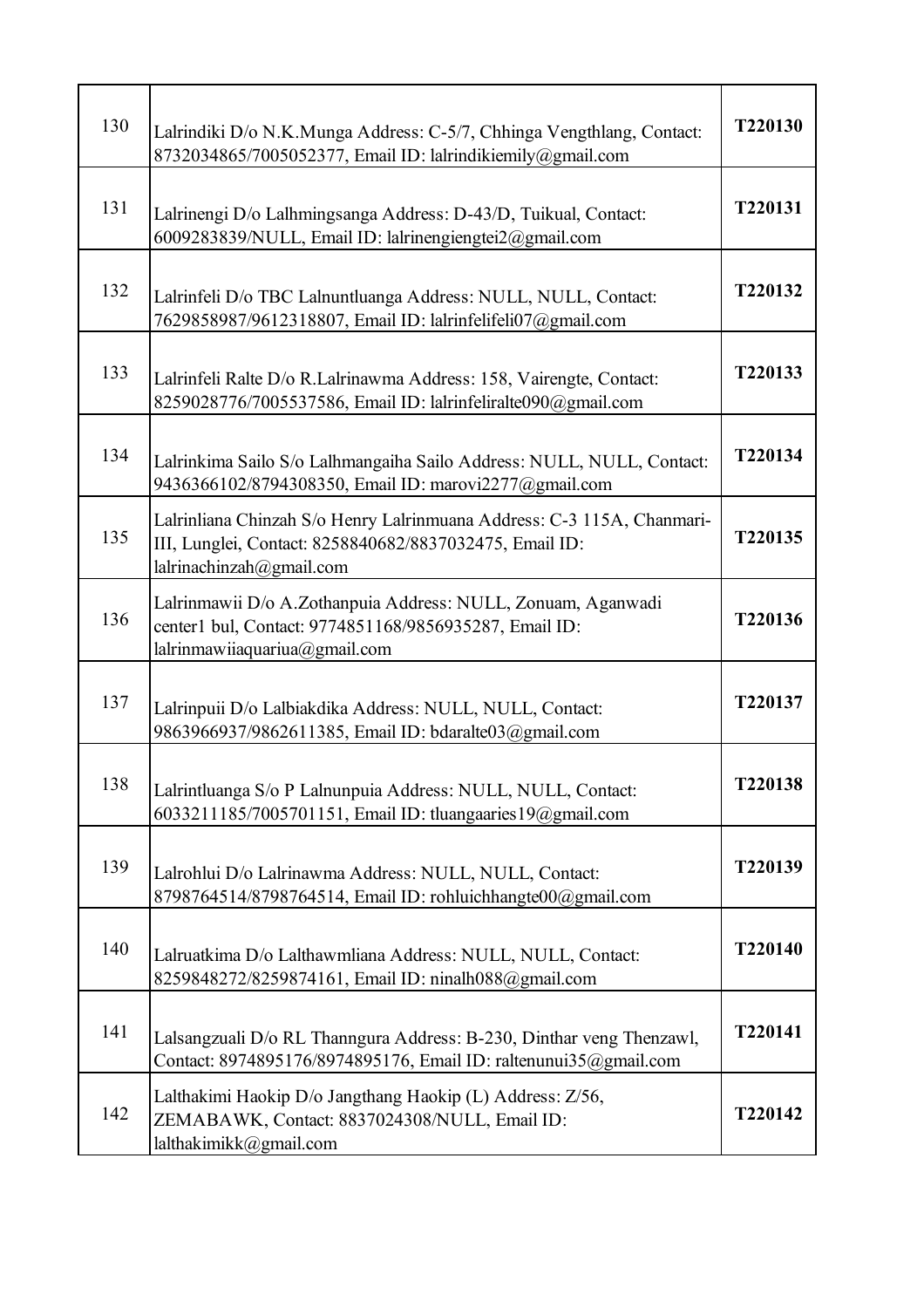| 130 | Lalrindiki D/o N.K.Munga Address: C-5/7, Chhinga Vengthlang, Contact:<br>8732034865/7005052377, Email ID: lalrindikiemily@gmail.com                               | T220130 |
|-----|-------------------------------------------------------------------------------------------------------------------------------------------------------------------|---------|
| 131 | Lalrinengi D/o Lalhmingsanga Address: D-43/D, Tuikual, Contact:<br>6009283839/NULL, Email ID: lalrinengiengtei2@gmail.com                                         | T220131 |
| 132 | Lalrinfeli D/o TBC Lalnuntluanga Address: NULL, NULL, Contact:<br>7629858987/9612318807, Email ID: lalrinfelifeli07@gmail.com                                     | T220132 |
| 133 | Lalrinfeli Ralte D/o R.Lalrinawma Address: 158, Vairengte, Contact:<br>8259028776/7005537586, Email ID: lalrinfeliralte090@gmail.com                              | T220133 |
| 134 | Lalrinkima Sailo S/o Lalhmangaiha Sailo Address: NULL, NULL, Contact:<br>9436366102/8794308350, Email ID: marovi2277@gmail.com                                    | T220134 |
| 135 | Lalrinliana Chinzah S/o Henry Lalrinmuana Address: C-3 115A, Chanmari-<br>III, Lunglei, Contact: 8258840682/8837032475, Email ID:<br>lalrinachinzah $@g$ mail.com | T220135 |
| 136 | Lalrinmawii D/o A.Zothanpuia Address: NULL, Zonuam, Aganwadi<br>center1 bul, Contact: 9774851168/9856935287, Email ID:<br>lalrinmawiiaquariua@gmail.com           | T220136 |
| 137 | Lalrinpuii D/o Lalbiakdika Address: NULL, NULL, Contact:<br>9863966937/9862611385, Email ID: bdaralte03@gmail.com                                                 | T220137 |
| 138 | Lalrintluanga S/o P Lalnunpuia Address: NULL, NULL, Contact:<br>6033211185/7005701151, Email ID: tluangaaries 19@gmail.com                                        | T220138 |
| 139 | Lalrohlui D/o Lalrinawma Address: NULL, NULL, Contact:<br>8798764514/8798764514, Email ID: rohluichhangte00@gmail.com                                             | T220139 |
| 140 | Lalruatkima D/o Lalthawmliana Address: NULL, NULL, Contact:<br>8259848272/8259874161, Email ID: ninalh088@gmail.com                                               | T220140 |
| 141 | Lalsangzuali D/o RL Thanngura Address: B-230, Dinthar veng Thenzawl,<br>Contact: 8974895176/8974895176, Email ID: raltenunui35@gmail.com                          | T220141 |
| 142 | Lalthakimi Haokip D/o Jangthang Haokip (L) Address: Z/56,<br>ZEMABAWK, Contact: 8837024308/NULL, Email ID:<br>lalthakimikk@gmail.com                              | T220142 |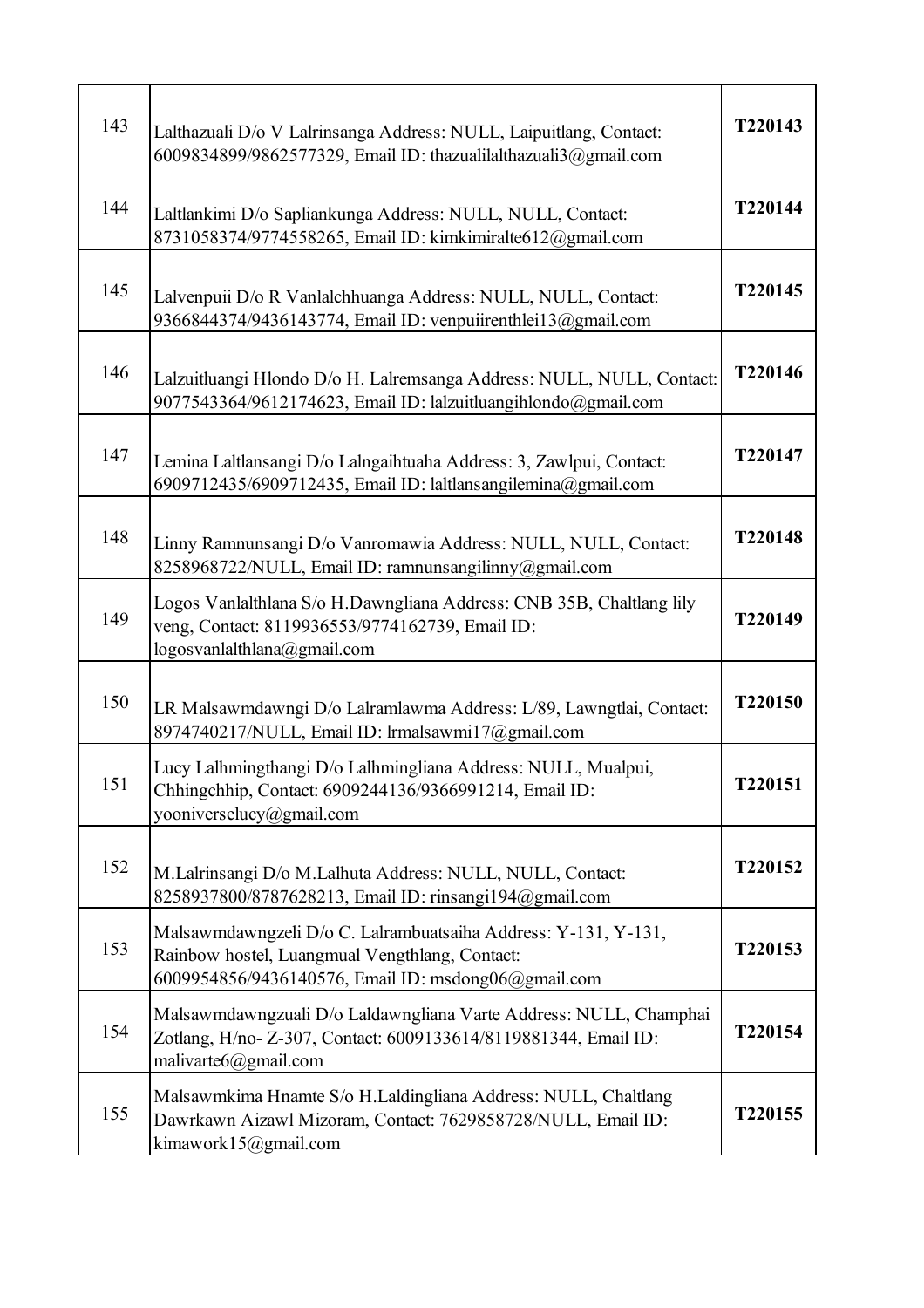| 143 | Lalthazuali D/o V Lalrinsanga Address: NULL, Laipuitlang, Contact:<br>6009834899/9862577329, Email ID: thazualilalthazuali3@gmail.com                                   | T220143 |
|-----|-------------------------------------------------------------------------------------------------------------------------------------------------------------------------|---------|
| 144 | Laltlankimi D/o Sapliankunga Address: NULL, NULL, Contact:<br>8731058374/9774558265, Email ID: kimkimiralte612@gmail.com                                                | T220144 |
| 145 | Lalvenpuii D/o R Vanlalchhuanga Address: NULL, NULL, Contact:<br>9366844374/9436143774, Email ID: venpuiirenthlei13@gmail.com                                           | T220145 |
| 146 | Lalzuitluangi Hlondo D/o H. Lalremsanga Address: NULL, NULL, Contact:<br>9077543364/9612174623, Email ID: lalzuitluangihlondo@gmail.com                                 | T220146 |
| 147 | Lemina Laltlansangi D/o Lalngaihtuaha Address: 3, Zawlpui, Contact:<br>6909712435/6909712435, Email ID: laltlansangilemina@gmail.com                                    | T220147 |
| 148 | Linny Ramnunsangi D/o Vanromawia Address: NULL, NULL, Contact:<br>8258968722/NULL, Email ID: ramnunsangilinny@gmail.com                                                 | T220148 |
| 149 | Logos Vanlalthlana S/o H.Dawngliana Address: CNB 35B, Chaltlang lily<br>veng, Contact: 8119936553/9774162739, Email ID:<br>logosvanlalthlana@gmail.com                  | T220149 |
| 150 | LR Malsawmdawngi D/o Lalramlawma Address: L/89, Lawngtlai, Contact:<br>8974740217/NULL, Email ID: lrmalsawmi17@gmail.com                                                | T220150 |
| 151 | Lucy Lalhmingthangi D/o Lalhmingliana Address: NULL, Mualpui,<br>Chhingchhip, Contact: 6909244136/9366991214, Email ID:<br>yooniverselucy@gmail.com                     | T220151 |
| 152 | M.Lalrinsangi D/o M.Lalhuta Address: NULL, NULL, Contact:<br>8258937800/8787628213, Email ID: rinsangi194@gmail.com                                                     | T220152 |
| 153 | Malsawmdawngzeli D/o C. Lalrambuatsaiha Address: Y-131, Y-131,<br>Rainbow hostel, Luangmual Vengthlang, Contact:<br>6009954856/9436140576, Email ID: msdong06@gmail.com | T220153 |
| 154 | Malsawmdawngzuali D/o Laldawngliana Varte Address: NULL, Champhai<br>Zotlang, H/no- Z-307, Contact: 6009133614/8119881344, Email ID:<br>malivarte $6@g$ mail.com        | T220154 |
| 155 | Malsawmkima Hnamte S/o H.Laldingliana Address: NULL, Chaltlang<br>Dawrkawn Aizawl Mizoram, Contact: 7629858728/NULL, Email ID:<br>kimawork15@gmail.com                  | T220155 |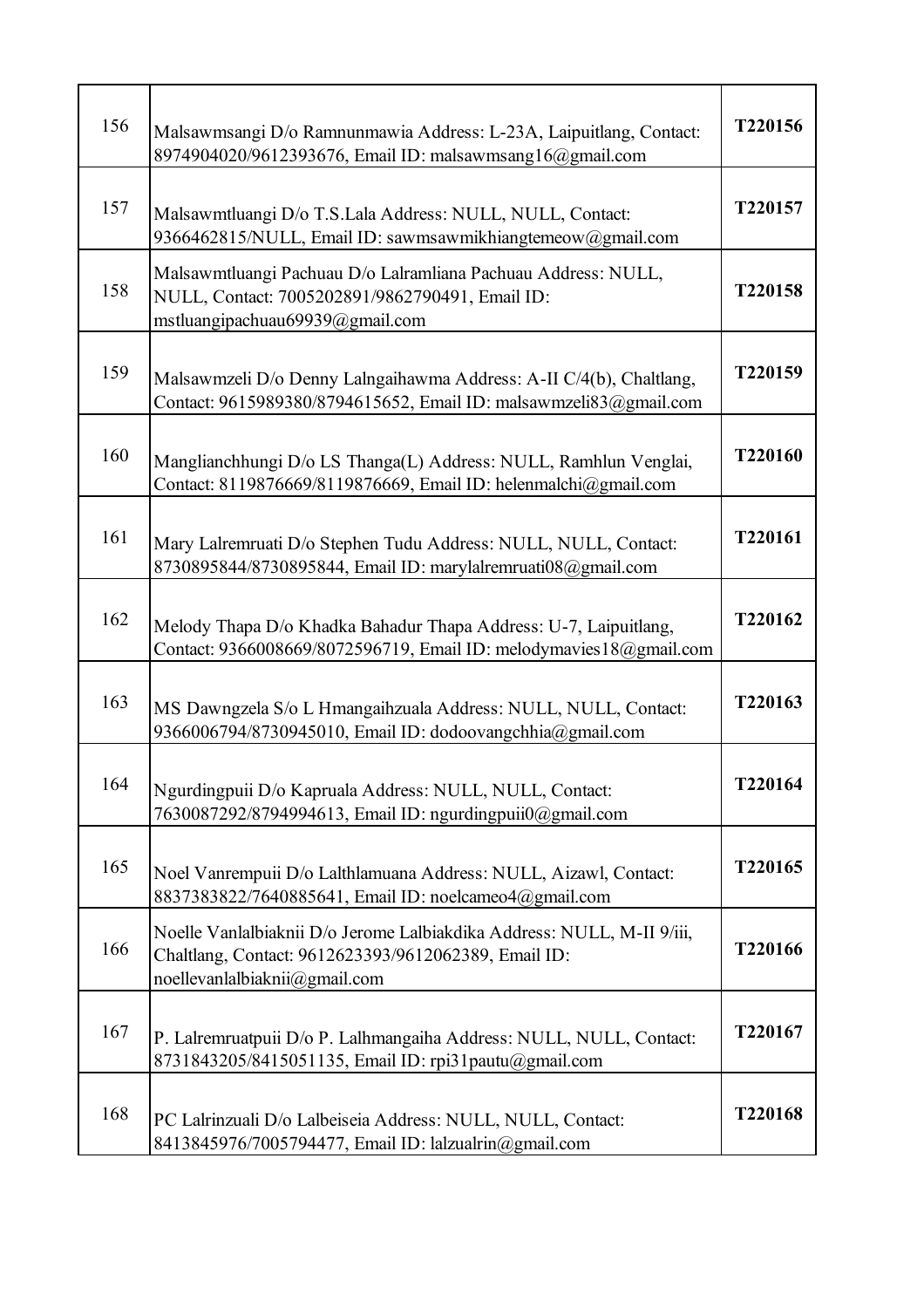| 156 | Malsawmsangi D/o Ramnunmawia Address: L-23A, Laipuitlang, Contact:<br>8974904020/9612393676, Email ID: malsawmsang16@gmail.com                                  | T220156 |
|-----|-----------------------------------------------------------------------------------------------------------------------------------------------------------------|---------|
| 157 | Malsawmtluangi D/o T.S.Lala Address: NULL, NULL, Contact:<br>9366462815/NULL, Email ID: sawmsawmikhiangtemeow@gmail.com                                         | T220157 |
| 158 | Malsawmtluangi Pachuau D/o Lalramliana Pachuau Address: NULL,<br>NULL, Contact: 7005202891/9862790491, Email ID:<br>mstluangipachuau69939@gmail.com             | T220158 |
| 159 | Malsawmzeli D/o Denny Lalngaihawma Address: A-II C/4(b), Chaltlang,<br>Contact: 9615989380/8794615652, Email ID: malsawmzeli83@gmail.com                        | T220159 |
| 160 | Manglianchhungi D/o LS Thanga(L) Address: NULL, Ramhlun Venglai,<br>Contact: 8119876669/8119876669, Email ID: helenmalchi@gmail.com                             | T220160 |
| 161 | Mary Lalremruati D/o Stephen Tudu Address: NULL, NULL, Contact:<br>8730895844/8730895844, Email ID: marylalremruati08@gmail.com                                 | T220161 |
| 162 | Melody Thapa D/o Khadka Bahadur Thapa Address: U-7, Laipuitlang,<br>Contact: 9366008669/8072596719, Email ID: melodymavies 18@gmail.com                         | T220162 |
| 163 | MS Dawngzela S/o L Hmangaihzuala Address: NULL, NULL, Contact:<br>9366006794/8730945010, Email ID: dodoovangchhia@gmail.com                                     | T220163 |
| 164 | Ngurdingpuii D/o Kapruala Address: NULL, NULL, Contact:<br>7630087292/8794994613, Email ID: ngurdingpuii0@gmail.com                                             | T220164 |
| 165 | Noel Vanrempuii D/o Lalthlamuana Address: NULL, Aizawl, Contact:<br>8837383822/7640885641, Email ID: noelcameo4@gmail.com                                       | T220165 |
| 166 | Noelle Vanlalbiaknii D/o Jerome Lalbiakdika Address: NULL, M-II 9/iii,<br>Chaltlang, Contact: 9612623393/9612062389, Email ID:<br>noellevanlalbiaknii@gmail.com | T220166 |
| 167 | P. Lalremruatpuii D/o P. Lalhmangaiha Address: NULL, NULL, Contact:<br>8731843205/8415051135, Email ID: rpi31pautu@gmail.com                                    | T220167 |
| 168 | PC Lalrinzuali D/o Lalbeiseia Address: NULL, NULL, Contact:<br>8413845976/7005794477, Email ID: lalzualrin@gmail.com                                            | T220168 |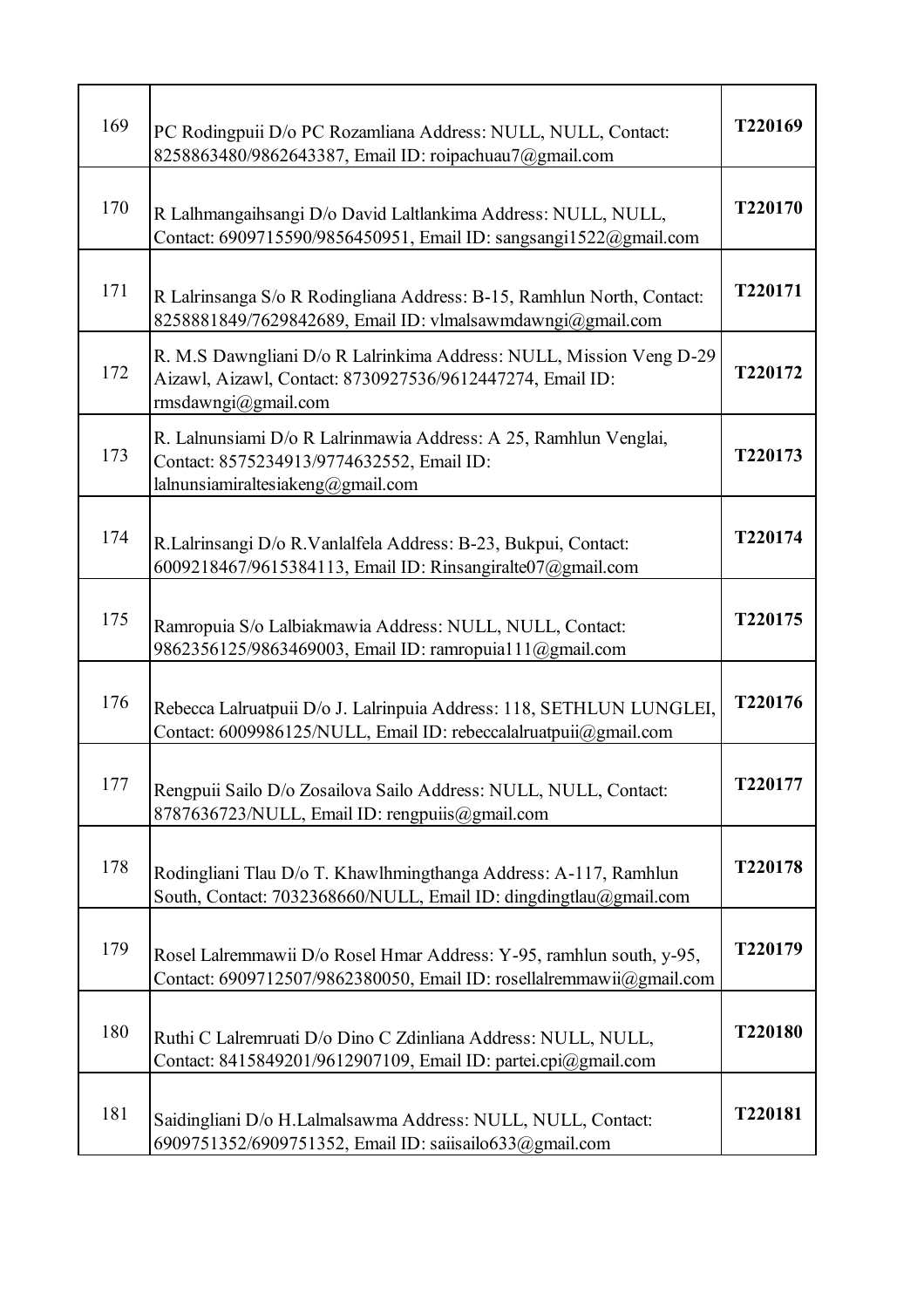| 169 | PC Rodingpuii D/o PC Rozamliana Address: NULL, NULL, Contact:<br>8258863480/9862643387, Email ID: roipachuau7@gmail.com                                 | T220169 |
|-----|---------------------------------------------------------------------------------------------------------------------------------------------------------|---------|
| 170 | R Lalhmangaihsangi D/o David Laltlankima Address: NULL, NULL,<br>Contact: 6909715590/9856450951, Email ID: sangsangi1522@gmail.com                      | T220170 |
| 171 | R Lalrinsanga S/o R Rodingliana Address: B-15, Ramhlun North, Contact:<br>8258881849/7629842689, Email ID: vlmalsawmdawngi@gmail.com                    | T220171 |
| 172 | R. M.S Dawngliani D/o R Lalrinkima Address: NULL, Mission Veng D-29<br>Aizawl, Aizawl, Contact: 8730927536/9612447274, Email ID:<br>rmsdawngi@gmail.com | T220172 |
| 173 | R. Lalnunsiami D/o R Lalrinmawia Address: A 25, Ramhlun Venglai,<br>Contact: 8575234913/9774632552, Email ID:<br>lalnunsiamiraltesiakeng@gmail.com      | T220173 |
| 174 | R.Lalrinsangi D/o R.Vanlalfela Address: B-23, Bukpui, Contact:<br>6009218467/9615384113, Email ID: Rinsangiralte07@gmail.com                            | T220174 |
| 175 | Ramropuia S/o Lalbiakmawia Address: NULL, NULL, Contact:<br>9862356125/9863469003, Email ID: ramropuia111@gmail.com                                     | T220175 |
| 176 | Rebecca Lalruatpuii D/o J. Lalrinpuia Address: 118, SETHLUN LUNGLEI,<br>Contact: 6009986125/NULL, Email ID: rebeccalalruatpuii@gmail.com                | T220176 |
| 177 | Rengpuii Sailo D/o Zosailova Sailo Address: NULL, NULL, Contact:<br>8787636723/NULL, Email ID: rengpuiis@gmail.com                                      | T220177 |
| 178 | Rodingliani Tlau D/o T. Khawlhmingthanga Address: A-117, Ramhlun<br>South, Contact: 7032368660/NULL, Email ID: dingdingtlau@gmail.com                   | T220178 |
| 179 | Rosel Lalremmawii D/o Rosel Hmar Address: Y-95, ramhlun south, y-95,<br>Contact: 6909712507/9862380050, Email ID: rosellalremmawii@gmail.com            | T220179 |
| 180 | Ruthi C Lalremruati D/o Dino C Zdinliana Address: NULL, NULL,<br>Contact: 8415849201/9612907109, Email ID: partei.cpi@gmail.com                         | T220180 |
| 181 | Saidingliani D/o H.Lalmalsawma Address: NULL, NULL, Contact:<br>6909751352/6909751352, Email ID: saiisailo633@gmail.com                                 | T220181 |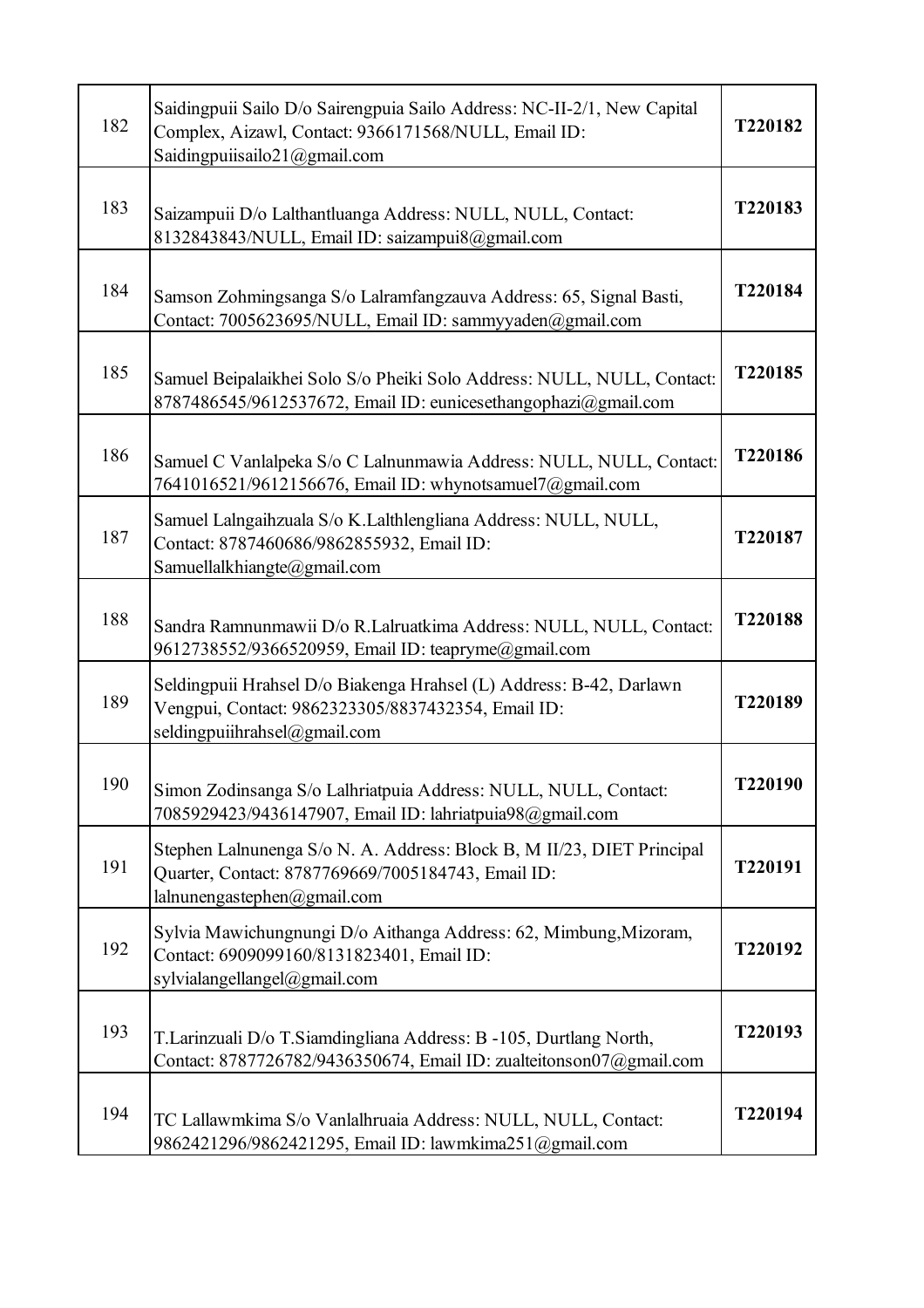| 182 | Saidingpuii Sailo D/o Sairengpuia Sailo Address: NC-II-2/1, New Capital<br>Complex, Aizawl, Contact: 9366171568/NULL, Email ID:<br>Saidingpuiisailo21@gmail.com | T220182 |
|-----|-----------------------------------------------------------------------------------------------------------------------------------------------------------------|---------|
| 183 | Saizampuii D/o Lalthantluanga Address: NULL, NULL, Contact:<br>8132843843/NULL, Email ID: saizampui8@gmail.com                                                  | T220183 |
| 184 | Samson Zohmingsanga S/o Lalramfangzauva Address: 65, Signal Basti,<br>Contact: 7005623695/NULL, Email ID: sammyyaden@gmail.com                                  | T220184 |
| 185 | Samuel Beipalaikhei Solo S/o Pheiki Solo Address: NULL, NULL, Contact:<br>8787486545/9612537672, Email ID: eunicesethangophazi@gmail.com                        | T220185 |
| 186 | Samuel C Vanlalpeka S/o C Lalnunmawia Address: NULL, NULL, Contact:<br>7641016521/9612156676, Email ID: whynotsamuel7@gmail.com                                 | T220186 |
| 187 | Samuel Lalngaihzuala S/o K.Lalthlengliana Address: NULL, NULL,<br>Contact: 8787460686/9862855932, Email ID:<br>Samuellalkhiangte@gmail.com                      | T220187 |
| 188 | Sandra Ramnunmawii D/o R.Lalruatkima Address: NULL, NULL, Contact:<br>9612738552/9366520959, Email ID: teapryme@gmail.com                                       | T220188 |
| 189 | Seldingpuii Hrahsel D/o Biakenga Hrahsel (L) Address: B-42, Darlawn<br>Vengpui, Contact: 9862323305/8837432354, Email ID:<br>seldingpuiihrahsel@gmail.com       | T220189 |
| 190 | Simon Zodinsanga S/o Lalhriatpuia Address: NULL, NULL, Contact:<br>7085929423/9436147907, Email ID: lahriatpuia98@gmail.com                                     | T220190 |
| 191 | Stephen Lalnunenga S/o N. A. Address: Block B, M II/23, DIET Principal<br>Quarter, Contact: 8787769669/7005184743, Email ID:<br>lalnunengastephen@gmail.com     | T220191 |
| 192 | Sylvia Mawichungnungi D/o Aithanga Address: 62, Mimbung, Mizoram,<br>Contact: 6909099160/8131823401, Email ID:<br>sylvialangellangel@gmail.com                  | T220192 |
| 193 | T. Larinzuali D/o T. Siamdingliana Address: B -105, Durtlang North,<br>Contact: 8787726782/9436350674, Email ID: zualteitonson07@gmail.com                      | T220193 |
| 194 | TC Lallawmkima S/o Vanlalhruaia Address: NULL, NULL, Contact:<br>9862421296/9862421295, Email ID: lawmkima251@gmail.com                                         | T220194 |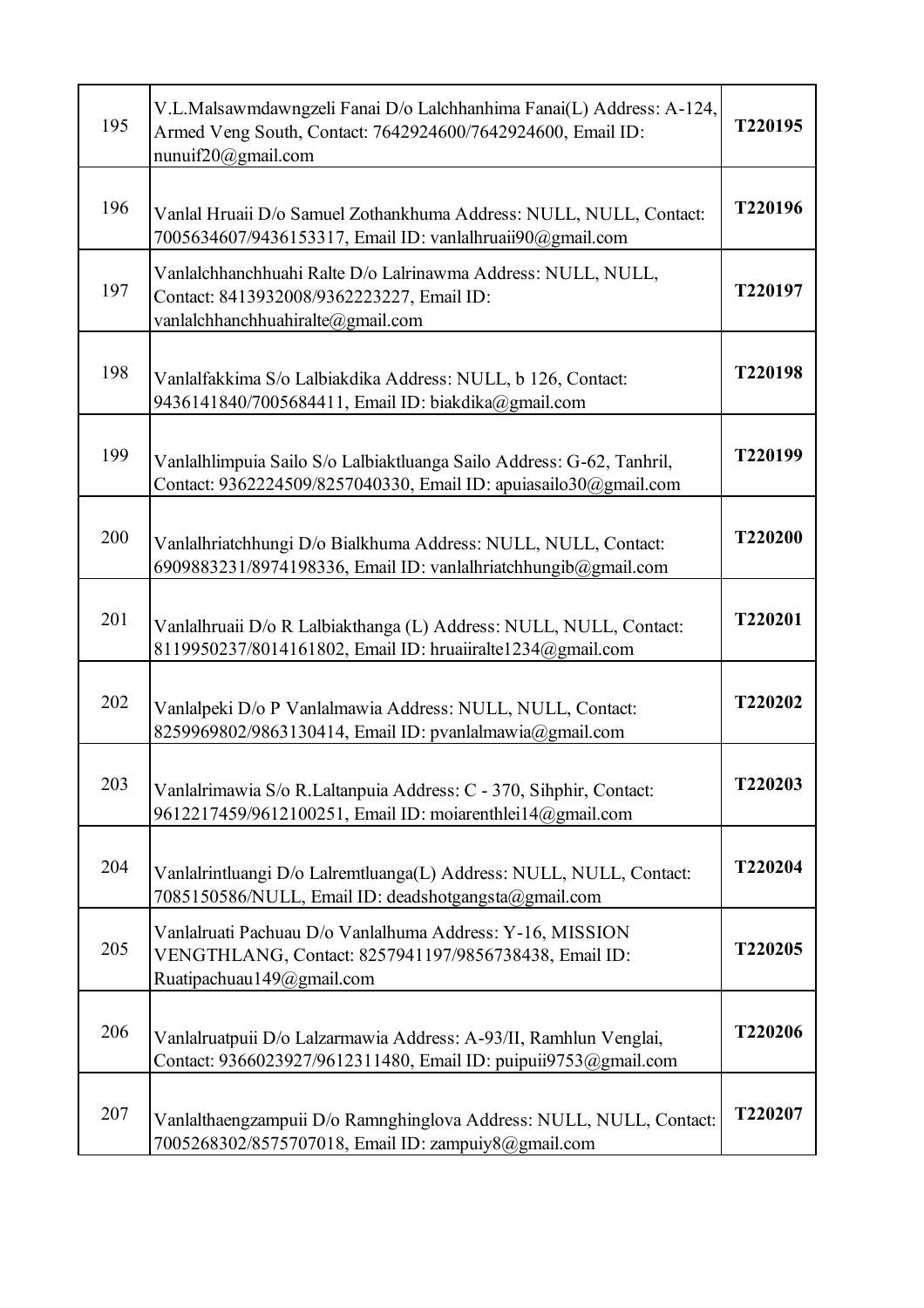| 195 | V.L.Malsawmdawngzeli Fanai D/o Lalchhanhima Fanai(L) Address: A-124,<br>Armed Veng South, Contact: 7642924600/7642924600, Email ID:<br>nunuif20@gmail.com | T220195 |
|-----|-----------------------------------------------------------------------------------------------------------------------------------------------------------|---------|
| 196 | Vanlal Hruaii D/o Samuel Zothankhuma Address: NULL, NULL, Contact:<br>7005634607/9436153317, Email ID: vanlalhruaii90@gmail.com                           | T220196 |
| 197 | Vanlalchhanchhuahi Ralte D/o Lalrinawma Address: NULL, NULL,<br>Contact: 8413932008/9362223227, Email ID:<br>vanlalchhanchhuahiralte@gmail.com            | T220197 |
| 198 | Vanlalfakkima S/o Lalbiakdika Address: NULL, b 126, Contact:<br>9436141840/7005684411, Email ID: biakdika@gmail.com                                       | T220198 |
| 199 | Vanlalhlimpuia Sailo S/o Lalbiaktluanga Sailo Address: G-62, Tanhril,<br>Contact: 9362224509/8257040330, Email ID: apuiasailo30@gmail.com                 | T220199 |
| 200 | Vanlalhriatchhungi D/o Bialkhuma Address: NULL, NULL, Contact:<br>6909883231/8974198336, Email ID: vanlalhriatchhungib@gmail.com                          | T220200 |
| 201 | Vanlalhruaii D/o R Lalbiakthanga (L) Address: NULL, NULL, Contact:<br>8119950237/8014161802, Email ID: hruaiiralte1234@gmail.com                          | T220201 |
| 202 | Vanlalpeki D/o P Vanlalmawia Address: NULL, NULL, Contact:<br>8259969802/9863130414, Email ID: pvanlalmawia@gmail.com                                     | T220202 |
| 203 | Vanlalrimawia S/o R.Laltanpuia Address: C - 370, Sihphir, Contact:<br>9612217459/9612100251, Email ID: moiarenthlei14@gmail.com                           | T220203 |
| 204 | Vanlalrintluangi D/o Lalremtluanga(L) Address: NULL, NULL, Contact:<br>7085150586/NULL, Email ID: deadshotgangsta@gmail.com                               | T220204 |
| 205 | Vanlalruati Pachuau D/o Vanlalhuma Address: Y-16, MISSION<br>VENGTHLANG, Contact: 8257941197/9856738438, Email ID:<br>Ruatipachuau149@gmail.com           | T220205 |
| 206 | Vanlalruatpuii D/o Lalzarmawia Address: A-93/II, Ramhlun Venglai,<br>Contact: 9366023927/9612311480, Email ID: puipuii9753@gmail.com                      | T220206 |
| 207 | Vanlalthaengzampuii D/o Ramnghinglova Address: NULL, NULL, Contact:<br>7005268302/8575707018, Email ID: zampuiy8@gmail.com                                | T220207 |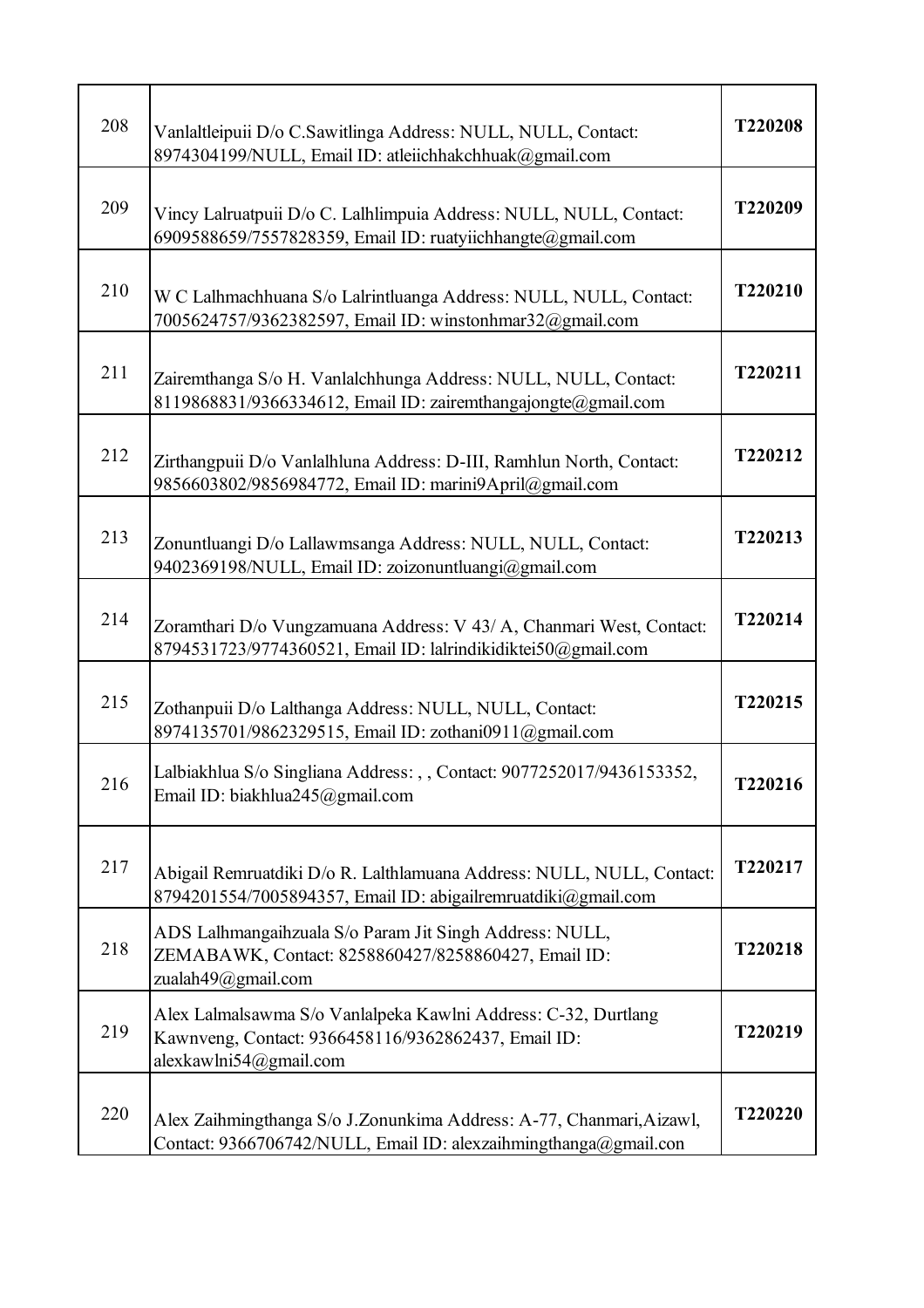| 208 | Vanlaltleipuii D/o C.Sawitlinga Address: NULL, NULL, Contact:<br>8974304199/NULL, Email ID: atleiichhakchhuak@gmail.com                         | T220208 |
|-----|-------------------------------------------------------------------------------------------------------------------------------------------------|---------|
| 209 | Vincy Lalruatpuii D/o C. Lalhlimpuia Address: NULL, NULL, Contact:<br>6909588659/7557828359, Email ID: ruatyiichhangte@gmail.com                | T220209 |
| 210 | W C Lalhmachhuana S/o Lalrintluanga Address: NULL, NULL, Contact:<br>7005624757/9362382597, Email ID: winstonhmar32@gmail.com                   | T220210 |
| 211 | Zairemthanga S/o H. Vanlalchhunga Address: NULL, NULL, Contact:<br>8119868831/9366334612, Email ID: zairemthangajongte@gmail.com                | T220211 |
| 212 | Zirthangpuii D/o Vanlalhluna Address: D-III, Ramhlun North, Contact:<br>9856603802/9856984772, Email ID: marini9April@gmail.com                 | T220212 |
| 213 | Zonuntluangi D/o Lallawmsanga Address: NULL, NULL, Contact:<br>9402369198/NULL, Email ID: zoizonuntluangi@gmail.com                             | T220213 |
| 214 | Zoramthari D/o Vungzamuana Address: V 43/ A, Chanmari West, Contact:<br>8794531723/9774360521, Email ID: lalrindikidiktei50@gmail.com           | T220214 |
| 215 | Zothanpuii D/o Lalthanga Address: NULL, NULL, Contact:<br>8974135701/9862329515, Email ID: zothani0911@gmail.com                                | T220215 |
| 216 | Lalbiakhlua S/o Singliana Address: , , Contact: 9077252017/9436153352,<br>Email ID: biakhlua245@gmail.com                                       | T220216 |
| 217 | Abigail Remruatdiki D/o R. Lalthlamuana Address: NULL, NULL, Contact:<br>8794201554/7005894357, Email ID: abigailremruatdiki@gmail.com          | T220217 |
| 218 | ADS Lalhmangaihzuala S/o Param Jit Singh Address: NULL,<br>ZEMABAWK, Contact: 8258860427/8258860427, Email ID:<br>zualah49@gmail.com            | T220218 |
| 219 | Alex Lalmalsawma S/o Vanlalpeka Kawlni Address: C-32, Durtlang<br>Kawnveng, Contact: 9366458116/9362862437, Email ID:<br>alexkawlni54@gmail.com | T220219 |
| 220 | Alex Zaihmingthanga S/o J.Zonunkima Address: A-77, Chanmari, Aizawl,<br>Contact: 9366706742/NULL, Email ID: alexzaihmingthanga@gmail.con        | T220220 |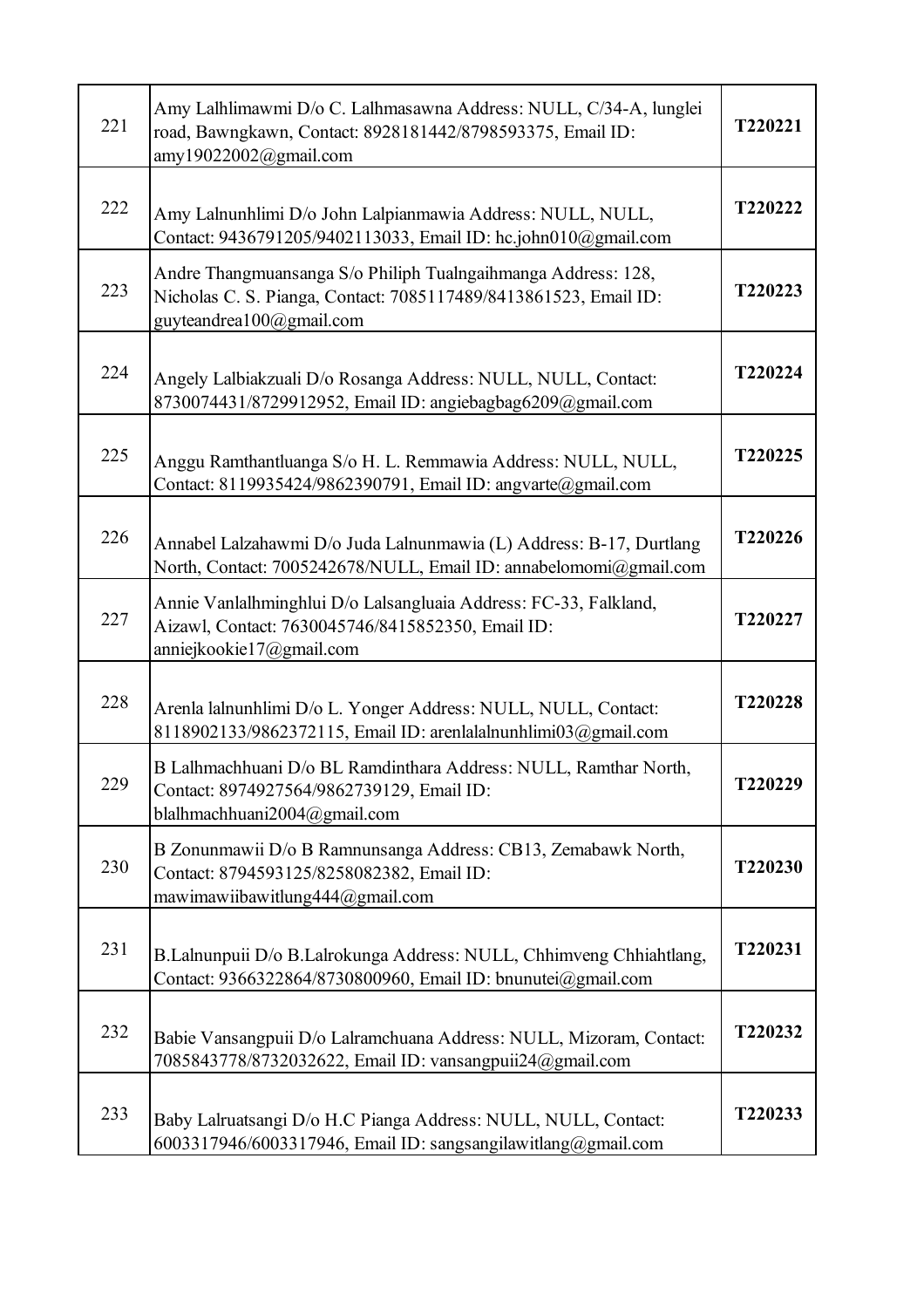| 221 | Amy Lalhlimawmi D/o C. Lalhmasawna Address: NULL, C/34-A, lunglei<br>road, Bawngkawn, Contact: 8928181442/8798593375, Email ID:<br>amy19022002@gmail.com      | T220221        |
|-----|---------------------------------------------------------------------------------------------------------------------------------------------------------------|----------------|
| 222 | Amy Lalnunhlimi D/o John Lalpianmawia Address: NULL, NULL,<br>Contact: 9436791205/9402113033, Email ID: hc.john010@gmail.com                                  | T220222        |
| 223 | Andre Thangmuansanga S/o Philiph Tualngaihmanga Address: 128,<br>Nicholas C. S. Pianga, Contact: 7085117489/8413861523, Email ID:<br>guyteandrea100@gmail.com | T220223        |
| 224 | Angely Lalbiakzuali D/o Rosanga Address: NULL, NULL, Contact:<br>8730074431/8729912952, Email ID: angiebagbag6209@gmail.com                                   | T220224        |
| 225 | Anggu Ramthantluanga S/o H. L. Remmawia Address: NULL, NULL,<br>Contact: 8119935424/9862390791, Email ID: angvarte@gmail.com                                  | T220225        |
| 226 | Annabel Lalzahawmi D/o Juda Lalnunmawia (L) Address: B-17, Durtlang<br>North, Contact: 7005242678/NULL, Email ID: annabelomomi@gmail.com                      | T220226        |
| 227 | Annie Vanlalhminghlui D/o Lalsangluaia Address: FC-33, Falkland,<br>Aizawl, Contact: 7630045746/8415852350, Email ID:<br>anniejkookie17@gmail.com             | T220227        |
| 228 | Arenla lalnunhlimi D/o L. Yonger Address: NULL, NULL, Contact:<br>8118902133/9862372115, Email ID: arenlalalnunhlimi03@gmail.com                              | T220228        |
| 229 | B Lalhmachhuani D/o BL Ramdinthara Address: NULL, Ramthar North,<br>Contact: 8974927564/9862739129, Email ID:<br>blalhmachhuani2004@gmail.com                 | <b>T220229</b> |
| 230 | B Zonunmawii D/o B Ramnunsanga Address: CB13, Zemabawk North,<br>Contact: 8794593125/8258082382, Email ID:<br>mawimawiibawitlung444@gmail.com                 | T220230        |
| 231 | B.Lalnunpuii D/o B.Lalrokunga Address: NULL, Chhimveng Chhiahtlang,<br>Contact: 9366322864/8730800960, Email ID: bnunutei@gmail.com                           | T220231        |
| 232 | Babie Vansangpuii D/o Lalramchuana Address: NULL, Mizoram, Contact:<br>7085843778/8732032622, Email ID: vansangpuii24@gmail.com                               | T220232        |
| 233 | Baby Lalruatsangi D/o H.C Pianga Address: NULL, NULL, Contact:<br>6003317946/6003317946, Email ID: sangsangilawitlang@gmail.com                               | T220233        |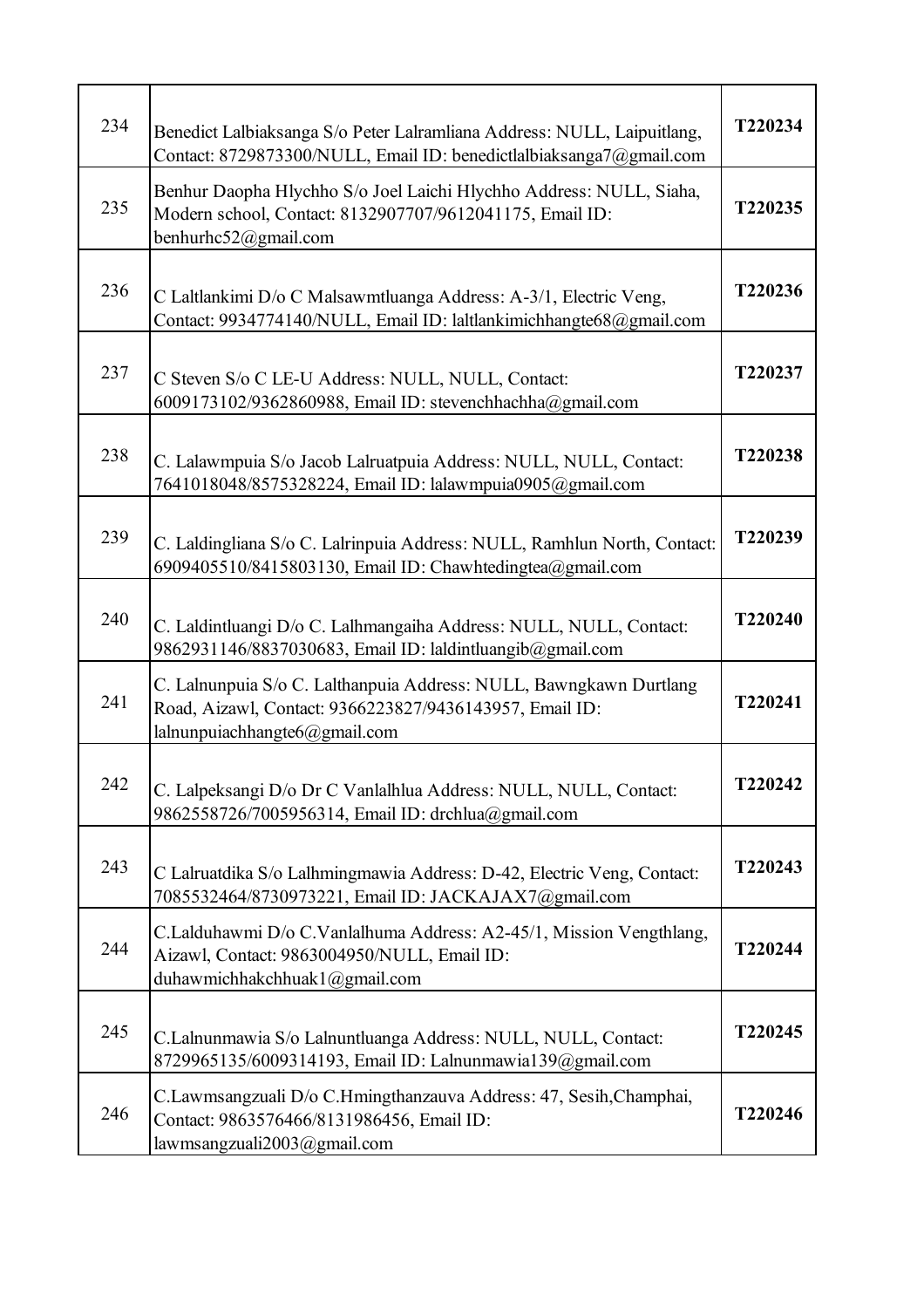| 234 | Benedict Lalbiaksanga S/o Peter Lalramliana Address: NULL, Laipuitlang,<br>Contact: 8729873300/NULL, Email ID: benedictlalbiaksanga7@gmail.com                 | T220234 |
|-----|----------------------------------------------------------------------------------------------------------------------------------------------------------------|---------|
| 235 | Benhur Daopha Hlychho S/o Joel Laichi Hlychho Address: NULL, Siaha,<br>Modern school, Contact: 8132907707/9612041175, Email ID:<br>benhurhc52@gmail.com        | T220235 |
| 236 | C Laltlankimi D/o C Malsawmtluanga Address: A-3/1, Electric Veng,<br>Contact: 9934774140/NULL, Email ID: laltlankimichhangte68@gmail.com                       | T220236 |
| 237 | C Steven S/o C LE-U Address: NULL, NULL, Contact:<br>6009173102/9362860988, Email ID: stevenchhachha@gmail.com                                                 | T220237 |
| 238 | C. Lalawmpuia S/o Jacob Lalruatpuia Address: NULL, NULL, Contact:<br>7641018048/8575328224, Email ID: lalawmpuia0905@gmail.com                                 | T220238 |
| 239 | C. Laldingliana S/o C. Lalrinpuia Address: NULL, Ramhlun North, Contact:<br>6909405510/8415803130, Email ID: Chawhtedingtea@gmail.com                          | T220239 |
| 240 | C. Laldintluangi D/o C. Lalhmangaiha Address: NULL, NULL, Contact:<br>9862931146/8837030683, Email ID: laldintluangib@gmail.com                                | T220240 |
| 241 | C. Lalnunpuia S/o C. Lalthanpuia Address: NULL, Bawngkawn Durtlang<br>Road, Aizawl, Contact: 9366223827/9436143957, Email ID:<br>lalnunpuiachhangte6@gmail.com | T220241 |
| 242 | C. Lalpeksangi D/o Dr C Vanlalhlua Address: NULL, NULL, Contact:<br>9862558726/7005956314, Email ID: drchlua@gmail.com                                         | T220242 |
| 243 | C Lalruatdika S/o Lalhmingmawia Address: D-42, Electric Veng, Contact:<br>7085532464/8730973221, Email ID: JACKAJAX7@gmail.com                                 | T220243 |
| 244 | C.Lalduhawmi D/o C.Vanlalhuma Address: A2-45/1, Mission Vengthlang,<br>Aizawl, Contact: 9863004950/NULL, Email ID:<br>duhawmichhakchhuak1@gmail.com            | T220244 |
| 245 | C.Lalnunmawia S/o Lalnuntluanga Address: NULL, NULL, Contact:<br>8729965135/6009314193, Email ID: Lalnunmawia139@gmail.com                                     | T220245 |
| 246 | C.Lawmsangzuali D/o C.Hmingthanzauva Address: 47, Sesih, Champhai,<br>Contact: 9863576466/8131986456, Email ID:<br>lawmsangzuali2003@gmail.com                 | T220246 |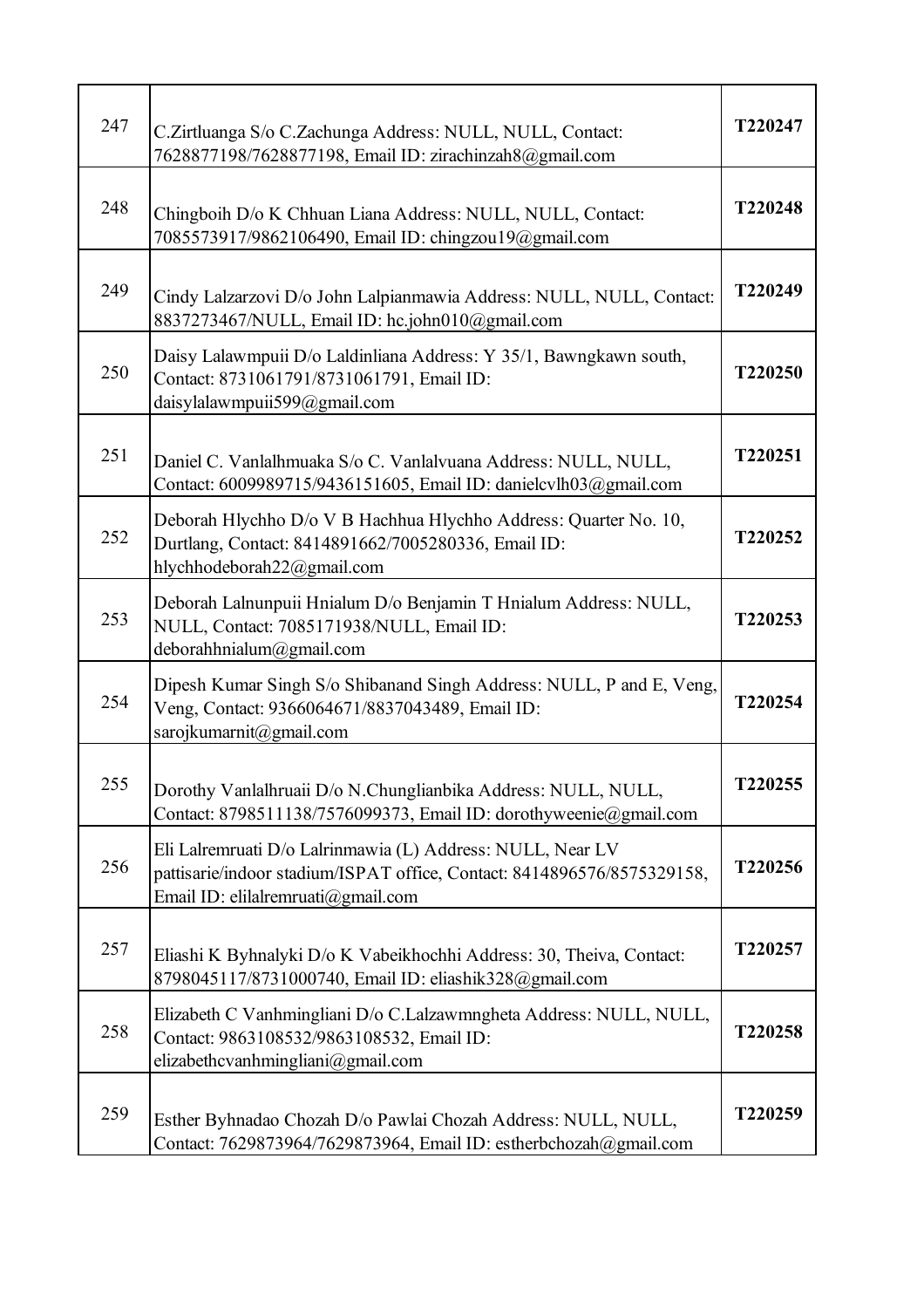| 247 | C.Zirtluanga S/o C.Zachunga Address: NULL, NULL, Contact:<br>7628877198/7628877198, Email ID: zirachinzah8@gmail.com                                                        | T220247 |
|-----|-----------------------------------------------------------------------------------------------------------------------------------------------------------------------------|---------|
| 248 | Chingboih D/o K Chhuan Liana Address: NULL, NULL, Contact:<br>7085573917/9862106490, Email ID: chingzou19@gmail.com                                                         | T220248 |
| 249 | Cindy Lalzarzovi D/o John Lalpianmawia Address: NULL, NULL, Contact:<br>8837273467/NULL, Email ID: hc.john010@gmail.com                                                     | T220249 |
| 250 | Daisy Lalawmpuii D/o Laldinliana Address: Y 35/1, Bawngkawn south,<br>Contact: 8731061791/8731061791, Email ID:<br>daisylalawmpuii599@gmail.com                             | T220250 |
| 251 | Daniel C. Vanlalhmuaka S/o C. Vanlalvuana Address: NULL, NULL,<br>Contact: 6009989715/9436151605, Email ID: danielcvlh03@gmail.com                                          | T220251 |
| 252 | Deborah Hlychho D/o V B Hachhua Hlychho Address: Quarter No. 10,<br>Durtlang, Contact: 8414891662/7005280336, Email ID:<br>hlychhodeborah22@gmail.com                       | T220252 |
| 253 | Deborah Lalnunpuii Hnialum D/o Benjamin T Hnialum Address: NULL,<br>NULL, Contact: 7085171938/NULL, Email ID:<br>deborahhnialum@gmail.com                                   | T220253 |
| 254 | Dipesh Kumar Singh S/o Shibanand Singh Address: NULL, P and E, Veng,<br>Veng, Contact: 9366064671/8837043489, Email ID:<br>sarojkumarnit@gmail.com                          | T220254 |
| 255 | Dorothy Vanlalhruaii D/o N.Chunglianbika Address: NULL, NULL,<br>Contact: 8798511138/7576099373, Email ID: dorothyweenie@gmail.com                                          | T220255 |
| 256 | Eli Lalremruati D/o Lalrinmawia (L) Address: NULL, Near LV<br>pattisarie/indoor stadium/ISPAT office, Contact: 8414896576/8575329158,<br>Email ID: elilalremruati@gmail.com | T220256 |
| 257 | Eliashi K Byhnalyki D/o K Vabeikhochhi Address: 30, Theiva, Contact:<br>8798045117/8731000740, Email ID: eliashik328@gmail.com                                              | T220257 |
| 258 | Elizabeth C Vanhmingliani D/o C.Lalzawmngheta Address: NULL, NULL,<br>Contact: 9863108532/9863108532, Email ID:<br>elizabethcvanhmingliani@gmail.com                        | T220258 |
| 259 | Esther Byhnadao Chozah D/o Pawlai Chozah Address: NULL, NULL,<br>Contact: 7629873964/7629873964, Email ID: estherbchozah@gmail.com                                          | T220259 |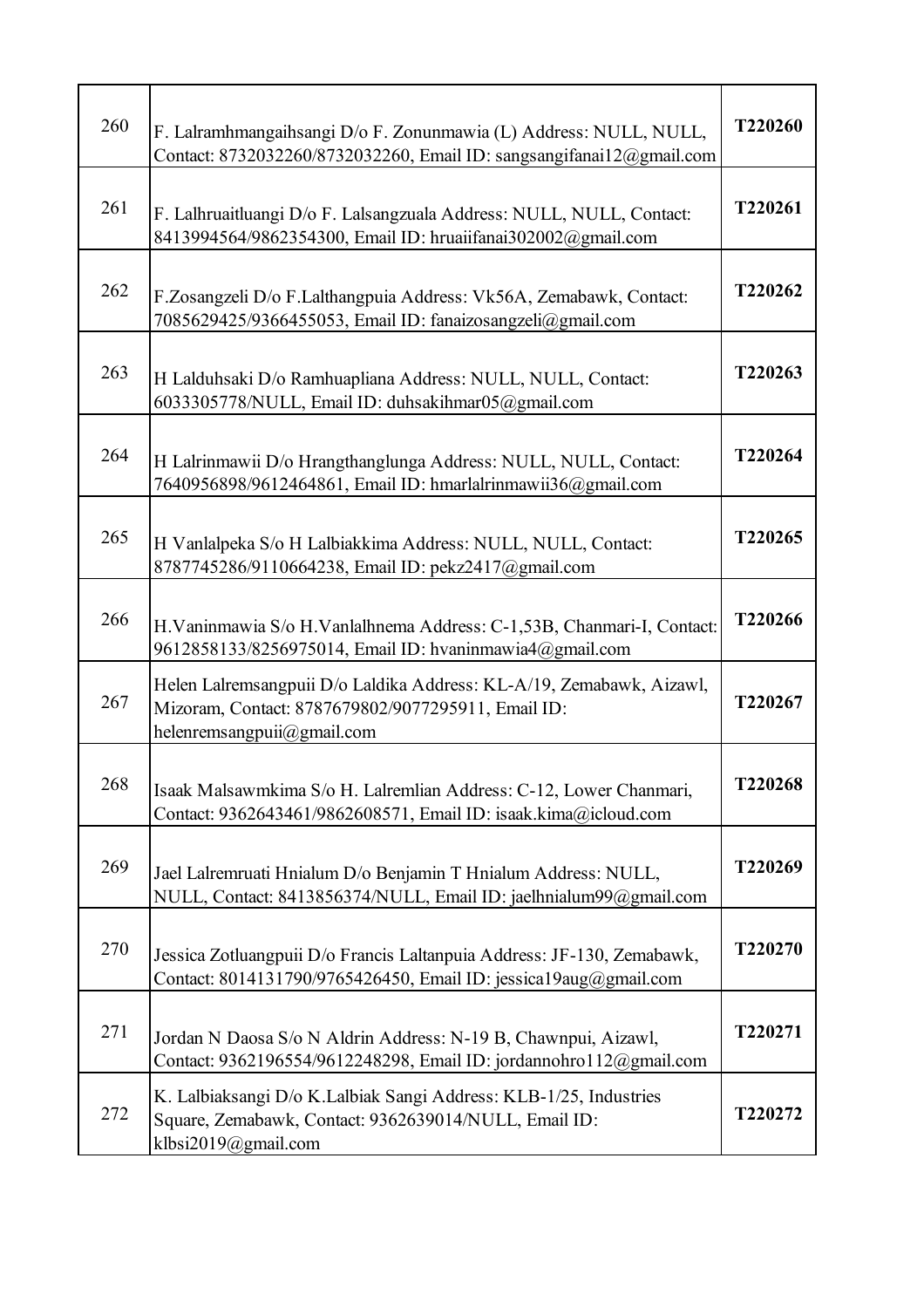| 260 | F. Lalramhmangaihsangi D/o F. Zonunmawia (L) Address: NULL, NULL,<br>Contact: 8732032260/8732032260, Email ID: sangsangifanai12@gmail.com                | T220260 |
|-----|----------------------------------------------------------------------------------------------------------------------------------------------------------|---------|
| 261 | F. Lalhruaitluangi D/o F. Lalsangzuala Address: NULL, NULL, Contact:<br>8413994564/9862354300, Email ID: hruaiifanai302002@gmail.com                     | T220261 |
| 262 | F.Zosangzeli D/o F.Lalthangpuia Address: Vk56A, Zemabawk, Contact:<br>7085629425/9366455053, Email ID: fanaizosangzeli@gmail.com                         | T220262 |
| 263 | H Lalduhsaki D/o Ramhuapliana Address: NULL, NULL, Contact:<br>6033305778/NULL, Email ID: duhsakihmar05@gmail.com                                        | T220263 |
| 264 | H Lalrinmawii D/o Hrangthanglunga Address: NULL, NULL, Contact:<br>7640956898/9612464861, Email ID: hmarlalrinmawii36@gmail.com                          | T220264 |
| 265 | H Vanlalpeka S/o H Lalbiakkima Address: NULL, NULL, Contact:<br>8787745286/9110664238, Email ID: pekz2417@gmail.com                                      | T220265 |
| 266 | H.Vaninmawia S/o H.Vanlalhnema Address: C-1,53B, Chanmari-I, Contact:<br>9612858133/8256975014, Email ID: hvaninmawia4@gmail.com                         | T220266 |
| 267 | Helen Lalremsangpuii D/o Laldika Address: KL-A/19, Zemabawk, Aizawl,<br>Mizoram, Contact: 8787679802/9077295911, Email ID:<br>helenremsangpuii@gmail.com | T220267 |
| 268 | Isaak Malsawmkima S/o H. Lalremlian Address: C-12, Lower Chanmari,<br>Contact: 9362643461/9862608571, Email ID: isaak.kima@icloud.com                    | T220268 |
| 269 | Jael Lalremruati Hnialum D/o Benjamin T Hnialum Address: NULL,<br>NULL, Contact: 8413856374/NULL, Email ID: jaelhnialum99@gmail.com                      | T220269 |
| 270 | Jessica Zotluangpuii D/o Francis Laltanpuia Address: JF-130, Zemabawk,<br>Contact: 8014131790/9765426450, Email ID: jessica19aug@gmail.com               | T220270 |
| 271 | Jordan N Daosa S/o N Aldrin Address: N-19 B, Chawnpui, Aizawl,<br>Contact: 9362196554/9612248298, Email ID: jordannohro112@gmail.com                     | T220271 |
| 272 | K. Lalbiaksangi D/o K.Lalbiak Sangi Address: KLB-1/25, Industries<br>Square, Zemabawk, Contact: 9362639014/NULL, Email ID:<br>klbsi2019@gmail.com        | T220272 |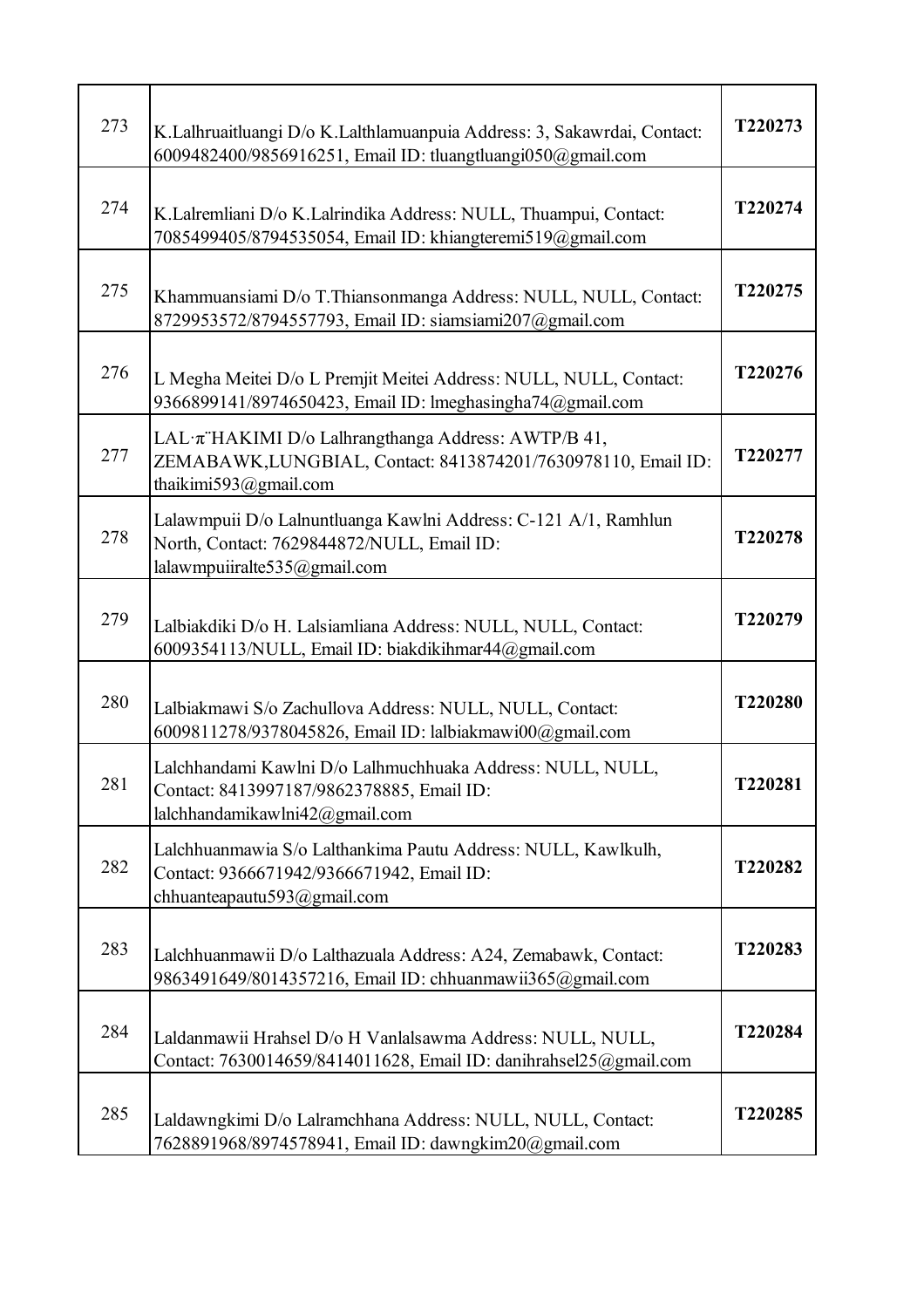| 273 | K.Lalhruaitluangi D/o K.Lalthlamuanpuia Address: 3, Sakawrdai, Contact:<br>6009482400/9856916251, Email ID: tluangtluangi050@gmail.com              | T220273 |
|-----|-----------------------------------------------------------------------------------------------------------------------------------------------------|---------|
| 274 | K.Lalremliani D/o K.Lalrindika Address: NULL, Thuampui, Contact:<br>7085499405/8794535054, Email ID: khiangteremi519@gmail.com                      | T220274 |
| 275 | Khammuansiami D/o T.Thiansonmanga Address: NULL, NULL, Contact:<br>8729953572/8794557793, Email ID: siamsiami207@gmail.com                          | T220275 |
| 276 | L Megha Meitei D/o L Premjit Meitei Address: NULL, NULL, Contact:<br>9366899141/8974650423, Email ID: lmeghasingha74@gmail.com                      | T220276 |
| 277 | LAL· $\pi$ "HAKIMI D/o Lalhrangthanga Address: AWTP/B 41,<br>ZEMABAWK, LUNGBIAL, Contact: 8413874201/7630978110, Email ID:<br>thaikimi593@gmail.com | T220277 |
| 278 | Lalawmpuii D/o Lalnuntluanga Kawlni Address: C-121 A/1, Ramhlun<br>North, Contact: 7629844872/NULL, Email ID:<br>lalawmpuiiralte535@gmail.com       | T220278 |
| 279 | Lalbiakdiki D/o H. Lalsiamliana Address: NULL, NULL, Contact:<br>6009354113/NULL, Email ID: biakdikihmar44@gmail.com                                | T220279 |
| 280 | Lalbiakmawi S/o Zachullova Address: NULL, NULL, Contact:<br>6009811278/9378045826, Email ID: lalbiakmawi00@gmail.com                                | T220280 |
| 281 | Lalchhandami Kawlni D/o Lalhmuchhuaka Address: NULL, NULL,<br>Contact: 8413997187/9862378885, Email ID:<br>lalchhandamikawlni42@gmail.com           | T220281 |
| 282 | Lalchhuanmawia S/o Lalthankima Pautu Address: NULL, Kawlkulh,<br>Contact: 9366671942/9366671942, Email ID:<br>chhuanteapautu593@gmail.com           | T220282 |
| 283 | Lalchhuanmawii D/o Lalthazuala Address: A24, Zemabawk, Contact:<br>9863491649/8014357216, Email ID: chhuanmawii365@gmail.com                        | T220283 |
| 284 | Laldanmawii Hrahsel D/o H Vanlalsawma Address: NULL, NULL,<br>Contact: 7630014659/8414011628, Email ID: danihrahsel25@gmail.com                     | T220284 |
| 285 | Laldawngkimi D/o Lalramchhana Address: NULL, NULL, Contact:<br>7628891968/8974578941, Email ID: dawngkim20@gmail.com                                | T220285 |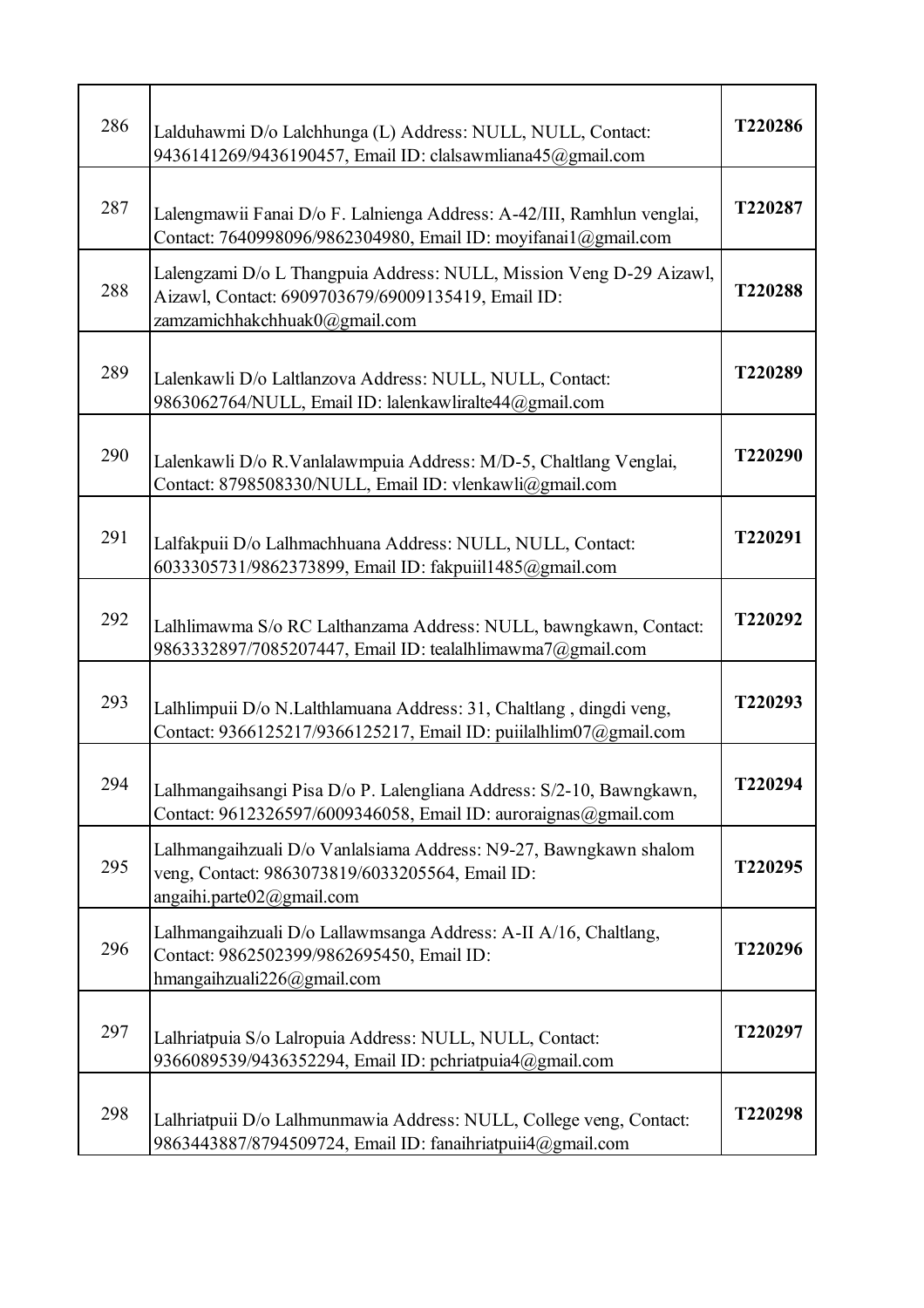| 286 | Lalduhawmi D/o Lalchhunga (L) Address: NULL, NULL, Contact:<br>9436141269/9436190457, Email ID: clalsawmliana45@gmail.com                                  | T220286 |
|-----|------------------------------------------------------------------------------------------------------------------------------------------------------------|---------|
| 287 | Lalengmawii Fanai D/o F. Lalnienga Address: A-42/III, Ramhlun venglai,<br>Contact: 7640998096/9862304980, Email ID: moyifanai1@gmail.com                   | T220287 |
| 288 | Lalengzami D/o L Thangpuia Address: NULL, Mission Veng D-29 Aizawl,<br>Aizawl, Contact: 6909703679/69009135419, Email ID:<br>zamzamichhakchhuak0@gmail.com | T220288 |
| 289 | Lalenkawli D/o Laltlanzova Address: NULL, NULL, Contact:<br>9863062764/NULL, Email ID: lalenkawliralte44@gmail.com                                         | T220289 |
| 290 | Lalenkawli D/o R.Vanlalawmpuia Address: M/D-5, Chaltlang Venglai,<br>Contact: 8798508330/NULL, Email ID: vlenkawli@gmail.com                               | T220290 |
| 291 | Lalfakpuii D/o Lalhmachhuana Address: NULL, NULL, Contact:<br>6033305731/9862373899, Email ID: fakpuiil1485@gmail.com                                      | T220291 |
| 292 | Lalhlimawma S/o RC Lalthanzama Address: NULL, bawngkawn, Contact:<br>9863332897/7085207447, Email ID: tealalhlimawma7@gmail.com                            | T220292 |
| 293 | Lalhlimpuii D/o N.Lalthlamuana Address: 31, Chaltlang, dingdi veng,<br>Contact: 9366125217/9366125217, Email ID: puiilalhlim07@gmail.com                   | T220293 |
| 294 | Lalhmangaihsangi Pisa D/o P. Lalengliana Address: S/2-10, Bawngkawn,<br>Contact: 9612326597/6009346058, Email ID: auroraignas@gmail.com                    | T220294 |
| 295 | Lalhmangaihzuali D/o Vanlalsiama Address: N9-27, Bawngkawn shalom<br>veng, Contact: 9863073819/6033205564, Email ID:<br>angaihi.parte02@gmail.com          | T220295 |
| 296 | Lalhmangaihzuali D/o Lallawmsanga Address: A-II A/16, Chaltlang,<br>Contact: 9862502399/9862695450, Email ID:<br>hmangaihzuali226@gmail.com                | T220296 |
| 297 | Lalhriatpuia S/o Lalropuia Address: NULL, NULL, Contact:<br>9366089539/9436352294, Email ID: pchriatpuia4@gmail.com                                        | T220297 |
| 298 | Lalhriatpuii D/o Lalhmunmawia Address: NULL, College veng, Contact:<br>9863443887/8794509724, Email ID: fanaihriatpuii4@gmail.com                          | T220298 |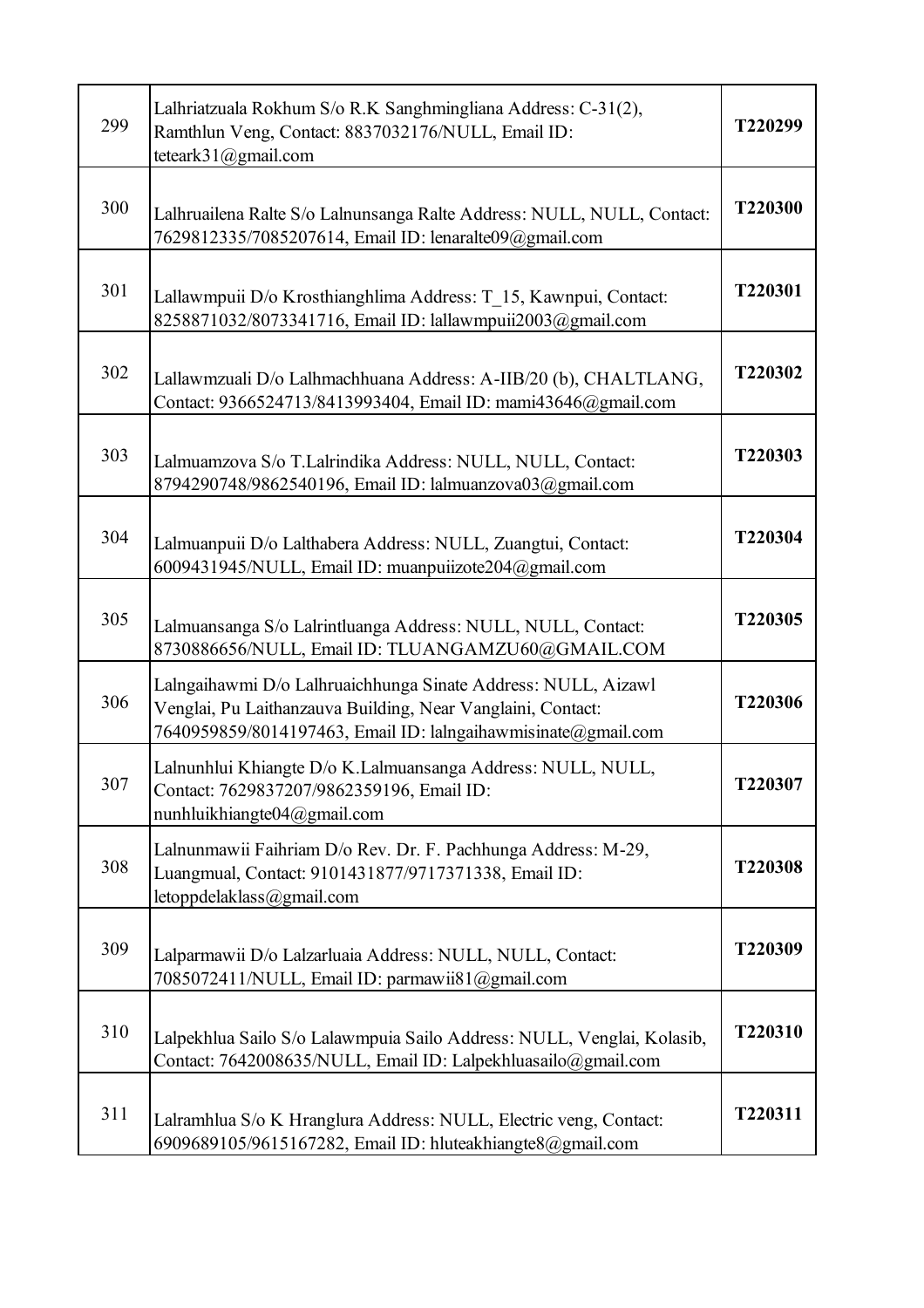| 299 | Lalhriatzuala Rokhum S/o R.K Sanghmingliana Address: C-31(2),<br>Ramthlun Veng, Contact: 8837032176/NULL, Email ID:<br>teteark $31$ ( $Q$ gmail.com                                           | T220299 |
|-----|-----------------------------------------------------------------------------------------------------------------------------------------------------------------------------------------------|---------|
| 300 | Lalhruailena Ralte S/o Lalnunsanga Ralte Address: NULL, NULL, Contact:<br>7629812335/7085207614, Email ID: lenaralte09@gmail.com                                                              | T220300 |
| 301 | Lallawmpuii D/o Krosthianghlima Address: T 15, Kawnpui, Contact:<br>8258871032/8073341716, Email ID: lallawmpuii2003@gmail.com                                                                | T220301 |
| 302 | Lallawmzuali D/o Lalhmachhuana Address: A-IIB/20 (b), CHALTLANG,<br>Contact: 9366524713/8413993404, Email ID: mami43646@gmail.com                                                             | T220302 |
| 303 | Lalmuamzova S/o T.Lalrindika Address: NULL, NULL, Contact:<br>8794290748/9862540196, Email ID: lalmuanzova03@gmail.com                                                                        | T220303 |
| 304 | Lalmuanpuii D/o Lalthabera Address: NULL, Zuangtui, Contact:<br>6009431945/NULL, Email ID: muanpuiizote204@gmail.com                                                                          | T220304 |
| 305 | Lalmuansanga S/o Lalrintluanga Address: NULL, NULL, Contact:<br>8730886656/NULL, Email ID: TLUANGAMZU60@GMAIL.COM                                                                             | T220305 |
| 306 | Lalngaihawmi D/o Lalhruaichhunga Sinate Address: NULL, Aizawl<br>Venglai, Pu Laithanzauva Building, Near Vanglaini, Contact:<br>7640959859/8014197463, Email ID: lalngaihawmisinate@gmail.com | T220306 |
| 307 | Lalnunhlui Khiangte D/o K.Lalmuansanga Address: NULL, NULL,<br>Contact: 7629837207/9862359196, Email ID:<br>nunhluikhiangte04@gmail.com                                                       | T220307 |
| 308 | Lalnunmawii Faihriam D/o Rev. Dr. F. Pachhunga Address: M-29,<br>Luangmual, Contact: 9101431877/9717371338, Email ID:<br>letoppdelaklass@gmail.com                                            | T220308 |
| 309 | Lalparmawii D/o Lalzarluaia Address: NULL, NULL, Contact:<br>7085072411/NULL, Email ID: parmawii81@gmail.com                                                                                  | T220309 |
| 310 | Lalpekhlua Sailo S/o Lalawmpuia Sailo Address: NULL, Venglai, Kolasib,<br>Contact: 7642008635/NULL, Email ID: Lalpekhluasailo@gmail.com                                                       | T220310 |
| 311 | Lalramhlua S/o K Hranglura Address: NULL, Electric veng, Contact:<br>6909689105/9615167282, Email ID: hluteakhiangte8@gmail.com                                                               | T220311 |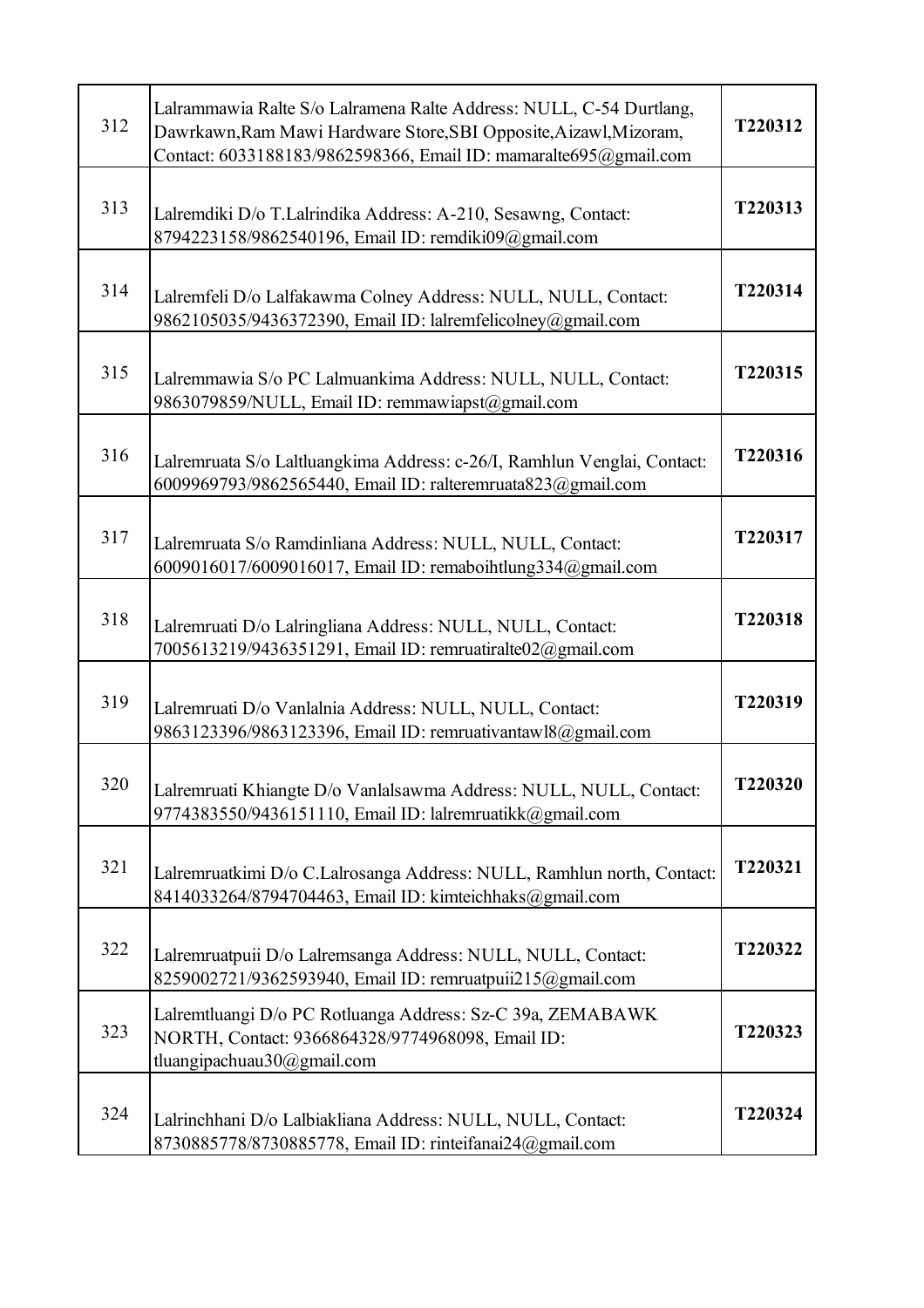| 312 | Lalrammawia Ralte S/o Lalramena Ralte Address: NULL, C-54 Durtlang,<br>Dawrkawn, Ram Mawi Hardware Store, SBI Opposite, Aizawl, Mizoram,<br>Contact: 6033188183/9862598366, Email ID: mamaralte695@gmail.com | T220312 |
|-----|--------------------------------------------------------------------------------------------------------------------------------------------------------------------------------------------------------------|---------|
| 313 | Lalremdiki D/o T.Lalrindika Address: A-210, Sesawng, Contact:<br>8794223158/9862540196, Email ID: remdiki09@gmail.com                                                                                        | T220313 |
| 314 | Lalremfeli D/o Lalfakawma Colney Address: NULL, NULL, Contact:<br>9862105035/9436372390, Email ID: lalremfelicolney@gmail.com                                                                                | T220314 |
| 315 | Lalremmawia S/o PC Lalmuankima Address: NULL, NULL, Contact:<br>9863079859/NULL, Email ID: remmawiapst@gmail.com                                                                                             | T220315 |
| 316 | Lalremruata S/o Laltluangkima Address: c-26/I, Ramhlun Venglai, Contact:<br>6009969793/9862565440, Email ID: ralteremruata823@gmail.com                                                                      | T220316 |
| 317 | Lalremruata S/o Ramdinliana Address: NULL, NULL, Contact:<br>6009016017/6009016017, Email ID: remaboihtlung334@gmail.com                                                                                     | T220317 |
| 318 | Lalremruati D/o Lalringliana Address: NULL, NULL, Contact:<br>7005613219/9436351291, Email ID: remruatiralte02@gmail.com                                                                                     | T220318 |
| 319 | Lalremruati D/o Vanlalnia Address: NULL, NULL, Contact:<br>9863123396/9863123396, Email ID: remruativantaw18@gmail.com                                                                                       | T220319 |
| 320 | Lalremruati Khiangte D/o Vanlalsawma Address: NULL, NULL, Contact:<br>9774383550/9436151110, Email ID: lalremruatikk@gmail.com                                                                               | T220320 |
| 321 | Lalremruatkimi D/o C.Lalrosanga Address: NULL, Ramhlun north, Contact:<br>8414033264/8794704463, Email ID: kimteichhaks@gmail.com                                                                            | T220321 |
| 322 | Lalremruatpuii D/o Lalremsanga Address: NULL, NULL, Contact:<br>8259002721/9362593940, Email ID: remruatpuii215@gmail.com                                                                                    | T220322 |
| 323 | Lalremtluangi D/o PC Rotluanga Address: Sz-C 39a, ZEMABAWK<br>NORTH, Contact: 9366864328/9774968098, Email ID:<br>tluangipachuau30@gmail.com                                                                 | T220323 |
| 324 | Lalrinchhani D/o Lalbiakliana Address: NULL, NULL, Contact:<br>8730885778/8730885778, Email ID: rinteifanai24@gmail.com                                                                                      | T220324 |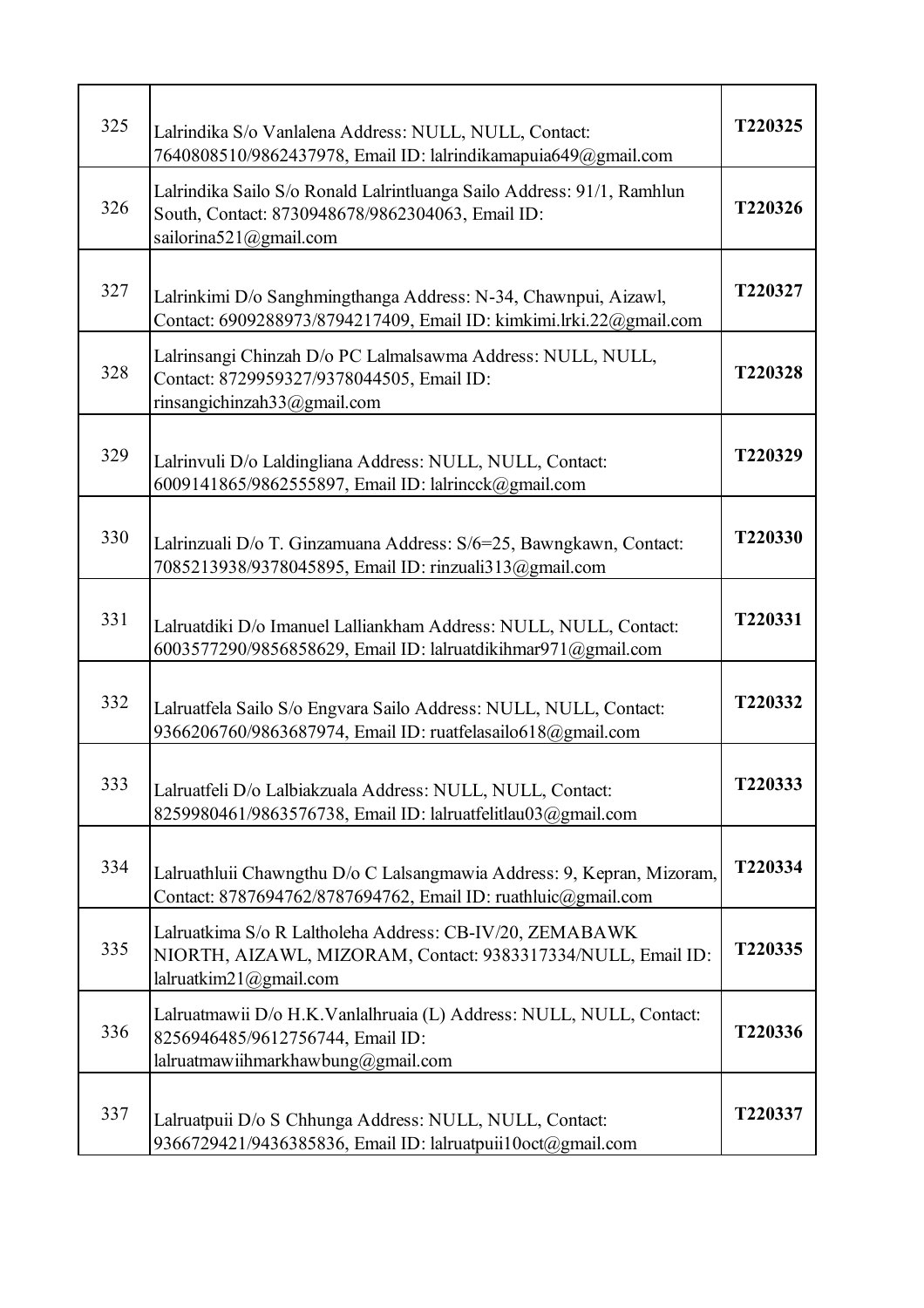| 325 | Lalrindika S/o Vanlalena Address: NULL, NULL, Contact:<br>7640808510/9862437978, Email ID: lalrindikamapuia649@gmail.com                               | T220325 |
|-----|--------------------------------------------------------------------------------------------------------------------------------------------------------|---------|
| 326 | Lalrindika Sailo S/o Ronald Lalrintluanga Sailo Address: 91/1, Ramhlun<br>South, Contact: 8730948678/9862304063, Email ID:<br>sailorina521@gmail.com   | T220326 |
| 327 | Lalrinkimi D/o Sanghmingthanga Address: N-34, Chawnpui, Aizawl,<br>Contact: 6909288973/8794217409, Email ID: kimkimi.lrki.22@gmail.com                 | T220327 |
| 328 | Lalrinsangi Chinzah D/o PC Lalmalsawma Address: NULL, NULL,<br>Contact: 8729959327/9378044505, Email ID:<br>rinsangichinzah33@gmail.com                | T220328 |
| 329 | Lalrinvuli D/o Laldingliana Address: NULL, NULL, Contact:<br>6009141865/9862555897, Email ID: lalrincck@gmail.com                                      | T220329 |
| 330 | Lalrinzuali D/o T. Ginzamuana Address: S/6=25, Bawngkawn, Contact:<br>7085213938/9378045895, Email ID: rinzuali313@gmail.com                           | T220330 |
| 331 | Lalruatdiki D/o Imanuel Lalliankham Address: NULL, NULL, Contact:<br>6003577290/9856858629, Email ID: lalruatdikihmar971@gmail.com                     | T220331 |
| 332 | Lalruatfela Sailo S/o Engvara Sailo Address: NULL, NULL, Contact:<br>9366206760/9863687974, Email ID: ruatfelasailo618@gmail.com                       | T220332 |
| 333 | Lalruatfeli D/o Lalbiakzuala Address: NULL, NULL, Contact:<br>8259980461/9863576738, Email ID: lalruatfelitlau03@gmail.com                             | T220333 |
| 334 | Lalruathluii Chawngthu D/o C Lalsangmawia Address: 9, Kepran, Mizoram,<br>Contact: 8787694762/8787694762, Email ID: ruathluic@gmail.com                | T220334 |
| 335 | Lalruatkima S/o R Laltholeha Address: CB-IV/20, ZEMABAWK<br>NIORTH, AIZAWL, MIZORAM, Contact: 9383317334/NULL, Email ID:<br>lalruatkim $21$ @gmail.com | T220335 |
| 336 | Lalruatmawii D/o H.K.Vanlalhruaia (L) Address: NULL, NULL, Contact:<br>8256946485/9612756744, Email ID:<br>lalruatmawiihmarkhawbung@gmail.com          | T220336 |
| 337 | Lalruatpuii D/o S Chhunga Address: NULL, NULL, Contact:<br>9366729421/9436385836, Email ID: lalruatpuii10oct@gmail.com                                 | T220337 |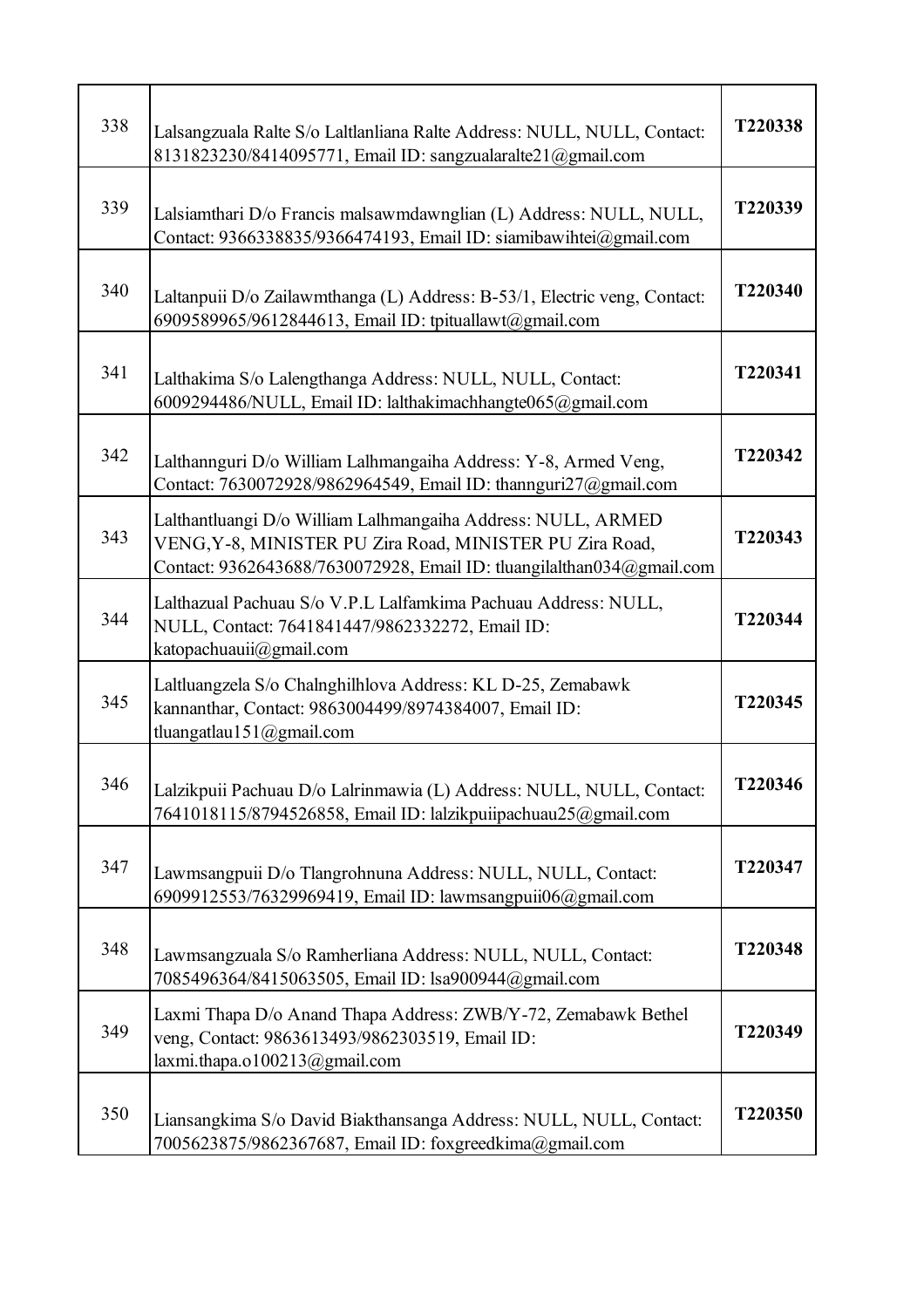| 338 | Lalsangzuala Ralte S/o Laltlanliana Ralte Address: NULL, NULL, Contact:<br>8131823230/8414095771, Email ID: sangzualaralte21@gmail.com                                                            | T220338 |
|-----|---------------------------------------------------------------------------------------------------------------------------------------------------------------------------------------------------|---------|
| 339 | Lalsiamthari D/o Francis malsawmdawnglian (L) Address: NULL, NULL,<br>Contact: 9366338835/9366474193, Email ID: siamibawihtei@gmail.com                                                           | T220339 |
| 340 | Laltanpuii D/o Zailawmthanga (L) Address: B-53/1, Electric veng, Contact:<br>6909589965/9612844613, Email ID: tpituallawt@gmail.com                                                               | T220340 |
| 341 | Lalthakima S/o Lalengthanga Address: NULL, NULL, Contact:<br>6009294486/NULL, Email ID: lalthakimachhangte065@gmail.com                                                                           | T220341 |
| 342 | Lalthannguri D/o William Lalhmangaiha Address: Y-8, Armed Veng,<br>Contact: 7630072928/9862964549, Email ID: thannguri27@gmail.com                                                                | T220342 |
| 343 | Lalthantluangi D/o William Lalhmangaiha Address: NULL, ARMED<br>VENG, Y-8, MINISTER PU Zira Road, MINISTER PU Zira Road,<br>Contact: 9362643688/7630072928, Email ID: tluangilalthan034@gmail.com | T220343 |
| 344 | Lalthazual Pachuau S/o V.P.L Lalfamkima Pachuau Address: NULL,<br>NULL, Contact: 7641841447/9862332272, Email ID:<br>katopachuauii@gmail.com                                                      | T220344 |
| 345 | Laltluangzela S/o Chalnghilhlova Address: KL D-25, Zemabawk<br>kannanthar, Contact: 9863004499/8974384007, Email ID:<br>tluangatlau151@gmail.com                                                  | T220345 |
| 346 | Lalzikpuii Pachuau D/o Lalrinmawia (L) Address: NULL, NULL, Contact:<br>7641018115/8794526858, Email ID: lalzikpuiipachuau25@gmail.com                                                            | T220346 |
| 347 | Lawmsangpuii D/o Tlangrohnuna Address: NULL, NULL, Contact:<br>6909912553/76329969419, Email ID: lawmsangpuii06@gmail.com                                                                         | T220347 |
| 348 | Lawmsangzuala S/o Ramherliana Address: NULL, NULL, Contact:<br>7085496364/8415063505, Email ID: lsa900944@gmail.com                                                                               | T220348 |
| 349 | Laxmi Thapa D/o Anand Thapa Address: ZWB/Y-72, Zemabawk Bethel<br>veng, Contact: 9863613493/9862303519, Email ID:<br>laxmi.thapa.o100213@gmail.com                                                | T220349 |
| 350 | Liansangkima S/o David Biakthansanga Address: NULL, NULL, Contact:<br>7005623875/9862367687, Email ID: foxgreedkima@gmail.com                                                                     | T220350 |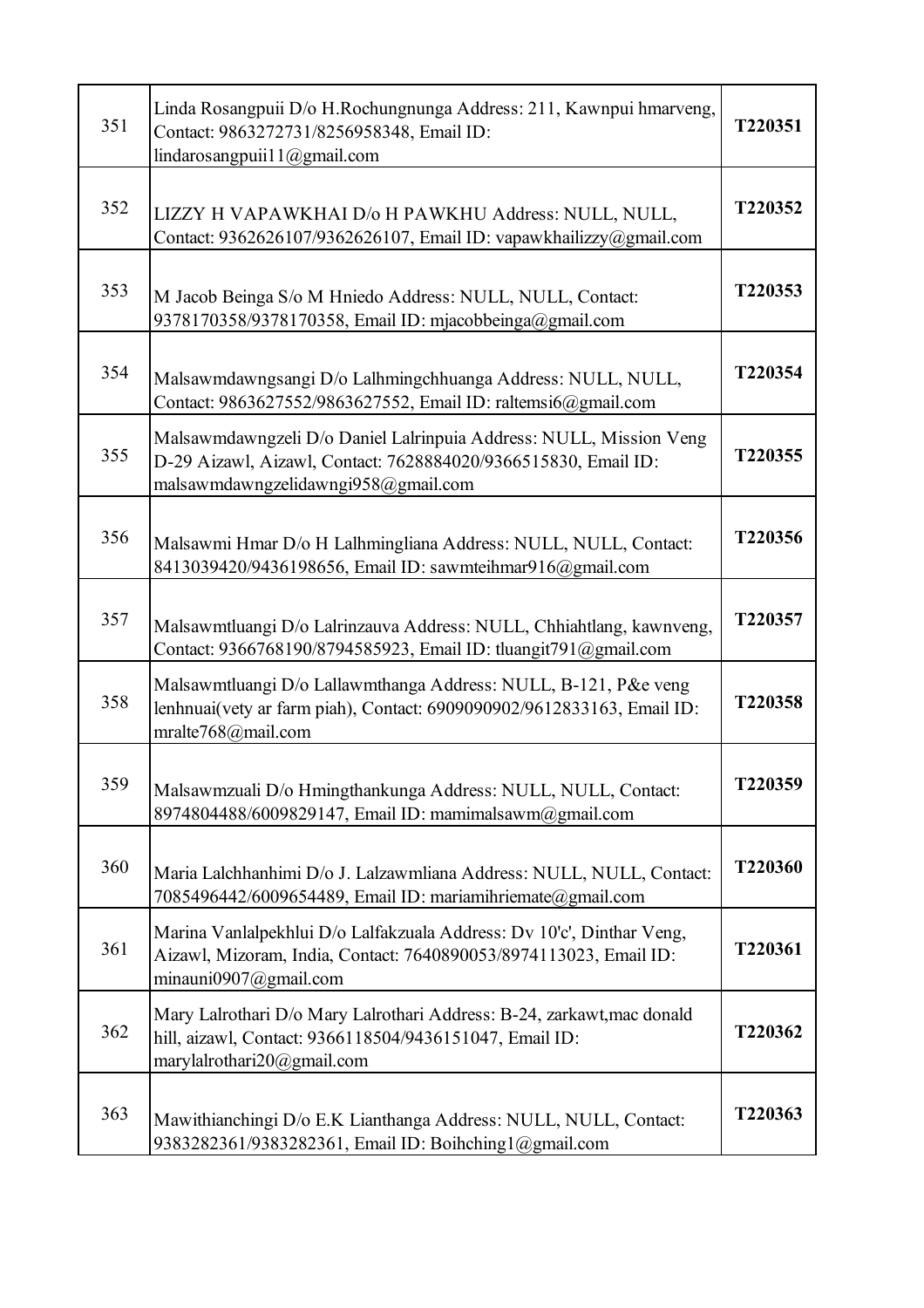| 351 | Linda Rosangpuii D/o H.Rochungnunga Address: 211, Kawnpui hmarveng,<br>Contact: 9863272731/8256958348, Email ID:<br>lindarosangpuii11@gmail.com                             | T220351 |
|-----|-----------------------------------------------------------------------------------------------------------------------------------------------------------------------------|---------|
| 352 | LIZZY H VAPAWKHAI D/o H PAWKHU Address: NULL, NULL,<br>Contact: 9362626107/9362626107, Email ID: vapawkhailizzy@gmail.com                                                   | T220352 |
| 353 | M Jacob Beinga S/o M Hniedo Address: NULL, NULL, Contact:<br>9378170358/9378170358, Email ID: mjacobbeinga@gmail.com                                                        | T220353 |
| 354 | Malsawmdawngsangi D/o Lalhmingchhuanga Address: NULL, NULL,<br>Contact: 9863627552/9863627552, Email ID: raltemsi6@gmail.com                                                | T220354 |
| 355 | Malsawmdawngzeli D/o Daniel Lalrinpuia Address: NULL, Mission Veng<br>D-29 Aizawl, Aizawl, Contact: 7628884020/9366515830, Email ID:<br>malsawmdawngzelidawngi958@gmail.com | T220355 |
| 356 | Malsawmi Hmar D/o H Lalhmingliana Address: NULL, NULL, Contact:<br>8413039420/9436198656, Email ID: sawmteihmar916@gmail.com                                                | T220356 |
| 357 | Malsawmtluangi D/o Lalrinzauva Address: NULL, Chhiahtlang, kawnveng,<br>Contact: 9366768190/8794585923, Email ID: tluangit791@gmail.com                                     | T220357 |
| 358 | Malsawmtluangi D/o Lallawmthanga Address: NULL, B-121, P&e veng<br>lenhnuai(vety ar farm piah), Contact: 6909090902/9612833163, Email ID:<br>mralte768@mail.com             | T220358 |
| 359 | Malsawmzuali D/o Hmingthankunga Address: NULL, NULL, Contact:<br>8974804488/6009829147, Email ID: mamimalsawm@gmail.com                                                     | T220359 |
| 360 | Maria Lalchhanhimi D/o J. Lalzawmliana Address: NULL, NULL, Contact:<br>7085496442/6009654489, Email ID: mariamihriemate@gmail.com                                          | T220360 |
| 361 | Marina Vanlalpekhlui D/o Lalfakzuala Address: Dv 10'c', Dinthar Veng,<br>Aizawl, Mizoram, India, Contact: 7640890053/8974113023, Email ID:<br>minauni0907@gmail.com         | T220361 |
| 362 | Mary Lalrothari D/o Mary Lalrothari Address: B-24, zarkawt, mac donald<br>hill, aizawl, Contact: 9366118504/9436151047, Email ID:<br>marylalrothari20@gmail.com             | T220362 |
| 363 | Mawithianchingi D/o E.K Lianthanga Address: NULL, NULL, Contact:<br>9383282361/9383282361, Email ID: Boihching1@gmail.com                                                   | T220363 |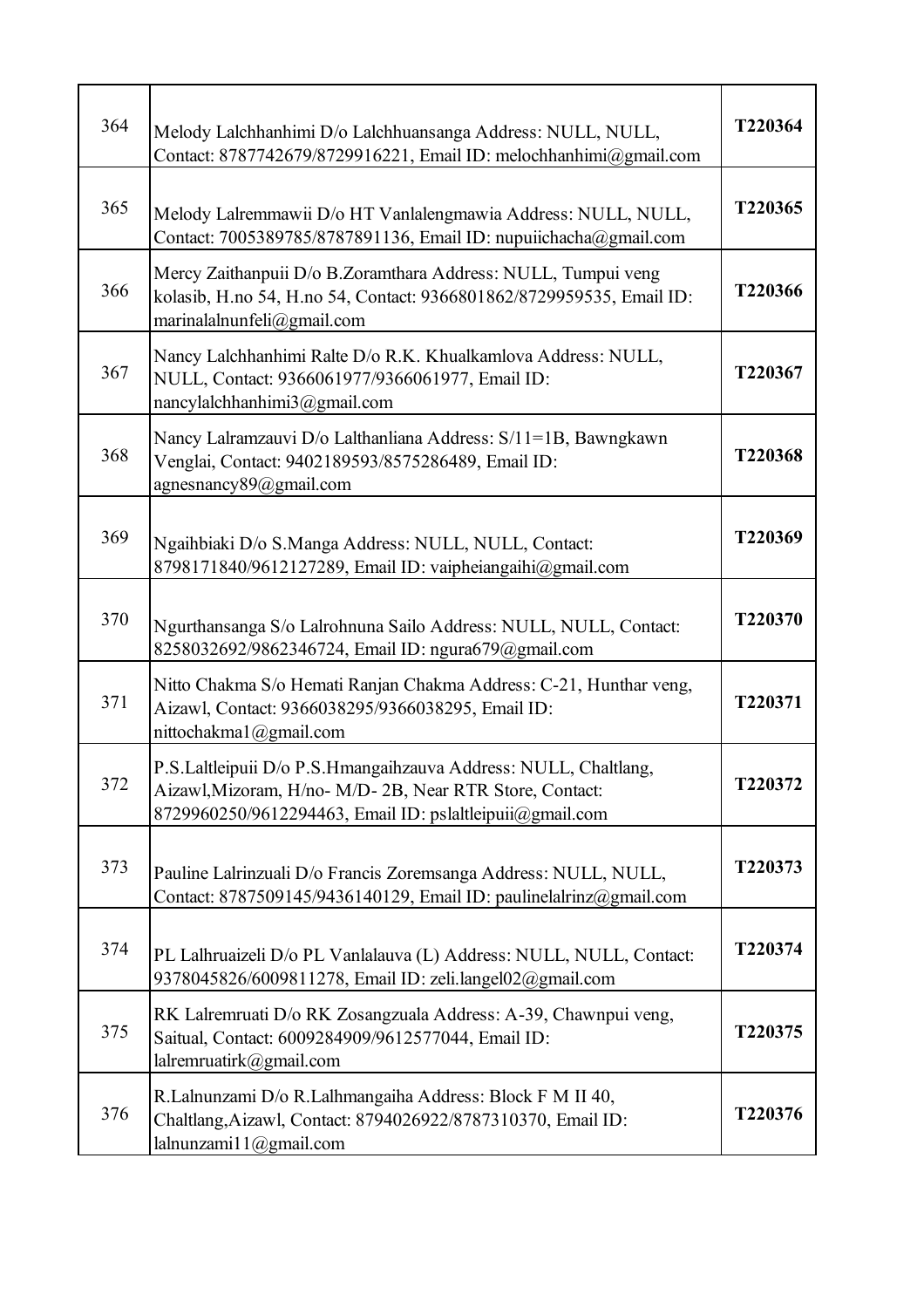| 364 | Melody Lalchhanhimi D/o Lalchhuansanga Address: NULL, NULL,<br>Contact: 8787742679/8729916221, Email ID: melochhanhimi@gmail.com                                                        | T220364 |
|-----|-----------------------------------------------------------------------------------------------------------------------------------------------------------------------------------------|---------|
| 365 | Melody Lalremmawii D/o HT Vanlalengmawia Address: NULL, NULL,<br>Contact: 7005389785/8787891136, Email ID: nupuiichacha@gmail.com                                                       | T220365 |
| 366 | Mercy Zaithanpuii D/o B.Zoramthara Address: NULL, Tumpui veng<br>kolasib, H.no 54, H.no 54, Contact: 9366801862/8729959535, Email ID:<br>marinalalnunfeli@gmail.com                     | T220366 |
| 367 | Nancy Lalchhanhimi Ralte D/o R.K. Khualkamlova Address: NULL,<br>NULL, Contact: 9366061977/9366061977, Email ID:<br>nancylalchhanhimi $3@g$ mail.com                                    | T220367 |
| 368 | Nancy Lalramzauvi D/o Lalthanliana Address: S/11=1B, Bawngkawn<br>Venglai, Contact: 9402189593/8575286489, Email ID:<br>agnesnancy89@gmail.com                                          | T220368 |
| 369 | Ngaihbiaki D/o S.Manga Address: NULL, NULL, Contact:<br>8798171840/9612127289, Email ID: vaipheiangaihi@gmail.com                                                                       | T220369 |
| 370 | Ngurthansanga S/o Lalrohnuna Sailo Address: NULL, NULL, Contact:<br>8258032692/9862346724, Email ID: ngura679@gmail.com                                                                 | T220370 |
| 371 | Nitto Chakma S/o Hemati Ranjan Chakma Address: C-21, Hunthar veng,<br>Aizawl, Contact: 9366038295/9366038295, Email ID:<br>nittochakma1@gmail.com                                       | T220371 |
| 372 | P.S.Laltleipuii D/o P.S.Hmangaihzauva Address: NULL, Chaltlang,<br>Aizawl, Mizoram, H/no- M/D- 2B, Near RTR Store, Contact:<br>8729960250/9612294463, Email ID: pslaltleipuii@gmail.com | T220372 |
| 373 | Pauline Lalrinzuali D/o Francis Zoremsanga Address: NULL, NULL,<br>Contact: 8787509145/9436140129, Email ID: paulinelalrinz@gmail.com                                                   | T220373 |
| 374 | PL Lalhruaizeli D/o PL Vanlalauva (L) Address: NULL, NULL, Contact:<br>9378045826/6009811278, Email ID: zeli.langel02@gmail.com                                                         | T220374 |
| 375 | RK Lalremruati D/o RK Zosangzuala Address: A-39, Chawnpui veng,<br>Saitual, Contact: 6009284909/9612577044, Email ID:<br>lalremruatirk@gmail.com                                        | T220375 |
| 376 | R.Lalnunzami D/o R.Lalhmangaiha Address: Block F M II 40,<br>Chaltlang, Aizawl, Contact: 8794026922/8787310370, Email ID:<br>lalnunzami11@gmail.com                                     | T220376 |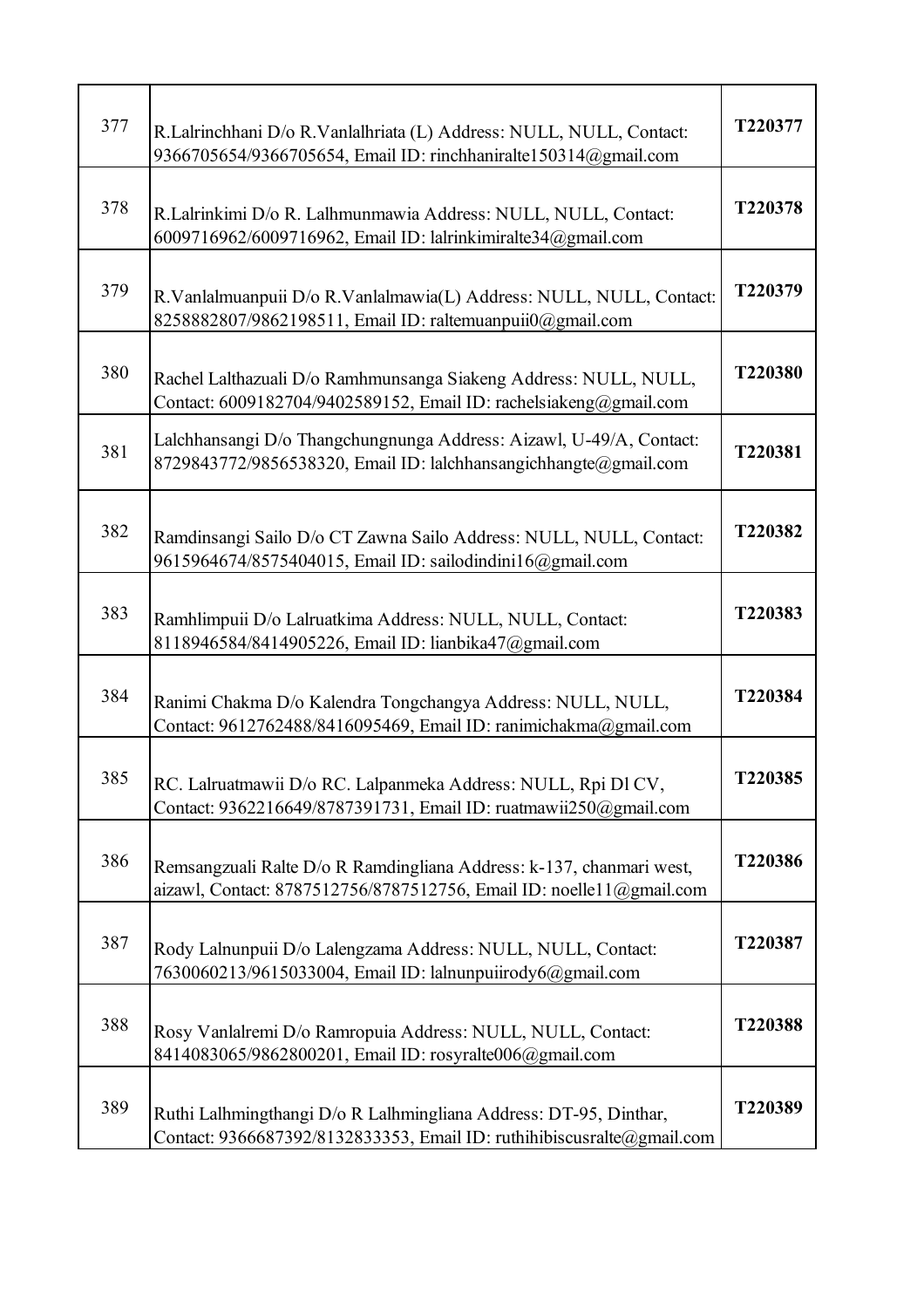| 377 | R.Lalrinchhani D/o R.Vanlalhriata (L) Address: NULL, NULL, Contact:<br>9366705654/9366705654, Email ID: rinchhaniralte150314@gmail.com        | T220377 |
|-----|-----------------------------------------------------------------------------------------------------------------------------------------------|---------|
| 378 | R.Lalrinkimi D/o R. Lalhmunmawia Address: NULL, NULL, Contact:<br>6009716962/6009716962, Email ID: lalrinkimiralte34@gmail.com                | T220378 |
| 379 | R.Vanlalmuanpuii D/o R.Vanlalmawia(L) Address: NULL, NULL, Contact:<br>8258882807/9862198511, Email ID: raltemuanpuii0@gmail.com              | T220379 |
| 380 | Rachel Lalthazuali D/o Ramhmunsanga Siakeng Address: NULL, NULL,<br>Contact: 6009182704/9402589152, Email ID: rachelsiakeng@gmail.com         | T220380 |
| 381 | Lalchhansangi D/o Thangchungnunga Address: Aizawl, U-49/A, Contact:<br>8729843772/9856538320, Email ID: lalchhansangichhangte@gmail.com       | T220381 |
| 382 | Ramdinsangi Sailo D/o CT Zawna Sailo Address: NULL, NULL, Contact:<br>9615964674/8575404015, Email ID: sailodindini16@gmail.com               | T220382 |
| 383 | Ramhlimpuii D/o Lalruatkima Address: NULL, NULL, Contact:<br>8118946584/8414905226, Email ID: lianbika47@gmail.com                            | T220383 |
| 384 | Ranimi Chakma D/o Kalendra Tongchangya Address: NULL, NULL,<br>Contact: 9612762488/8416095469, Email ID: ranimichakma@gmail.com               | T220384 |
| 385 | RC. Lalruatmawii D/o RC. Lalpanmeka Address: NULL, Rpi Dl CV,<br>Contact: 9362216649/8787391731, Email ID: ruatmawii250@gmail.com             | T220385 |
| 386 | Remsangzuali Ralte D/o R Ramdingliana Address: k-137, chanmari west,<br>aizawl, Contact: 8787512756/8787512756, Email ID: noellel 1@gmail.com | T220386 |
| 387 | Rody Lalnunpuii D/o Lalengzama Address: NULL, NULL, Contact:<br>7630060213/9615033004, Email ID: lalnunpuiirody6@gmail.com                    | T220387 |
| 388 | Rosy Vanlalremi D/o Ramropuia Address: NULL, NULL, Contact:<br>8414083065/9862800201, Email ID: rosyralte006@gmail.com                        | T220388 |
| 389 | Ruthi Lalhmingthangi D/o R Lalhmingliana Address: DT-95, Dinthar,<br>Contact: 9366687392/8132833353, Email ID: ruthihibiscusralte@gmail.com   | T220389 |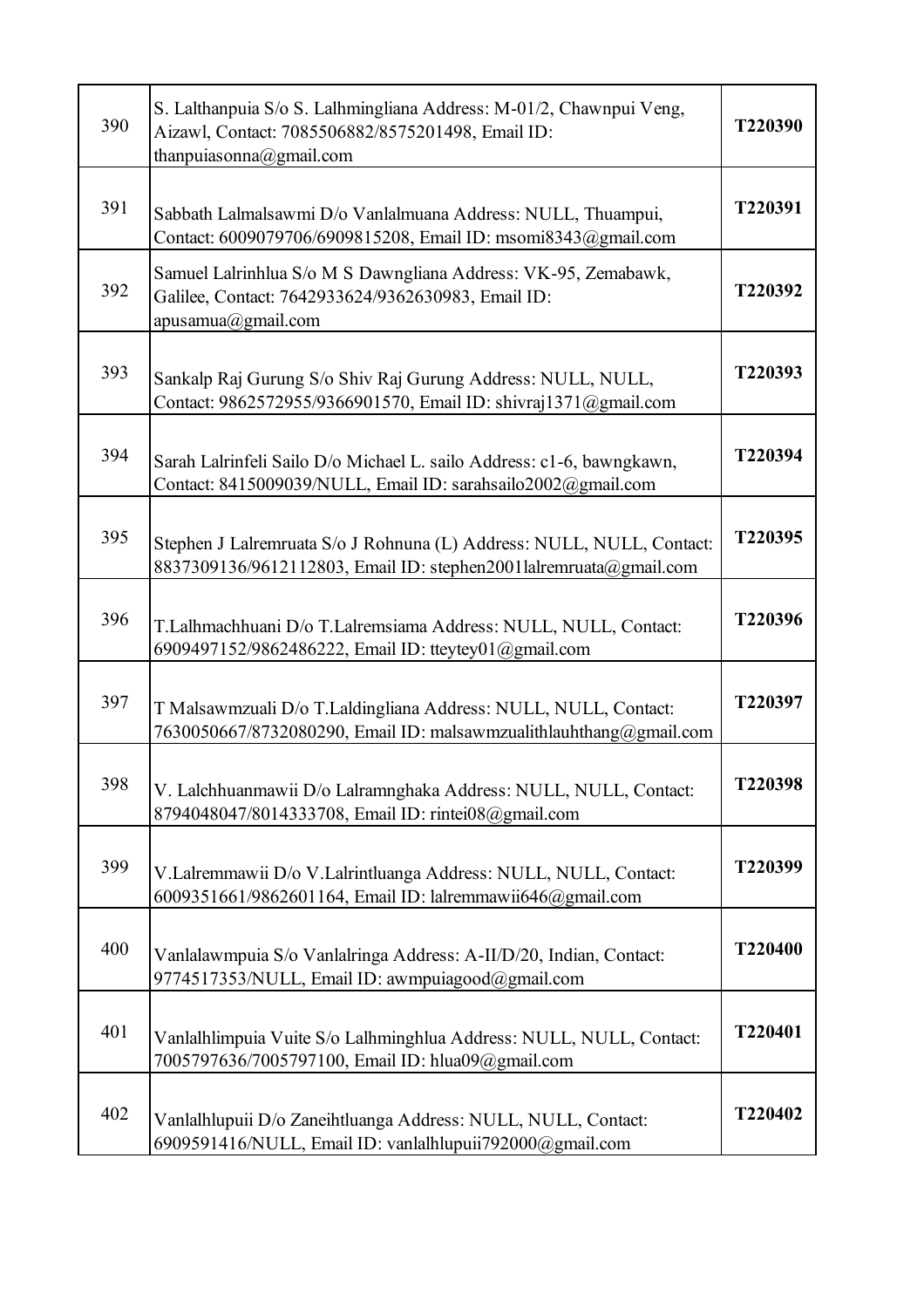| 390 | S. Lalthanpuia S/o S. Lalhmingliana Address: M-01/2, Chawnpui Veng,<br>Aizawl, Contact: 7085506882/8575201498, Email ID:<br>thanpuiasonna@gmail.com | T220390 |
|-----|-----------------------------------------------------------------------------------------------------------------------------------------------------|---------|
| 391 | Sabbath Lalmalsawmi D/o Vanlalmuana Address: NULL, Thuampui,<br>Contact: 6009079706/6909815208, Email ID: msomi8343@gmail.com                       | T220391 |
| 392 | Samuel Lalrinhlua S/o M S Dawngliana Address: VK-95, Zemabawk,<br>Galilee, Contact: 7642933624/9362630983, Email ID:<br>apusamua@gmail.com          | T220392 |
| 393 | Sankalp Raj Gurung S/o Shiv Raj Gurung Address: NULL, NULL,<br>Contact: 9862572955/9366901570, Email ID: shivraj1371@gmail.com                      | T220393 |
| 394 | Sarah Lalrinfeli Sailo D/o Michael L. sailo Address: c1-6, bawngkawn,<br>Contact: 8415009039/NULL, Email ID: sarahsailo2002@gmail.com               | T220394 |
| 395 | Stephen J Lalremruata S/o J Rohnuna (L) Address: NULL, NULL, Contact:<br>8837309136/9612112803, Email ID: stephen2001lalremruata@gmail.com          | T220395 |
| 396 | T.Lalhmachhuani D/o T.Lalremsiama Address: NULL, NULL, Contact:<br>6909497152/9862486222, Email ID: tteytey01@gmail.com                             | T220396 |
| 397 | T Malsawmzuali D/o T.Laldingliana Address: NULL, NULL, Contact:<br>7630050667/8732080290, Email ID: malsawmzualithlauhthang@gmail.com               | T220397 |
| 398 | V. Lalchhuanmawii D/o Lalramnghaka Address: NULL, NULL, Contact:<br>8794048047/8014333708, Email ID: rintei08@gmail.com                             | T220398 |
| 399 | V.Lalremmawii D/o V.Lalrintluanga Address: NULL, NULL, Contact:<br>6009351661/9862601164, Email ID: lalremmawii646@gmail.com                        | T220399 |
| 400 | Vanlalawmpuia S/o Vanlalringa Address: A-II/D/20, Indian, Contact:<br>9774517353/NULL, Email ID: awmpuiagood@gmail.com                              | T220400 |
| 401 | Vanlalhlimpuia Vuite S/o Lalhminghlua Address: NULL, NULL, Contact:<br>7005797636/7005797100, Email ID: hlua09@gmail.com                            | T220401 |
| 402 | Vanlalhlupuii D/o Zaneihtluanga Address: NULL, NULL, Contact:<br>6909591416/NULL, Email ID: vanlalhlupuii792000@gmail.com                           | T220402 |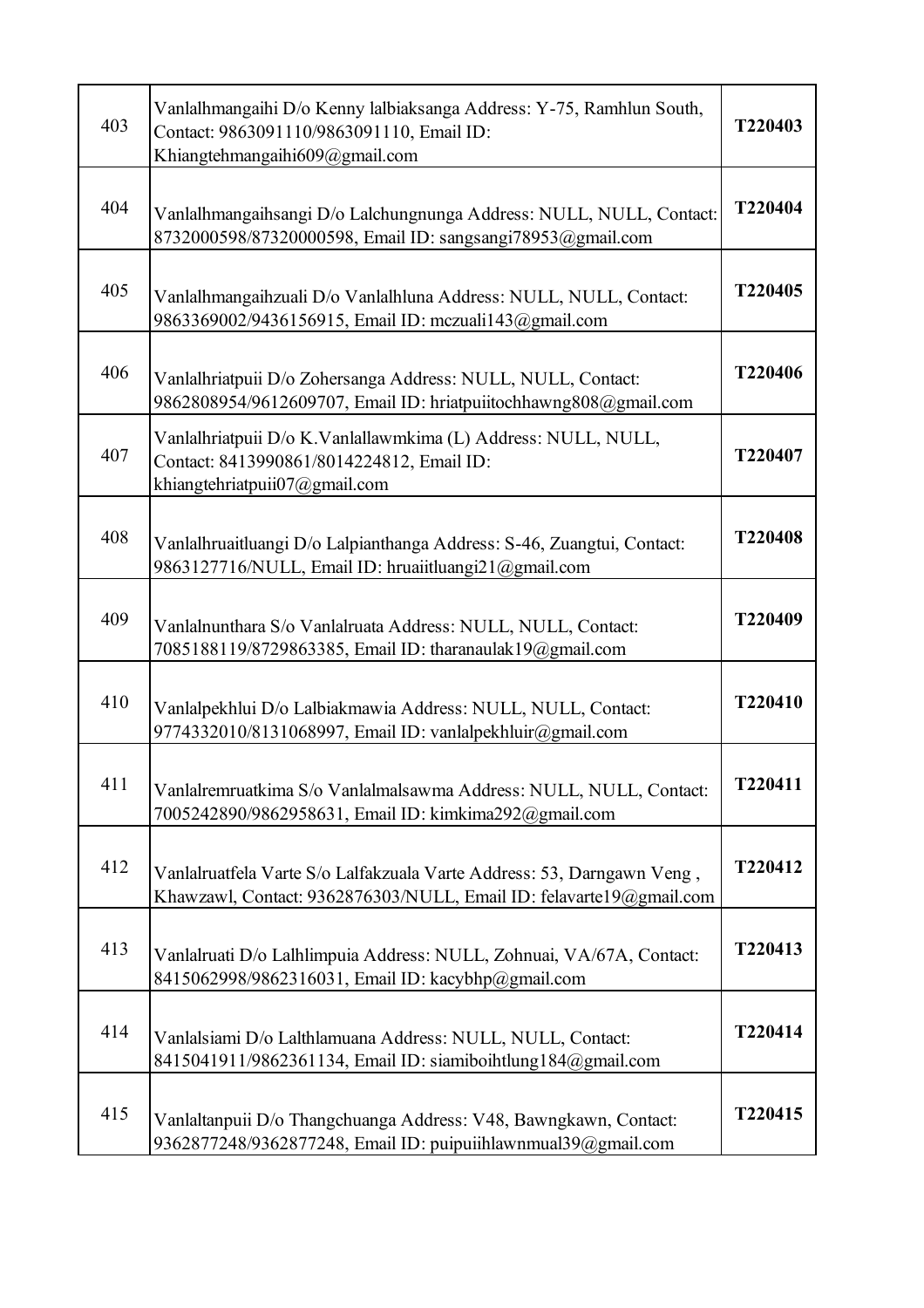| 403 | Vanlalhmangaihi D/o Kenny lalbiaksanga Address: Y-75, Ramhlun South,<br>Contact: 9863091110/9863091110, Email ID:<br>Khiangtehmangaihi609@gmail.com | T220403 |
|-----|-----------------------------------------------------------------------------------------------------------------------------------------------------|---------|
| 404 | Vanlalhmangaihsangi D/o Lalchungnunga Address: NULL, NULL, Contact:<br>8732000598/87320000598, Email ID: sangsangi78953@gmail.com                   | T220404 |
| 405 | Vanlalhmangaihzuali D/o Vanlalhluna Address: NULL, NULL, Contact:<br>9863369002/9436156915, Email ID: mczuali143@gmail.com                          | T220405 |
| 406 | Vanlalhriatpuii D/o Zohersanga Address: NULL, NULL, Contact:<br>9862808954/9612609707, Email ID: hriatpuiitochhawng808@gmail.com                    | T220406 |
| 407 | Vanlalhriatpuii D/o K.Vanlallawmkima (L) Address: NULL, NULL,<br>Contact: 8413990861/8014224812, Email ID:<br>khiangtehriatpuii07@gmail.com         | T220407 |
| 408 | Vanlalhruaitluangi D/o Lalpianthanga Address: S-46, Zuangtui, Contact:<br>9863127716/NULL, Email ID: hruaiitluangi21@gmail.com                      | T220408 |
| 409 | Vanlalnunthara S/o Vanlalruata Address: NULL, NULL, Contact:<br>7085188119/8729863385, Email ID: tharanaulak19@gmail.com                            | T220409 |
| 410 | Vanlalpekhlui D/o Lalbiakmawia Address: NULL, NULL, Contact:<br>9774332010/8131068997, Email ID: vanlalpekhluir@gmail.com                           | T220410 |
| 411 | Vanlalremruatkima S/o Vanlalmalsawma Address: NULL, NULL, Contact:<br>7005242890/9862958631, Email ID: kimkima292@gmail.com                         | T220411 |
| 412 | Vanlalruatfela Varte S/o Lalfakzuala Varte Address: 53, Darngawn Veng,<br>Khawzawl, Contact: 9362876303/NULL, Email ID: felavarte19@gmail.com       | T220412 |
| 413 | Vanlalruati D/o Lalhlimpuia Address: NULL, Zohnuai, VA/67A, Contact:<br>8415062998/9862316031, Email ID: kacybhp@gmail.com                          | T220413 |
| 414 | Vanlalsiami D/o Lalthlamuana Address: NULL, NULL, Contact:<br>8415041911/9862361134, Email ID: siamiboihtlung184@gmail.com                          | T220414 |
| 415 | Vanlaltanpuii D/o Thangchuanga Address: V48, Bawngkawn, Contact:<br>9362877248/9362877248, Email ID: puipuiihlawnmual39@gmail.com                   | T220415 |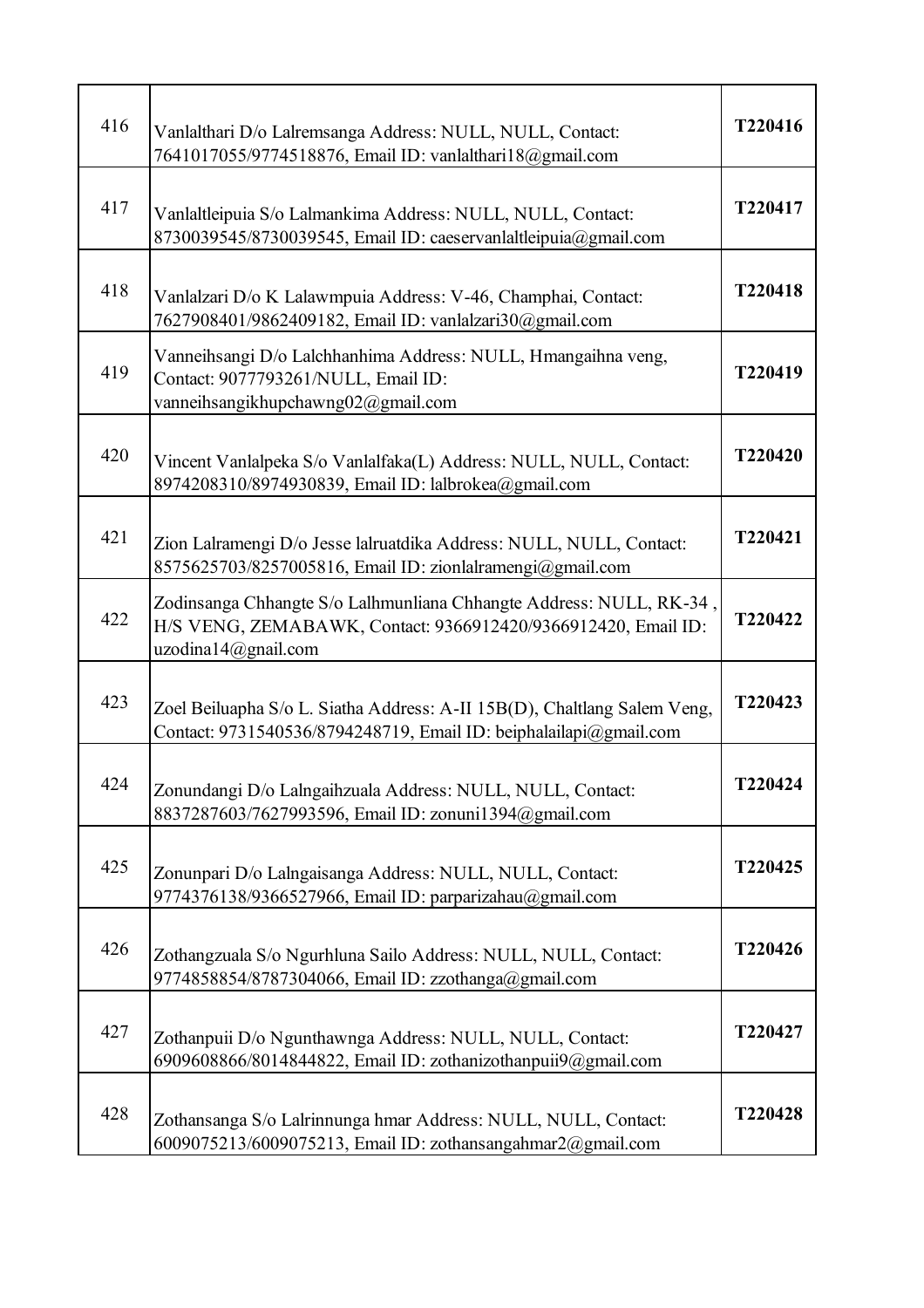| 416 | Vanlalthari D/o Lalremsanga Address: NULL, NULL, Contact:<br>7641017055/9774518876, Email ID: vanlalthari18@gmail.com                                       | T220416 |
|-----|-------------------------------------------------------------------------------------------------------------------------------------------------------------|---------|
| 417 | Vanlaltleipuia S/o Lalmankima Address: NULL, NULL, Contact:<br>8730039545/8730039545, Email ID: caeservanlaltleipuia@gmail.com                              | T220417 |
| 418 | Vanlalzari D/o K Lalawmpuia Address: V-46, Champhai, Contact:<br>7627908401/9862409182, Email ID: vanlalzari30@gmail.com                                    | T220418 |
| 419 | Vanneihsangi D/o Lalchhanhima Address: NULL, Hmangaihna veng,<br>Contact: 9077793261/NULL, Email ID:<br>vanneihsangikhupchawng02@gmail.com                  | T220419 |
| 420 | Vincent Vanlalpeka S/o Vanlalfaka(L) Address: NULL, NULL, Contact:<br>8974208310/8974930839, Email ID: lalbrokea@gmail.com                                  | T220420 |
| 421 | Zion Lalramengi D/o Jesse lalruatdika Address: NULL, NULL, Contact:<br>8575625703/8257005816, Email ID: zionlalramengi@gmail.com                            | T220421 |
| 422 | Zodinsanga Chhangte S/o Lalhmunliana Chhangte Address: NULL, RK-34,<br>H/S VENG, ZEMABAWK, Contact: 9366912420/9366912420, Email ID:<br>uzodina14@gnail.com | T220422 |
| 423 | Zoel Beiluapha S/o L. Siatha Address: A-II 15B(D), Chaltlang Salem Veng,<br>Contact: 9731540536/8794248719, Email ID: beiphalailapi@gmail.com               | T220423 |
| 424 | Zonundangi D/o Lalngaihzuala Address: NULL, NULL, Contact:<br>8837287603/7627993596, Email ID: zonuni1394@gmail.com                                         | T220424 |
| 425 | Zonunpari D/o Lalngaisanga Address: NULL, NULL, Contact:<br>9774376138/9366527966, Email ID: parparizahau@gmail.com                                         | T220425 |
| 426 | Zothangzuala S/o Ngurhluna Sailo Address: NULL, NULL, Contact:<br>9774858854/8787304066, Email ID: zzothanga@gmail.com                                      | T220426 |
| 427 | Zothanpuii D/o Ngunthawnga Address: NULL, NULL, Contact:<br>6909608866/8014844822, Email ID: zothanizothanpuii9@gmail.com                                   | T220427 |
| 428 | Zothansanga S/o Lalrinnunga hmar Address: NULL, NULL, Contact:<br>6009075213/6009075213, Email ID: zothansangahmar2@gmail.com                               | T220428 |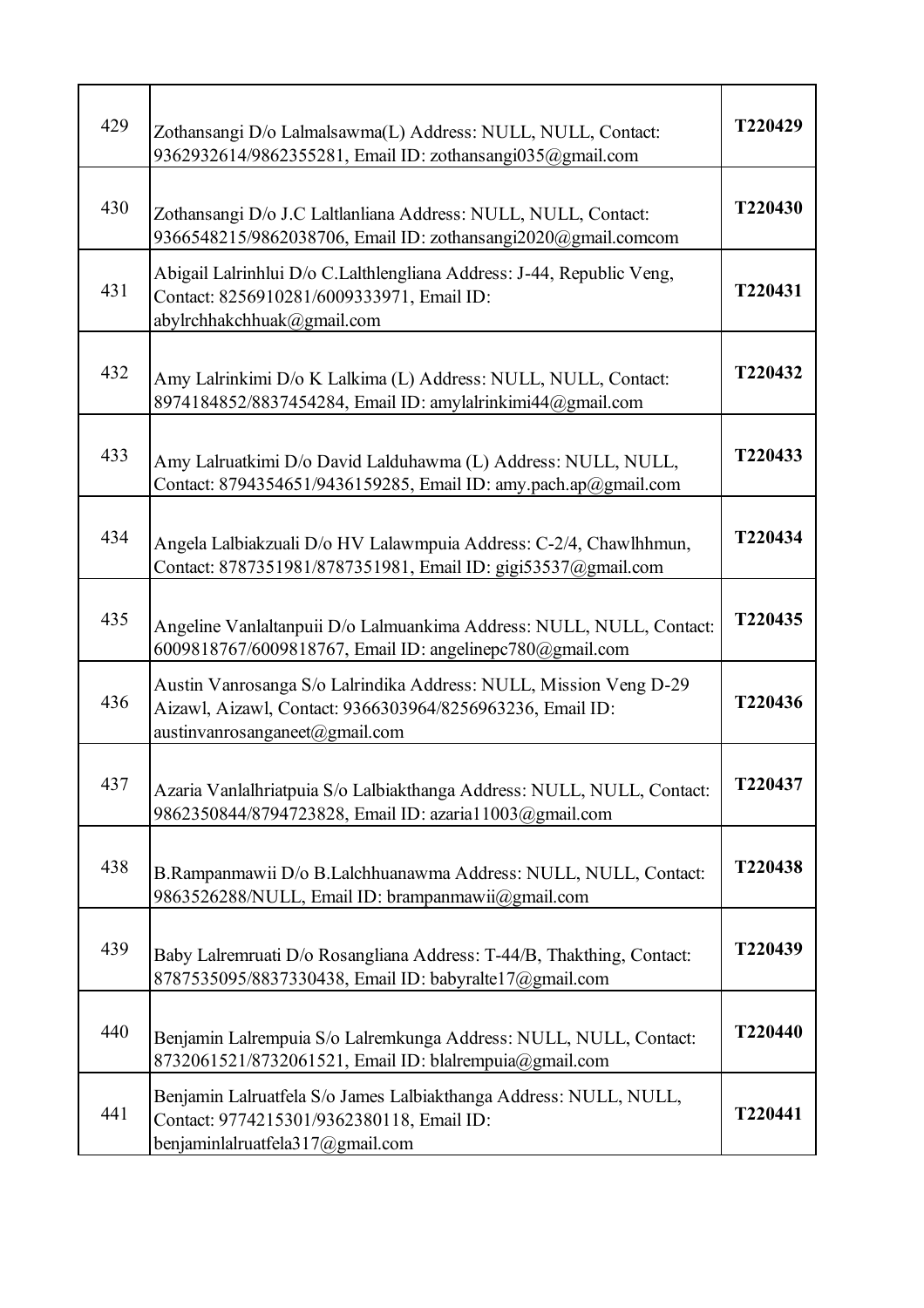| 429 | Zothansangi D/o Lalmalsawma(L) Address: NULL, NULL, Contact:<br>9362932614/9862355281, Email ID: zothansangi035@gmail.com                                        | T220429 |
|-----|------------------------------------------------------------------------------------------------------------------------------------------------------------------|---------|
| 430 | Zothansangi D/o J.C Laltlanliana Address: NULL, NULL, Contact:<br>9366548215/9862038706, Email ID: zothansangi2020@gmail.comcom                                  | T220430 |
| 431 | Abigail Lalrinhlui D/o C.Lalthlengliana Address: J-44, Republic Veng,<br>Contact: 8256910281/6009333971, Email ID:<br>abylrchhakchhuak@gmail.com                 | T220431 |
| 432 | Amy Lalrinkimi D/o K Lalkima (L) Address: NULL, NULL, Contact:<br>8974184852/8837454284, Email ID: amylalrinkimi44@gmail.com                                     | T220432 |
| 433 | Amy Lalruatkimi D/o David Lalduhawma (L) Address: NULL, NULL,<br>Contact: 8794354651/9436159285, Email ID: amy.pach.ap@gmail.com                                 | T220433 |
| 434 | Angela Lalbiakzuali D/o HV Lalawmpuia Address: C-2/4, Chawlhhmun,<br>Contact: 8787351981/8787351981, Email ID: gigi53537@gmail.com                               | T220434 |
| 435 | Angeline Vanlaltanpuii D/o Lalmuankima Address: NULL, NULL, Contact:<br>6009818767/6009818767, Email ID: angelinepc780@gmail.com                                 | T220435 |
| 436 | Austin Vanrosanga S/o Lalrindika Address: NULL, Mission Veng D-29<br>Aizawl, Aizawl, Contact: 9366303964/8256963236, Email ID:<br>austinvanrosanganeet@gmail.com | T220436 |
| 437 | Azaria Vanlalhriatpuia S/o Lalbiakthanga Address: NULL, NULL, Contact:<br>9862350844/8794723828, Email ID: azaria11003@gmail.com                                 | T220437 |
| 438 | B.Rampanmawii D/o B.Lalchhuanawma Address: NULL, NULL, Contact:<br>9863526288/NULL, Email ID: brampanmawii@gmail.com                                             | T220438 |
| 439 | Baby Lalremruati D/o Rosangliana Address: T-44/B, Thakthing, Contact:<br>8787535095/8837330438, Email ID: babyralte17@gmail.com                                  | T220439 |
| 440 | Benjamin Lalrempuia S/o Lalremkunga Address: NULL, NULL, Contact:<br>8732061521/8732061521, Email ID: blalrempuia@gmail.com                                      | T220440 |
| 441 | Benjamin Lalruatfela S/o James Lalbiakthanga Address: NULL, NULL,<br>Contact: 9774215301/9362380118, Email ID:<br>benjaminlalruatfela317@gmail.com               | T220441 |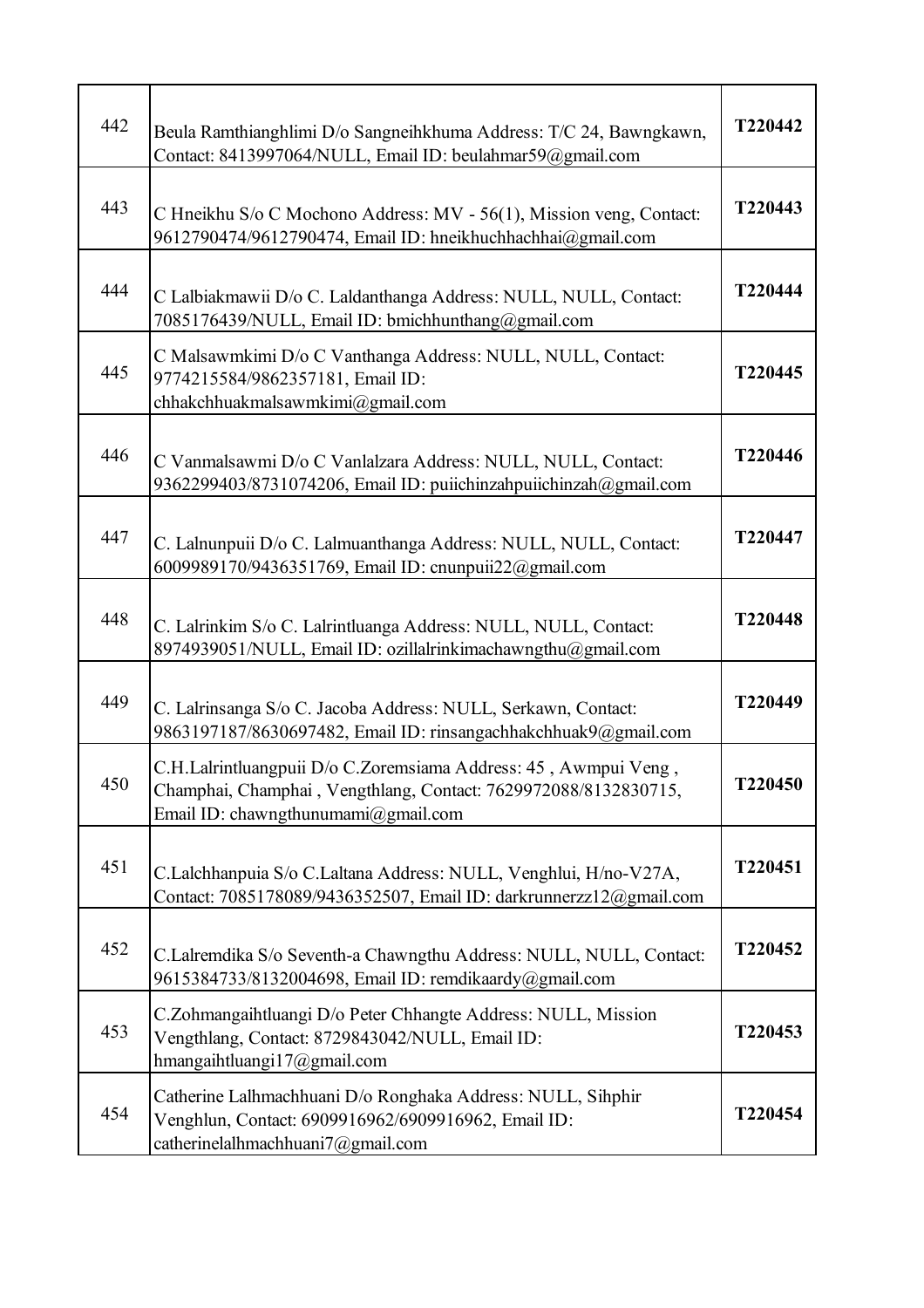| 442 | Beula Ramthianghlimi D/o Sangneihkhuma Address: T/C 24, Bawngkawn,<br>Contact: 8413997064/NULL, Email ID: beulahmar59@gmail.com                                           | T220442 |
|-----|---------------------------------------------------------------------------------------------------------------------------------------------------------------------------|---------|
| 443 | C Hneikhu S/o C Mochono Address: MV - 56(1), Mission veng, Contact:<br>9612790474/9612790474, Email ID: hneikhuchhachhai@gmail.com                                        | T220443 |
| 444 | C Lalbiakmawii D/o C. Laldanthanga Address: NULL, NULL, Contact:<br>7085176439/NULL, Email ID: bmichhunthang@gmail.com                                                    | T220444 |
| 445 | C Malsawmkimi D/o C Vanthanga Address: NULL, NULL, Contact:<br>9774215584/9862357181, Email ID:<br>chhakchhuakmalsawmkimi@gmail.com                                       | T220445 |
| 446 | C Vanmalsawmi D/o C Vanlalzara Address: NULL, NULL, Contact:<br>9362299403/8731074206, Email ID: puiichinzahpuiichinzah@gmail.com                                         | T220446 |
| 447 | C. Lalnunpuii D/o C. Lalmuanthanga Address: NULL, NULL, Contact:<br>6009989170/9436351769, Email ID: cnunpuii22@gmail.com                                                 | T220447 |
| 448 | C. Lalrinkim S/o C. Lalrintluanga Address: NULL, NULL, Contact:<br>8974939051/NULL, Email ID: ozillalrinkimachawngthu@gmail.com                                           | T220448 |
| 449 | C. Lalrinsanga S/o C. Jacoba Address: NULL, Serkawn, Contact:<br>9863197187/8630697482, Email ID: rinsangachhakchhuak9@gmail.com                                          | T220449 |
| 450 | C.H.Lalrintluangpuii D/o C.Zoremsiama Address: 45, Awmpui Veng,<br>Champhai, Champhai, Vengthlang, Contact: 7629972088/8132830715,<br>Email ID: chawngthunumami@gmail.com | T220450 |
| 451 | C.Lalchhanpuia S/o C.Laltana Address: NULL, Venghlui, H/no-V27A,<br>Contact: 7085178089/9436352507, Email ID: darkrunnerzz12@gmail.com                                    | T220451 |
| 452 | C.Lalremdika S/o Seventh-a Chawngthu Address: NULL, NULL, Contact:<br>9615384733/8132004698, Email ID: remdikaardy@gmail.com                                              | T220452 |
| 453 | C.Zohmangaihtluangi D/o Peter Chhangte Address: NULL, Mission<br>Vengthlang, Contact: 8729843042/NULL, Email ID:<br>hmangaihtluangi17@gmail.com                           | T220453 |
| 454 | Catherine Lalhmachhuani D/o Ronghaka Address: NULL, Sihphir<br>Venghlun, Contact: 6909916962/6909916962, Email ID:<br>catherinelalhmachhuani7@gmail.com                   | T220454 |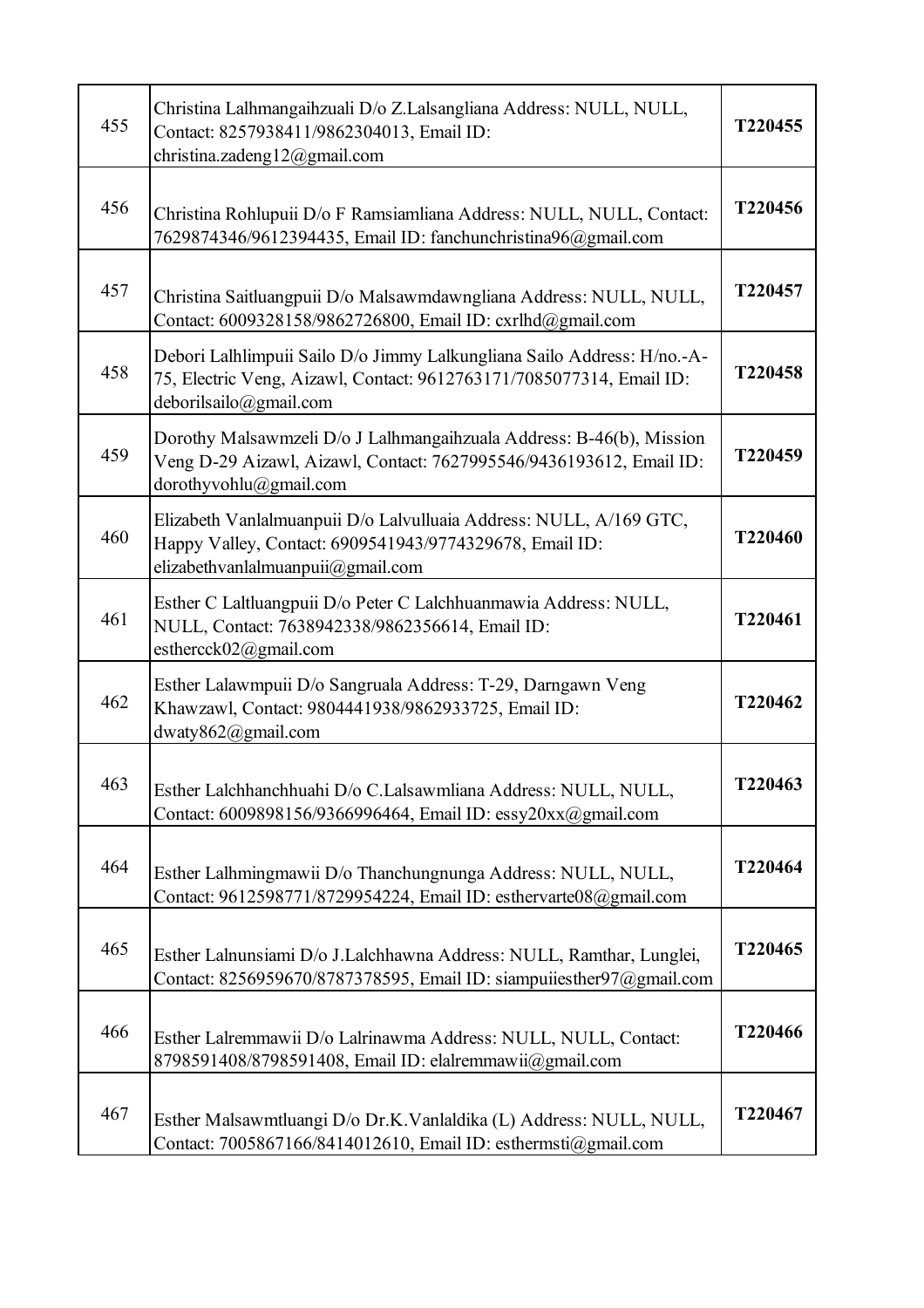| 455 | Christina Lalhmangaihzuali D/o Z.Lalsangliana Address: NULL, NULL,<br>Contact: 8257938411/9862304013, Email ID:<br>christina.zadeng12@gmail.com                           | T220455 |
|-----|---------------------------------------------------------------------------------------------------------------------------------------------------------------------------|---------|
| 456 | Christina Rohlupuii D/o F Ramsiamliana Address: NULL, NULL, Contact:<br>7629874346/9612394435, Email ID: fanchunchristina96@gmail.com                                     | T220456 |
| 457 | Christina Saitluangpuii D/o Malsawmdawngliana Address: NULL, NULL,<br>Contact: 6009328158/9862726800, Email ID: cxrlhd@gmail.com                                          | T220457 |
| 458 | Debori Lalhlimpuii Sailo D/o Jimmy Lalkungliana Sailo Address: H/no.-A-<br>75, Electric Veng, Aizawl, Contact: 9612763171/7085077314, Email ID:<br>deborilsailo@gmail.com | T220458 |
| 459 | Dorothy Malsawmzeli D/o J Lalhmangaihzuala Address: B-46(b), Mission<br>Veng D-29 Aizawl, Aizawl, Contact: 7627995546/9436193612, Email ID:<br>dorothyvohlu@gmail.com     | T220459 |
| 460 | Elizabeth Vanlalmuanpuii D/o Lalvulluaia Address: NULL, A/169 GTC,<br>Happy Valley, Contact: 6909541943/9774329678, Email ID:<br>elizabethvanlalmuanpuii@gmail.com        | T220460 |
| 461 | Esther C Laltluangpuii D/o Peter C Lalchhuanmawia Address: NULL,<br>NULL, Contact: 7638942338/9862356614, Email ID:<br>esthercck02@gmail.com                              | T220461 |
| 462 | Esther Lalawmpuii D/o Sangruala Address: T-29, Darngawn Veng<br>Khawzawl, Contact: 9804441938/9862933725, Email ID:<br>dwaty862@gmail.com                                 | T220462 |
| 463 | Esther Lalchhanchhuahi D/o C.Lalsawmliana Address: NULL, NULL,<br>Contact: 6009898156/9366996464, Email ID: essy20xx@gmail.com                                            | T220463 |
| 464 | Esther Lalhmingmawii D/o Thanchungnunga Address: NULL, NULL,<br>Contact: 9612598771/8729954224, Email ID: esthervarte08@gmail.com                                         | T220464 |
| 465 | Esther Lalnunsiami D/o J.Lalchhawna Address: NULL, Ramthar, Lunglei,<br>Contact: 8256959670/8787378595, Email ID: siampuiiesther97@gmail.com                              | T220465 |
| 466 | Esther Lalremmawii D/o Lalrinawma Address: NULL, NULL, Contact:<br>8798591408/8798591408, Email ID: elalremmawii@gmail.com                                                | T220466 |
| 467 | Esther Malsawmtluangi D/o Dr.K.Vanlaldika (L) Address: NULL, NULL,<br>Contact: 7005867166/8414012610, Email ID: esthermsti@gmail.com                                      | T220467 |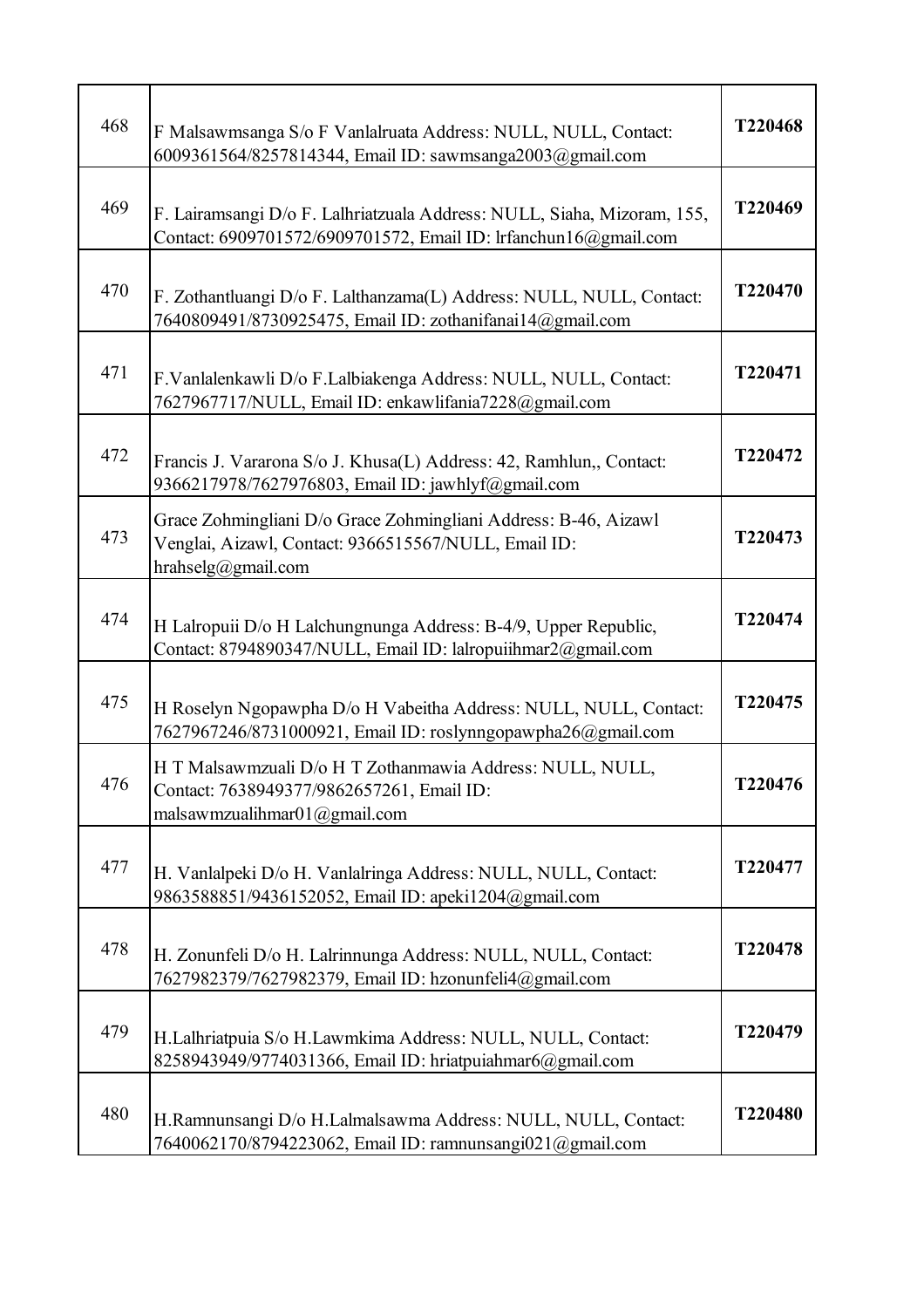| 468 | F Malsawmsanga S/o F Vanlalruata Address: NULL, NULL, Contact:<br>6009361564/8257814344, Email ID: sawmsanga2003@gmail.com                    | T220468 |
|-----|-----------------------------------------------------------------------------------------------------------------------------------------------|---------|
| 469 | F. Lairamsangi D/o F. Lalhriatzuala Address: NULL, Siaha, Mizoram, 155,<br>Contact: 6909701572/6909701572, Email ID: lrfanchun16@gmail.com    | T220469 |
| 470 | F. Zothantluangi D/o F. Lalthanzama(L) Address: NULL, NULL, Contact:<br>7640809491/8730925475, Email ID: zothanifanai14@gmail.com             | T220470 |
| 471 | F.Vanlalenkawli D/o F.Lalbiakenga Address: NULL, NULL, Contact:<br>7627967717/NULL, Email ID: enkawlifania7228@gmail.com                      | T220471 |
| 472 | Francis J. Vararona S/o J. Khusa(L) Address: 42, Ramhlun,, Contact:<br>9366217978/7627976803, Email ID: jawhlyf@gmail.com                     | T220472 |
| 473 | Grace Zohmingliani D/o Grace Zohmingliani Address: B-46, Aizawl<br>Venglai, Aizawl, Contact: 9366515567/NULL, Email ID:<br>hrahselg@gmail.com | T220473 |
| 474 | H Lalropuii D/o H Lalchungnunga Address: B-4/9, Upper Republic,<br>Contact: 8794890347/NULL, Email ID: lalropuiihmar2@gmail.com               | T220474 |
| 475 | H Roselyn Ngopawpha D/o H Vabeitha Address: NULL, NULL, Contact:<br>7627967246/8731000921, Email ID: roslynngopawpha26@gmail.com              | T220475 |
| 476 | H T Malsawmzuali D/o H T Zothanmawia Address: NULL, NULL,<br>Contact: 7638949377/9862657261, Email ID:<br>malsawmzualihmar01@gmail.com        | T220476 |
| 477 | H. Vanlalpeki D/o H. Vanlalringa Address: NULL, NULL, Contact:<br>9863588851/9436152052, Email ID: apeki1204@gmail.com                        | T220477 |
| 478 | H. Zonunfeli D/o H. Lalrinnunga Address: NULL, NULL, Contact:<br>7627982379/7627982379, Email ID: hzonunfeli4@gmail.com                       | T220478 |
| 479 | H.Lalhriatpuia S/o H.Lawmkima Address: NULL, NULL, Contact:<br>8258943949/9774031366, Email ID: hriatpuiahmar6@gmail.com                      | T220479 |
| 480 | H.Ramnunsangi D/o H.Lalmalsawma Address: NULL, NULL, Contact:<br>7640062170/8794223062, Email ID: ramnunsangi021@gmail.com                    | T220480 |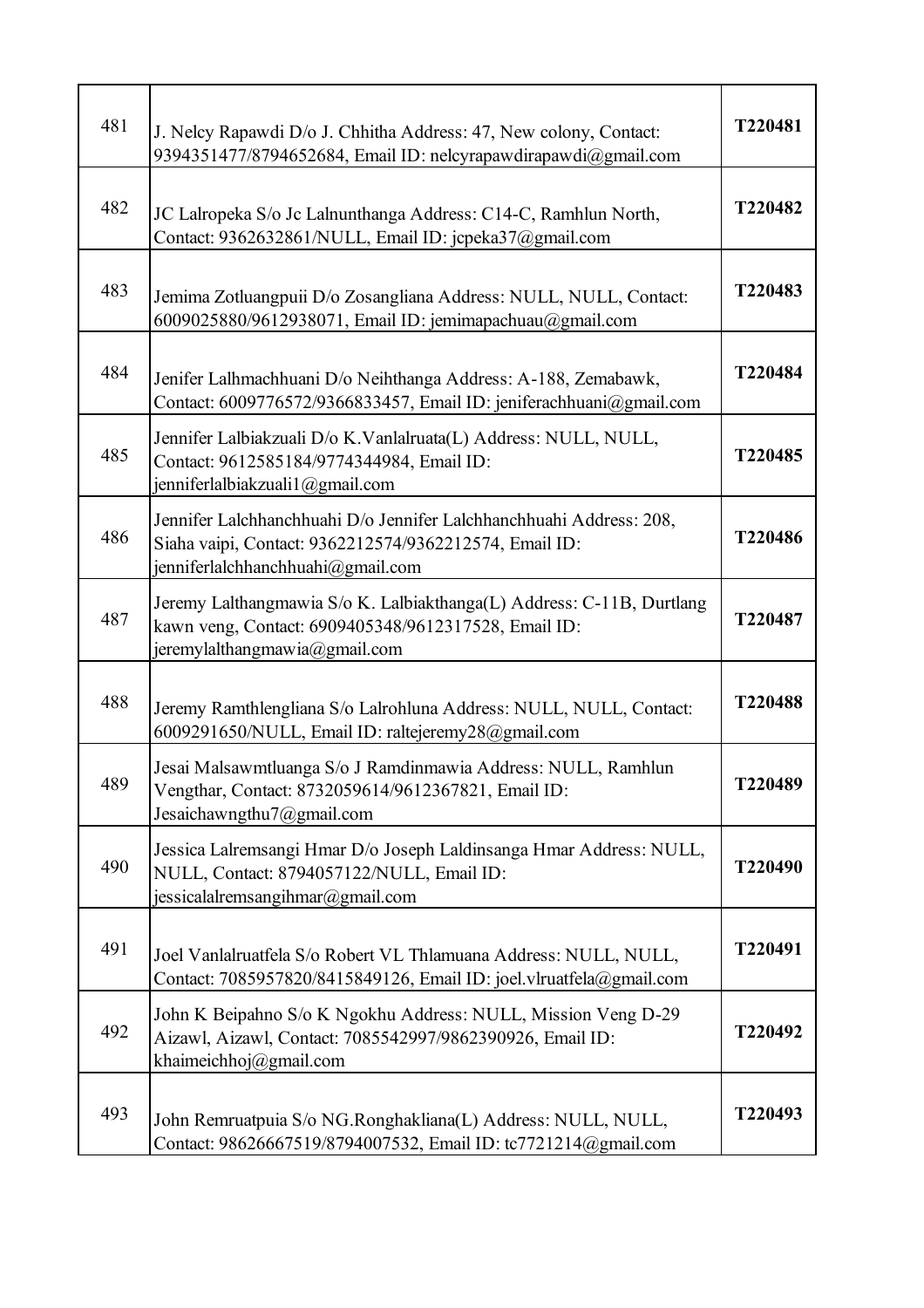| 481 | J. Nelcy Rapawdi D/o J. Chhitha Address: 47, New colony, Contact:<br>9394351477/8794652684, Email ID: nelcyrapawdirapawdi@gmail.com                                | T220481 |
|-----|--------------------------------------------------------------------------------------------------------------------------------------------------------------------|---------|
| 482 | JC Lalropeka S/o Jc Lalnunthanga Address: C14-C, Ramhlun North,<br>Contact: 9362632861/NULL, Email ID: jcpeka37@gmail.com                                          | T220482 |
| 483 | Jemima Zotluangpuii D/o Zosangliana Address: NULL, NULL, Contact:<br>6009025880/9612938071, Email ID: jemimapachuau@gmail.com                                      | T220483 |
| 484 | Jenifer Lalhmachhuani D/o Neihthanga Address: A-188, Zemabawk,<br>Contact: 6009776572/9366833457, Email ID: jeniferachhuani@gmail.com                              | T220484 |
| 485 | Jennifer Lalbiakzuali D/o K.Vanlalruata(L) Address: NULL, NULL,<br>Contact: 9612585184/9774344984, Email ID:<br>jenniferlalbiakzuali1@gmail.com                    | T220485 |
| 486 | Jennifer Lalchhanchhuahi D/o Jennifer Lalchhanchhuahi Address: 208,<br>Siaha vaipi, Contact: 9362212574/9362212574, Email ID:<br>jenniferlalchhanchhuahi@gmail.com | T220486 |
| 487 | Jeremy Lalthangmawia S/o K. Lalbiakthanga(L) Address: C-11B, Durtlang<br>kawn veng, Contact: 6909405348/9612317528, Email ID:<br>jeremylalthangmawia@gmail.com     | T220487 |
| 488 | Jeremy Ramthlengliana S/o Lalrohluna Address: NULL, NULL, Contact:<br>6009291650/NULL, Email ID: raltejeremy28@gmail.com                                           | T220488 |
| 489 | Jesai Malsawmtluanga S/o J Ramdinmawia Address: NULL, Ramhlun<br>Vengthar, Contact: 8732059614/9612367821, Email ID:<br>Jesaichawngthu7@gmail.com                  | T220489 |
| 490 | Jessica Lalremsangi Hmar D/o Joseph Laldinsanga Hmar Address: NULL,<br>NULL, Contact: 8794057122/NULL, Email ID:<br>jessicalalremsangihmar@gmail.com               | T220490 |
| 491 | Joel Vanlalruatfela S/o Robert VL Thlamuana Address: NULL, NULL,<br>Contact: 7085957820/8415849126, Email ID: joel.vlruatfela@gmail.com                            | T220491 |
| 492 | John K Beipahno S/o K Ngokhu Address: NULL, Mission Veng D-29<br>Aizawl, Aizawl, Contact: 7085542997/9862390926, Email ID:<br>khaimeichhoj@gmail.com               | T220492 |
| 493 | John Remruatpuia S/o NG.Ronghakliana(L) Address: NULL, NULL,<br>Contact: 98626667519/8794007532, Email ID: tc7721214@gmail.com                                     | T220493 |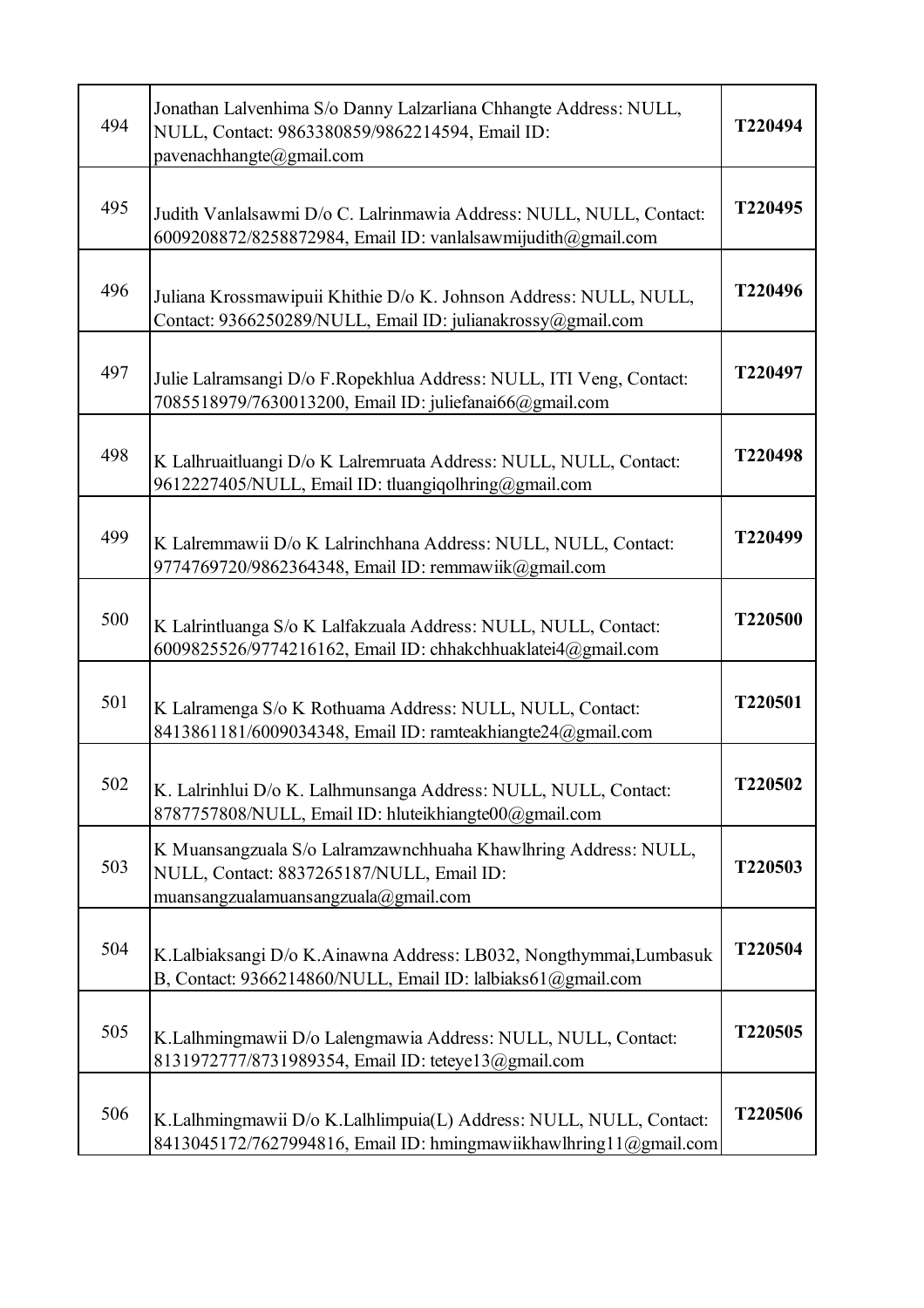| 494 | Jonathan Lalvenhima S/o Danny Lalzarliana Chhangte Address: NULL,<br>NULL, Contact: 9863380859/9862214594, Email ID:<br>pavenachhangte@gmail.com     | T220494 |
|-----|------------------------------------------------------------------------------------------------------------------------------------------------------|---------|
| 495 | Judith Vanlalsawmi D/o C. Lalrinmawia Address: NULL, NULL, Contact:<br>6009208872/8258872984, Email ID: vanlalsawmijudith@gmail.com                  | T220495 |
| 496 | Juliana Krossmawipuii Khithie D/o K. Johnson Address: NULL, NULL,<br>Contact: 9366250289/NULL, Email ID: julianakrossy@gmail.com                     | T220496 |
| 497 | Julie Lalramsangi D/o F.Ropekhlua Address: NULL, ITI Veng, Contact:<br>7085518979/7630013200, Email ID: juliefanai66@gmail.com                       | T220497 |
| 498 | K Lalhruaitluangi D/o K Lalremruata Address: NULL, NULL, Contact:<br>9612227405/NULL, Email ID: tluangiqolhring@gmail.com                            | T220498 |
| 499 | K Lalremmawii D/o K Lalrinchhana Address: NULL, NULL, Contact:<br>9774769720/9862364348, Email ID: remmawiik@gmail.com                               | T220499 |
| 500 | K Lalrintluanga S/o K Lalfakzuala Address: NULL, NULL, Contact:<br>6009825526/9774216162, Email ID: chhakchhuaklatei4@gmail.com                      | T220500 |
| 501 | K Lalramenga S/o K Rothuama Address: NULL, NULL, Contact:<br>8413861181/6009034348, Email ID: ramteakhiangte24@gmail.com                             | T220501 |
| 502 | K. Lalrinhlui D/o K. Lalhmunsanga Address: NULL, NULL, Contact:<br>8787757808/NULL, Email ID: hluteikhiangte00@gmail.com                             | T220502 |
| 503 | K Muansangzuala S/o Lalramzawnchhuaha Khawlhring Address: NULL,<br>NULL, Contact: 8837265187/NULL, Email ID:<br>muansangzualamuansangzuala@gmail.com | T220503 |
| 504 | K.Lalbiaksangi D/o K.Ainawna Address: LB032, Nongthymmai,Lumbasuk<br>B, Contact: 9366214860/NULL, Email ID: lalbiaks61@gmail.com                     | T220504 |
| 505 | K.Lalhmingmawii D/o Lalengmawia Address: NULL, NULL, Contact:<br>8131972777/8731989354, Email ID: teteye13@gmail.com                                 | T220505 |
| 506 | K.Lalhmingmawii D/o K.Lalhlimpuia(L) Address: NULL, NULL, Contact:<br>8413045172/7627994816, Email ID: hmingmawiikhawlhring11@gmail.com              | T220506 |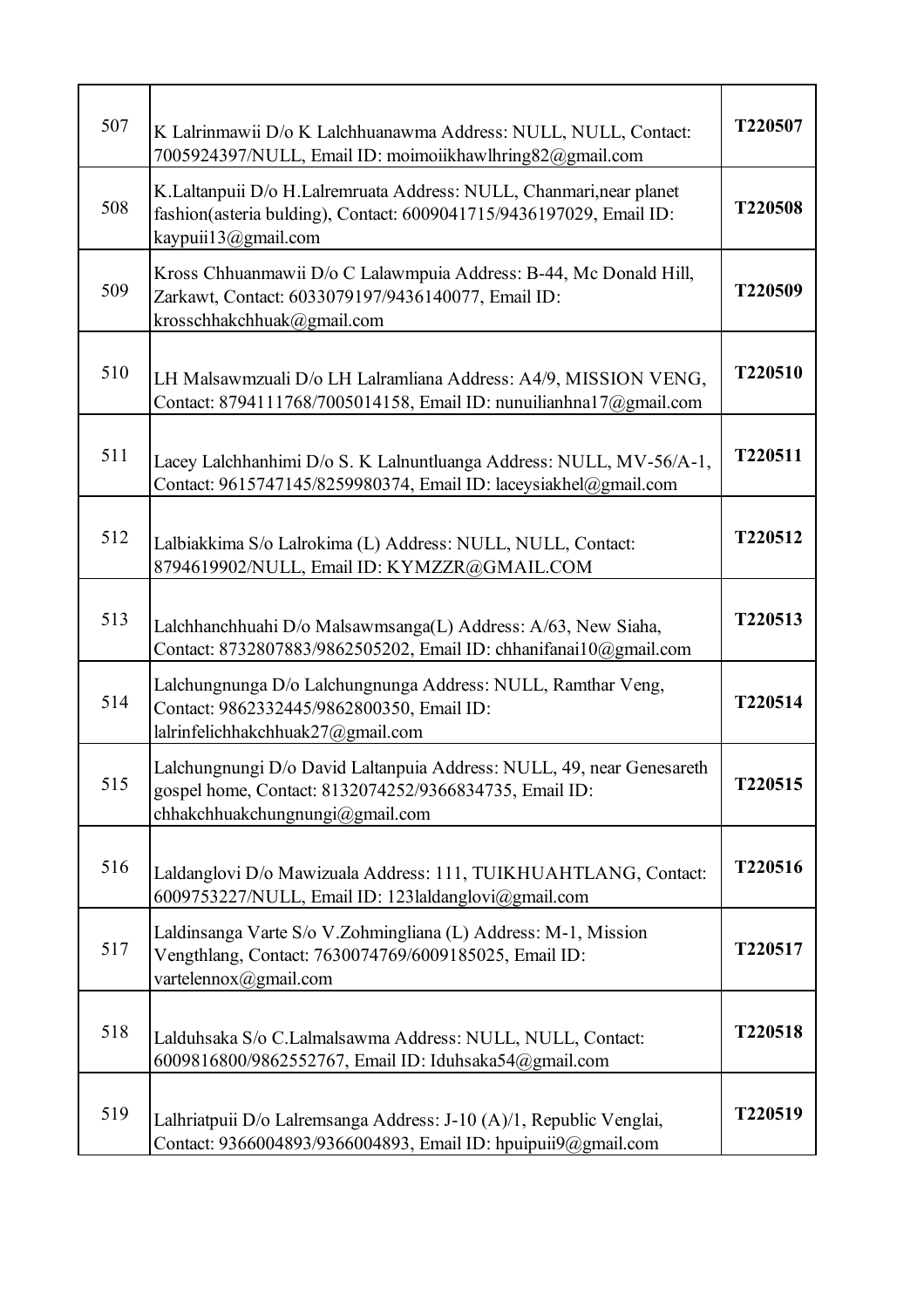| 507 | K Lalrinmawii D/o K Lalchhuanawma Address: NULL, NULL, Contact:<br>7005924397/NULL, Email ID: moimoiikhawlhring82@gmail.com                                        | T220507        |
|-----|--------------------------------------------------------------------------------------------------------------------------------------------------------------------|----------------|
| 508 | K.Laltanpuii D/o H.Lalremruata Address: NULL, Chanmari, near planet<br>fashion(asteria bulding), Contact: 6009041715/9436197029, Email ID:<br>kaypuii13@gmail.com  | T220508        |
| 509 | Kross Chhuanmawii D/o C Lalawmpuia Address: B-44, Mc Donald Hill,<br>Zarkawt, Contact: 6033079197/9436140077, Email ID:<br>krosschhakchhuak@gmail.com              | T220509        |
| 510 | LH Malsawmzuali D/o LH Lalramliana Address: A4/9, MISSION VENG,<br>Contact: 8794111768/7005014158, Email ID: nunuilianhna17@gmail.com                              | T220510        |
| 511 | Lacey Lalchhanhimi D/o S. K Lalnuntluanga Address: NULL, MV-56/A-1,<br>Contact: 9615747145/8259980374, Email ID: laceysiakhel@gmail.com                            | T220511        |
| 512 | Lalbiakkima S/o Lalrokima (L) Address: NULL, NULL, Contact:<br>8794619902/NULL, Email ID: KYMZZR@GMAIL.COM                                                         | T220512        |
| 513 | Lalchhanchhuahi D/o Malsawmsanga(L) Address: A/63, New Siaha,<br>Contact: 8732807883/9862505202, Email ID: chhanifanai10@gmail.com                                 | T220513        |
| 514 | Lalchungnunga D/o Lalchungnunga Address: NULL, Ramthar Veng,<br>Contact: 9862332445/9862800350, Email ID:<br>lalrinfelichhakchhuak27@gmail.com                     | T220514        |
| 515 | Lalchungnungi D/o David Laltanpuia Address: NULL, 49, near Genesareth<br>gospel home, Contact: 8132074252/9366834735, Email ID:<br>chhakchhuakchungnungi@gmail.com | <b>T220515</b> |
| 516 | Laldanglovi D/o Mawizuala Address: 111, TUIKHUAHTLANG, Contact:<br>6009753227/NULL, Email ID: 123laldanglovi@gmail.com                                             | T220516        |
| 517 | Laldinsanga Varte S/o V.Zohmingliana (L) Address: M-1, Mission<br>Vengthlang, Contact: 7630074769/6009185025, Email ID:<br>vartelennox@gmail.com                   | T220517        |
| 518 | Lalduhsaka S/o C.Lalmalsawma Address: NULL, NULL, Contact:<br>6009816800/9862552767, Email ID: Iduhsaka54@gmail.com                                                | T220518        |
| 519 | Lalhriatpuii D/o Lalremsanga Address: J-10 (A)/1, Republic Venglai,<br>Contact: 9366004893/9366004893, Email ID: hpuipuii9@gmail.com                               | T220519        |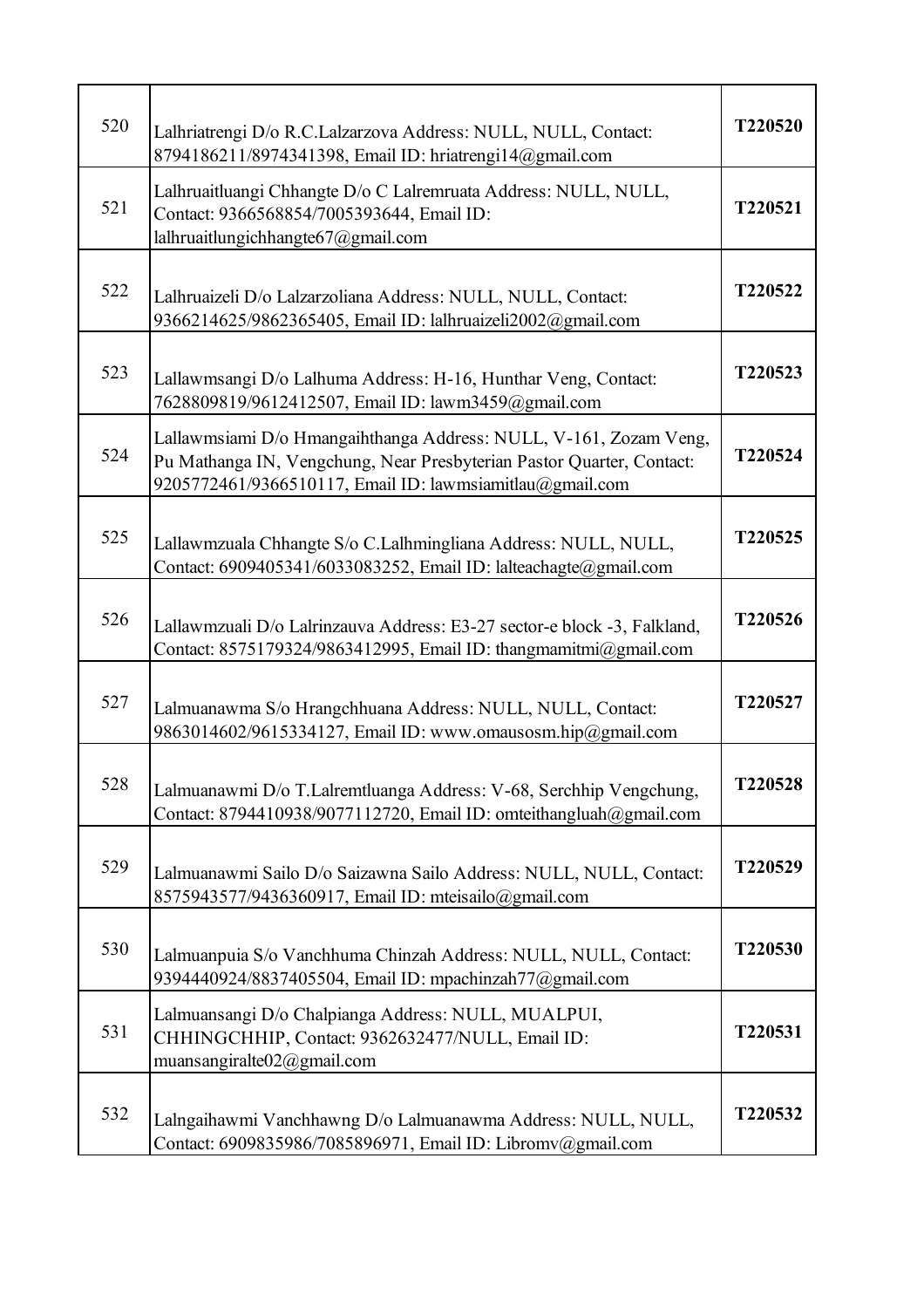| 520 | Lalhriatrengi D/o R.C.Lalzarzova Address: NULL, NULL, Contact:<br>8794186211/8974341398, Email ID: hriatrengi14@gmail.com                                                                              | T220520 |
|-----|--------------------------------------------------------------------------------------------------------------------------------------------------------------------------------------------------------|---------|
| 521 | Lalhruaitluangi Chhangte D/o C Lalremruata Address: NULL, NULL,<br>Contact: 9366568854/7005393644, Email ID:<br>lalhruaitlungichhangte67@gmail.com                                                     | T220521 |
| 522 | Lalhruaizeli D/o Lalzarzoliana Address: NULL, NULL, Contact:<br>9366214625/9862365405, Email ID: lalhruaizeli2002@gmail.com                                                                            | T220522 |
| 523 | Lallawmsangi D/o Lalhuma Address: H-16, Hunthar Veng, Contact:<br>7628809819/9612412507, Email ID: lawm3459@gmail.com                                                                                  | T220523 |
| 524 | Lallawmsiami D/o Hmangaihthanga Address: NULL, V-161, Zozam Veng,<br>Pu Mathanga IN, Vengchung, Near Presbyterian Pastor Quarter, Contact:<br>9205772461/9366510117, Email ID: lawmsiamitlau@gmail.com | T220524 |
| 525 | Lallawmzuala Chhangte S/o C.Lalhmingliana Address: NULL, NULL,<br>Contact: 6909405341/6033083252, Email ID: lalteachagte@gmail.com                                                                     | T220525 |
| 526 | Lallawmzuali D/o Lalrinzauva Address: E3-27 sector-e block -3, Falkland,<br>Contact: 8575179324/9863412995, Email ID: thangmamitmi@gmail.com                                                           | T220526 |
| 527 | Lalmuanawma S/o Hrangchhuana Address: NULL, NULL, Contact:<br>9863014602/9615334127, Email ID: www.omausosm.hip@gmail.com                                                                              | T220527 |
| 528 | Lalmuanawmi D/o T.Lalremtluanga Address: V-68, Serchhip Vengchung,<br>Contact: 8794410938/9077112720, Email ID: omteithangluah@gmail.com                                                               | T220528 |
| 529 | Lalmuanawmi Sailo D/o Saizawna Sailo Address: NULL, NULL, Contact:<br>8575943577/9436360917, Email ID: mteisailo@gmail.com                                                                             | T220529 |
| 530 | Lalmuanpuia S/o Vanchhuma Chinzah Address: NULL, NULL, Contact:<br>9394440924/8837405504, Email ID: mpachinzah77@gmail.com                                                                             | T220530 |
| 531 | Lalmuansangi D/o Chalpianga Address: NULL, MUALPUI,<br>CHHINGCHHIP, Contact: 9362632477/NULL, Email ID:<br>muansangiralte02@gmail.com                                                                  | T220531 |
| 532 | Lalngaihawmi Vanchhawng D/o Lalmuanawma Address: NULL, NULL,<br>Contact: 6909835986/7085896971, Email ID: Libromv@gmail.com                                                                            | T220532 |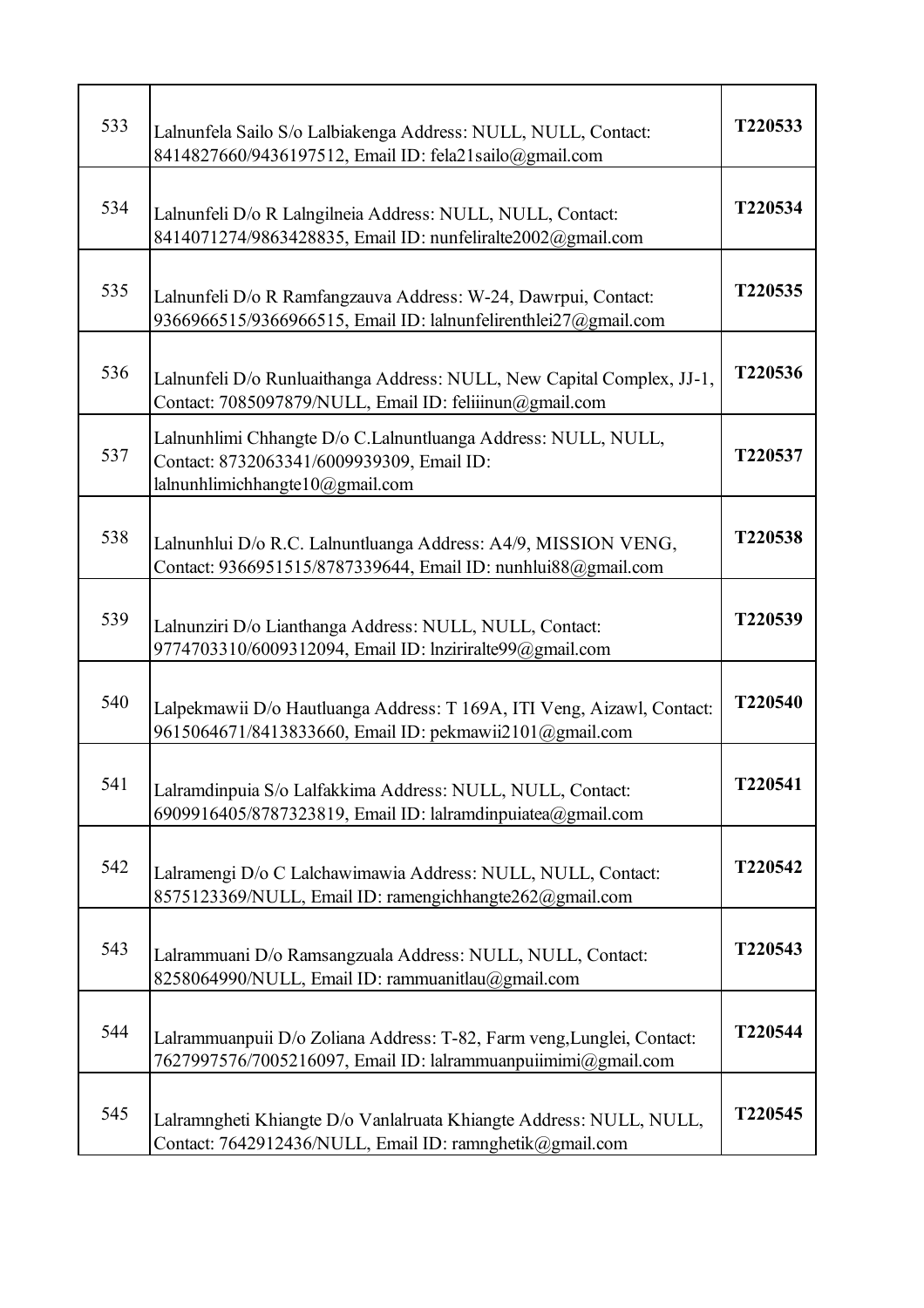| 533 | Lalnunfela Sailo S/o Lalbiakenga Address: NULL, NULL, Contact:<br>8414827660/9436197512, Email ID: fela21sailo@gmail.com                      | T220533 |
|-----|-----------------------------------------------------------------------------------------------------------------------------------------------|---------|
| 534 | Lalnunfeli D/o R Lalngilneia Address: NULL, NULL, Contact:<br>8414071274/9863428835, Email ID: nunfeliralte2002@gmail.com                     | T220534 |
| 535 | Lalnunfeli D/o R Ramfangzauva Address: W-24, Dawrpui, Contact:<br>9366966515/9366966515, Email ID: lalnunfelirenthlei27@gmail.com             | T220535 |
| 536 | Lalnunfeli D/o Runluaithanga Address: NULL, New Capital Complex, JJ-1,<br>Contact: 7085097879/NULL, Email ID: feliiinun@gmail.com             | T220536 |
| 537 | Lalnunhlimi Chhangte D/o C.Lalnuntluanga Address: NULL, NULL,<br>Contact: 8732063341/6009939309, Email ID:<br>lalnunhlimichhangte10@gmail.com | T220537 |
| 538 | Lalnunhlui D/o R.C. Lalnuntluanga Address: A4/9, MISSION VENG,<br>Contact: 9366951515/8787339644, Email ID: nunhlui88@gmail.com               | T220538 |
| 539 | Lalnunziri D/o Lianthanga Address: NULL, NULL, Contact:<br>9774703310/6009312094, Email ID: lnziriralte99@gmail.com                           | T220539 |
| 540 | Lalpekmawii D/o Hautluanga Address: T 169A, ITI Veng, Aizawl, Contact:<br>9615064671/8413833660, Email ID: pekmawii2101@gmail.com             | T220540 |
| 541 | Lalramdinpuia S/o Lalfakkima Address: NULL, NULL, Contact:<br>6909916405/8787323819, Email ID: lalramdinpuiatea@gmail.com                     | T220541 |
| 542 | Lalramengi D/o C Lalchawimawia Address: NULL, NULL, Contact:<br>8575123369/NULL, Email ID: ramengichhangte262@gmail.com                       | T220542 |
| 543 | Lalrammuani D/o Ramsangzuala Address: NULL, NULL, Contact:<br>8258064990/NULL, Email ID: rammuanitlau@gmail.com                               | T220543 |
| 544 | Lalrammuanpuii D/o Zoliana Address: T-82, Farm veng, Lunglei, Contact:<br>7627997576/7005216097, Email ID: lalrammuanpuiimimi@gmail.com       | T220544 |
| 545 | Lalramngheti Khiangte D/o Vanlalruata Khiangte Address: NULL, NULL,<br>Contact: 7642912436/NULL, Email ID: ramnghetik@gmail.com               | T220545 |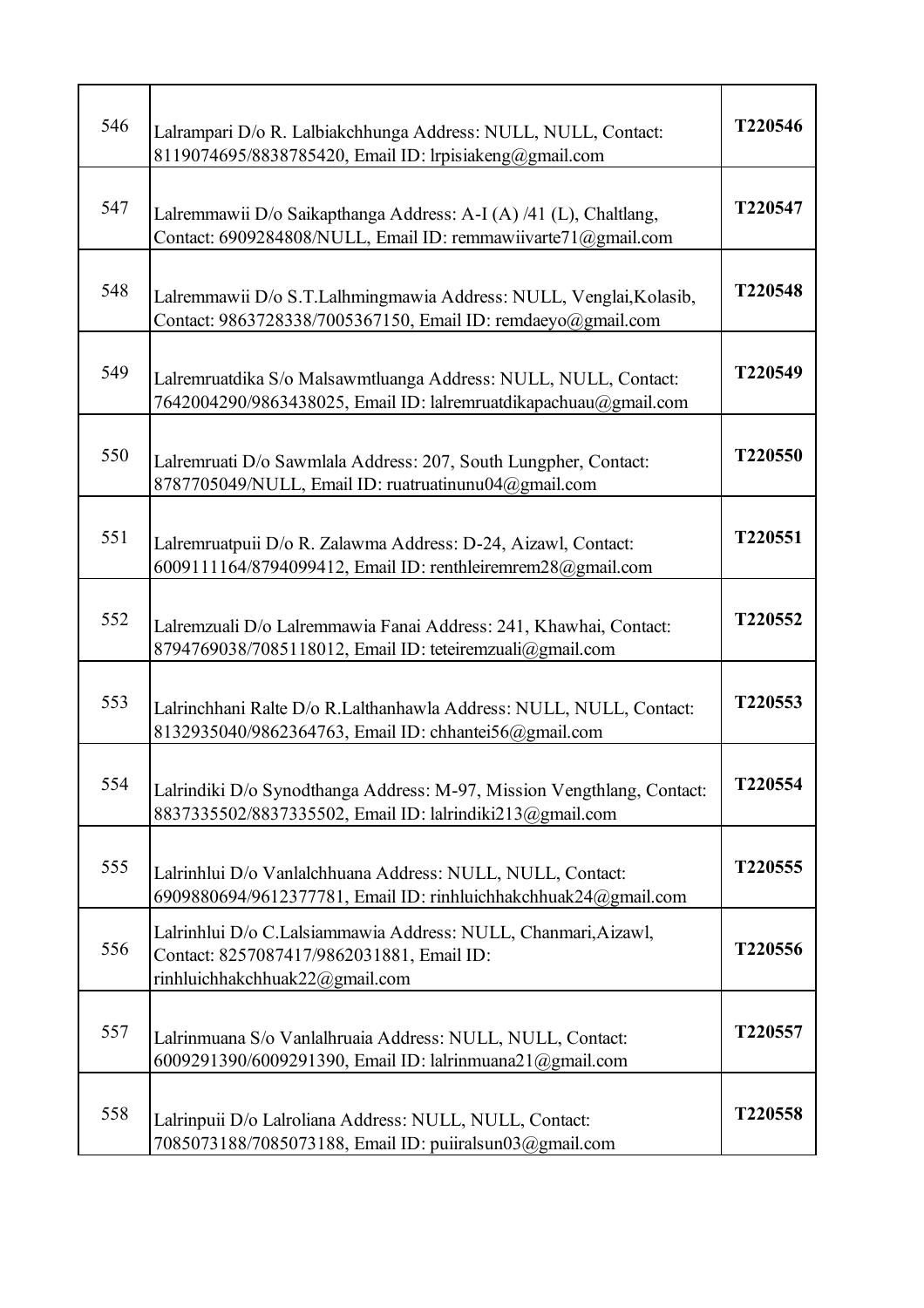| 546 | Lalrampari D/o R. Lalbiakchhunga Address: NULL, NULL, Contact:<br>8119074695/8838785420, Email ID: lrpisiakeng@gmail.com                      | T220546 |
|-----|-----------------------------------------------------------------------------------------------------------------------------------------------|---------|
| 547 | Lalremmawii D/o Saikapthanga Address: A-I (A) /41 (L), Chaltlang,<br>Contact: 6909284808/NULL, Email ID: remmawiivarte71@gmail.com            | T220547 |
| 548 | Lalremmawii D/o S.T.Lalhmingmawia Address: NULL, Venglai, Kolasib,<br>Contact: 9863728338/7005367150, Email ID: remdaeyo@gmail.com            | T220548 |
| 549 | Lalremruatdika S/o Malsawmtluanga Address: NULL, NULL, Contact:<br>7642004290/9863438025, Email ID: lalremruatdikapachuau@gmail.com           | T220549 |
| 550 | Lalremruati D/o Sawmlala Address: 207, South Lungpher, Contact:<br>8787705049/NULL, Email ID: ruatruatinunu04@gmail.com                       | T220550 |
| 551 | Lalremruatpuii D/o R. Zalawma Address: D-24, Aizawl, Contact:<br>6009111164/8794099412, Email ID: renthleiremrem28@gmail.com                  | T220551 |
| 552 | Lalremzuali D/o Lalremmawia Fanai Address: 241, Khawhai, Contact:<br>8794769038/7085118012, Email ID: teteiremzuali@gmail.com                 | T220552 |
| 553 | Lalrinchhani Ralte D/o R.Lalthanhawla Address: NULL, NULL, Contact:<br>8132935040/9862364763, Email ID: chhantei56@gmail.com                  | T220553 |
| 554 | Lalrindiki D/o Synodthanga Address: M-97, Mission Vengthlang, Contact:<br>8837335502/8837335502, Email ID: lalrindiki213@gmail.com            | T220554 |
| 555 | Lalrinhlui D/o Vanlalchhuana Address: NULL, NULL, Contact:<br>6909880694/9612377781, Email ID: rinhluichhakchhuak24@gmail.com                 | T220555 |
| 556 | Lalrinhlui D/o C.Lalsiammawia Address: NULL, Chanmari, Aizawl,<br>Contact: 8257087417/9862031881, Email ID:<br>rinhluichhakchhuak22@gmail.com | T220556 |
| 557 | Lalrinmuana S/o Vanlalhruaia Address: NULL, NULL, Contact:<br>6009291390/6009291390, Email ID: lalrinmuana21@gmail.com                        | T220557 |
| 558 | Lalrinpuii D/o Lalroliana Address: NULL, NULL, Contact:<br>7085073188/7085073188, Email ID: puiiralsun03@gmail.com                            | T220558 |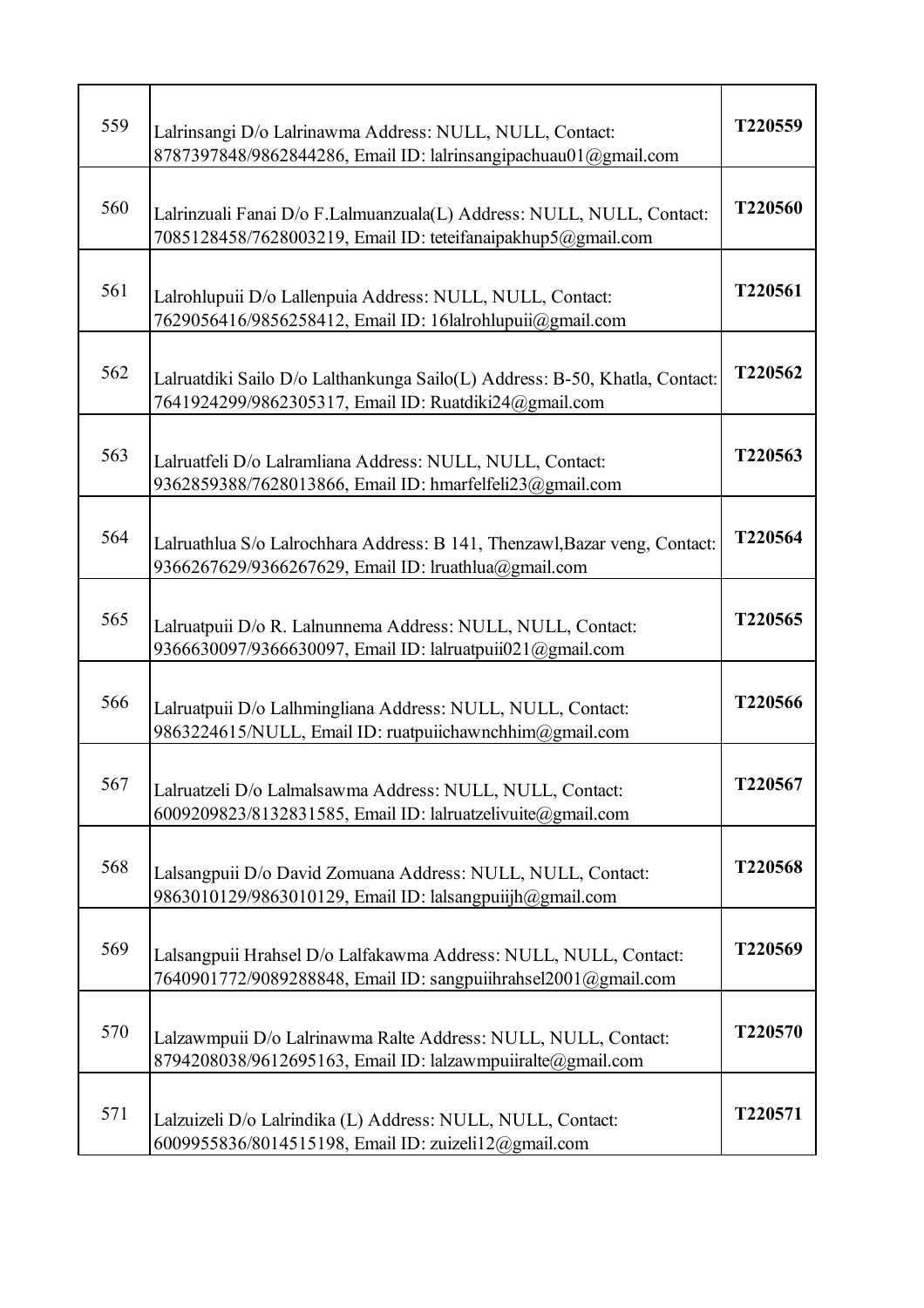| 559 | Lalrinsangi D/o Lalrinawma Address: NULL, NULL, Contact:<br>8787397848/9862844286, Email ID: lalrinsangipachuau01@gmail.com           | T220559 |
|-----|---------------------------------------------------------------------------------------------------------------------------------------|---------|
| 560 | Lalrinzuali Fanai D/o F.Lalmuanzuala(L) Address: NULL, NULL, Contact:<br>7085128458/7628003219, Email ID: teteifanaipakhup5@gmail.com | T220560 |
| 561 | Lalrohlupuii D/o Lallenpuia Address: NULL, NULL, Contact:<br>7629056416/9856258412, Email ID: 16lalrohlupuii@gmail.com                | T220561 |
| 562 | Lalruatdiki Sailo D/o Lalthankunga Sailo(L) Address: B-50, Khatla, Contact:<br>7641924299/9862305317, Email ID: Ruatdiki24@gmail.com  | T220562 |
| 563 | Lalruatfeli D/o Lalramliana Address: NULL, NULL, Contact:<br>9362859388/7628013866, Email ID: hmarfelfeli23@gmail.com                 | T220563 |
| 564 | Lalruathlua S/o Lalrochhara Address: B 141, Thenzawl, Bazar veng, Contact:<br>9366267629/9366267629, Email ID: lruathlua@gmail.com    | T220564 |
| 565 | Lalruatpuii D/o R. Lalnunnema Address: NULL, NULL, Contact:<br>9366630097/9366630097, Email ID: lalruatpuii021@gmail.com              | T220565 |
| 566 | Lalruatpuii D/o Lalhmingliana Address: NULL, NULL, Contact:<br>9863224615/NULL, Email ID: ruatpuiichawnchhim@gmail.com                | T220566 |
| 567 | Lalruatzeli D/o Lalmalsawma Address: NULL, NULL, Contact:<br>6009209823/8132831585, Email ID: lalruatzelivuite@gmail.com              | T220567 |
| 568 | Lalsangpuii D/o David Zomuana Address: NULL, NULL, Contact:<br>9863010129/9863010129, Email ID: lalsangpuijh@gmail.com                | T220568 |
| 569 | Lalsangpuii Hrahsel D/o Lalfakawma Address: NULL, NULL, Contact:<br>7640901772/9089288848, Email ID: sangpuiihrahsel2001@gmail.com    | T220569 |
| 570 | Lalzawmpuii D/o Lalrinawma Ralte Address: NULL, NULL, Contact:<br>8794208038/9612695163, Email ID: lalzawmpuiiralte@gmail.com         | T220570 |
| 571 | Lalzuizeli D/o Lalrindika (L) Address: NULL, NULL, Contact:<br>6009955836/8014515198, Email ID: zuizeli12@gmail.com                   | T220571 |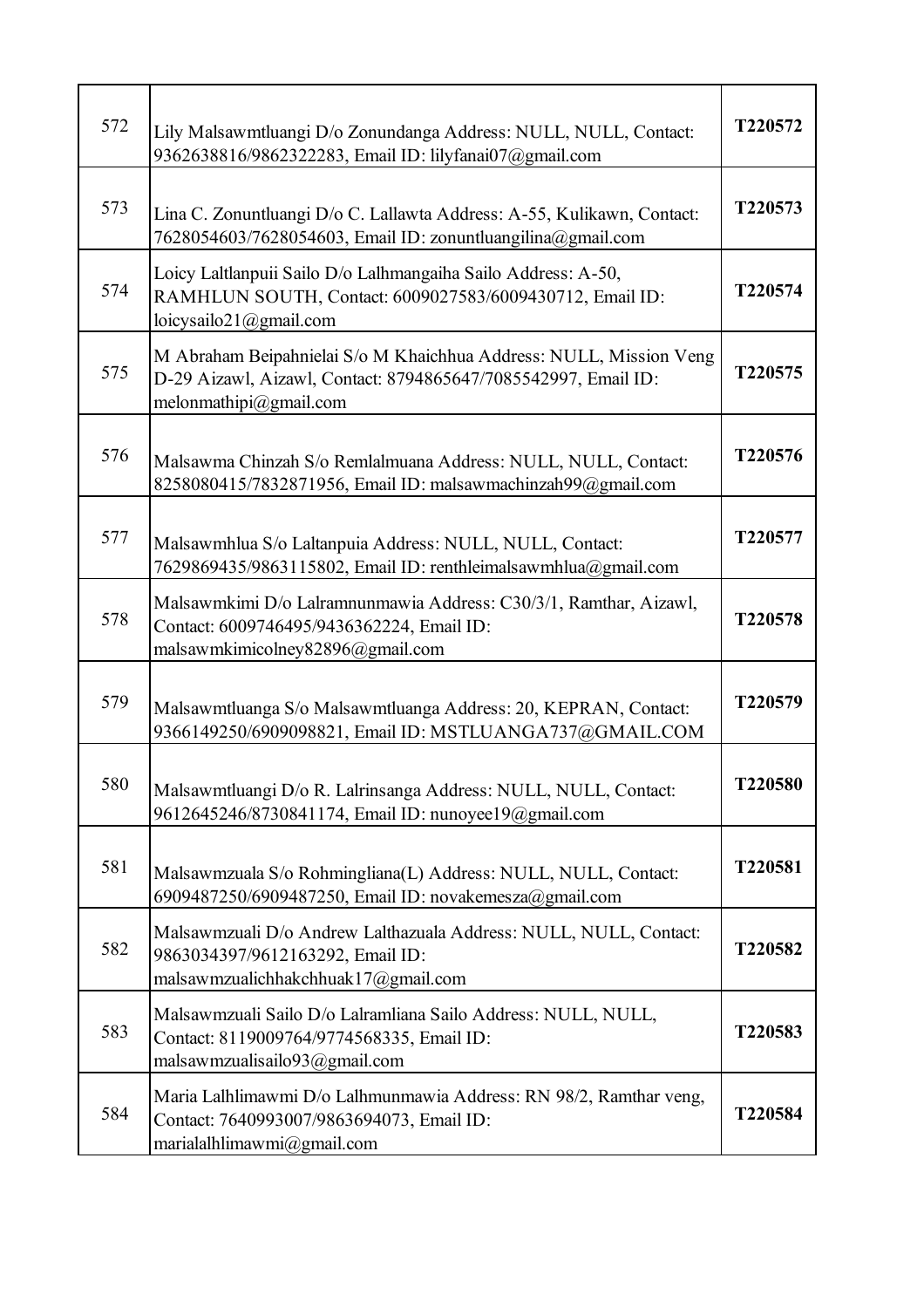| 572 | Lily Malsawmtluangi D/o Zonundanga Address: NULL, NULL, Contact:<br>9362638816/9862322283, Email ID: lilyfanai07@gmail.com                                     | T220572 |
|-----|----------------------------------------------------------------------------------------------------------------------------------------------------------------|---------|
| 573 | Lina C. Zonuntluangi D/o C. Lallawta Address: A-55, Kulikawn, Contact:<br>7628054603/7628054603, Email ID: zonuntluangilina@gmail.com                          | T220573 |
| 574 | Loicy Laltlanpuii Sailo D/o Lalhmangaiha Sailo Address: A-50,<br>RAMHLUN SOUTH, Contact: 6009027583/6009430712, Email ID:<br>loicysailo21@gmail.com            | T220574 |
| 575 | M Abraham Beipahnielai S/o M Khaichhua Address: NULL, Mission Veng<br>D-29 Aizawl, Aizawl, Contact: 8794865647/7085542997, Email ID:<br>melonmathipi@gmail.com | T220575 |
| 576 | Malsawma Chinzah S/o Remlalmuana Address: NULL, NULL, Contact:<br>8258080415/7832871956, Email ID: malsawmachinzah99@gmail.com                                 | T220576 |
| 577 | Malsawmhlua S/o Laltanpuia Address: NULL, NULL, Contact:<br>7629869435/9863115802, Email ID: renthleimalsawmhlua@gmail.com                                     | T220577 |
| 578 | Malsawmkimi D/o Lalramnunmawia Address: C30/3/1, Ramthar, Aizawl,<br>Contact: 6009746495/9436362224, Email ID:<br>malsawmkimicolney82896@gmail.com             | T220578 |
| 579 | Malsawmtluanga S/o Malsawmtluanga Address: 20, KEPRAN, Contact:<br>9366149250/6909098821, Email ID: MSTLUANGA737@GMAIL.COM                                     | T220579 |
| 580 | Malsawmtluangi D/o R. Lalrinsanga Address: NULL, NULL, Contact:<br>9612645246/8730841174, Email ID: nunoyee19@gmail.com                                        | T220580 |
| 581 | Malsawmzuala S/o Rohmingliana(L) Address: NULL, NULL, Contact:<br>6909487250/6909487250, Email ID: novakemesza@gmail.com                                       | T220581 |
| 582 | Malsawmzuali D/o Andrew Lalthazuala Address: NULL, NULL, Contact:<br>9863034397/9612163292, Email ID:<br>malsawmzualichhakchhuak17@gmail.com                   | T220582 |
| 583 | Malsawmzuali Sailo D/o Lalramliana Sailo Address: NULL, NULL,<br>Contact: 8119009764/9774568335, Email ID:<br>malsawmzualisailo93@gmail.com                    | T220583 |
| 584 | Maria Lalhlimawmi D/o Lalhmunmawia Address: RN 98/2, Ramthar veng,<br>Contact: 7640993007/9863694073, Email ID:<br>marialalhlimawmi@gmail.com                  | T220584 |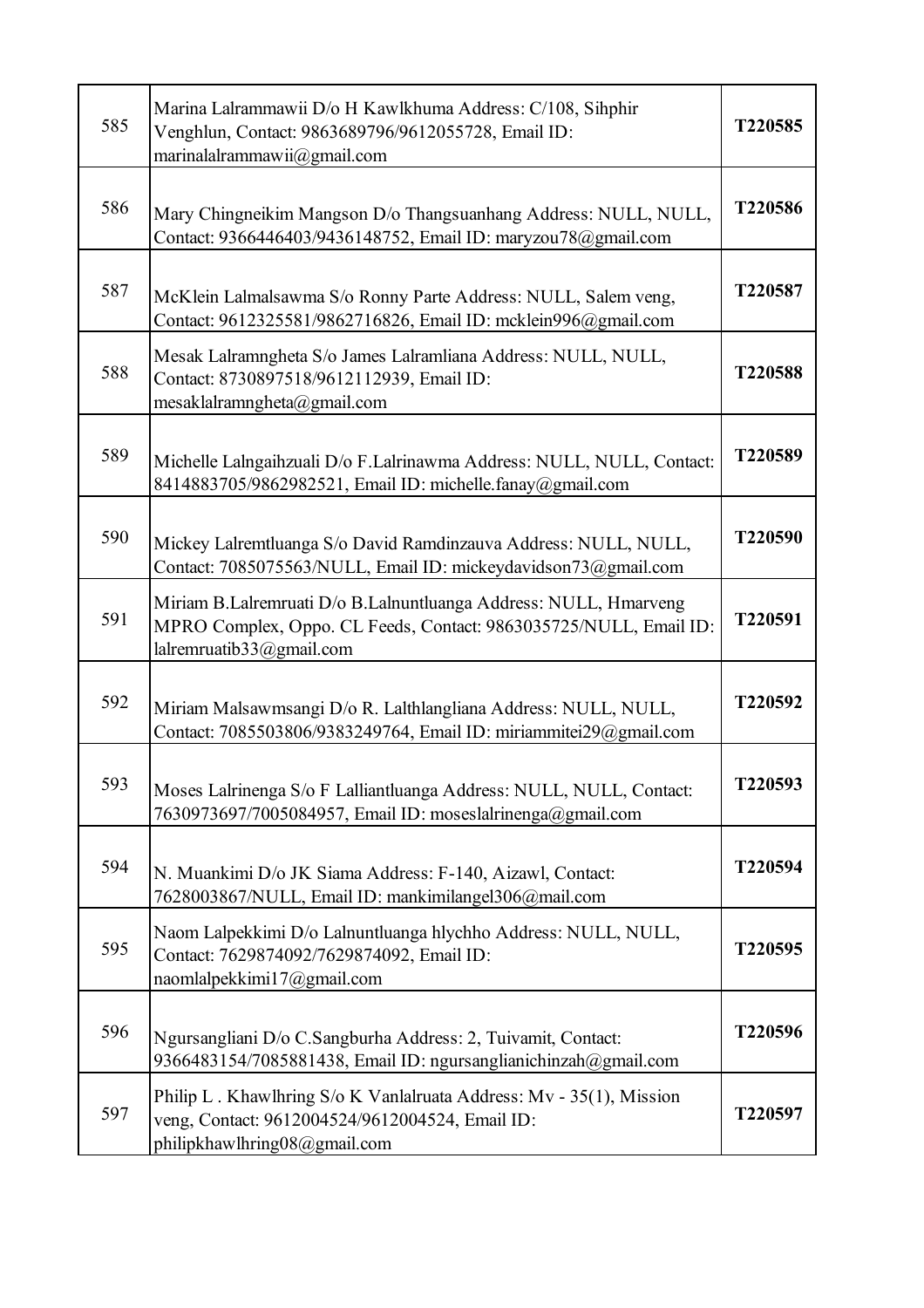| 585 | Marina Lalrammawii D/o H Kawlkhuma Address: C/108, Sihphir<br>Venghlun, Contact: 9863689796/9612055728, Email ID:<br>marinalalrammawii@gmail.com                  | T220585 |
|-----|-------------------------------------------------------------------------------------------------------------------------------------------------------------------|---------|
| 586 | Mary Chingneikim Mangson D/o Thangsuanhang Address: NULL, NULL,<br>Contact: 9366446403/9436148752, Email ID: maryzou78@gmail.com                                  | T220586 |
| 587 | McKlein Lalmalsawma S/o Ronny Parte Address: NULL, Salem veng,<br>Contact: 9612325581/9862716826, Email ID: mcklein996@gmail.com                                  | T220587 |
| 588 | Mesak Lalramngheta S/o James Lalramliana Address: NULL, NULL,<br>Contact: 8730897518/9612112939, Email ID:<br>mesaklalramngheta@gmail.com                         | T220588 |
| 589 | Michelle Lalngaihzuali D/o F.Lalrinawma Address: NULL, NULL, Contact:<br>8414883705/9862982521, Email ID: michelle.fanay@gmail.com                                | T220589 |
| 590 | Mickey Lalremtluanga S/o David Ramdinzauva Address: NULL, NULL,<br>Contact: 7085075563/NULL, Email ID: mickeydavidson73@gmail.com                                 | T220590 |
| 591 | Miriam B.Lalremruati D/o B.Lalnuntluanga Address: NULL, Hmarveng<br>MPRO Complex, Oppo. CL Feeds, Contact: 9863035725/NULL, Email ID:<br>lalremruatib33@gmail.com | T220591 |
| 592 | Miriam Malsawmsangi D/o R. Lalthlangliana Address: NULL, NULL,<br>Contact: 7085503806/9383249764, Email ID: miriammitei29@gmail.com                               | T220592 |
| 593 | Moses Lalrinenga S/o F Lalliantluanga Address: NULL, NULL, Contact:<br>7630973697/7005084957, Email ID: moseslalrinenga@gmail.com                                 | T220593 |
| 594 | N. Muankimi D/o JK Siama Address: F-140, Aizawl, Contact:<br>7628003867/NULL, Email ID: mankimilangel306@mail.com                                                 | T220594 |
| 595 | Naom Lalpekkimi D/o Lalnuntluanga hlychho Address: NULL, NULL,<br>Contact: 7629874092/7629874092, Email ID:<br>naomlalpekkimi17@gmail.com                         | T220595 |
| 596 | Ngursangliani D/o C.Sangburha Address: 2, Tuivamit, Contact:<br>9366483154/7085881438, Email ID: ngursanglianichinzah@gmail.com                                   | T220596 |
| 597 | Philip L. Khawlhring S/o K Vanlalruata Address: Mv - 35(1), Mission<br>veng, Contact: 9612004524/9612004524, Email ID:<br>philipkhawlhring08@gmail.com            | T220597 |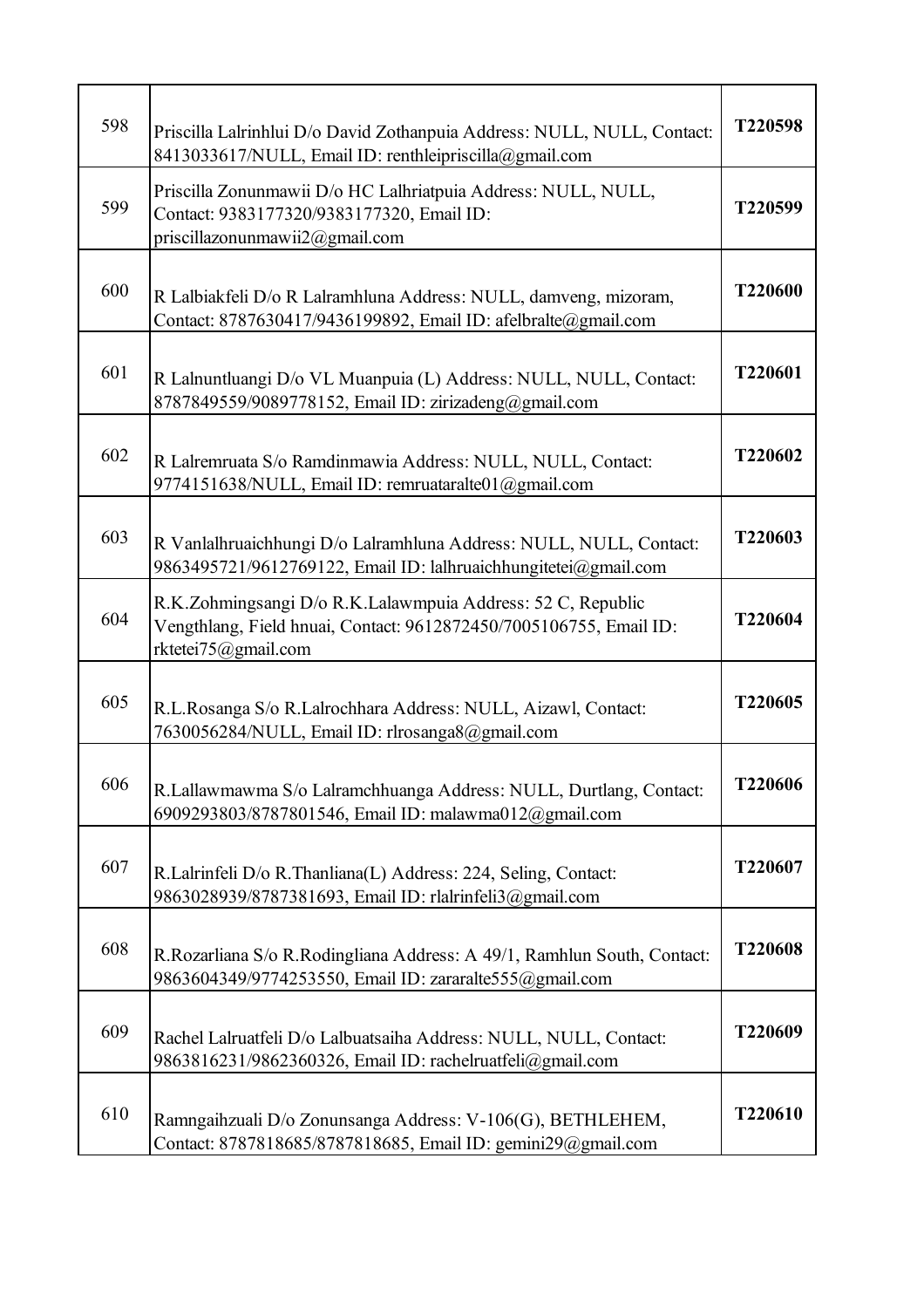| 598 | Priscilla Lalrinhlui D/o David Zothanpuia Address: NULL, NULL, Contact:<br>8413033617/NULL, Email ID: renthleipriscilla@gmail.com                        | T220598 |
|-----|----------------------------------------------------------------------------------------------------------------------------------------------------------|---------|
| 599 | Priscilla Zonunmawii D/o HC Lalhriatpuia Address: NULL, NULL,<br>Contact: 9383177320/9383177320, Email ID:<br>priscillazonunmawii2@gmail.com             | T220599 |
| 600 | R Lalbiakfeli D/o R Lalramhluna Address: NULL, damveng, mizoram,<br>Contact: 8787630417/9436199892, Email ID: afelbralte@gmail.com                       | T220600 |
| 601 | R Lalnuntluangi D/o VL Muanpuia (L) Address: NULL, NULL, Contact:<br>8787849559/9089778152, Email ID: zirizadeng@gmail.com                               | T220601 |
| 602 | R Lalremruata S/o Ramdinmawia Address: NULL, NULL, Contact:<br>9774151638/NULL, Email ID: remruataralte01@gmail.com                                      | T220602 |
| 603 | R Vanlalhruaichhungi D/o Lalramhluna Address: NULL, NULL, Contact:<br>9863495721/9612769122, Email ID: lalhruaichhungitetei@gmail.com                    | T220603 |
| 604 | R.K.Zohmingsangi D/o R.K.Lalawmpuia Address: 52 C, Republic<br>Vengthlang, Field hnuai, Contact: 9612872450/7005106755, Email ID:<br>rktetei75@gmail.com | T220604 |
| 605 | R.L.Rosanga S/o R.Lalrochhara Address: NULL, Aizawl, Contact:<br>7630056284/NULL, Email ID: rlrosanga8@gmail.com                                         | T220605 |
| 606 | R.Lallawmawma S/o Lalramchhuanga Address: NULL, Durtlang, Contact:<br>6909293803/8787801546, Email ID: malawma012@gmail.com                              | T220606 |
| 607 | R.Lalrinfeli D/o R.Thanliana(L) Address: 224, Seling, Contact:<br>9863028939/8787381693, Email ID: rlalrinfeli3@gmail.com                                | T220607 |
| 608 | R.Rozarliana S/o R.Rodingliana Address: A 49/1, Ramhlun South, Contact:<br>9863604349/9774253550, Email ID: zararalte555@gmail.com                       | T220608 |
| 609 | Rachel Lalruatfeli D/o Lalbuatsaiha Address: NULL, NULL, Contact:<br>9863816231/9862360326, Email ID: rachelruatfeli@gmail.com                           | T220609 |
| 610 | Ramngaihzuali D/o Zonunsanga Address: V-106(G), BETHLEHEM,<br>Contact: 8787818685/8787818685, Email ID: gemini29@gmail.com                               | T220610 |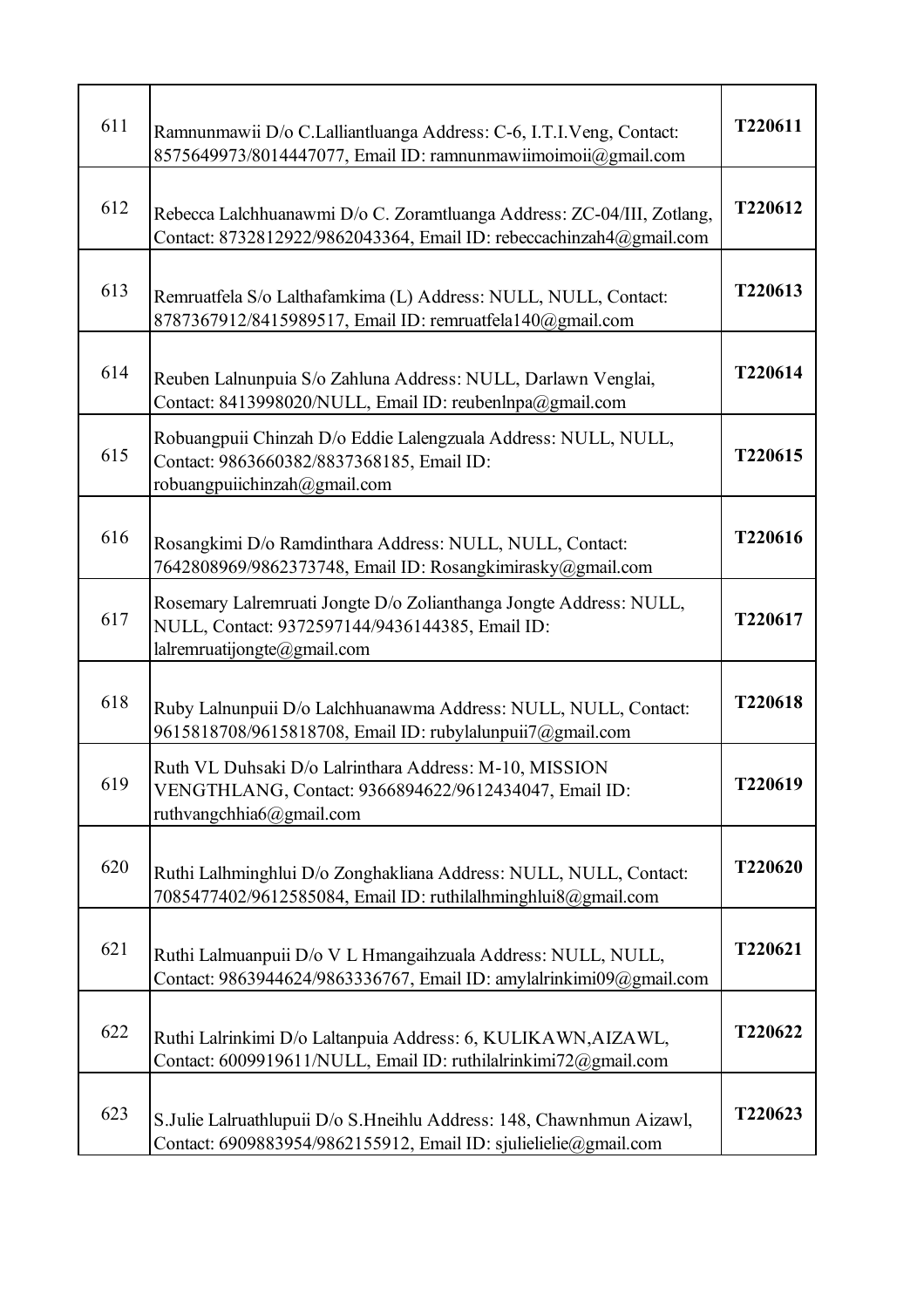| 611 | Ramnunmawii D/o C.Lalliantluanga Address: C-6, I.T.I.Veng, Contact:<br>8575649973/8014447077, Email ID: ramnunmawiimoimoii@gmail.com                 | T220611 |
|-----|------------------------------------------------------------------------------------------------------------------------------------------------------|---------|
| 612 | Rebecca Lalchhuanawmi D/o C. Zoramtluanga Address: ZC-04/III, Zotlang,<br>Contact: 8732812922/9862043364, Email ID: rebeccachinzah4@gmail.com        | T220612 |
| 613 | Remruatfela S/o Lalthafamkima (L) Address: NULL, NULL, Contact:<br>8787367912/8415989517, Email ID: remruatfela140@gmail.com                         | T220613 |
| 614 | Reuben Lalnunpuia S/o Zahluna Address: NULL, Darlawn Venglai,<br>Contact: 8413998020/NULL, Email ID: reubenlnpa@gmail.com                            | T220614 |
| 615 | Robuangpuii Chinzah D/o Eddie Lalengzuala Address: NULL, NULL,<br>Contact: 9863660382/8837368185, Email ID:<br>robuangpuiichinzah@gmail.com          | T220615 |
| 616 | Rosangkimi D/o Ramdinthara Address: NULL, NULL, Contact:<br>7642808969/9862373748, Email ID: Rosangkimirasky@gmail.com                               | T220616 |
| 617 | Rosemary Lalremruati Jongte D/o Zolianthanga Jongte Address: NULL,<br>NULL, Contact: 9372597144/9436144385, Email ID:<br>lalremruatijongte@gmail.com | T220617 |
| 618 | Ruby Lalnunpuii D/o Lalchhuanawma Address: NULL, NULL, Contact:<br>9615818708/9615818708, Email ID: rubylalunpuii7@gmail.com                         | T220618 |
| 619 | Ruth VL Duhsaki D/o Lalrinthara Address: M-10, MISSION<br>VENGTHLANG, Contact: 9366894622/9612434047, Email ID:<br>ruthvangchhia6@gmail.com          | T220619 |
| 620 | Ruthi Lalhminghlui D/o Zonghakliana Address: NULL, NULL, Contact:<br>7085477402/9612585084, Email ID: ruthilalhminghlui8@gmail.com                   | T220620 |
| 621 | Ruthi Lalmuanpuii D/o V L Hmangaihzuala Address: NULL, NULL,<br>Contact: 9863944624/9863336767, Email ID: amylalrinkimi09@gmail.com                  | T220621 |
| 622 | Ruthi Lalrinkimi D/o Laltanpuia Address: 6, KULIKAWN, AIZAWL,<br>Contact: 6009919611/NULL, Email ID: ruthilalrinkimi72@gmail.com                     | T220622 |
| 623 | S.Julie Lalruathlupuii D/o S.Hneihlu Address: 148, Chawnhmun Aizawl,<br>Contact: 6909883954/9862155912, Email ID: sjulielielie@gmail.com             | T220623 |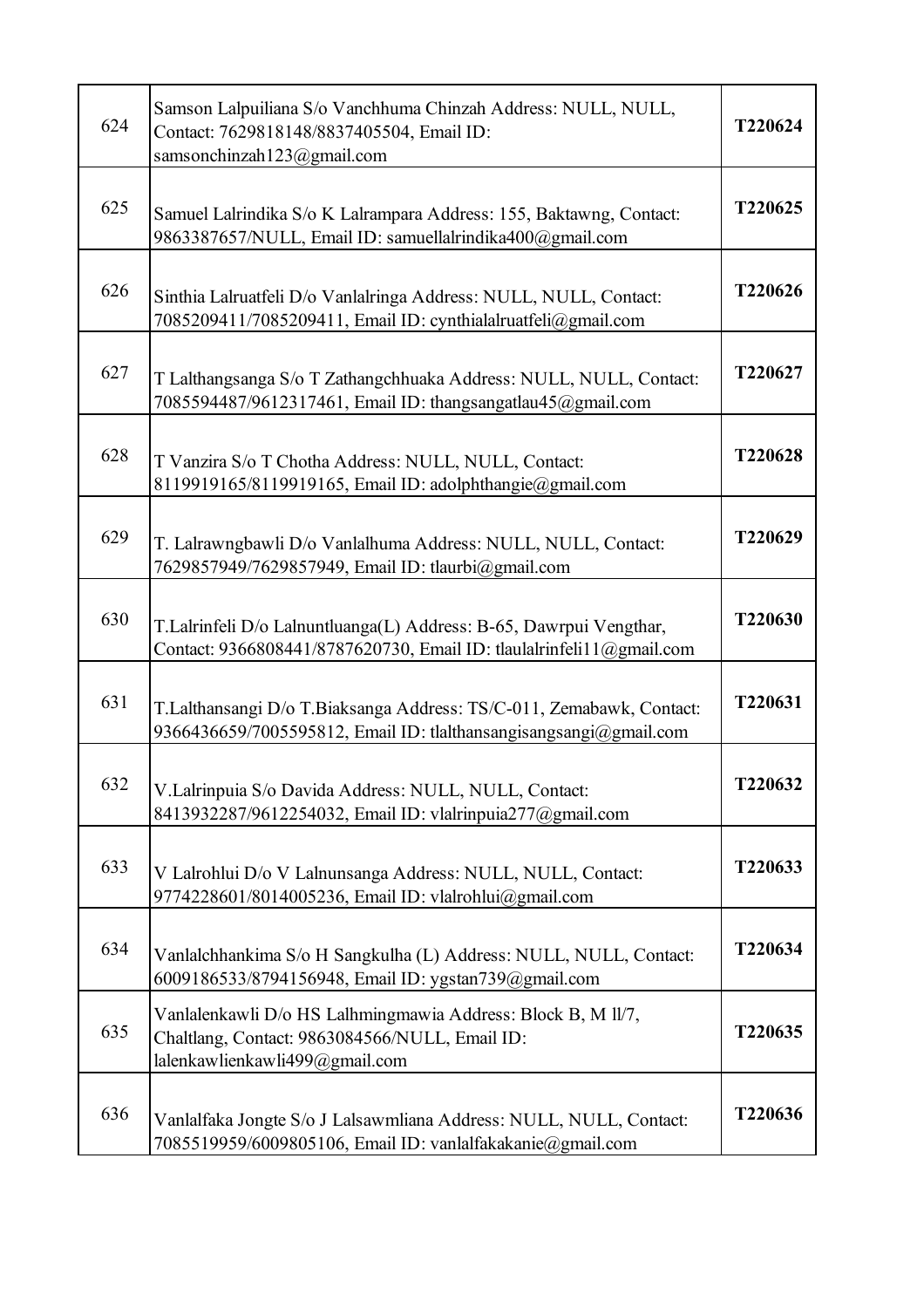| 624 | Samson Lalpuiliana S/o Vanchhuma Chinzah Address: NULL, NULL,<br>Contact: 7629818148/8837405504, Email ID:<br>samsonchinzah123@gmail.com         | T220624 |
|-----|--------------------------------------------------------------------------------------------------------------------------------------------------|---------|
| 625 | Samuel Lalrindika S/o K Lalrampara Address: 155, Baktawng, Contact:<br>9863387657/NULL, Email ID: samuellalrindika400@gmail.com                  | T220625 |
| 626 | Sinthia Lalruatfeli D/o Vanlalringa Address: NULL, NULL, Contact:<br>7085209411/7085209411, Email ID: cynthialalruatfeli@gmail.com               | T220626 |
| 627 | T Lalthangsanga S/o T Zathangchhuaka Address: NULL, NULL, Contact:<br>7085594487/9612317461, Email ID: thangsangatlau45@gmail.com                | T220627 |
| 628 | T Vanzira S/o T Chotha Address: NULL, NULL, Contact:<br>8119919165/8119919165, Email ID: adolphthangie@gmail.com                                 | T220628 |
| 629 | T. Lalrawngbawli D/o Vanlalhuma Address: NULL, NULL, Contact:<br>7629857949/7629857949, Email ID: tlaurbi@gmail.com                              | T220629 |
| 630 | T.Lalrinfeli D/o Lalnuntluanga(L) Address: B-65, Dawrpui Vengthar,<br>Contact: 9366808441/8787620730, Email ID: tlaulalrinfeli11@gmail.com       | T220630 |
| 631 | T.Lalthansangi D/o T.Biaksanga Address: TS/C-011, Zemabawk, Contact:<br>9366436659/7005595812, Email ID: tlalthansangisangsangi@gmail.com        | T220631 |
| 632 | V.Lalrinpuia S/o Davida Address: NULL, NULL, Contact:<br>8413932287/9612254032, Email ID: vlalrinpuia277@gmail.com                               | T220632 |
| 633 | V Lalrohlui D/o V Lalnunsanga Address: NULL, NULL, Contact:<br>9774228601/8014005236, Email ID: vlalrohlui@gmail.com                             | T220633 |
| 634 | Vanlalchhankima S/o H Sangkulha (L) Address: NULL, NULL, Contact:<br>6009186533/8794156948, Email ID: ygstan739@gmail.com                        | T220634 |
| 635 | Vanlalenkawli D/o HS Lalhmingmawia Address: Block B, M 11/7,<br>Chaltlang, Contact: 9863084566/NULL, Email ID:<br>lalenkawlienkawli499@gmail.com | T220635 |
| 636 | Vanlalfaka Jongte S/o J Lalsawmliana Address: NULL, NULL, Contact:<br>7085519959/6009805106, Email ID: vanlalfakakanie@gmail.com                 | T220636 |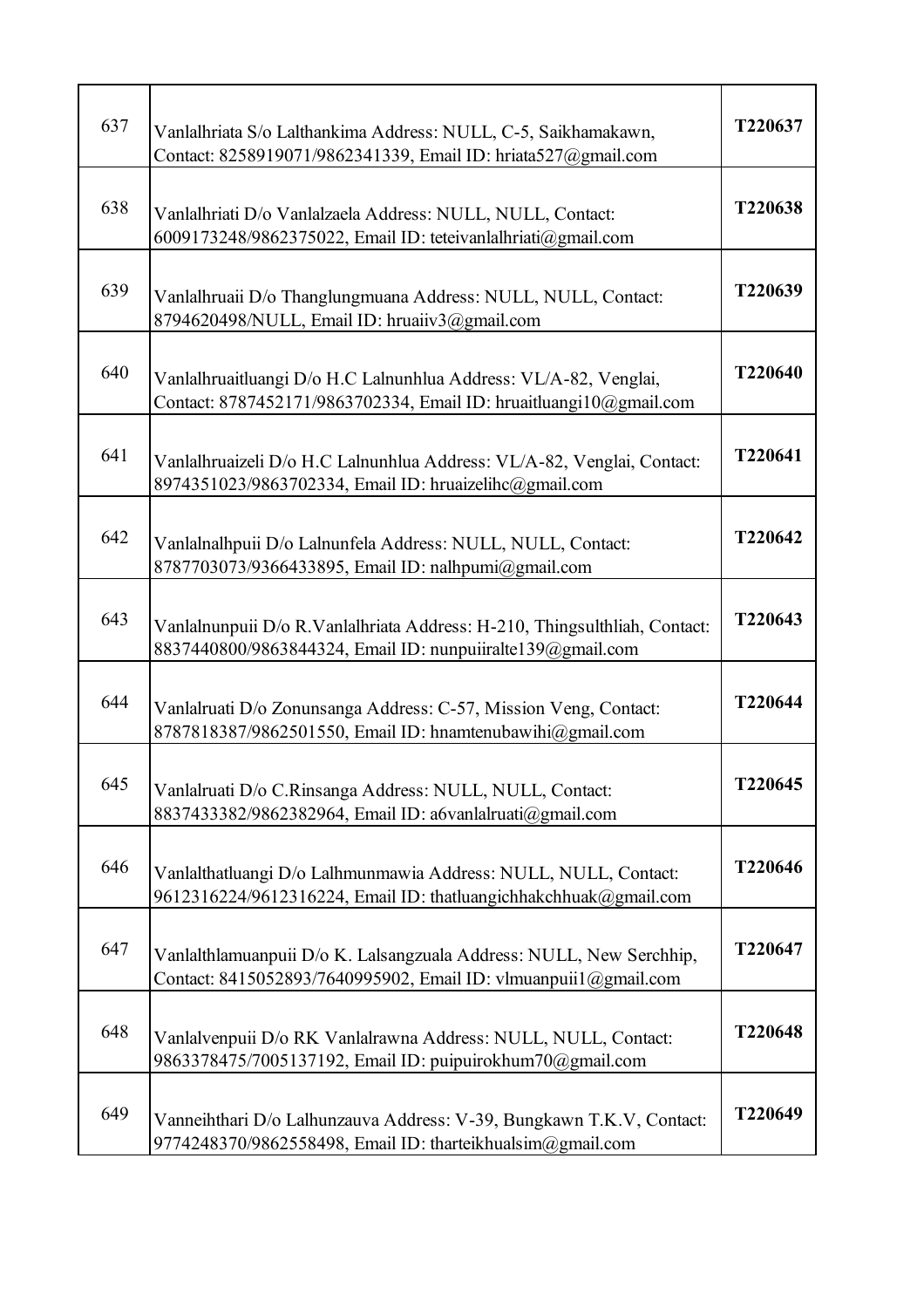| 637 | Vanlalhriata S/o Lalthankima Address: NULL, C-5, Saikhamakawn,<br>Contact: 8258919071/9862341339, Email ID: hriata527@gmail.com         | T220637 |
|-----|-----------------------------------------------------------------------------------------------------------------------------------------|---------|
| 638 | Vanlalhriati D/o Vanlalzaela Address: NULL, NULL, Contact:<br>6009173248/9862375022, Email ID: teteivanlalhriati@gmail.com              | T220638 |
| 639 | Vanlalhruaii D/o Thanglungmuana Address: NULL, NULL, Contact:<br>8794620498/NULL, Email ID: hruaiiv3@gmail.com                          | T220639 |
| 640 | Vanlalhruaitluangi D/o H.C Lalnunhlua Address: VL/A-82, Venglai,<br>Contact: 8787452171/9863702334, Email ID: hruaitluangi10@gmail.com  | T220640 |
| 641 | Vanlalhruaizeli D/o H.C Lalnunhlua Address: VL/A-82, Venglai, Contact:<br>8974351023/9863702334, Email ID: hruaizelihc@gmail.com        | T220641 |
| 642 | Vanlalnalhpuii D/o Lalnunfela Address: NULL, NULL, Contact:<br>8787703073/9366433895, Email ID: nalhpumi@gmail.com                      | T220642 |
| 643 | Vanlalnunpuii D/o R.Vanlalhriata Address: H-210, Thingsulthliah, Contact:<br>8837440800/9863844324, Email ID: nunpuiiralte139@gmail.com | T220643 |
| 644 | Vanlalruati D/o Zonunsanga Address: C-57, Mission Veng, Contact:<br>8787818387/9862501550, Email ID: hnamtenubawihi@gmail.com           | T220644 |
| 645 | Vanlalruati D/o C.Rinsanga Address: NULL, NULL, Contact:<br>8837433382/9862382964, Email ID: a6vanlalruati@gmail.com                    | T220645 |
| 646 | Vanlalthatluangi D/o Lalhmunmawia Address: NULL, NULL, Contact:<br>9612316224/9612316224, Email ID: thatluangichhakchhuak@gmail.com     | T220646 |
| 647 | Vanlalthlamuanpuii D/o K. Lalsangzuala Address: NULL, New Serchhip,<br>Contact: 8415052893/7640995902, Email ID: vlmuanpuii1@gmail.com  | T220647 |
| 648 | Vanlalvenpuii D/o RK Vanlalrawna Address: NULL, NULL, Contact:<br>9863378475/7005137192, Email ID: puipuirokhum70@gmail.com             | T220648 |
| 649 | Vanneihthari D/o Lalhunzauva Address: V-39, Bungkawn T.K.V, Contact:<br>9774248370/9862558498, Email ID: tharteikhualsim@gmail.com      | T220649 |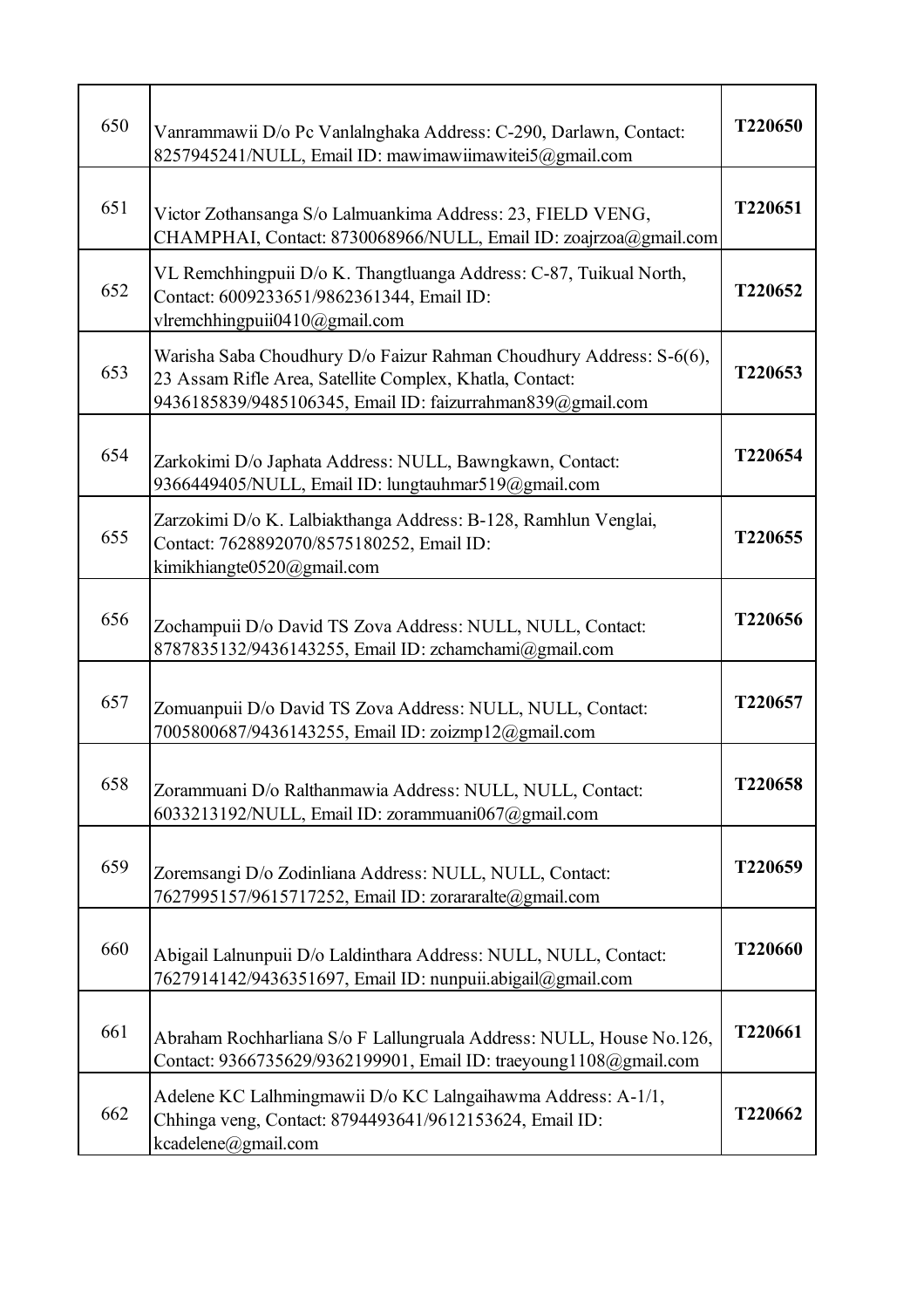| 650 | Vanrammawii D/o Pc Vanlalnghaka Address: C-290, Darlawn, Contact:<br>8257945241/NULL, Email ID: mawimawiimawitei5@gmail.com                                                                   | T220650 |
|-----|-----------------------------------------------------------------------------------------------------------------------------------------------------------------------------------------------|---------|
| 651 | Victor Zothansanga S/o Lalmuankima Address: 23, FIELD VENG,<br>CHAMPHAI, Contact: 8730068966/NULL, Email ID: zoajrzoa@gmail.com                                                               | T220651 |
| 652 | VL Remchhingpuii D/o K. Thangtluanga Address: C-87, Tuikual North,<br>Contact: 6009233651/9862361344, Email ID:<br>vlremchhingpuii0410@gmail.com                                              | T220652 |
| 653 | Warisha Saba Choudhury D/o Faizur Rahman Choudhury Address: S-6(6),<br>23 Assam Rifle Area, Satellite Complex, Khatla, Contact:<br>9436185839/9485106345, Email ID: faizurrahman839@gmail.com | T220653 |
| 654 | Zarkokimi D/o Japhata Address: NULL, Bawngkawn, Contact:<br>9366449405/NULL, Email ID: lungtauhmar519@gmail.com                                                                               | T220654 |
| 655 | Zarzokimi D/o K. Lalbiakthanga Address: B-128, Ramhlun Venglai,<br>Contact: 7628892070/8575180252, Email ID:<br>kimikhiangte0520@gmail.com                                                    | T220655 |
| 656 | Zochampuii D/o David TS Zova Address: NULL, NULL, Contact:<br>8787835132/9436143255, Email ID: zchamchami@gmail.com                                                                           | T220656 |
| 657 | Zomuanpuii D/o David TS Zova Address: NULL, NULL, Contact:<br>7005800687/9436143255, Email ID: zoizmp12@gmail.com                                                                             | T220657 |
| 658 | Zorammuani D/o Ralthanmawia Address: NULL, NULL, Contact:<br>6033213192/NULL, Email ID: zorammuani067@gmail.com                                                                               | T220658 |
| 659 | Zoremsangi D/o Zodinliana Address: NULL, NULL, Contact:<br>7627995157/9615717252, Email ID: zorararalte@gmail.com                                                                             | T220659 |
| 660 | Abigail Lalnunpuii D/o Laldinthara Address: NULL, NULL, Contact:<br>7627914142/9436351697, Email ID: nunpuii.abigail@gmail.com                                                                | T220660 |
| 661 | Abraham Rochharliana S/o F Lallungruala Address: NULL, House No.126,<br>Contact: 9366735629/9362199901, Email ID: traeyoung1108@gmail.com                                                     | T220661 |
| 662 | Adelene KC Lalhmingmawii D/o KC Lalngaihawma Address: A-1/1,<br>Chhinga veng, Contact: 8794493641/9612153624, Email ID:<br>kcadelene@gmail.com                                                | T220662 |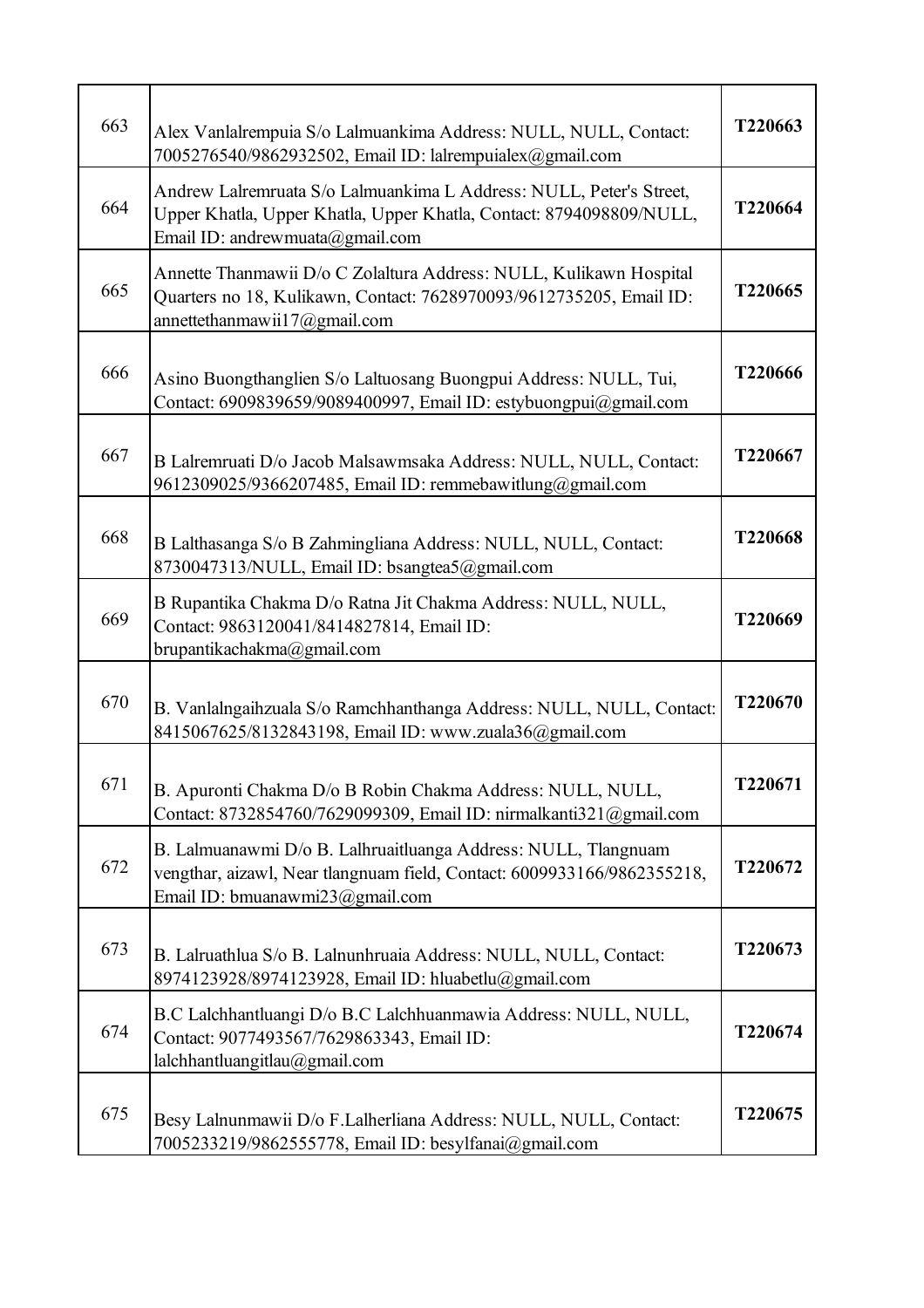| 663 | Alex Vanlalrempuia S/o Lalmuankima Address: NULL, NULL, Contact:<br>7005276540/9862932502, Email ID: lalrempuialex@gmail.com                                                  | T220663 |
|-----|-------------------------------------------------------------------------------------------------------------------------------------------------------------------------------|---------|
| 664 | Andrew Lalremruata S/o Lalmuankima L Address: NULL, Peter's Street,<br>Upper Khatla, Upper Khatla, Upper Khatla, Contact: 8794098809/NULL,<br>Email ID: andrewmuata@gmail.com | T220664 |
| 665 | Annette Thanmawii D/o C Zolaltura Address: NULL, Kulikawn Hospital<br>Quarters no 18, Kulikawn, Contact: 7628970093/9612735205, Email ID:<br>annettethanmawii17@gmail.com     | T220665 |
| 666 | Asino Buongthanglien S/o Laltuosang Buongpui Address: NULL, Tui,<br>Contact: 6909839659/9089400997, Email ID: estybuongpui@gmail.com                                          | T220666 |
| 667 | B Lalremruati D/o Jacob Malsawmsaka Address: NULL, NULL, Contact:<br>9612309025/9366207485, Email ID: remmebawitlung@gmail.com                                                | T220667 |
| 668 | B Lalthasanga S/o B Zahmingliana Address: NULL, NULL, Contact:<br>8730047313/NULL, Email ID: bsangtea5@gmail.com                                                              | T220668 |
| 669 | B Rupantika Chakma D/o Ratna Jit Chakma Address: NULL, NULL,<br>Contact: 9863120041/8414827814, Email ID:<br>brupantikachakma@gmail.com                                       | T220669 |
| 670 | B. Vanlalngaihzuala S/o Ramchhanthanga Address: NULL, NULL, Contact:<br>8415067625/8132843198, Email ID: www.zuala36@gmail.com                                                | T220670 |
| 671 | B. Apuronti Chakma D/o B Robin Chakma Address: NULL, NULL,<br>Contact: 8732854760/7629099309, Email ID: nirmalkanti321@gmail.com                                              | T220671 |
| 672 | B. Lalmuanawmi D/o B. Lalhruaitluanga Address: NULL, Tlangnuam<br>vengthar, aizawl, Near tlangnuam field, Contact: 6009933166/9862355218,<br>Email ID: bmuanawmi23@gmail.com  | T220672 |
| 673 | B. Lalruathlua S/o B. Lalnunhruaia Address: NULL, NULL, Contact:<br>8974123928/8974123928, Email ID: hluabetlu@gmail.com                                                      | T220673 |
| 674 | B.C Lalchhantluangi D/o B.C Lalchhuanmawia Address: NULL, NULL,<br>Contact: 9077493567/7629863343, Email ID:<br>lalchhantluangitlau@gmail.com                                 | T220674 |
| 675 | Besy Lalnunmawii D/o F.Lalherliana Address: NULL, NULL, Contact:<br>7005233219/9862555778, Email ID: besylfanai@gmail.com                                                     | T220675 |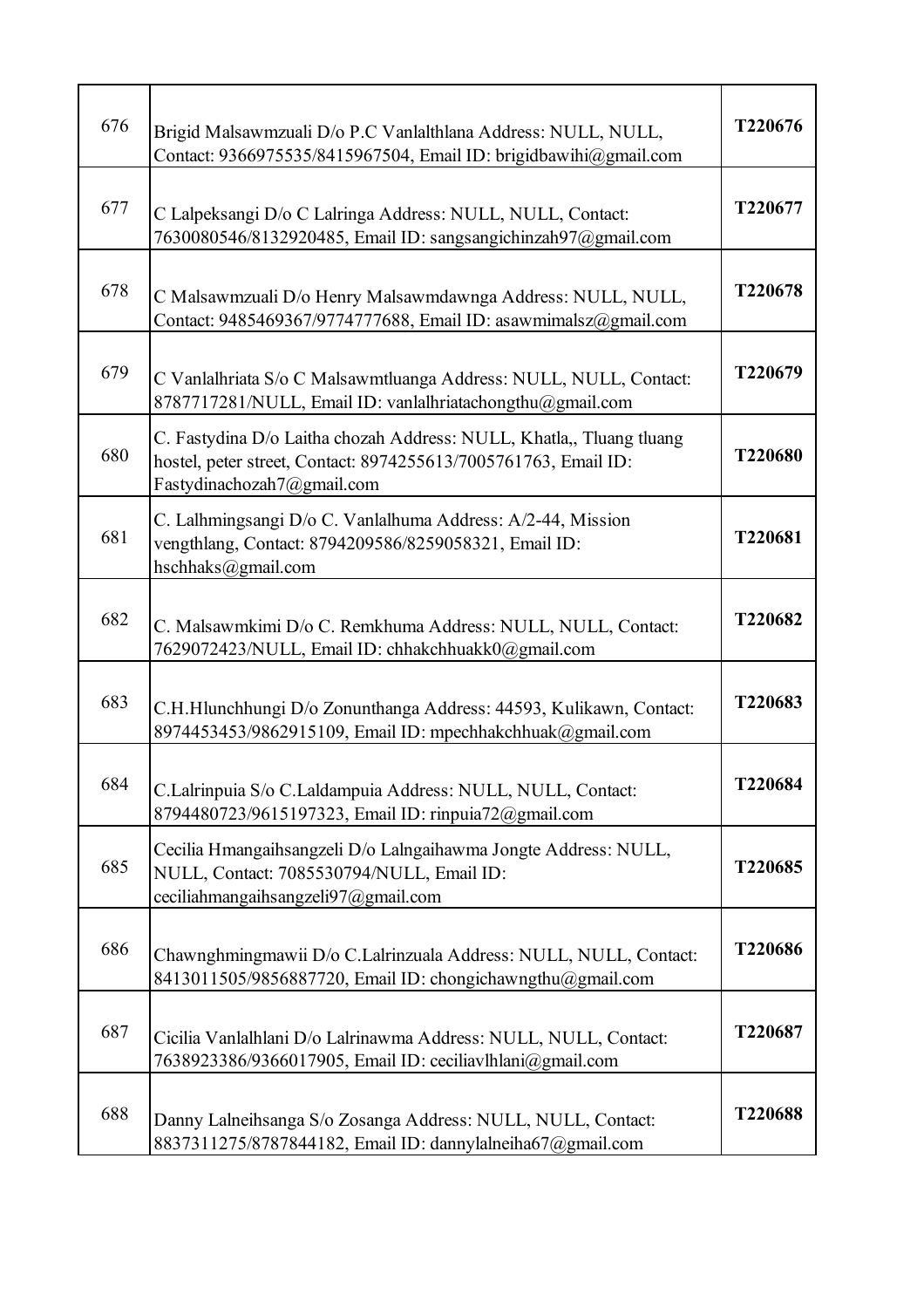| 676 | Brigid Malsawmzuali D/o P.C Vanlalthlana Address: NULL, NULL,<br>Contact: 9366975535/8415967504, Email ID: brigidbawihi@gmail.com                                     | T220676 |
|-----|-----------------------------------------------------------------------------------------------------------------------------------------------------------------------|---------|
| 677 | C Lalpeksangi D/o C Lalringa Address: NULL, NULL, Contact:<br>7630080546/8132920485, Email ID: sangsangichinzah97@gmail.com                                           | T220677 |
| 678 | C Malsawmzuali D/o Henry Malsawmdawnga Address: NULL, NULL,<br>Contact: 9485469367/9774777688, Email ID: asawmimalsz@gmail.com                                        | T220678 |
| 679 | C Vanlalhriata S/o C Malsawmtluanga Address: NULL, NULL, Contact:<br>8787717281/NULL, Email ID: vanlalhriatachongthu@gmail.com                                        | T220679 |
| 680 | C. Fastydina D/o Laitha chozah Address: NULL, Khatla,, Tluang tluang<br>hostel, peter street, Contact: 8974255613/7005761763, Email ID:<br>Fastydinachozah7@gmail.com | T220680 |
| 681 | C. Lalhmingsangi D/o C. Vanlalhuma Address: A/2-44, Mission<br>vengthlang, Contact: 8794209586/8259058321, Email ID:<br>hschhaks@gmail.com                            | T220681 |
| 682 | C. Malsawmkimi D/o C. Remkhuma Address: NULL, NULL, Contact:<br>7629072423/NULL, Email ID: chhakchhuakk0@gmail.com                                                    | T220682 |
| 683 | C.H.Hlunchhungi D/o Zonunthanga Address: 44593, Kulikawn, Contact:<br>8974453453/9862915109, Email ID: mpechhakchhuak@gmail.com                                       | T220683 |
| 684 | C.Lalrinpuia S/o C.Laldampuia Address: NULL, NULL, Contact:<br>8794480723/9615197323, Email ID: rinpuia72@gmail.com                                                   | T220684 |
| 685 | Cecilia Hmangaihsangzeli D/o Lalngaihawma Jongte Address: NULL,<br>NULL, Contact: 7085530794/NULL, Email ID:<br>ceciliahmangaihsangzeli97@gmail.com                   | T220685 |
| 686 | Chawnghmingmawii D/o C.Lalrinzuala Address: NULL, NULL, Contact:<br>8413011505/9856887720, Email ID: chongichawngthu@gmail.com                                        | T220686 |
| 687 | Cicilia Vanlalhlani D/o Lalrinawma Address: NULL, NULL, Contact:<br>7638923386/9366017905, Email ID: ceciliavlhlani@gmail.com                                         | T220687 |
| 688 | Danny Lalneihsanga S/o Zosanga Address: NULL, NULL, Contact:<br>8837311275/8787844182, Email ID: dannylalneiha67@gmail.com                                            | T220688 |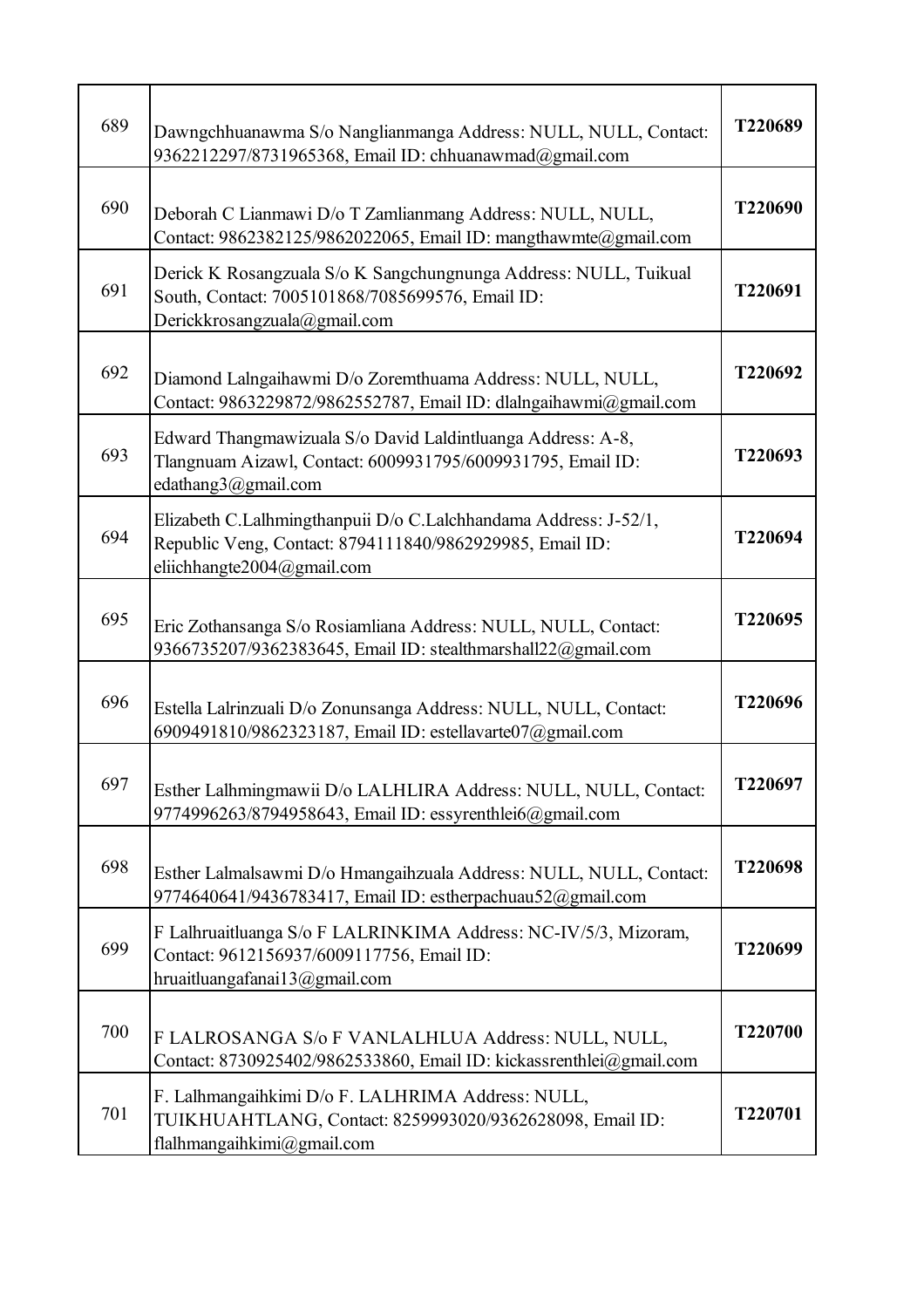| 689 | Dawngchhuanawma S/o Nanglianmanga Address: NULL, NULL, Contact:<br>9362212297/8731965368, Email ID: chhuanawmad@gmail.com                                  | T220689 |
|-----|------------------------------------------------------------------------------------------------------------------------------------------------------------|---------|
| 690 | Deborah C Lianmawi D/o T Zamlianmang Address: NULL, NULL,<br>Contact: 9862382125/9862022065, Email ID: mangthawmte@gmail.com                               | T220690 |
| 691 | Derick K Rosangzuala S/o K Sangchungnunga Address: NULL, Tuikual<br>South, Contact: 7005101868/7085699576, Email ID:<br>Derickkrosangzuala@gmail.com       | T220691 |
| 692 | Diamond Lalngaihawmi D/o Zoremthuama Address: NULL, NULL,<br>Contact: 9863229872/9862552787, Email ID: dlalngaihawmi@gmail.com                             | T220692 |
| 693 | Edward Thangmawizuala S/o David Laldintluanga Address: A-8,<br>Tlangnuam Aizawl, Contact: 6009931795/6009931795, Email ID:<br>edathang3@gmail.com          | T220693 |
| 694 | Elizabeth C.Lalhmingthanpuii D/o C.Lalchhandama Address: J-52/1,<br>Republic Veng, Contact: 8794111840/9862929985, Email ID:<br>eliichhangte2004@gmail.com | T220694 |
| 695 | Eric Zothansanga S/o Rosiamliana Address: NULL, NULL, Contact:<br>9366735207/9362383645, Email ID: stealthmarshall22@gmail.com                             | T220695 |
| 696 | Estella Lalrinzuali D/o Zonunsanga Address: NULL, NULL, Contact:<br>6909491810/9862323187, Email ID: estellavarte07@gmail.com                              | T220696 |
| 697 | Esther Lalhmingmawii D/o LALHLIRA Address: NULL, NULL, Contact:<br>9774996263/8794958643, Email ID: essyrenthlei6@gmail.com                                | T220697 |
| 698 | Esther Lalmalsawmi D/o Hmangaihzuala Address: NULL, NULL, Contact:<br>9774640641/9436783417, Email ID: estherpachuau52@gmail.com                           | T220698 |
| 699 | F Lalhruaitluanga S/o F LALRINKIMA Address: NC-IV/5/3, Mizoram,<br>Contact: 9612156937/6009117756, Email ID:<br>hruaitluangafanai13@gmail.com              | T220699 |
| 700 | F LALROSANGA S/o F VANLALHLUA Address: NULL, NULL,<br>Contact: 8730925402/9862533860, Email ID: kickassrenthlei@gmail.com                                  | T220700 |
| 701 | F. Lalhmangaihkimi D/o F. LALHRIMA Address: NULL,<br>TUIKHUAHTLANG, Contact: 8259993020/9362628098, Email ID:<br>flalhmangaihkimi@gmail.com                | T220701 |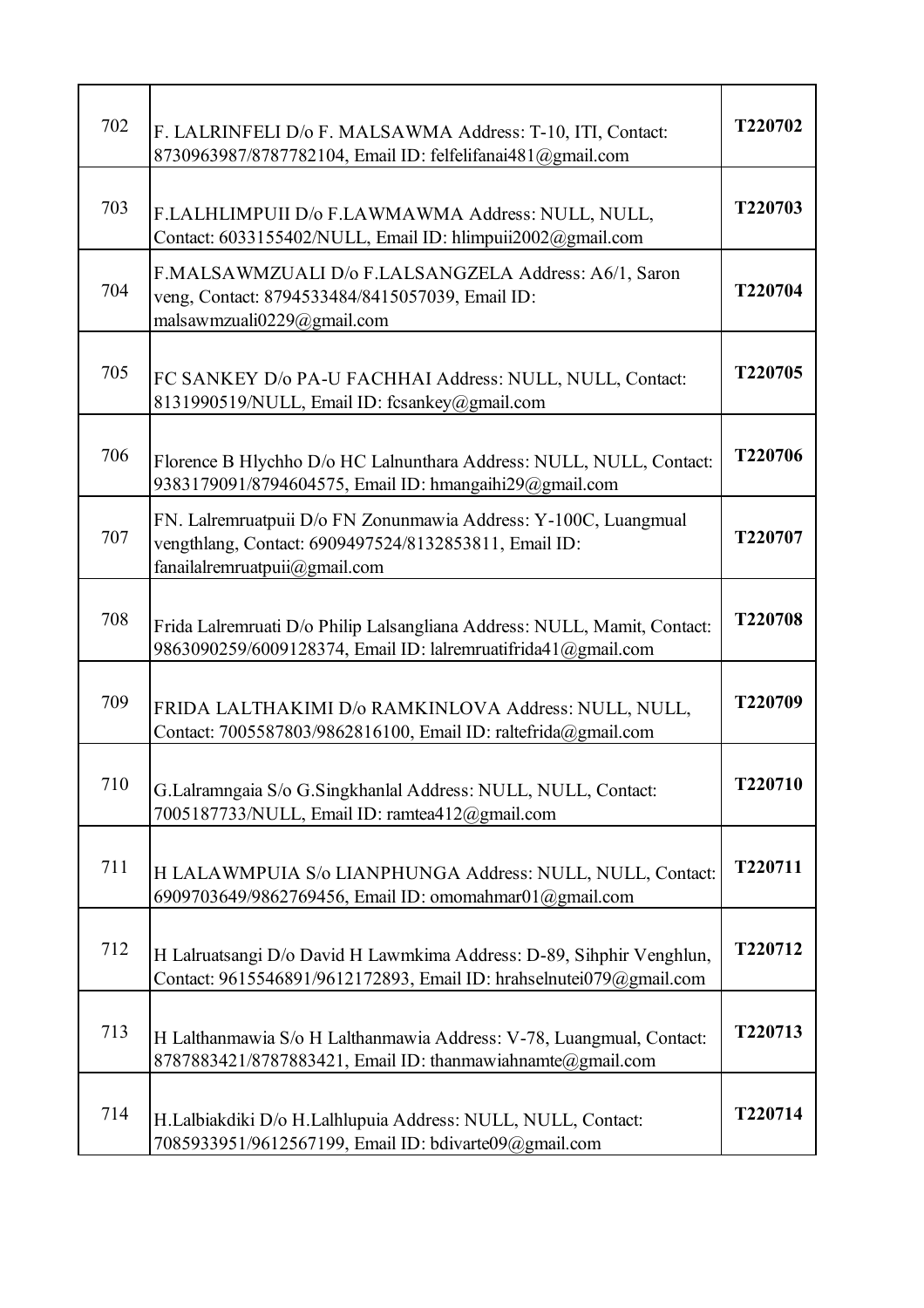| 702 | F. LALRINFELI D/o F. MALSAWMA Address: T-10, ITI, Contact:<br>8730963987/8787782104, Email ID: felfelifanai481@gmail.com                                  | T220702        |
|-----|-----------------------------------------------------------------------------------------------------------------------------------------------------------|----------------|
| 703 | F.LALHLIMPUII D/o F.LAWMAWMA Address: NULL, NULL,<br>Contact: 6033155402/NULL, Email ID: hlimpuii2002@gmail.com                                           | T220703        |
| 704 | F.MALSAWMZUALI D/o F.LALSANGZELA Address: A6/1, Saron<br>veng, Contact: 8794533484/8415057039, Email ID:<br>malsawmzuali0229@gmail.com                    | T220704        |
| 705 | FC SANKEY D/o PA-U FACHHAI Address: NULL, NULL, Contact:<br>8131990519/NULL, Email ID: fcsankey@gmail.com                                                 | T220705        |
| 706 | Florence B Hlychho D/o HC Lalnunthara Address: NULL, NULL, Contact:<br>9383179091/8794604575, Email ID: hmangaihi29@gmail.com                             | T220706        |
| 707 | FN. Lalremruatpuii D/o FN Zonunmawia Address: Y-100C, Luangmual<br>vengthlang, Contact: 6909497524/8132853811, Email ID:<br>fanailalremruatpuii@gmail.com | T220707        |
| 708 | Frida Lalremruati D/o Philip Lalsangliana Address: NULL, Mamit, Contact:<br>9863090259/6009128374, Email ID: lalremruatifrida41@gmail.com                 | T220708        |
| 709 | FRIDA LALTHAKIMI D/o RAMKINLOVA Address: NULL, NULL,<br>Contact: 7005587803/9862816100, Email ID: raltefrida@gmail.com                                    | T220709        |
| 710 | G.Lalramngaia S/o G.Singkhanlal Address: NULL, NULL, Contact:<br>7005187733/NULL, Email ID: ramtea412@gmail.com                                           | <b>T220710</b> |
| 711 | H LALAWMPUIA S/o LIANPHUNGA Address: NULL, NULL, Contact:<br>6909703649/9862769456, Email ID: omomahmar01@gmail.com                                       | T220711        |
| 712 | H Lalruatsangi D/o David H Lawmkima Address: D-89, Sihphir Venghlun,<br>Contact: 9615546891/9612172893, Email ID: hrahselnutei079@gmail.com               | T220712        |
| 713 | H Lalthanmawia S/o H Lalthanmawia Address: V-78, Luangmual, Contact:<br>8787883421/8787883421, Email ID: thanmawiahnamte@gmail.com                        | T220713        |
| 714 | H.Lalbiakdiki D/o H.Lalhlupuia Address: NULL, NULL, Contact:<br>7085933951/9612567199, Email ID: bdivarte09@gmail.com                                     | T220714        |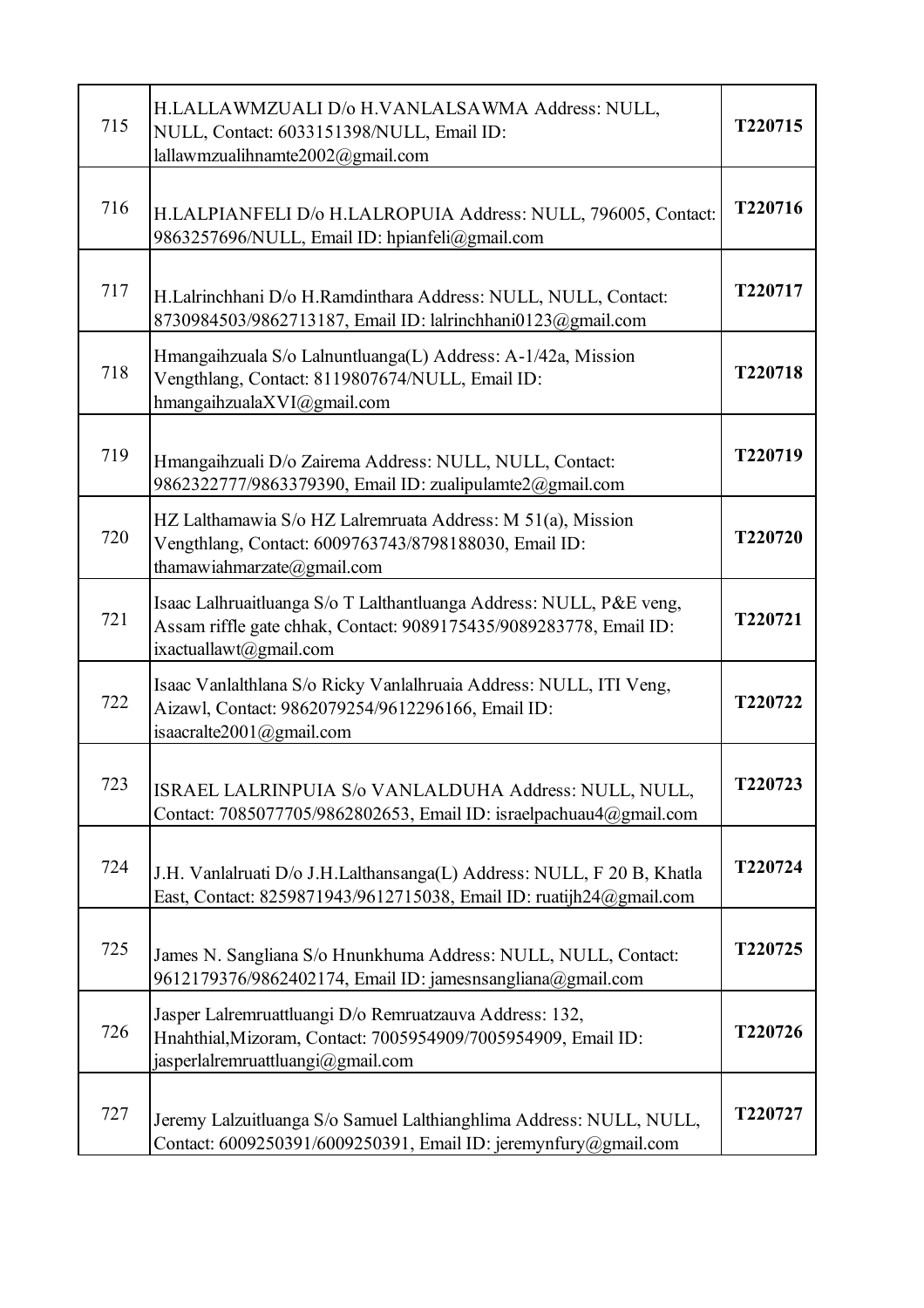| 715 | H.LALLAWMZUALI D/o H.VANLALSAWMA Address: NULL,<br>NULL, Contact: 6033151398/NULL, Email ID:<br>lallawmzualihnamte2002@gmail.com                                    | T220715 |
|-----|---------------------------------------------------------------------------------------------------------------------------------------------------------------------|---------|
| 716 | H.LALPIANFELI D/o H.LALROPUIA Address: NULL, 796005, Contact:<br>9863257696/NULL, Email ID: hpianfeli@gmail.com                                                     | T220716 |
| 717 | H.Lalrinchhani D/o H.Ramdinthara Address: NULL, NULL, Contact:<br>8730984503/9862713187, Email ID: lalrinchhani0123@gmail.com                                       | T220717 |
| 718 | Hmangaihzuala S/o Lalnuntluanga(L) Address: A-1/42a, Mission<br>Vengthlang, Contact: 8119807674/NULL, Email ID:<br>hmangaihzualaXVI@gmail.com                       | T220718 |
| 719 | Hmangaihzuali D/o Zairema Address: NULL, NULL, Contact:<br>9862322777/9863379390, Email ID: zualipulamte2@gmail.com                                                 | T220719 |
| 720 | HZ Lalthamawia S/o HZ Lalremruata Address: M 51(a), Mission<br>Vengthlang, Contact: 6009763743/8798188030, Email ID:<br>thamawiahmarzate@gmail.com                  | T220720 |
| 721 | Isaac Lalhruaitluanga S/o T Lalthantluanga Address: NULL, P&E veng,<br>Assam riffle gate chhak, Contact: 9089175435/9089283778, Email ID:<br>ixactuallawt@gmail.com | T220721 |
| 722 | Isaac Vanlalthlana S/o Ricky Vanlalhruaia Address: NULL, ITI Veng,<br>Aizawl, Contact: 9862079254/9612296166, Email ID:<br>isaacralte2001@gmail.com                 | T220722 |
| 723 | ISRAEL LALRINPUIA S/o VANLALDUHA Address: NULL, NULL,<br>Contact: 7085077705/9862802653, Email ID: israelpachuau4@gmail.com                                         | T220723 |
| 724 | J.H. Vanlalruati D/o J.H.Lalthansanga(L) Address: NULL, F 20 B, Khatla<br>East, Contact: 8259871943/9612715038, Email ID: ruatijh24@gmail.com                       | T220724 |
| 725 | James N. Sangliana S/o Hnunkhuma Address: NULL, NULL, Contact:<br>9612179376/9862402174, Email ID: jamesnsangliana@gmail.com                                        | T220725 |
| 726 | Jasper Lalremruattluangi D/o Remruatzauva Address: 132,<br>Hnahthial, Mizoram, Contact: 7005954909/7005954909, Email ID:<br>jasperlalremruattluangi@gmail.com       | T220726 |
| 727 | Jeremy Lalzuitluanga S/o Samuel Lalthianghlima Address: NULL, NULL,<br>Contact: 6009250391/6009250391, Email ID: jeremynfury@gmail.com                              | T220727 |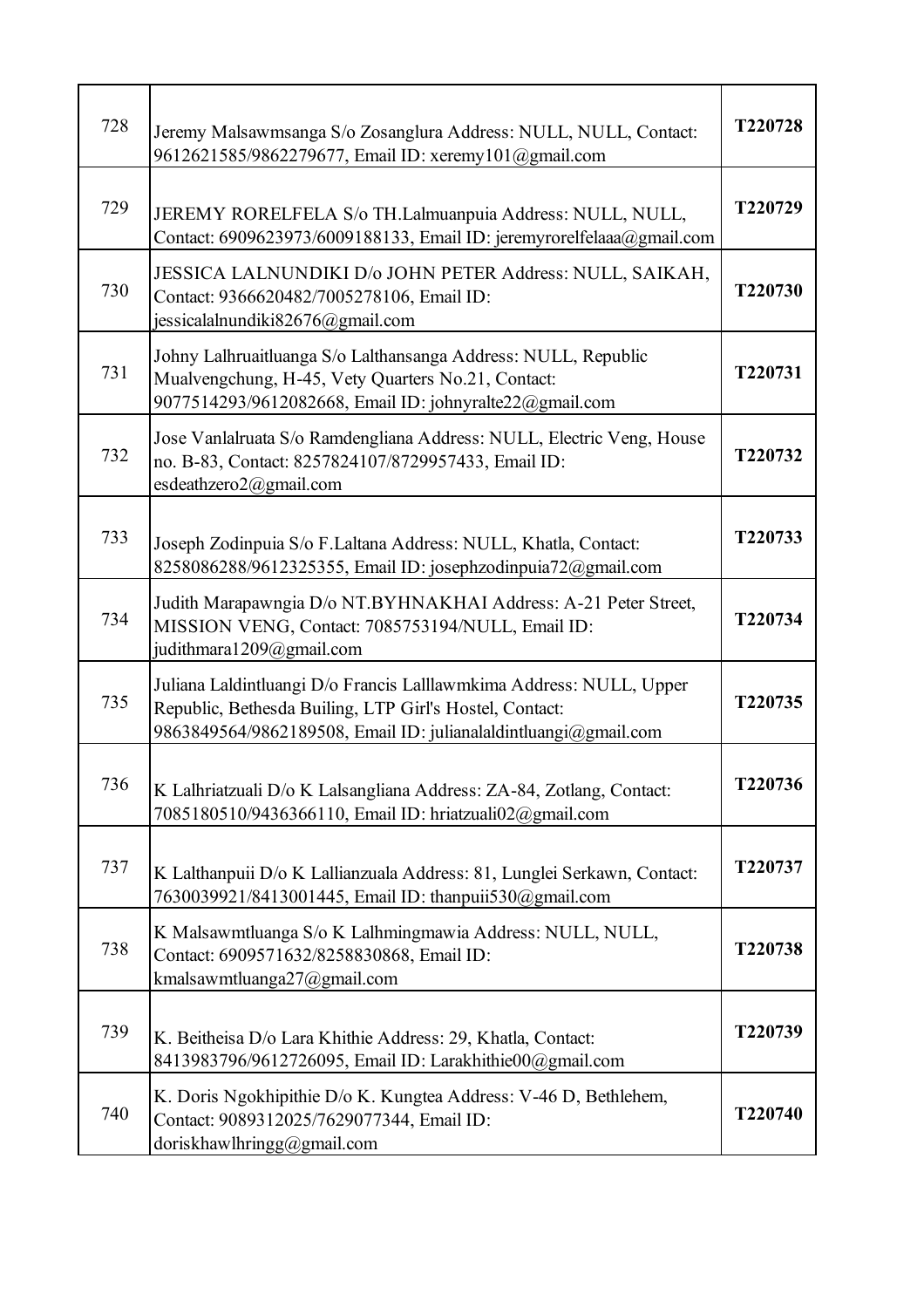| 728 | Jeremy Malsawmsanga S/o Zosanglura Address: NULL, NULL, Contact:<br>9612621585/9862279677, Email ID: xeremy101@gmail.com                                                                          | T220728 |
|-----|---------------------------------------------------------------------------------------------------------------------------------------------------------------------------------------------------|---------|
| 729 | JEREMY RORELFELA S/o TH.Lalmuanpuia Address: NULL, NULL,<br>Contact: 6909623973/6009188133, Email ID: jeremyrorelfelaaa@gmail.com                                                                 | T220729 |
| 730 | JESSICA LALNUNDIKI D/o JOHN PETER Address: NULL, SAIKAH,<br>Contact: 9366620482/7005278106, Email ID:<br>jessicalalnundiki82676@gmail.com                                                         | T220730 |
| 731 | Johny Lalhruaitluanga S/o Lalthansanga Address: NULL, Republic<br>Mualvengchung, H-45, Vety Quarters No.21, Contact:<br>9077514293/9612082668, Email ID: johnyralte22@gmail.com                   | T220731 |
| 732 | Jose Vanlalruata S/o Ramdengliana Address: NULL, Electric Veng, House<br>no. B-83, Contact: 8257824107/8729957433, Email ID:<br>esdeathzero2@gmail.com                                            | T220732 |
| 733 | Joseph Zodinpuia S/o F.Laltana Address: NULL, Khatla, Contact:<br>8258086288/9612325355, Email ID: josephzodinpuia72@gmail.com                                                                    | T220733 |
| 734 | Judith Marapawngia D/o NT.BYHNAKHAI Address: A-21 Peter Street,<br>MISSION VENG, Contact: 7085753194/NULL, Email ID:<br>judithmara1209@gmail.com                                                  | T220734 |
| 735 | Juliana Laldintluangi D/o Francis Lalllawmkima Address: NULL, Upper<br>Republic, Bethesda Builing, LTP Girl's Hostel, Contact:<br>9863849564/9862189508, Email ID: julianalaldintluangi@gmail.com | T220735 |
| 736 | K Lalhriatzuali D/o K Lalsangliana Address: ZA-84, Zotlang, Contact:<br>7085180510/9436366110, Email ID: hriatzuali02@gmail.com                                                                   | T220736 |
| 737 | K Lalthanpuii D/o K Lallianzuala Address: 81, Lunglei Serkawn, Contact:<br>7630039921/8413001445, Email ID: thanpuii530@gmail.com                                                                 | T220737 |
| 738 | K Malsawmtluanga S/o K Lalhmingmawia Address: NULL, NULL,<br>Contact: 6909571632/8258830868, Email ID:<br>kmalsawmtluanga27@gmail.com                                                             | T220738 |
| 739 | K. Beitheisa D/o Lara Khithie Address: 29, Khatla, Contact:<br>8413983796/9612726095, Email ID: Larakhithie00@gmail.com                                                                           | T220739 |
| 740 | K. Doris Ngokhipithie D/o K. Kungtea Address: V-46 D, Bethlehem,<br>Contact: 9089312025/7629077344, Email ID:<br>doriskhawlhringg@gmail.com                                                       | T220740 |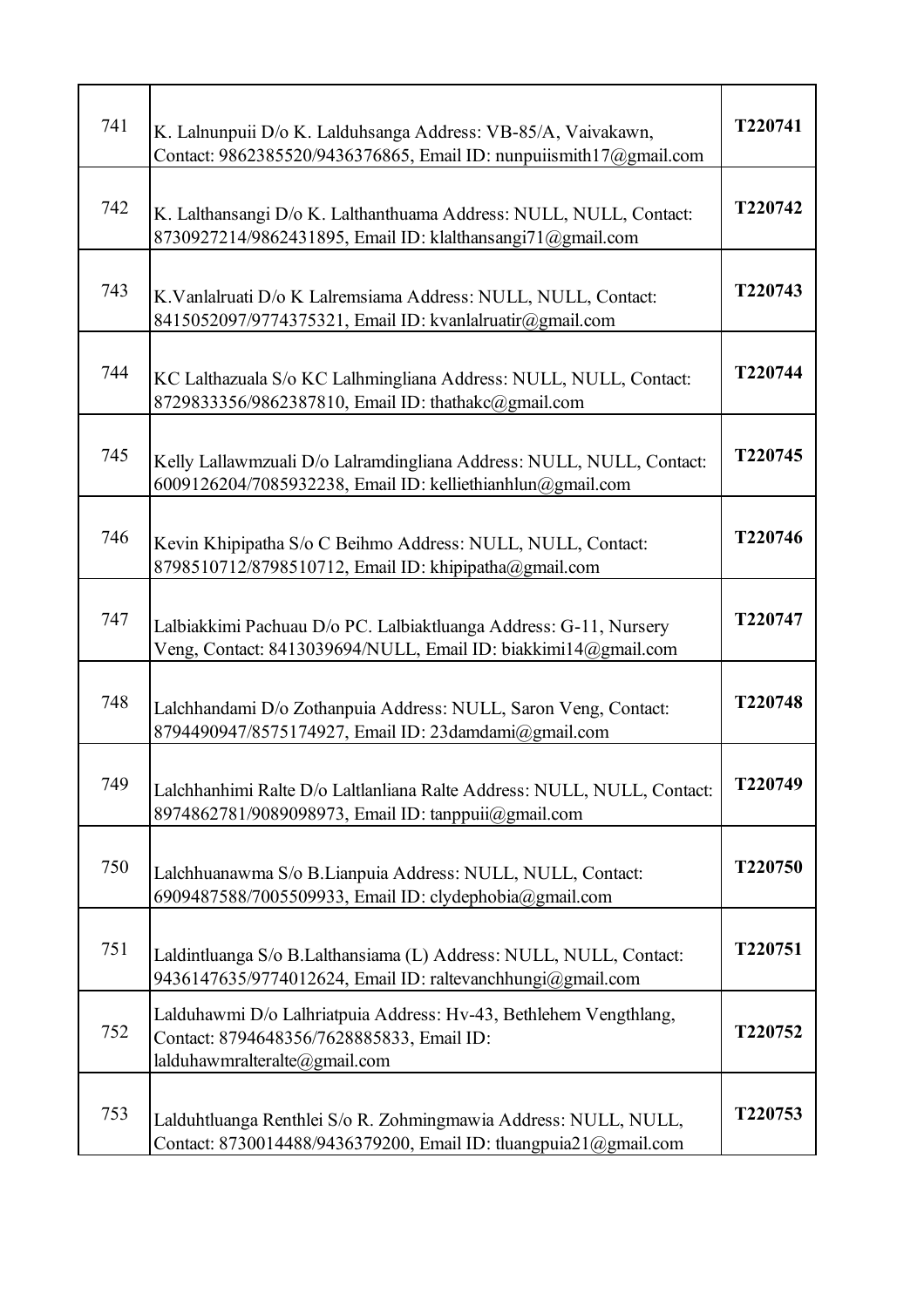| 741 | K. Lalnunpuii D/o K. Lalduhsanga Address: VB-85/A, Vaivakawn,<br>Contact: 9862385520/9436376865, Email ID: nunpuiismith17@gmail.com             | T220741 |
|-----|-------------------------------------------------------------------------------------------------------------------------------------------------|---------|
| 742 | K. Lalthansangi D/o K. Lalthanthuama Address: NULL, NULL, Contact:<br>8730927214/9862431895, Email ID: klalthansangi71@gmail.com                | T220742 |
| 743 | K.Vanlalruati D/o K Lalremsiama Address: NULL, NULL, Contact:<br>8415052097/9774375321, Email ID: kvanlalruatir@gmail.com                       | T220743 |
| 744 | KC Lalthazuala S/o KC Lalhmingliana Address: NULL, NULL, Contact:<br>8729833356/9862387810, Email ID: thathakc@gmail.com                        | T220744 |
| 745 | Kelly Lallawmzuali D/o Lalramdingliana Address: NULL, NULL, Contact:<br>6009126204/7085932238, Email ID: kelliethianhlun@gmail.com              | T220745 |
| 746 | Kevin Khipipatha S/o C Beihmo Address: NULL, NULL, Contact:<br>8798510712/8798510712, Email ID: khipipatha@gmail.com                            | T220746 |
| 747 | Lalbiakkimi Pachuau D/o PC. Lalbiaktluanga Address: G-11, Nursery<br>Veng, Contact: 8413039694/NULL, Email ID: biakkimi14@gmail.com             | T220747 |
| 748 | Lalchhandami D/o Zothanpuia Address: NULL, Saron Veng, Contact:<br>8794490947/8575174927, Email ID: 23damdami@gmail.com                         | T220748 |
| 749 | Lalchhanhimi Ralte D/o Laltlanliana Ralte Address: NULL, NULL, Contact:<br>8974862781/9089098973, Email ID: tanppuii@gmail.com                  | T220749 |
| 750 | Lalchhuanawma S/o B.Lianpuia Address: NULL, NULL, Contact:<br>6909487588/7005509933, Email ID: clydephobia@gmail.com                            | T220750 |
| 751 | Laldintluanga S/o B.Lalthansiama (L) Address: NULL, NULL, Contact:<br>9436147635/9774012624, Email ID: raltevanchhungi@gmail.com                | T220751 |
| 752 | Lalduhawmi D/o Lalhriatpuia Address: Hv-43, Bethlehem Vengthlang,<br>Contact: 8794648356/7628885833, Email ID:<br>lalduhawmralteralte@gmail.com | T220752 |
| 753 | Lalduhtluanga Renthlei S/o R. Zohmingmawia Address: NULL, NULL,<br>Contact: 8730014488/9436379200, Email ID: tluangpuia21@gmail.com             | T220753 |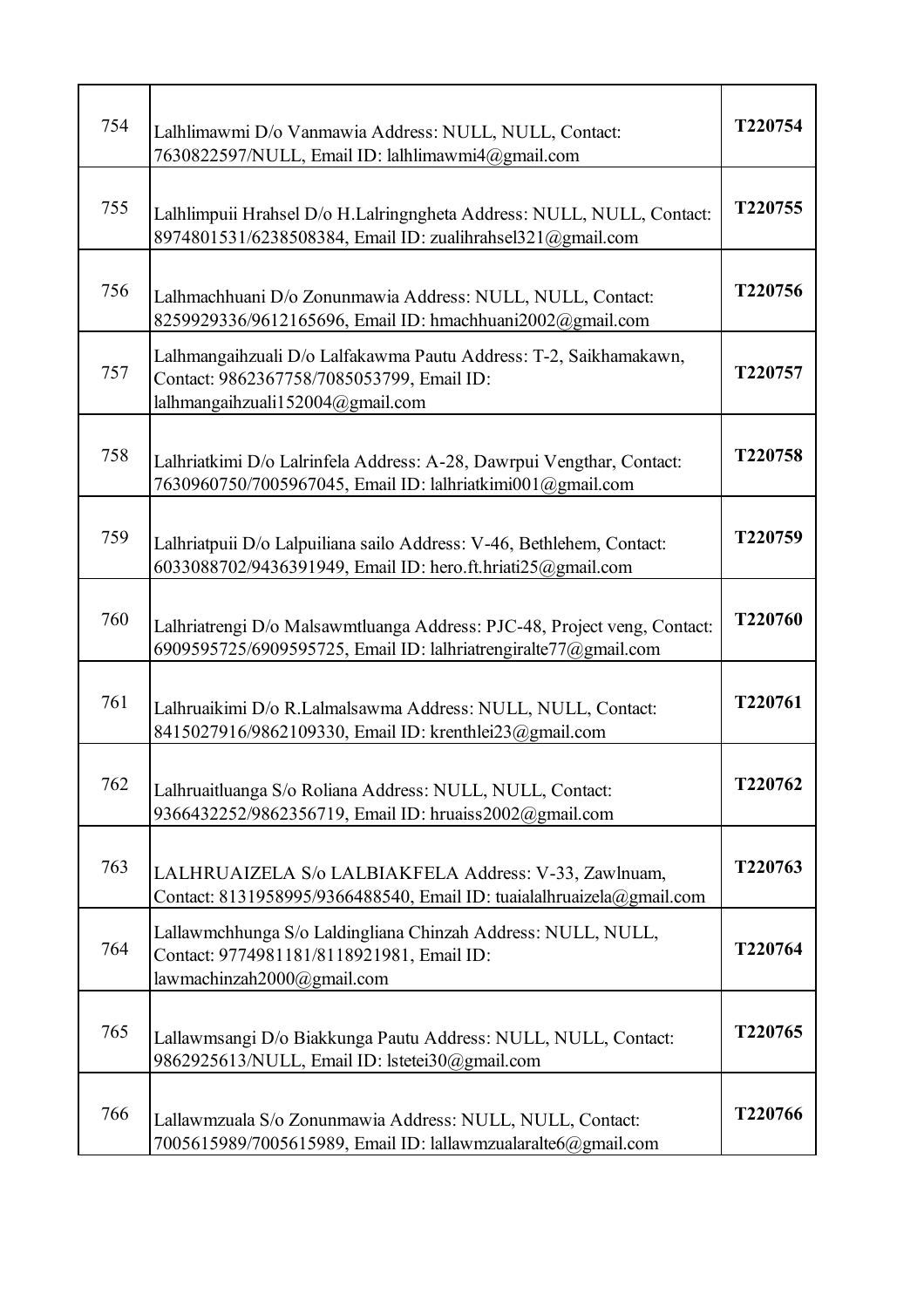| 754 | Lalhlimawmi D/o Vanmawia Address: NULL, NULL, Contact:<br>7630822597/NULL, Email ID: lalhlimawmi4@gmail.com                                        | T220754 |
|-----|----------------------------------------------------------------------------------------------------------------------------------------------------|---------|
| 755 | Lalhlimpuii Hrahsel D/o H.Lalringngheta Address: NULL, NULL, Contact:<br>8974801531/6238508384, Email ID: zualihrahsel321@gmail.com                | T220755 |
| 756 | Lalhmachhuani D/o Zonunmawia Address: NULL, NULL, Contact:<br>8259929336/9612165696, Email ID: hmachhuani2002@gmail.com                            | T220756 |
| 757 | Lalhmangaihzuali D/o Lalfakawma Pautu Address: T-2, Saikhamakawn,<br>Contact: 9862367758/7085053799, Email ID:<br>lalhmangaihzuali152004@gmail.com | T220757 |
| 758 | Lalhriatkimi D/o Lalrinfela Address: A-28, Dawrpui Vengthar, Contact:<br>7630960750/7005967045, Email ID: lalhriatkimi001@gmail.com                | T220758 |
| 759 | Lalhriatpuii D/o Lalpuiliana sailo Address: V-46, Bethlehem, Contact:<br>6033088702/9436391949, Email ID: hero.ft.hriati25@gmail.com               | T220759 |
| 760 | Lalhriatrengi D/o Malsawmtluanga Address: PJC-48, Project veng, Contact:<br>6909595725/6909595725, Email ID: lalhriatrengiralte77@gmail.com        | T220760 |
| 761 | Lalhruaikimi D/o R.Lalmalsawma Address: NULL, NULL, Contact:<br>8415027916/9862109330, Email ID: krenthlei23@gmail.com                             | T220761 |
| 762 | Lalhruaitluanga S/o Roliana Address: NULL, NULL, Contact:<br>9366432252/9862356719, Email ID: hruaiss2002@gmail.com                                | T220762 |
| 763 | LALHRUAIZELA S/o LALBIAKFELA Address: V-33, Zawlnuam,<br>Contact: 8131958995/9366488540, Email ID: tuaialalhruaizela@gmail.com                     | T220763 |
| 764 | Lallawmchhunga S/o Laldingliana Chinzah Address: NULL, NULL,<br>Contact: 9774981181/8118921981, Email ID:<br>lawmachinzah2000@gmail.com            | T220764 |
| 765 | Lallawmsangi D/o Biakkunga Pautu Address: NULL, NULL, Contact:<br>9862925613/NULL, Email ID: lstetei30@gmail.com                                   | T220765 |
| 766 | Lallawmzuala S/o Zonunmawia Address: NULL, NULL, Contact:<br>7005615989/7005615989, Email ID: lallawmzualaralte6@gmail.com                         | T220766 |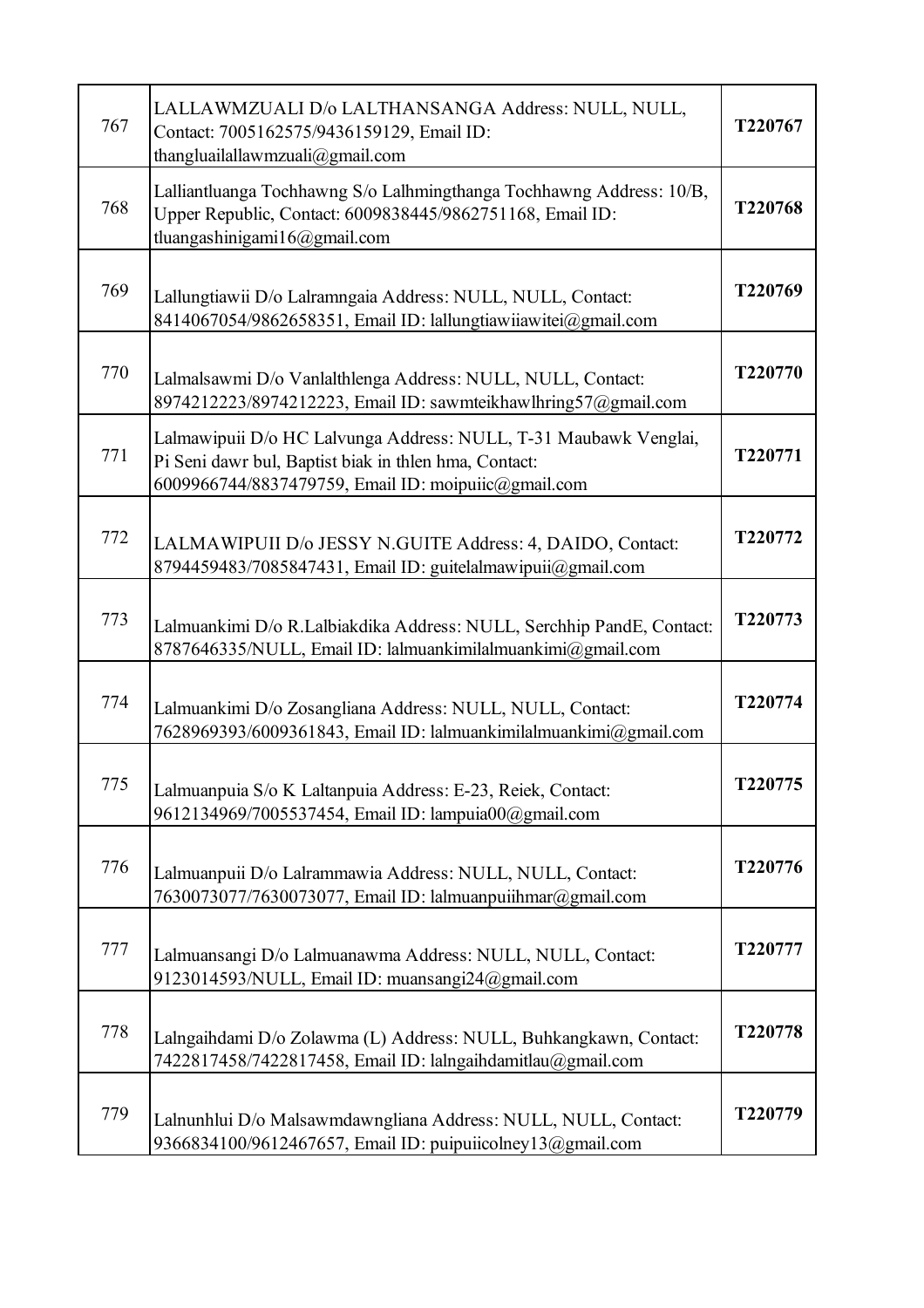| 767 | LALLAWMZUALI D/o LALTHANSANGA Address: NULL, NULL,<br>Contact: 7005162575/9436159129, Email ID:<br>thangluailallawmzuali@gmail.com                                               | T220767        |
|-----|----------------------------------------------------------------------------------------------------------------------------------------------------------------------------------|----------------|
| 768 | Lalliantluanga Tochhawng S/o Lalhmingthanga Tochhawng Address: 10/B,<br>Upper Republic, Contact: 6009838445/9862751168, Email ID:<br>tluangashinigami16@gmail.com                | T220768        |
| 769 | Lallungtiawii D/o Lalramngaia Address: NULL, NULL, Contact:<br>8414067054/9862658351, Email ID: lallungtiawiiawitei@gmail.com                                                    | T220769        |
| 770 | Lalmalsawmi D/o Vanlalthlenga Address: NULL, NULL, Contact:<br>8974212223/8974212223, Email ID: sawmteikhawlhring57@gmail.com                                                    | T220770        |
| 771 | Lalmawipuii D/o HC Lalvunga Address: NULL, T-31 Maubawk Venglai,<br>Pi Seni dawr bul, Baptist biak in thlen hma, Contact:<br>6009966744/8837479759, Email ID: moipuiic@gmail.com | T220771        |
| 772 | LALMAWIPUII D/o JESSY N.GUITE Address: 4, DAIDO, Contact:<br>8794459483/7085847431, Email ID: guitelalmawipuii@gmail.com                                                         | T220772        |
| 773 | Lalmuankimi D/o R.Lalbiakdika Address: NULL, Serchhip PandE, Contact:<br>8787646335/NULL, Email ID: lalmuankimilalmuankimi@gmail.com                                             | T220773        |
| 774 | Lalmuankimi D/o Zosangliana Address: NULL, NULL, Contact:<br>7628969393/6009361843, Email ID: lalmuankimilalmuankimi@gmail.com                                                   | T220774        |
| 775 | Lalmuanpuia S/o K Laltanpuia Address: E-23, Reiek, Contact:<br>9612134969/7005537454, Email ID: lampuia00@gmail.com                                                              | <b>T220775</b> |
| 776 | Lalmuanpuii D/o Lalrammawia Address: NULL, NULL, Contact:<br>7630073077/7630073077, Email ID: lalmuanpuiihmar@gmail.com                                                          | T220776        |
| 777 | Lalmuansangi D/o Lalmuanawma Address: NULL, NULL, Contact:<br>9123014593/NULL, Email ID: muansangi24@gmail.com                                                                   | T220777        |
| 778 | Lalngaihdami D/o Zolawma (L) Address: NULL, Buhkangkawn, Contact:<br>7422817458/7422817458, Email ID: lalngaihdamitlau@gmail.com                                                 | T220778        |
| 779 | Lalnunhlui D/o Malsawmdawngliana Address: NULL, NULL, Contact:<br>9366834100/9612467657, Email ID: puipuiicolney13@gmail.com                                                     | T220779        |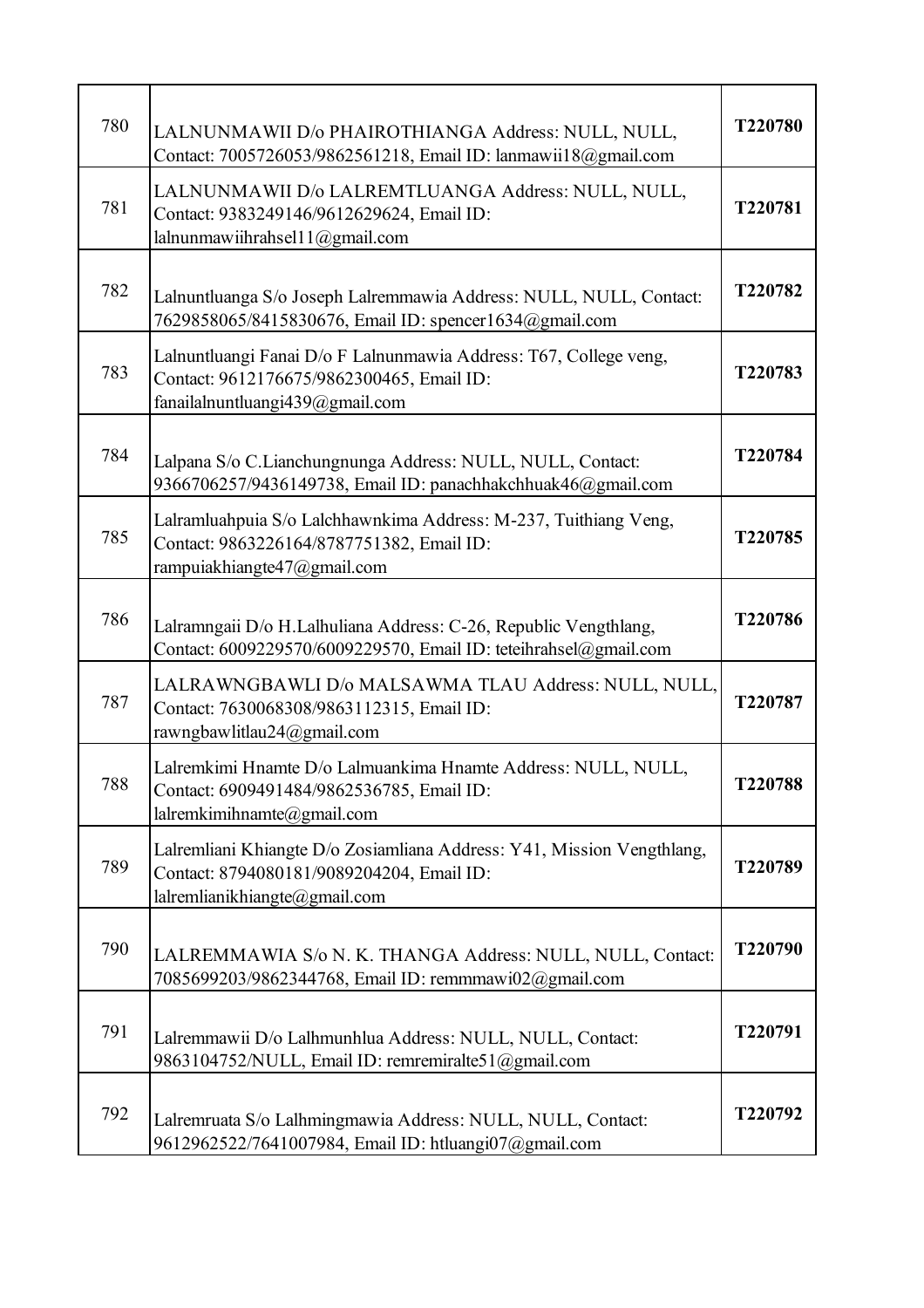| 780 | LALNUNMAWII D/o PHAIROTHIANGA Address: NULL, NULL,<br>Contact: 7005726053/9862561218, Email ID: lanmawii18@gmail.com                                 | T220780 |
|-----|------------------------------------------------------------------------------------------------------------------------------------------------------|---------|
| 781 | LALNUNMAWII D/o LALREMTLUANGA Address: NULL, NULL,<br>Contact: 9383249146/9612629624, Email ID:<br>lalnunmawiihrahsel11@gmail.com                    | T220781 |
| 782 | Lalnuntluanga S/o Joseph Lalremmawia Address: NULL, NULL, Contact:<br>7629858065/8415830676, Email ID: spencer1634@gmail.com                         | T220782 |
| 783 | Lalnuntluangi Fanai D/o F Lalnunmawia Address: T67, College veng,<br>Contact: 9612176675/9862300465, Email ID:<br>fanailalnuntluangi439@gmail.com    | T220783 |
| 784 | Lalpana S/o C.Lianchungnunga Address: NULL, NULL, Contact:<br>9366706257/9436149738, Email ID: panachhakchhuak46@gmail.com                           | T220784 |
| 785 | Lalramluahpuia S/o Lalchhawnkima Address: M-237, Tuithiang Veng,<br>Contact: 9863226164/8787751382, Email ID:<br>rampuiakhiangte47@gmail.com         | T220785 |
| 786 | Lalramngaii D/o H.Lalhuliana Address: C-26, Republic Vengthlang,<br>Contact: 6009229570/6009229570, Email ID: teteihrahsel@gmail.com                 | T220786 |
| 787 | LALRAWNGBAWLI D/o MALSAWMA TLAU Address: NULL, NULL,<br>Contact: 7630068308/9863112315, Email ID:<br>rawngbawlitlau24@gmail.com                      | T220787 |
| 788 | Lalremkimi Hnamte D/o Lalmuankima Hnamte Address: NULL, NULL,<br>Contact: 6909491484/9862536785, Email ID:<br>lalremkimihnamte@gmail.com             | T220788 |
| 789 | Lalremliani Khiangte D/o Zosiamliana Address: Y41, Mission Vengthlang,<br>Contact: 8794080181/9089204204, Email ID:<br>lalremlianikhiangte@gmail.com | T220789 |
| 790 | LALREMMAWIA S/o N. K. THANGA Address: NULL, NULL, Contact:<br>7085699203/9862344768, Email ID: remmmawi02@gmail.com                                  | T220790 |
| 791 | Lalremmawii D/o Lalhmunhlua Address: NULL, NULL, Contact:<br>9863104752/NULL, Email ID: remremiralte51@gmail.com                                     | T220791 |
| 792 | Lalremruata S/o Lalhmingmawia Address: NULL, NULL, Contact:<br>9612962522/7641007984, Email ID: htluangi07@gmail.com                                 | T220792 |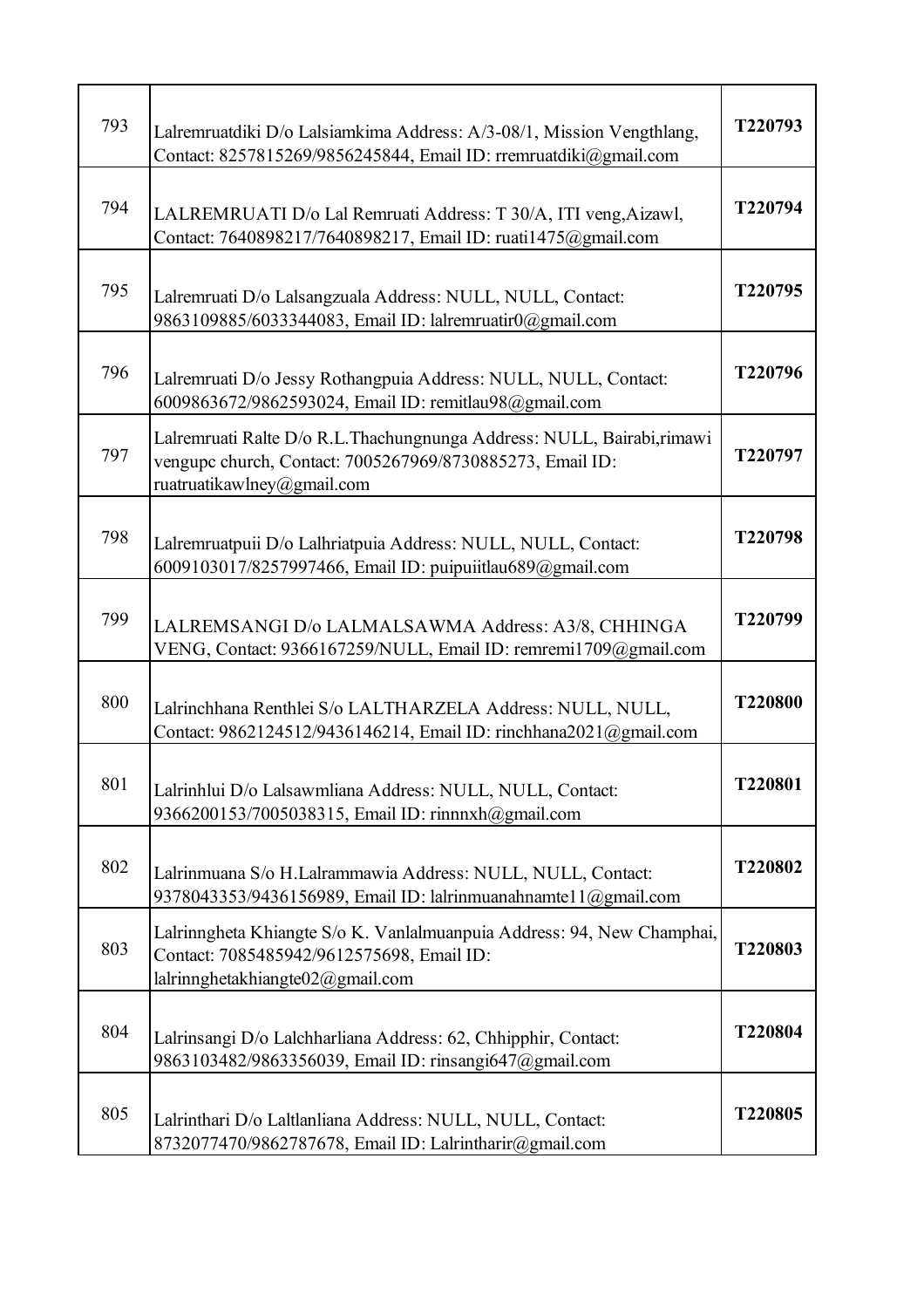| 793 | Lalremruatdiki D/o Lalsiamkima Address: A/3-08/1, Mission Vengthlang,<br>Contact: 8257815269/9856245844, Email ID: rremruatdiki@gmail.com                          | T220793 |
|-----|--------------------------------------------------------------------------------------------------------------------------------------------------------------------|---------|
| 794 | LALREMRUATI D/o Lal Remruati Address: T 30/A, ITI veng, Aizawl,<br>Contact: 7640898217/7640898217, Email ID: ruati1475@gmail.com                                   | T220794 |
| 795 | Lalremruati D/o Lalsangzuala Address: NULL, NULL, Contact:<br>9863109885/6033344083, Email ID: lalremruatir0@gmail.com                                             | T220795 |
| 796 | Lalremruati D/o Jessy Rothangpuia Address: NULL, NULL, Contact:<br>6009863672/9862593024, Email ID: remitlau98@gmail.com                                           | T220796 |
| 797 | Lalremruati Ralte D/o R.L. Thachungnunga Address: NULL, Bairabi, rimawi<br>vengupc church, Contact: 7005267969/8730885273, Email ID:<br>ruatruatikawlney@gmail.com | T220797 |
| 798 | Lalremruatpuii D/o Lalhriatpuia Address: NULL, NULL, Contact:<br>6009103017/8257997466, Email ID: puipuiitlau689@gmail.com                                         | T220798 |
| 799 | LALREMSANGI D/o LALMALSAWMA Address: A3/8, CHHINGA<br>VENG, Contact: 9366167259/NULL, Email ID: remremi1709@gmail.com                                              | T220799 |
| 800 | Lalrinchhana Renthlei S/o LALTHARZELA Address: NULL, NULL,<br>Contact: 9862124512/9436146214, Email ID: rinchhana2021@gmail.com                                    | T220800 |
| 801 | Lalrinhlui D/o Lalsawmliana Address: NULL, NULL, Contact:<br>9366200153/7005038315, Email ID: rinnnxh@gmail.com                                                    | T220801 |
| 802 | Lalrinmuana S/o H.Lalrammawia Address: NULL, NULL, Contact:<br>9378043353/9436156989, Email ID: lalrinmuanahnamtel 1@gmail.com                                     | T220802 |
| 803 | Lalrinngheta Khiangte S/o K. Vanlalmuanpuia Address: 94, New Champhai,<br>Contact: 7085485942/9612575698, Email ID:<br>lalrinnghetakhiangte02@gmail.com            | T220803 |
| 804 | Lalrinsangi D/o Lalchharliana Address: 62, Chhipphir, Contact:<br>9863103482/9863356039, Email ID: rinsangi647@gmail.com                                           | T220804 |
| 805 | Lalrinthari D/o Laltlanliana Address: NULL, NULL, Contact:<br>8732077470/9862787678, Email ID: Lalrintharir@gmail.com                                              | T220805 |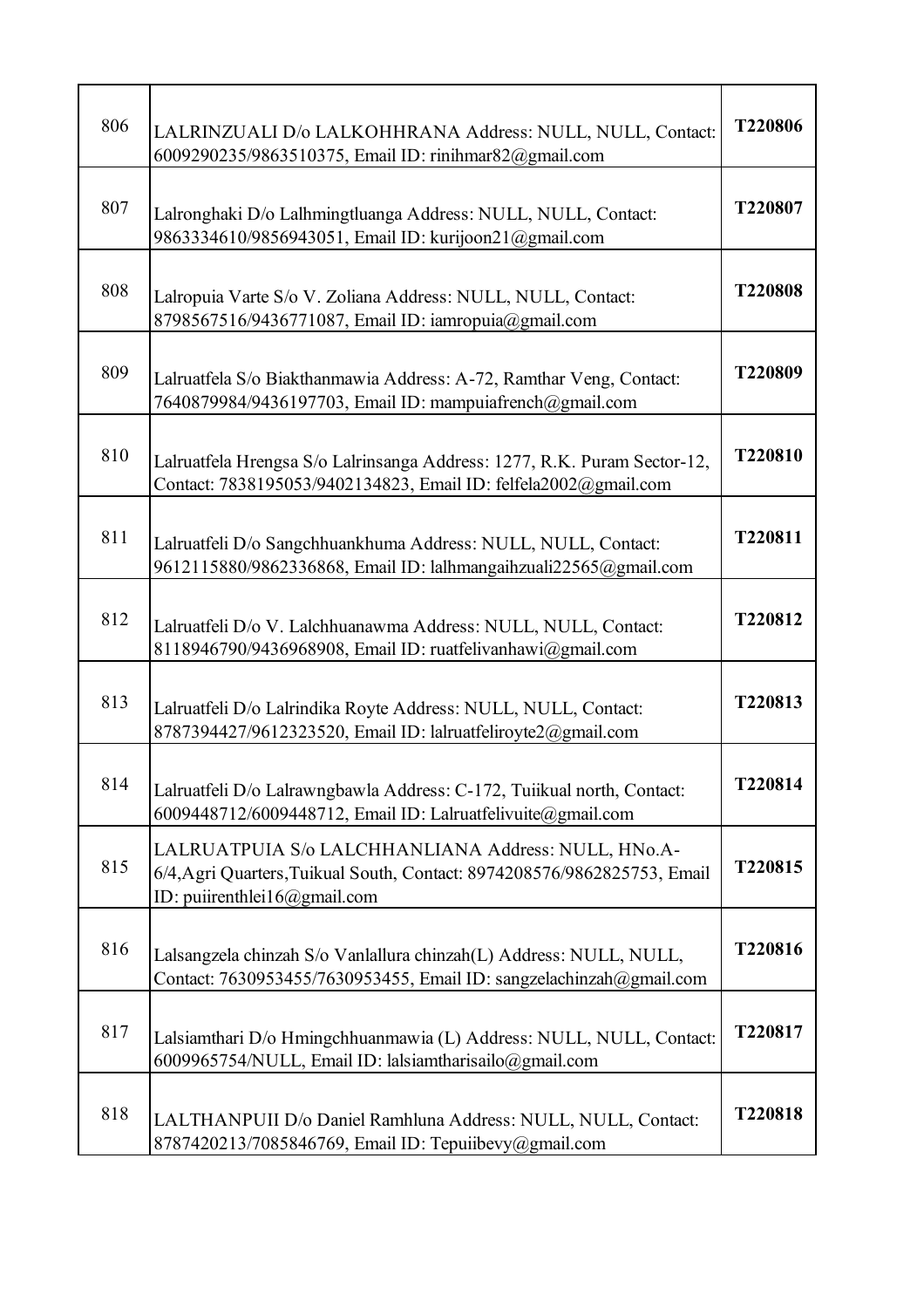| 806 | LALRINZUALI D/o LALKOHHRANA Address: NULL, NULL, Contact:<br>6009290235/9863510375, Email ID: rinihmar82@gmail.com                                              | T220806 |
|-----|-----------------------------------------------------------------------------------------------------------------------------------------------------------------|---------|
| 807 | Lalronghaki D/o Lalhmingtluanga Address: NULL, NULL, Contact:<br>9863334610/9856943051, Email ID: kurijoon21@gmail.com                                          | T220807 |
| 808 | Lalropuia Varte S/o V. Zoliana Address: NULL, NULL, Contact:<br>8798567516/9436771087, Email ID: iamropuia@gmail.com                                            | T220808 |
| 809 | Lalruatfela S/o Biakthanmawia Address: A-72, Ramthar Veng, Contact:<br>7640879984/9436197703, Email ID: mampuiafrench@gmail.com                                 | T220809 |
| 810 | Lalruatfela Hrengsa S/o Lalrinsanga Address: 1277, R.K. Puram Sector-12,<br>Contact: 7838195053/9402134823, Email ID: felfela2002@gmail.com                     | T220810 |
| 811 | Lalruatfeli D/o Sangchhuankhuma Address: NULL, NULL, Contact:<br>9612115880/9862336868, Email ID: lalhmangaihzuali22565@gmail.com                               | T220811 |
| 812 | Lalruatfeli D/o V. Lalchhuanawma Address: NULL, NULL, Contact:<br>8118946790/9436968908, Email ID: ruatfelivanhawi@gmail.com                                    | T220812 |
| 813 | Lalruatfeli D/o Lalrindika Royte Address: NULL, NULL, Contact:<br>8787394427/9612323520, Email ID: lalruatfeliroyte2@gmail.com                                  | T220813 |
| 814 | Lalruatfeli D/o Lalrawngbawla Address: C-172, Tuiikual north, Contact:<br>6009448712/6009448712, Email ID: Lalruatfelivuite@gmail.com                           | T220814 |
| 815 | LALRUATPUIA S/o LALCHHANLIANA Address: NULL, HNo.A-<br>6/4, Agri Quarters, Tuikual South, Contact: 8974208576/9862825753, Email<br>ID: puiirenthlei16@gmail.com | T220815 |
| 816 | Lalsangzela chinzah S/o Vanlallura chinzah(L) Address: NULL, NULL,<br>Contact: 7630953455/7630953455, Email ID: sangzelachinzah@gmail.com                       | T220816 |
| 817 | Lalsiamthari D/o Hmingchhuanmawia (L) Address: NULL, NULL, Contact:<br>6009965754/NULL, Email ID: lalsiamtharisailo@gmail.com                                   | T220817 |
| 818 | LALTHANPUII D/o Daniel Ramhluna Address: NULL, NULL, Contact:<br>8787420213/7085846769, Email ID: Tepuiibevy@gmail.com                                          | T220818 |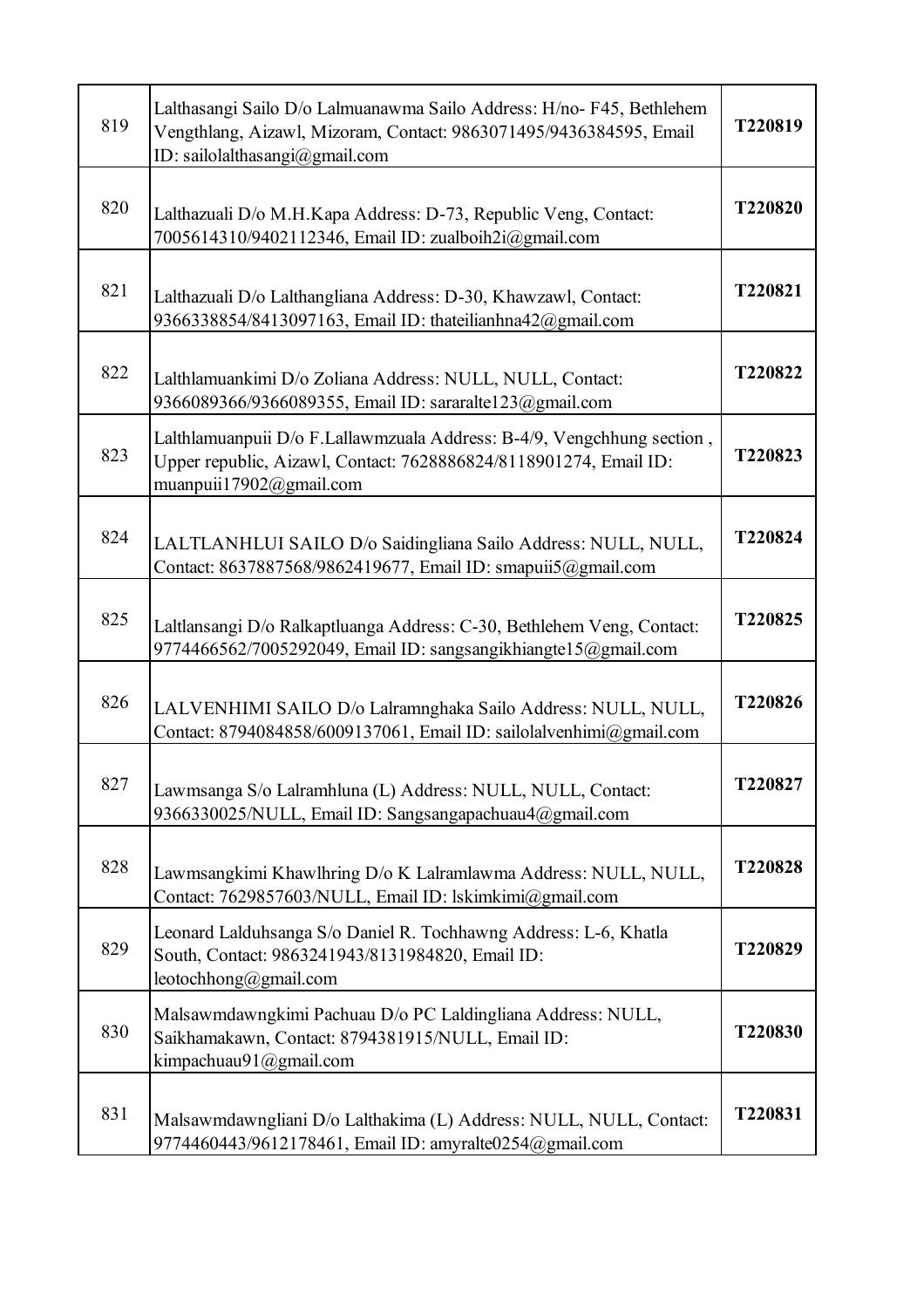| 819 | Lalthasangi Sailo D/o Lalmuanawma Sailo Address: H/no- F45, Bethlehem<br>Vengthlang, Aizawl, Mizoram, Contact: 9863071495/9436384595, Email<br>ID: sailolalthasangi@gmail.com | T220819 |
|-----|-------------------------------------------------------------------------------------------------------------------------------------------------------------------------------|---------|
| 820 | Lalthazuali D/o M.H.Kapa Address: D-73, Republic Veng, Contact:<br>7005614310/9402112346, Email ID: zualboih2i@gmail.com                                                      | T220820 |
| 821 | Lalthazuali D/o Lalthangliana Address: D-30, Khawzawl, Contact:<br>9366338854/8413097163, Email ID: thateilianhna42@gmail.com                                                 | T220821 |
| 822 | Lalthlamuankimi D/o Zoliana Address: NULL, NULL, Contact:<br>9366089366/9366089355, Email ID: sararalte123@gmail.com                                                          | T220822 |
| 823 | Lalthlamuanpuii D/o F.Lallawmzuala Address: B-4/9, Vengchhung section,<br>Upper republic, Aizawl, Contact: 7628886824/8118901274, Email ID:<br>muanpuii17902@gmail.com        | T220823 |
| 824 | LALTLANHLUI SAILO D/o Saidingliana Sailo Address: NULL, NULL,<br>Contact: 8637887568/9862419677, Email ID: smapuii5@gmail.com                                                 | T220824 |
| 825 | Laltlansangi D/o Ralkaptluanga Address: C-30, Bethlehem Veng, Contact:<br>9774466562/7005292049, Email ID: sangsangikhiangte15@gmail.com                                      | T220825 |
| 826 | LALVENHIMI SAILO D/o Lalramnghaka Sailo Address: NULL, NULL,<br>Contact: 8794084858/6009137061, Email ID: sailolalvenhimi@gmail.com                                           | T220826 |
| 827 | Lawmsanga S/o Lalramhluna (L) Address: NULL, NULL, Contact:<br>9366330025/NULL, Email ID: Sangsangapachuau4@gmail.com                                                         | T220827 |
| 828 | Lawmsangkimi Khawlhring D/o K Lalramlawma Address: NULL, NULL,<br>Contact: 7629857603/NULL, Email ID: lskimkimi@gmail.com                                                     | T220828 |
| 829 | Leonard Lalduhsanga S/o Daniel R. Tochhawng Address: L-6, Khatla<br>South, Contact: 9863241943/8131984820, Email ID:<br>leotochhong@gmail.com                                 | T220829 |
| 830 | Malsawmdawngkimi Pachuau D/o PC Laldingliana Address: NULL,<br>Saikhamakawn, Contact: 8794381915/NULL, Email ID:<br>kimpachuau91@gmail.com                                    | T220830 |
| 831 | Malsawmdawngliani D/o Lalthakima (L) Address: NULL, NULL, Contact:<br>9774460443/9612178461, Email ID: amyralte0254@gmail.com                                                 | T220831 |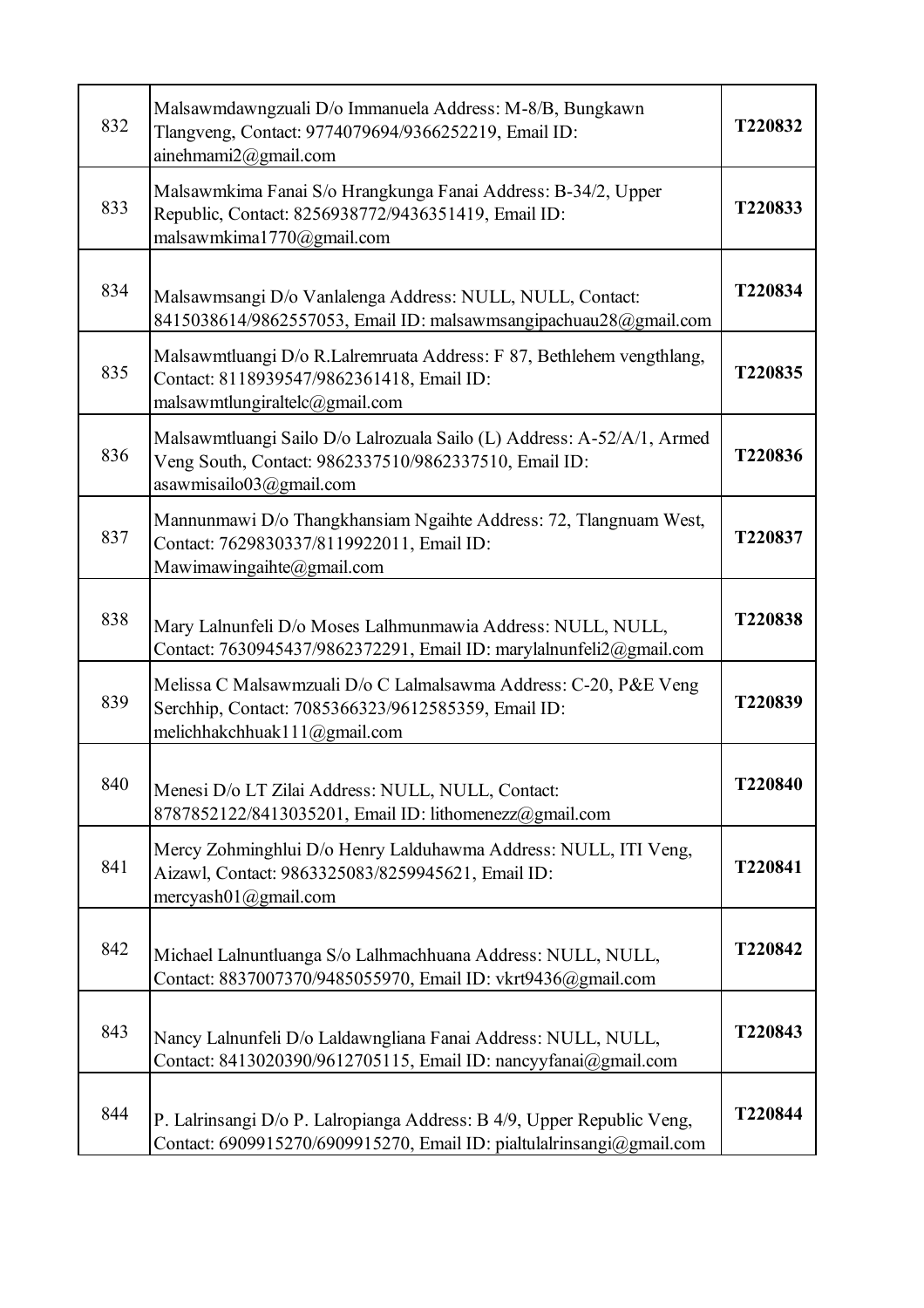|     | Malsawmdawngzuali D/o Immanuela Address: M-8/B, Bungkawn                                                                                                   |         |
|-----|------------------------------------------------------------------------------------------------------------------------------------------------------------|---------|
| 832 | Tlangveng, Contact: 9774079694/9366252219, Email ID:<br>ainehmami2@gmail.com                                                                               | T220832 |
| 833 | Malsawmkima Fanai S/o Hrangkunga Fanai Address: B-34/2, Upper<br>Republic, Contact: 8256938772/9436351419, Email ID:<br>malsawmkima1770@gmail.com          | T220833 |
| 834 | Malsawmsangi D/o Vanlalenga Address: NULL, NULL, Contact:<br>8415038614/9862557053, Email ID: malsawmsangipachuau28@gmail.com                              | T220834 |
| 835 | Malsawmtluangi D/o R.Lalremruata Address: F 87, Bethlehem vengthlang,<br>Contact: 8118939547/9862361418, Email ID:<br>malsawmtlungiraltelc@gmail.com       | T220835 |
| 836 | Malsawmtluangi Sailo D/o Lalrozuala Sailo (L) Address: A-52/A/1, Armed<br>Veng South, Contact: 9862337510/9862337510, Email ID:<br>asawmisailo03@gmail.com | T220836 |
| 837 | Mannunmawi D/o Thangkhansiam Ngaihte Address: 72, Tlangnuam West,<br>Contact: 7629830337/8119922011, Email ID:<br>Mawimawingaihte@gmail.com                | T220837 |
| 838 | Mary Lalnunfeli D/o Moses Lalhmunmawia Address: NULL, NULL,<br>Contact: 7630945437/9862372291, Email ID: marylalnunfeli2@gmail.com                         | T220838 |
| 839 | Melissa C Malsawmzuali D/o C Lalmalsawma Address: C-20, P&E Veng<br>Serchhip, Contact: 7085366323/9612585359, Email ID:<br>melichhakchhuak111@gmail.com    | T220839 |
| 840 | Menesi D/o LT Zilai Address: NULL, NULL, Contact:<br>8787852122/8413035201, Email ID: lithomenezz@gmail.com                                                | T220840 |
| 841 | Mercy Zohminghlui D/o Henry Lalduhawma Address: NULL, ITI Veng,<br>Aizawl, Contact: 9863325083/8259945621, Email ID:<br>mercyash $01$ @gmail.com           | T220841 |
| 842 | Michael Lalnuntluanga S/o Lalhmachhuana Address: NULL, NULL,<br>Contact: 8837007370/9485055970, Email ID: vkrt9436@gmail.com                               | T220842 |
| 843 | Nancy Lalnunfeli D/o Laldawngliana Fanai Address: NULL, NULL,<br>Contact: 8413020390/9612705115, Email ID: nancyyfanai@gmail.com                           | T220843 |
| 844 | P. Lalrinsangi D/o P. Lalropianga Address: B 4/9, Upper Republic Veng,<br>Contact: 6909915270/6909915270, Email ID: pialtulalrinsangi@gmail.com            | T220844 |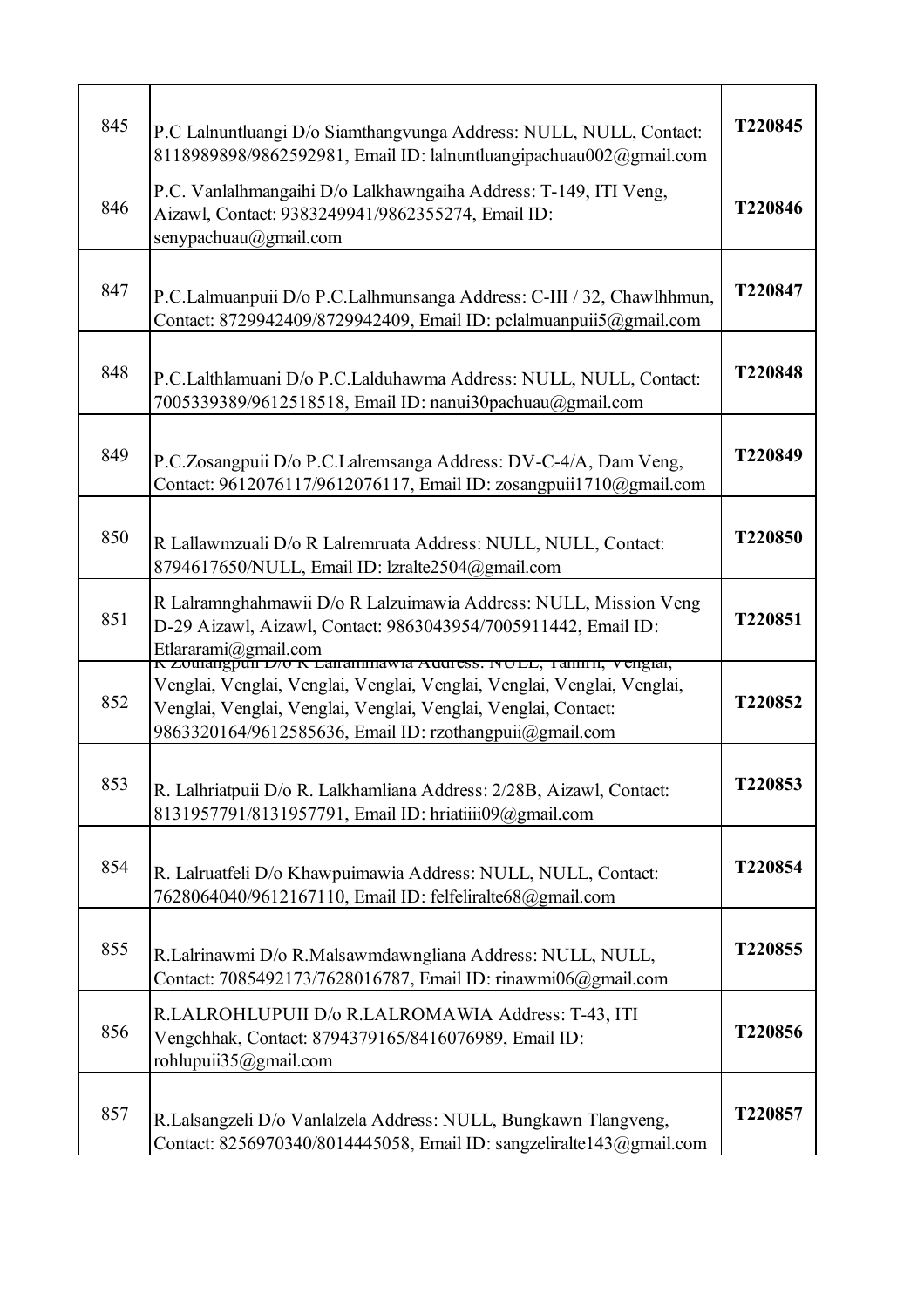| 845 | P.C Lalnuntluangi D/o Siamthangvunga Address: NULL, NULL, Contact:<br>8118989898/9862592981, Email ID: lalnuntluangipachuau002@gmail.com                                                                                            | T220845 |
|-----|-------------------------------------------------------------------------------------------------------------------------------------------------------------------------------------------------------------------------------------|---------|
| 846 | P.C. Vanlalhmangaihi D/o Lalkhawngaiha Address: T-149, ITI Veng,<br>Aizawl, Contact: 9383249941/9862355274, Email ID:<br>senypachuau@gmail.com                                                                                      | T220846 |
| 847 | P.C.Lalmuanpuii D/o P.C.Lalhmunsanga Address: C-III / 32, Chawlhhmun,<br>Contact: 8729942409/8729942409, Email ID: pclalmuanpuii5@gmail.com                                                                                         | T220847 |
| 848 | P.C.Lalthlamuani D/o P.C.Lalduhawma Address: NULL, NULL, Contact:<br>7005339389/9612518518, Email ID: nanui30pachuau@gmail.com                                                                                                      | T220848 |
| 849 | P.C.Zosangpuii D/o P.C.Lalremsanga Address: DV-C-4/A, Dam Veng,<br>Contact: 9612076117/9612076117, Email ID: zosangpuii1710@gmail.com                                                                                               | T220849 |
| 850 | R Lallawmzuali D/o R Lalremruata Address: NULL, NULL, Contact:<br>8794617650/NULL, Email ID: lzralte2504@gmail.com                                                                                                                  | T220850 |
| 851 | R Lalramnghahmawii D/o R Lalzuimawia Address: NULL, Mission Veng<br>D-29 Aizawl, Aizawl, Contact: 9863043954/7005911442, Email ID:<br>Etlararami@gmail.com<br><u>K Zoulangpun D70 K Lanannnawia Auguess. NOLL, Tannin, Vengial,</u> | T220851 |
| 852 | Venglai, Venglai, Venglai, Venglai, Venglai, Venglai, Venglai, Venglai,<br>Venglai, Venglai, Venglai, Venglai, Venglai, Venglai, Contact:<br>9863320164/9612585636, Email ID: rzothangpuii@gmail.com                                | T220852 |
| 853 | R. Lalhriatpuii D/o R. Lalkhamliana Address: 2/28B, Aizawl, Contact:<br>8131957791/8131957791, Email ID: hriatiiii09@gmail.com                                                                                                      | T220853 |
| 854 | R. Lalruatfeli D/o Khawpuimawia Address: NULL, NULL, Contact:<br>7628064040/9612167110, Email ID: felfeliralte68@gmail.com                                                                                                          | T220854 |
| 855 | R.Lalrinawmi D/o R.Malsawmdawngliana Address: NULL, NULL,<br>Contact: 7085492173/7628016787, Email ID: rinawmi06@gmail.com                                                                                                          | T220855 |
| 856 | R.LALROHLUPUII D/o R.LALROMAWIA Address: T-43, ITI<br>Vengchhak, Contact: 8794379165/8416076989, Email ID:<br>rohlupuii35@gmail.com                                                                                                 | T220856 |
| 857 | R.Lalsangzeli D/o Vanlalzela Address: NULL, Bungkawn Tlangveng,<br>Contact: 8256970340/8014445058, Email ID: sangzeliralte143@gmail.com                                                                                             | T220857 |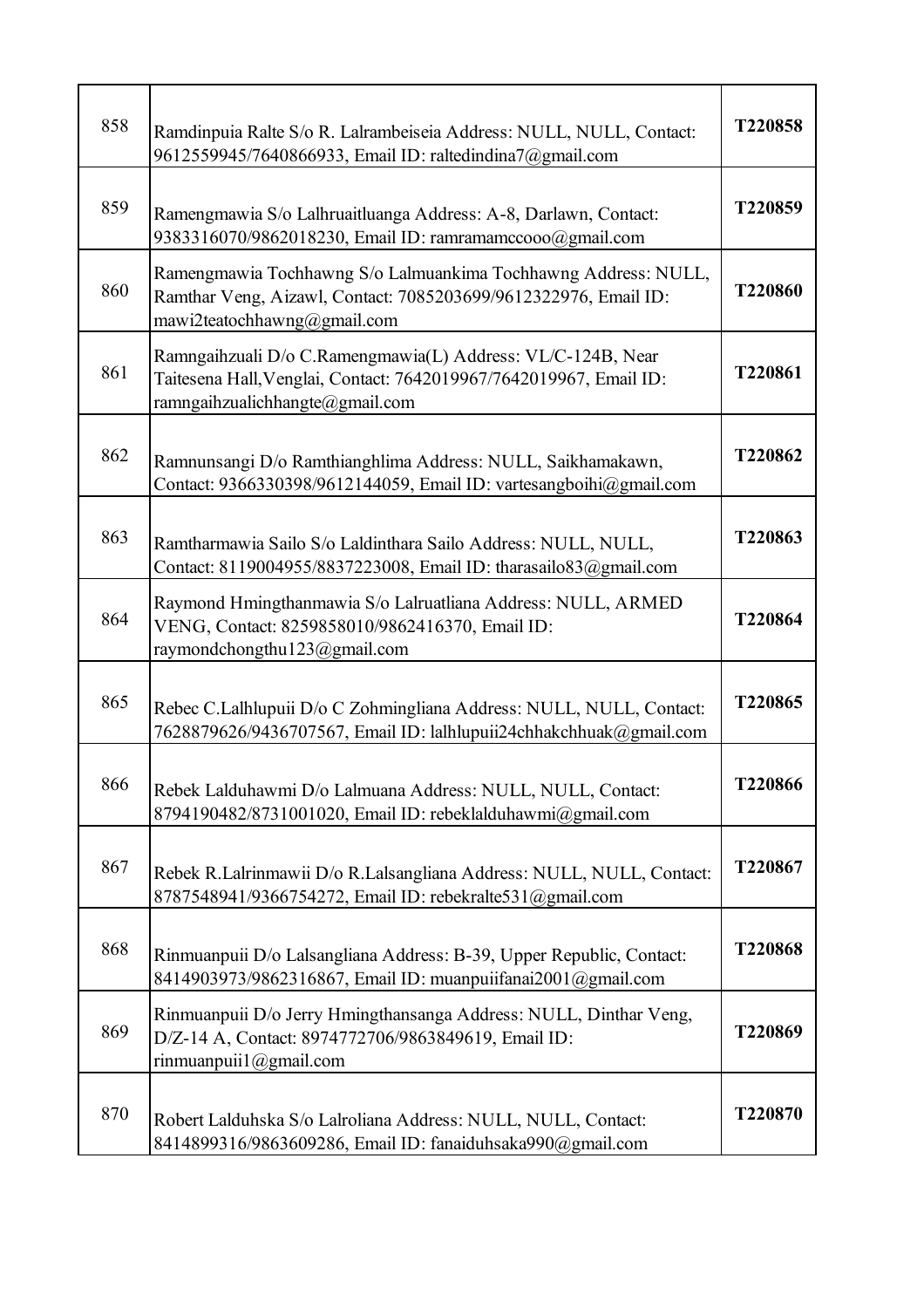| 858 | Ramdinpuia Ralte S/o R. Lalrambeiseia Address: NULL, NULL, Contact:<br>9612559945/7640866933, Email ID: raltedindina7@gmail.com                                      | T220858 |
|-----|----------------------------------------------------------------------------------------------------------------------------------------------------------------------|---------|
| 859 | Ramengmawia S/o Lalhruaitluanga Address: A-8, Darlawn, Contact:<br>9383316070/9862018230, Email ID: ramramamccooo@gmail.com                                          | T220859 |
| 860 | Ramengmawia Tochhawng S/o Lalmuankima Tochhawng Address: NULL,<br>Ramthar Veng, Aizawl, Contact: 7085203699/9612322976, Email ID:<br>mawi2teatochhawng@gmail.com     | T220860 |
| 861 | Ramngaihzuali D/o C.Ramengmawia(L) Address: VL/C-124B, Near<br>Taitesena Hall, Venglai, Contact: 7642019967/7642019967, Email ID:<br>ramngaihzualichhangte@gmail.com | T220861 |
| 862 | Ramnunsangi D/o Ramthianghlima Address: NULL, Saikhamakawn,<br>Contact: 9366330398/9612144059, Email ID: vartesangboihi@gmail.com                                    | T220862 |
| 863 | Ramtharmawia Sailo S/o Laldinthara Sailo Address: NULL, NULL,<br>Contact: 8119004955/8837223008, Email ID: tharasailo83@gmail.com                                    | T220863 |
| 864 | Raymond Hmingthanmawia S/o Lalruatliana Address: NULL, ARMED<br>VENG, Contact: 8259858010/9862416370, Email ID:<br>raymondchongthu123@gmail.com                      | T220864 |
| 865 | Rebec C.Lalhlupuii D/o C Zohmingliana Address: NULL, NULL, Contact:<br>7628879626/9436707567, Email ID: lalhlupuii24chhakchhuak@gmail.com                            | T220865 |
| 866 | Rebek Lalduhawmi D/o Lalmuana Address: NULL, NULL, Contact:<br>8794190482/8731001020, Email ID: rebeklalduhawmi@gmail.com                                            | T220866 |
| 867 | Rebek R.Lalrinmawii D/o R.Lalsangliana Address: NULL, NULL, Contact:<br>8787548941/9366754272, Email ID: rebekralte531@gmail.com                                     | T220867 |
| 868 | Rinmuanpuii D/o Lalsangliana Address: B-39, Upper Republic, Contact:<br>8414903973/9862316867, Email ID: muanpuiifanai2001@gmail.com                                 | T220868 |
| 869 | Rinmuanpuii D/o Jerry Hmingthansanga Address: NULL, Dinthar Veng,<br>D/Z-14 A, Contact: 8974772706/9863849619, Email ID:<br>rinmuanpuii1@gmail.com                   | T220869 |
| 870 | Robert Lalduhska S/o Lalroliana Address: NULL, NULL, Contact:<br>8414899316/9863609286, Email ID: fanaiduhsaka990@gmail.com                                          | T220870 |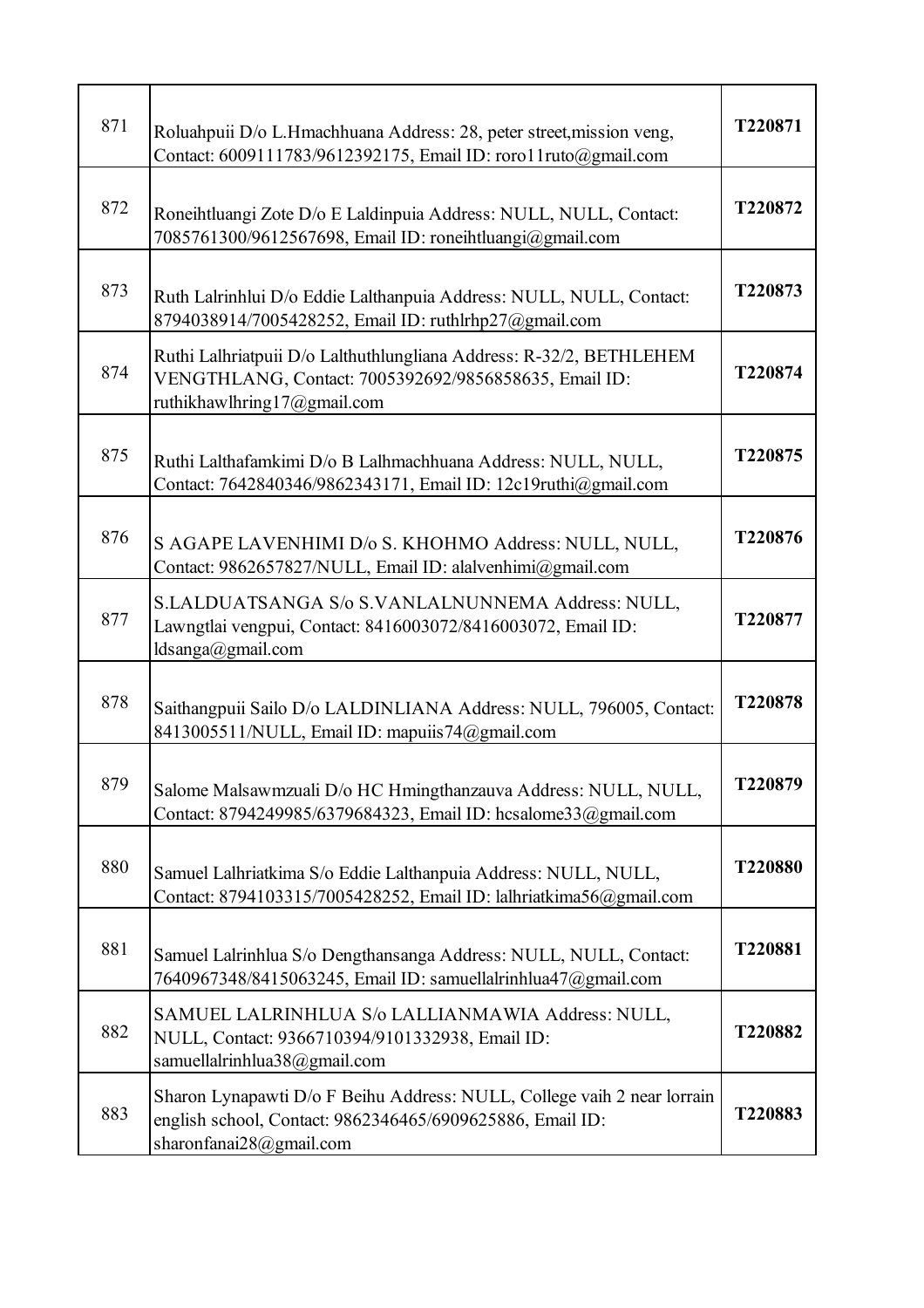| 871 | Roluahpuii D/o L.Hmachhuana Address: 28, peter street, mission veng,<br>Contact: 6009111783/9612392175, Email ID: roro11ruto@gmail.com                          | T220871 |
|-----|-----------------------------------------------------------------------------------------------------------------------------------------------------------------|---------|
| 872 | Roneihtluangi Zote D/o E Laldinpuia Address: NULL, NULL, Contact:<br>7085761300/9612567698, Email ID: roneihtluangi@gmail.com                                   | T220872 |
| 873 | Ruth Lalrinhlui D/o Eddie Lalthanpuia Address: NULL, NULL, Contact:<br>8794038914/7005428252, Email ID: ruthlrhp27@gmail.com                                    | T220873 |
| 874 | Ruthi Lalhriatpuii D/o Lalthuthlungliana Address: R-32/2, BETHLEHEM<br>VENGTHLANG, Contact: 7005392692/9856858635, Email ID:<br>ruthikhawlhring17@gmail.com     | T220874 |
| 875 | Ruthi Lalthafamkimi D/o B Lalhmachhuana Address: NULL, NULL,<br>Contact: 7642840346/9862343171, Email ID: 12c19ruthi@gmail.com                                  | T220875 |
| 876 | S AGAPE LAVENHIMI D/o S. KHOHMO Address: NULL, NULL,<br>Contact: 9862657827/NULL, Email ID: alalvenhimi@gmail.com                                               | T220876 |
| 877 | S.LALDUATSANGA S/o S.VANLALNUNNEMA Address: NULL,<br>Lawngtlai vengpui, Contact: 8416003072/8416003072, Email ID:<br>ldsanga@gmail.com                          | T220877 |
| 878 | Saithangpuii Sailo D/o LALDINLIANA Address: NULL, 796005, Contact:<br>8413005511/NULL, Email ID: mapuiis74@gmail.com                                            | T220878 |
| 879 | Salome Malsawmzuali D/o HC Hmingthanzauva Address: NULL, NULL,<br>Contact: 8794249985/6379684323, Email ID: hcsalome33@gmail.com                                | T220879 |
| 880 | Samuel Lalhriatkima S/o Eddie Lalthanpuia Address: NULL, NULL,<br>Contact: 8794103315/7005428252, Email ID: lalhriatkima56@gmail.com                            | T220880 |
| 881 | Samuel Lalrinhlua S/o Dengthansanga Address: NULL, NULL, Contact:<br>7640967348/8415063245, Email ID: samuellalrinhlua47@gmail.com                              | T220881 |
| 882 | SAMUEL LALRINHLUA S/o LALLIANMAWIA Address: NULL,<br>NULL, Contact: 9366710394/9101332938, Email ID:<br>samuellalrinhlua38@gmail.com                            | T220882 |
| 883 | Sharon Lynapawti D/o F Beihu Address: NULL, College vaih 2 near lorrain<br>english school, Contact: 9862346465/6909625886, Email ID:<br>sharonfanai28@gmail.com | T220883 |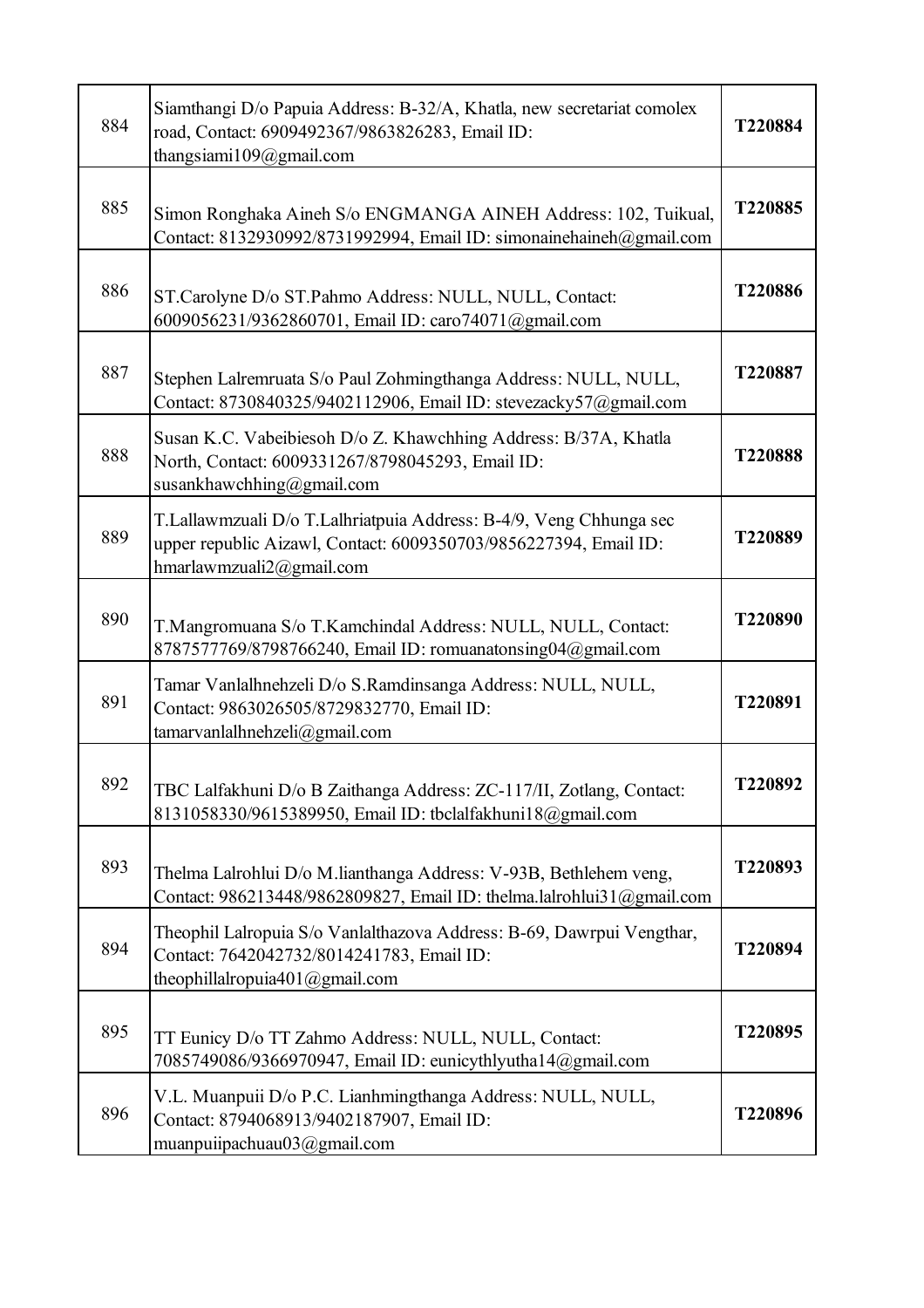| 884 | Siamthangi D/o Papuia Address: B-32/A, Khatla, new secretariat comolex<br>road, Contact: 6909492367/9863826283, Email ID:<br>thangsiami109@gmail.com               | T220884 |
|-----|--------------------------------------------------------------------------------------------------------------------------------------------------------------------|---------|
| 885 | Simon Ronghaka Aineh S/o ENGMANGA AINEH Address: 102, Tuikual,<br>Contact: 8132930992/8731992994, Email ID: simonainehaineh@gmail.com                              | T220885 |
| 886 | ST.Carolyne D/o ST.Pahmo Address: NULL, NULL, Contact:<br>6009056231/9362860701, Email ID: caro74071@gmail.com                                                     | T220886 |
| 887 | Stephen Lalremruata S/o Paul Zohmingthanga Address: NULL, NULL,<br>Contact: 8730840325/9402112906, Email ID: stevezacky57@gmail.com                                | T220887 |
| 888 | Susan K.C. Vabeibiesoh D/o Z. Khawchhing Address: B/37A, Khatla<br>North, Contact: 6009331267/8798045293, Email ID:<br>susankhawchhing@gmail.com                   | T220888 |
| 889 | T.Lallawmzuali D/o T.Lalhriatpuia Address: B-4/9, Veng Chhunga sec<br>upper republic Aizawl, Contact: 6009350703/9856227394, Email ID:<br>hmarlawmzuali2@gmail.com | T220889 |
| 890 | T.Mangromuana S/o T.Kamchindal Address: NULL, NULL, Contact:<br>8787577769/8798766240, Email ID: romuanatonsing04@gmail.com                                        | T220890 |
| 891 | Tamar Vanlalhnehzeli D/o S.Ramdinsanga Address: NULL, NULL,<br>Contact: 9863026505/8729832770, Email ID:<br>tamarvanlalhnehzeli@gmail.com                          | T220891 |
| 892 | TBC Lalfakhuni D/o B Zaithanga Address: ZC-117/II, Zotlang, Contact:<br>8131058330/9615389950, Email ID: tbclalfakhuni18@gmail.com                                 | T220892 |
| 893 | Thelma Lalrohlui D/o M.lianthanga Address: V-93B, Bethlehem veng,<br>Contact: 986213448/9862809827, Email ID: thelma.lalrohlui31@gmail.com                         | T220893 |
| 894 | Theophil Lalropuia S/o Vanlalthazova Address: B-69, Dawrpui Vengthar,<br>Contact: 7642042732/8014241783, Email ID:<br>theophillalropuia401@gmail.com               | T220894 |
| 895 | TT Eunicy D/o TT Zahmo Address: NULL, NULL, Contact:<br>7085749086/9366970947, Email ID: eunicythlyutha14@gmail.com                                                | T220895 |
| 896 | V.L. Muanpuii D/o P.C. Lianhmingthanga Address: NULL, NULL,<br>Contact: 8794068913/9402187907, Email ID:<br>muanpuiipachuau03@gmail.com                            | T220896 |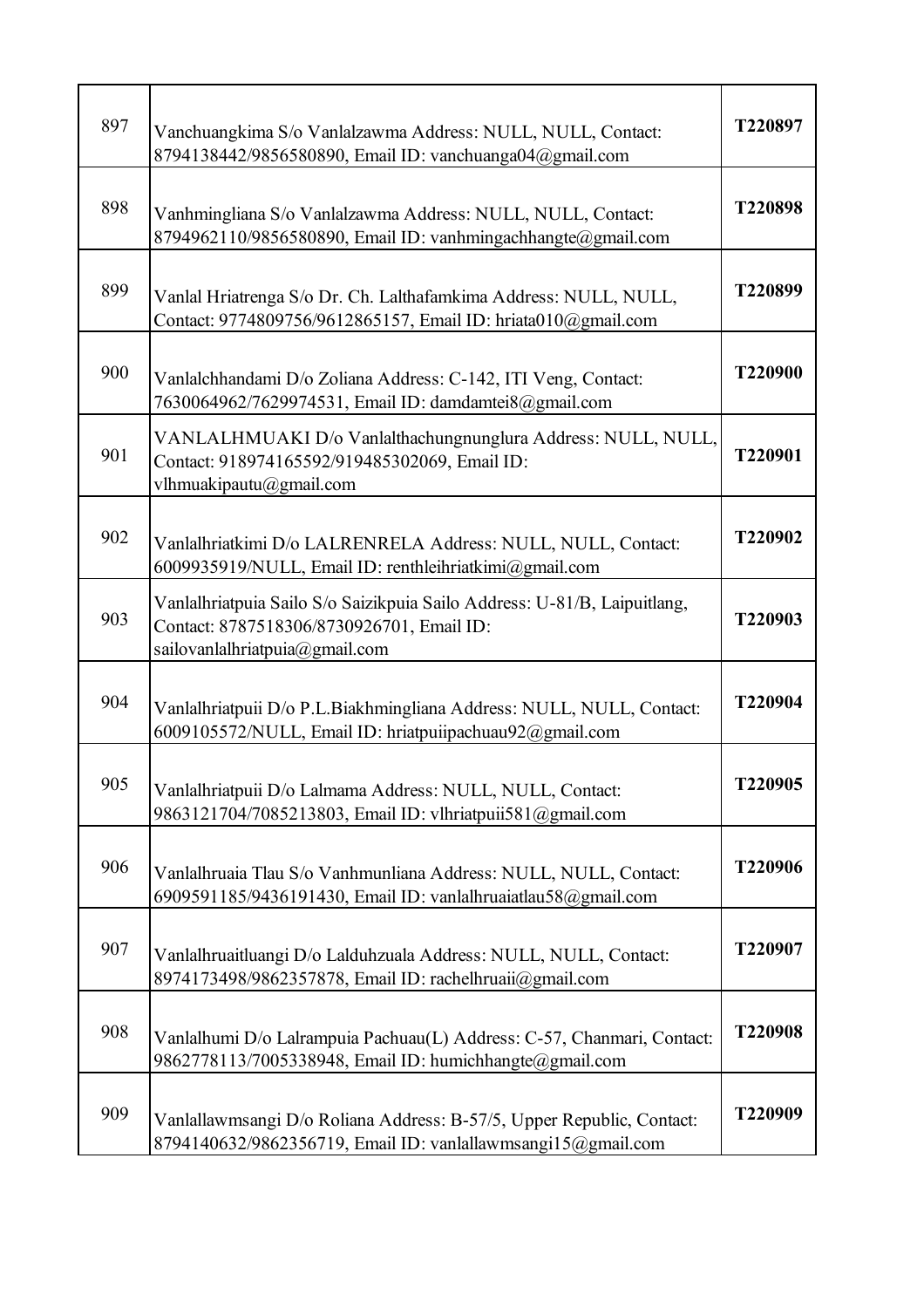| 897 | Vanchuangkima S/o Vanlalzawma Address: NULL, NULL, Contact:<br>8794138442/9856580890, Email ID: vanchuanga04@gmail.com                                  | T220897 |
|-----|---------------------------------------------------------------------------------------------------------------------------------------------------------|---------|
| 898 | Vanhmingliana S/o Vanlalzawma Address: NULL, NULL, Contact:<br>8794962110/9856580890, Email ID: vanhmingachhangte@gmail.com                             | T220898 |
| 899 | Vanlal Hriatrenga S/o Dr. Ch. Lalthafamkima Address: NULL, NULL,<br>Contact: 9774809756/9612865157, Email ID: hriata010@gmail.com                       | T220899 |
| 900 | Vanlalchhandami D/o Zoliana Address: C-142, ITI Veng, Contact:<br>7630064962/7629974531, Email ID: damdamtei8@gmail.com                                 | T220900 |
| 901 | VANLALHMUAKI D/o Vanlalthachungnunglura Address: NULL, NULL,<br>Contact: 918974165592/919485302069, Email ID:<br>vlhmuakipautu@gmail.com                | T220901 |
| 902 | Vanlalhriatkimi D/o LALRENRELA Address: NULL, NULL, Contact:<br>6009935919/NULL, Email ID: renthleihriatkimi@gmail.com                                  | T220902 |
| 903 | Vanlalhriatpuia Sailo S/o Saizikpuia Sailo Address: U-81/B, Laipuitlang,<br>Contact: 8787518306/8730926701, Email ID:<br>sailovanlalhriatpuia@gmail.com | T220903 |
| 904 | Vanlalhriatpuii D/o P.L.Biakhmingliana Address: NULL, NULL, Contact:<br>6009105572/NULL, Email ID: hriatpuiipachuau92@gmail.com                         | T220904 |
| 905 | Vanlalhriatpuii D/o Lalmama Address: NULL, NULL, Contact:<br>9863121704/7085213803, Email ID: vlhriatpuii581@gmail.com                                  | T220905 |
| 906 | Vanlalhruaia Tlau S/o Vanhmunliana Address: NULL, NULL, Contact:<br>6909591185/9436191430, Email ID: vanlalhruaiatlau58@gmail.com                       | T220906 |
| 907 | Vanlalhruaitluangi D/o Lalduhzuala Address: NULL, NULL, Contact:<br>8974173498/9862357878, Email ID: rachelhruaii@gmail.com                             | T220907 |
| 908 | Vanlalhumi D/o Lalrampuia Pachuau(L) Address: C-57, Chanmari, Contact:<br>9862778113/7005338948, Email ID: humichhangte@gmail.com                       | T220908 |
| 909 | Vanlallawmsangi D/o Roliana Address: B-57/5, Upper Republic, Contact:<br>8794140632/9862356719, Email ID: vanlallawmsangi15@gmail.com                   | T220909 |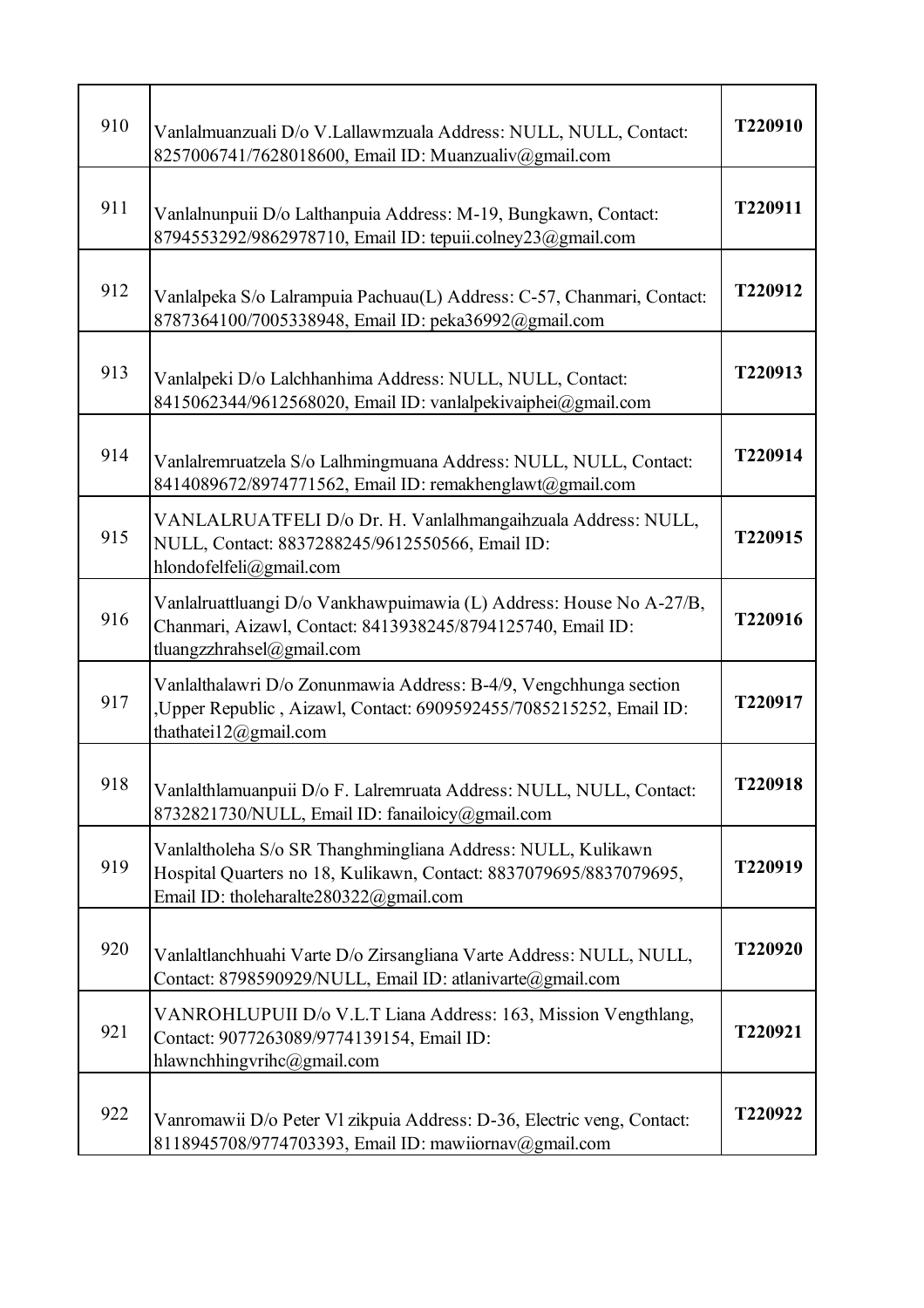| 910 | Vanlalmuanzuali D/o V.Lallawmzuala Address: NULL, NULL, Contact:<br>8257006741/7628018600, Email ID: Muanzualiv@gmail.com                                                    | T220910 |
|-----|------------------------------------------------------------------------------------------------------------------------------------------------------------------------------|---------|
| 911 | Vanlalnunpuii D/o Lalthanpuia Address: M-19, Bungkawn, Contact:<br>8794553292/9862978710, Email ID: tepuii.colney23@gmail.com                                                | T220911 |
| 912 | Vanlalpeka S/o Lalrampuia Pachuau(L) Address: C-57, Chanmari, Contact:<br>8787364100/7005338948, Email ID: peka36992@gmail.com                                               | T220912 |
| 913 | Vanlalpeki D/o Lalchhanhima Address: NULL, NULL, Contact:<br>8415062344/9612568020, Email ID: vanlalpekivaiphei@gmail.com                                                    | T220913 |
| 914 | Vanlalremruatzela S/o Lalhmingmuana Address: NULL, NULL, Contact:<br>8414089672/8974771562, Email ID: remakhenglawt@gmail.com                                                | T220914 |
| 915 | VANLALRUATFELI D/o Dr. H. Vanlalhmangaihzuala Address: NULL,<br>NULL, Contact: 8837288245/9612550566, Email ID:<br>hlondofelfeli@gmail.com                                   | T220915 |
| 916 | Vanlalruattluangi D/o Vankhawpuimawia (L) Address: House No A-27/B,<br>Chanmari, Aizawl, Contact: 8413938245/8794125740, Email ID:<br>tluangzzhrahsel@gmail.com              | T220916 |
| 917 | Vanlalthalawri D/o Zonunmawia Address: B-4/9, Vengchhunga section<br>,Upper Republic, Aizawl, Contact: 6909592455/7085215252, Email ID:<br>thathatei12@gmail.com             | T220917 |
| 918 | Vanlalthlamuanpuii D/o F. Lalremruata Address: NULL, NULL, Contact:<br>8732821730/NULL, Email ID: fanailoicy@gmail.com                                                       | T220918 |
| 919 | Vanlaltholeha S/o SR Thanghmingliana Address: NULL, Kulikawn<br>Hospital Quarters no 18, Kulikawn, Contact: 8837079695/8837079695,<br>Email ID: tholeharalte280322@gmail.com | T220919 |
| 920 | Vanlaltlanchhuahi Varte D/o Zirsangliana Varte Address: NULL, NULL,<br>Contact: 8798590929/NULL, Email ID: atlanivarte@gmail.com                                             | T220920 |
| 921 | VANROHLUPUII D/o V.L.T Liana Address: 163, Mission Vengthlang,<br>Contact: 9077263089/9774139154, Email ID:<br>hlawnchhingvrihc@gmail.com                                    | T220921 |
| 922 | Vanromawii D/o Peter Vl zikpuia Address: D-36, Electric veng, Contact:<br>8118945708/9774703393, Email ID: mawiiornav@gmail.com                                              | T220922 |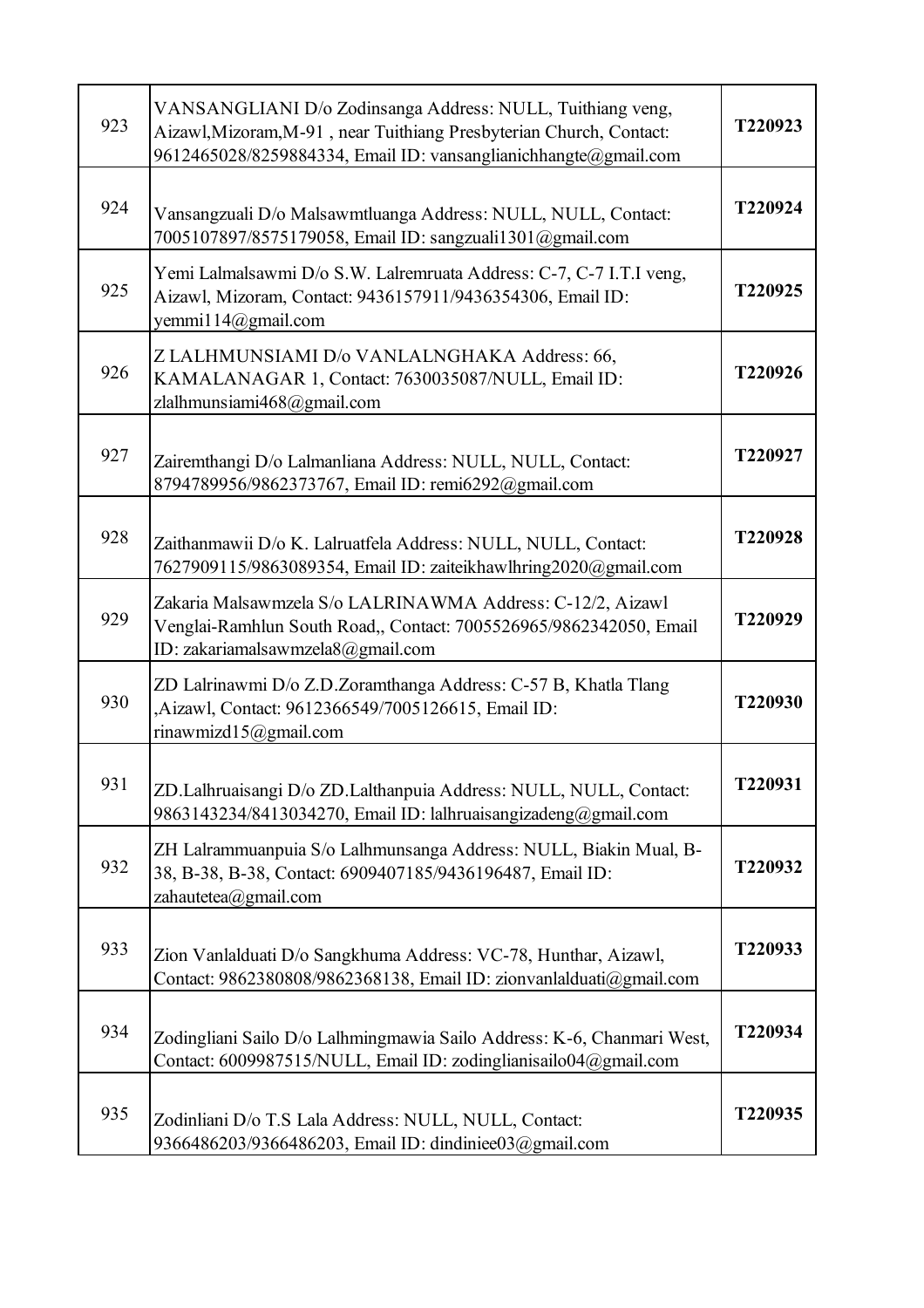| 923 | VANSANGLIANI D/o Zodinsanga Address: NULL, Tuithiang veng,<br>Aizawl, Mizoram, M-91, near Tuithiang Presbyterian Church, Contact:<br>9612465028/8259884334, Email ID: vansanglianichhangte@gmail.com | T220923        |
|-----|------------------------------------------------------------------------------------------------------------------------------------------------------------------------------------------------------|----------------|
| 924 | Vansangzuali D/o Malsawmtluanga Address: NULL, NULL, Contact:<br>7005107897/8575179058, Email ID: sangzuali1301@gmail.com                                                                            | T220924        |
| 925 | Yemi Lalmalsawmi D/o S.W. Lalremruata Address: C-7, C-7 I.T.I veng,<br>Aizawl, Mizoram, Contact: 9436157911/9436354306, Email ID:<br>yemmi $114@g$ mail.com                                          | T220925        |
| 926 | Z LALHMUNSIAMI D/o VANLALNGHAKA Address: 66,<br>KAMALANAGAR 1, Contact: 7630035087/NULL, Email ID:<br>zlalhmunsiami468@gmail.com                                                                     | T220926        |
| 927 | Zairemthangi D/o Lalmanliana Address: NULL, NULL, Contact:<br>8794789956/9862373767, Email ID: remi6292@gmail.com                                                                                    | T220927        |
| 928 | Zaithanmawii D/o K. Lalruatfela Address: NULL, NULL, Contact:<br>7627909115/9863089354, Email ID: zaiteikhawlhring2020@gmail.com                                                                     | T220928        |
| 929 | Zakaria Malsawmzela S/o LALRINAWMA Address: C-12/2, Aizawl<br>Venglai-Ramhlun South Road,, Contact: 7005526965/9862342050, Email<br>ID: zakariamalsawmzela8@gmail.com                                | T220929        |
| 930 | ZD Lalrinawmi D/o Z.D.Zoramthanga Address: C-57 B, Khatla Tlang<br>Aizawl, Contact: 9612366549/7005126615, Email ID:<br>rinawmizd15@gmail.com                                                        | T220930        |
| 931 | ZD.Lalhruaisangi D/o ZD.Lalthanpuia Address: NULL, NULL, Contact:<br>9863143234/8413034270, Email ID: lalhruaisangizadeng@gmail.com                                                                  | <b>T220931</b> |
| 932 | ZH Lalrammuanpuia S/o Lalhmunsanga Address: NULL, Biakin Mual, B-<br>38, B-38, B-38, Contact: 6909407185/9436196487, Email ID:<br>zahautetea@gmail.com                                               | T220932        |
| 933 | Zion Vanlalduati D/o Sangkhuma Address: VC-78, Hunthar, Aizawl,<br>Contact: 9862380808/9862368138, Email ID: zionvanlalduati@gmail.com                                                               | T220933        |
| 934 | Zodingliani Sailo D/o Lalhmingmawia Sailo Address: K-6, Chanmari West,<br>Contact: 6009987515/NULL, Email ID: zodinglianisailo04@gmail.com                                                           | T220934        |
| 935 | Zodinliani D/o T.S Lala Address: NULL, NULL, Contact:<br>9366486203/9366486203, Email ID: dindiniee03@gmail.com                                                                                      | T220935        |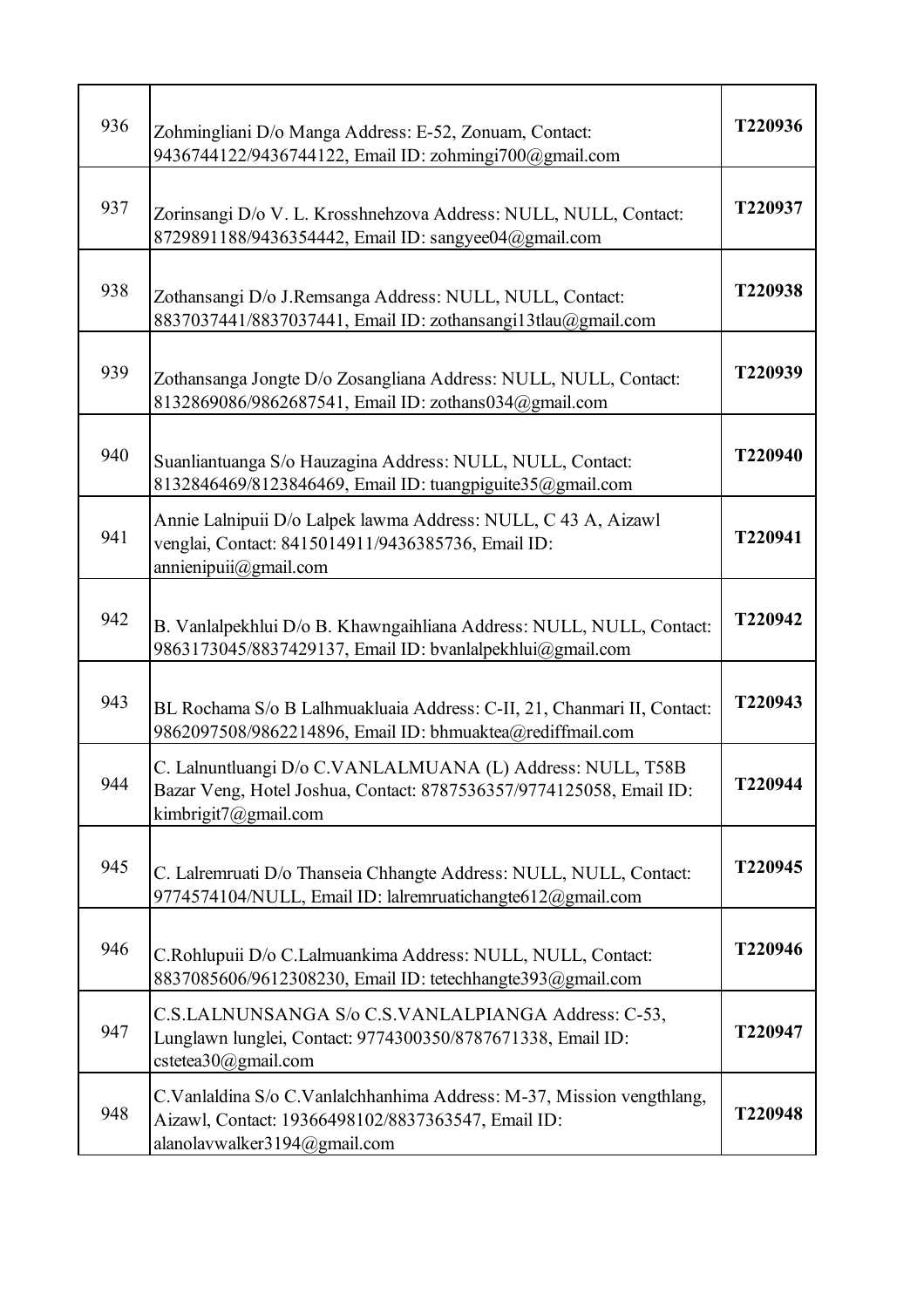| 936 | Zohmingliani D/o Manga Address: E-52, Zonuam, Contact:<br>9436744122/9436744122, Email ID: zohmingi700@gmail.com                                            | T220936 |
|-----|-------------------------------------------------------------------------------------------------------------------------------------------------------------|---------|
| 937 | Zorinsangi D/o V. L. Krosshnehzova Address: NULL, NULL, Contact:<br>8729891188/9436354442, Email ID: sangyee04@gmail.com                                    | T220937 |
| 938 | Zothansangi D/o J.Remsanga Address: NULL, NULL, Contact:<br>8837037441/8837037441, Email ID: zothansangi13tlau@gmail.com                                    | T220938 |
| 939 | Zothansanga Jongte D/o Zosangliana Address: NULL, NULL, Contact:<br>8132869086/9862687541, Email ID: zothans034@gmail.com                                   | T220939 |
| 940 | Suanliantuanga S/o Hauzagina Address: NULL, NULL, Contact:<br>8132846469/8123846469, Email ID: tuangpiguite35@gmail.com                                     | T220940 |
| 941 | Annie Lalnipuii D/o Lalpek lawma Address: NULL, C 43 A, Aizawl<br>venglai, Contact: 8415014911/9436385736, Email ID:<br>annienipuii@gmail.com               | T220941 |
| 942 | B. Vanlalpekhlui D/o B. Khawngaihliana Address: NULL, NULL, Contact:<br>9863173045/8837429137, Email ID: bvanlalpekhlui@gmail.com                           | T220942 |
| 943 | BL Rochama S/o B Lalhmuakluaia Address: C-II, 21, Chanmari II, Contact:<br>9862097508/9862214896, Email ID: bhmuaktea@rediffmail.com                        | T220943 |
| 944 | C. Lalnuntluangi D/o C.VANLALMUANA (L) Address: NULL, T58B<br>Bazar Veng, Hotel Joshua, Contact: 8787536357/9774125058, Email ID:<br>kimbrigit7@gmail.com   | T220944 |
| 945 | C. Lalremruati D/o Thanseia Chhangte Address: NULL, NULL, Contact:<br>9774574104/NULL, Email ID: lalremruatichangte612@gmail.com                            | T220945 |
| 946 | C.Rohlupuii D/o C.Lalmuankima Address: NULL, NULL, Contact:<br>8837085606/9612308230, Email ID: tetechhangte393@gmail.com                                   | T220946 |
| 947 | C.S.LALNUNSANGA S/o C.S.VANLALPIANGA Address: C-53,<br>Lunglawn lunglei, Contact: 9774300350/8787671338, Email ID:<br>cstetea30@gmail.com                   | T220947 |
| 948 | C.Vanlaldina S/o C.Vanlalchhanhima Address: M-37, Mission vengthlang,<br>Aizawl, Contact: 19366498102/8837363547, Email ID:<br>alanolavwalker3194@gmail.com | T220948 |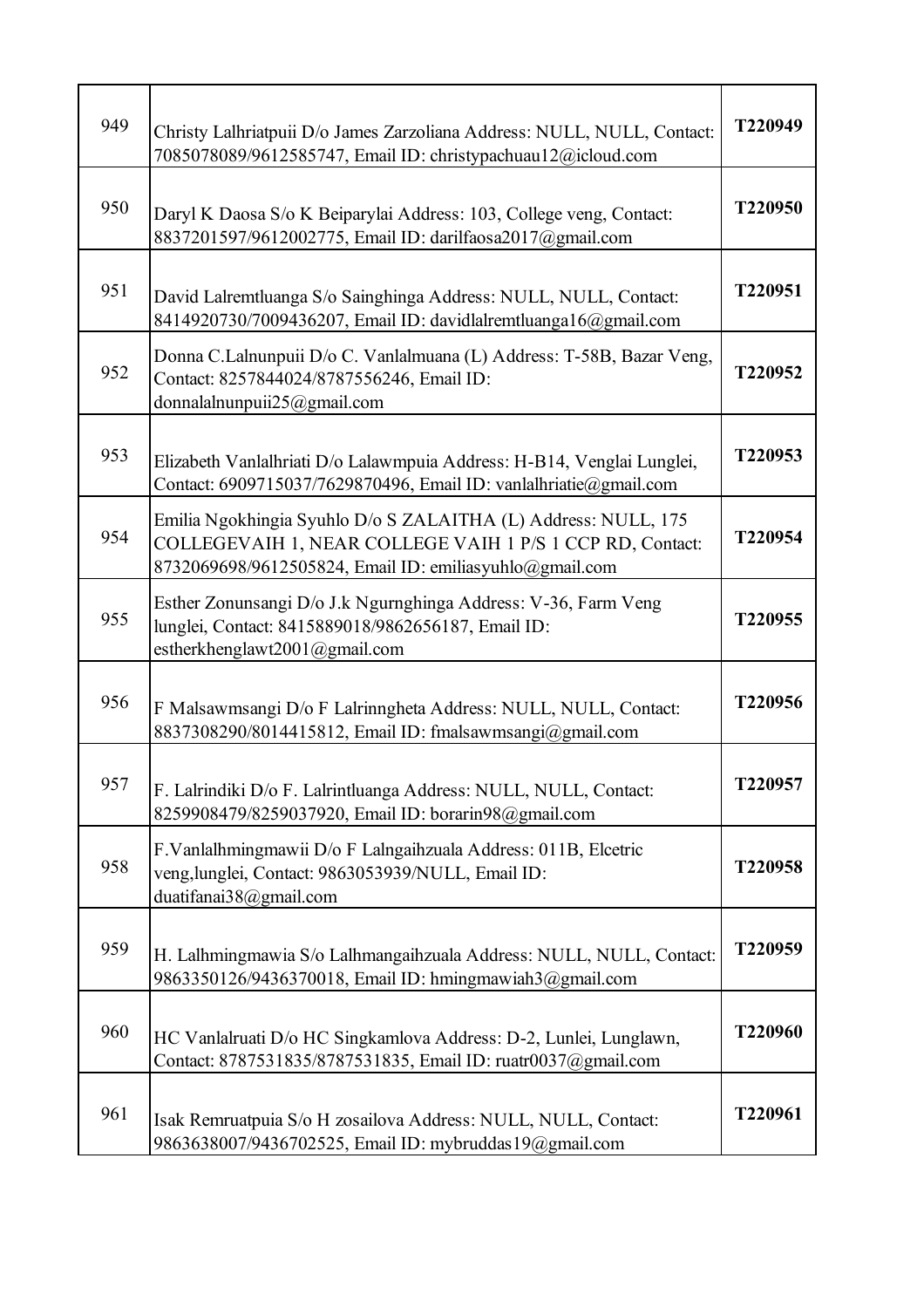| 949 | Christy Lalhriatpuii D/o James Zarzoliana Address: NULL, NULL, Contact:<br>7085078089/9612585747, Email ID: christypachuau12@icloud.com                                                | T220949 |
|-----|----------------------------------------------------------------------------------------------------------------------------------------------------------------------------------------|---------|
| 950 | Daryl K Daosa S/o K Beiparylai Address: 103, College veng, Contact:<br>8837201597/9612002775, Email ID: darilfaosa2017@gmail.com                                                       | T220950 |
| 951 | David Lalremtluanga S/o Sainghinga Address: NULL, NULL, Contact:<br>8414920730/7009436207, Email ID: davidlalremtluanga16@gmail.com                                                    | T220951 |
| 952 | Donna C.Lalnunpuii D/o C. Vanlalmuana (L) Address: T-58B, Bazar Veng,<br>Contact: 8257844024/8787556246, Email ID:<br>donnalalnunpuii25@gmail.com                                      | T220952 |
| 953 | Elizabeth Vanlalhriati D/o Lalawmpuia Address: H-B14, Venglai Lunglei,<br>Contact: 6909715037/7629870496, Email ID: vanlalhriatie@gmail.com                                            | T220953 |
| 954 | Emilia Ngokhingia Syuhlo D/o S ZALAITHA (L) Address: NULL, 175<br>COLLEGEVAIH 1, NEAR COLLEGE VAIH 1 P/S 1 CCP RD, Contact:<br>8732069698/9612505824, Email ID: emiliasyuhlo@gmail.com | T220954 |
| 955 | Esther Zonunsangi D/o J.k Ngurnghinga Address: V-36, Farm Veng<br>lunglei, Contact: 8415889018/9862656187, Email ID:<br>estherkhenglawt2001@gmail.com                                  | T220955 |
| 956 | F Malsawmsangi D/o F Lalrinngheta Address: NULL, NULL, Contact:<br>8837308290/8014415812, Email ID: fmalsawmsangi@gmail.com                                                            | T220956 |
| 957 | F. Lalrindiki D/o F. Lalrintluanga Address: NULL, NULL, Contact:<br>8259908479/8259037920, Email ID: borarin98@gmail.com                                                               | T220957 |
| 958 | F.Vanlalhmingmawii D/o F Lalngaihzuala Address: 011B, Elcetric<br>veng, lunglei, Contact: 9863053939/NULL, Email ID:<br>duatifanai38@gmail.com                                         | T220958 |
| 959 | H. Lalhmingmawia S/o Lalhmangaihzuala Address: NULL, NULL, Contact:<br>9863350126/9436370018, Email ID: hmingmawiah3@gmail.com                                                         | T220959 |
| 960 | HC Vanlalruati D/o HC Singkamlova Address: D-2, Lunlei, Lunglawn,<br>Contact: 8787531835/8787531835, Email ID: ruatr0037@gmail.com                                                     | T220960 |
| 961 | Isak Remruatpuia S/o H zosailova Address: NULL, NULL, Contact:<br>9863638007/9436702525, Email ID: mybruddas19@gmail.com                                                               | T220961 |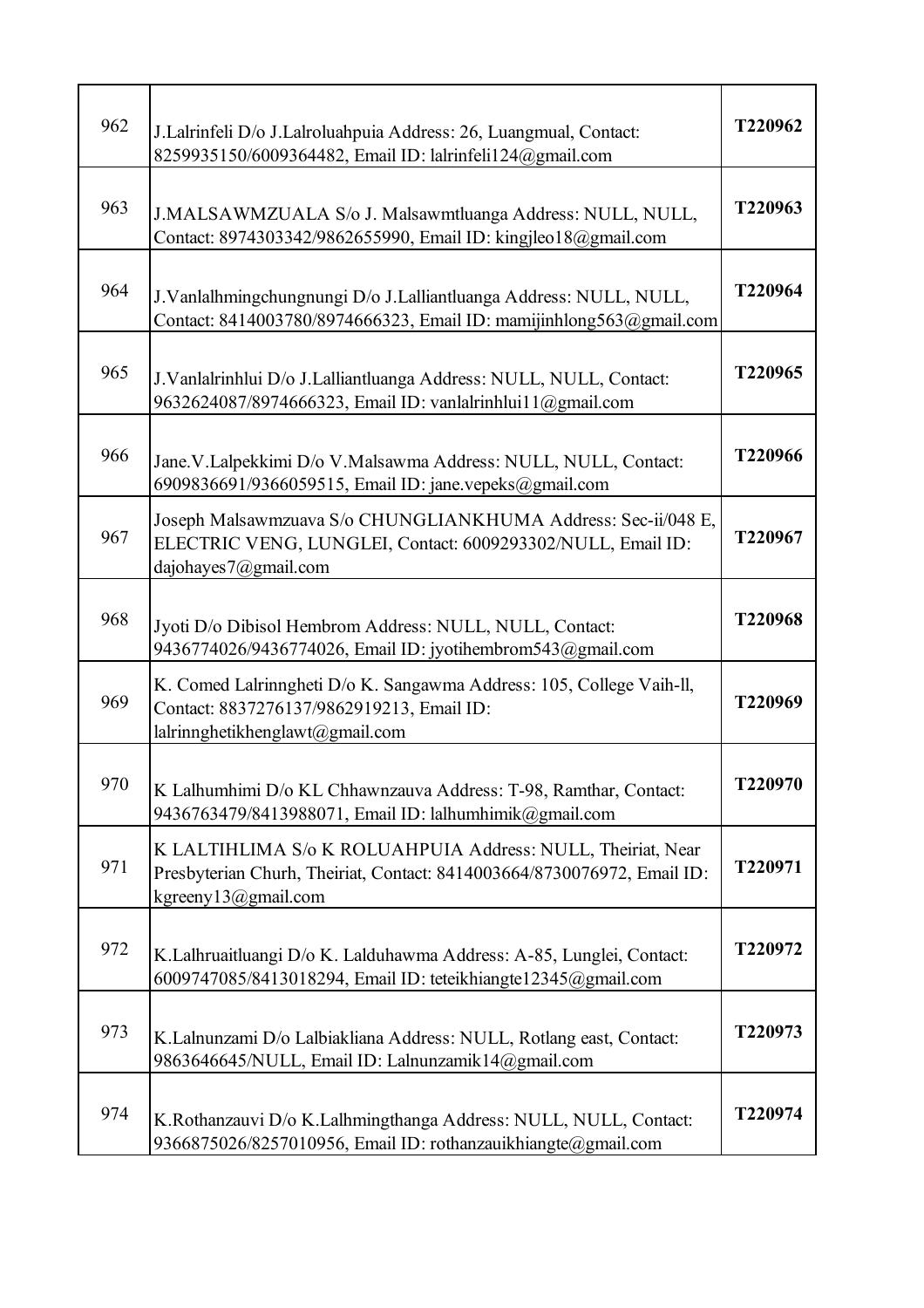| 962 | J.Lalrinfeli D/o J.Lalroluahpuia Address: 26, Luangmual, Contact:<br>8259935150/6009364482, Email ID: lalrinfeli124@gmail.com                                     | T220962 |
|-----|-------------------------------------------------------------------------------------------------------------------------------------------------------------------|---------|
| 963 | J.MALSAWMZUALA S/o J. Malsawmtluanga Address: NULL, NULL,<br>Contact: 8974303342/9862655990, Email ID: kingjleo18@gmail.com                                       | T220963 |
| 964 | J.Vanlalhmingchungnungi D/o J.Lalliantluanga Address: NULL, NULL,<br>Contact: 8414003780/8974666323, Email ID: mamijinhlong563@gmail.com                          | T220964 |
| 965 | J.Vanlalrinhlui D/o J.Lalliantluanga Address: NULL, NULL, Contact:<br>9632624087/8974666323, Email ID: vanlalrinhlui11@gmail.com                                  | T220965 |
| 966 | Jane. V.Lalpekkimi D/o V.Malsawma Address: NULL, NULL, Contact:<br>6909836691/9366059515, Email ID: jane.vepeks@gmail.com                                         | T220966 |
| 967 | Joseph Malsawmzuava S/o CHUNGLIANKHUMA Address: Sec-ii/048 E,<br>ELECTRIC VENG, LUNGLEI, Contact: 6009293302/NULL, Email ID:<br>dajohayes7@gmail.com              | T220967 |
| 968 | Jyoti D/o Dibisol Hembrom Address: NULL, NULL, Contact:<br>9436774026/9436774026, Email ID: jyotihembrom543@gmail.com                                             | T220968 |
| 969 | K. Comed Lalrinngheti D/o K. Sangawma Address: 105, College Vaih-ll,<br>Contact: 8837276137/9862919213, Email ID:<br>lalrinnghetikhenglawt@gmail.com              | T220969 |
| 970 | K Lalhumhimi D/o KL Chhawnzauva Address: T-98, Ramthar, Contact:<br>9436763479/8413988071, Email ID: lalhumhimik@gmail.com                                        | T220970 |
| 971 | K LALTIHLIMA S/o K ROLUAHPUIA Address: NULL, Theiriat, Near<br>Presbyterian Churh, Theiriat, Contact: 8414003664/8730076972, Email ID:<br>kgreeny $13@g$ mail.com | T220971 |
| 972 | K.Lalhruaitluangi D/o K. Lalduhawma Address: A-85, Lunglei, Contact:<br>6009747085/8413018294, Email ID: teteikhiangte12345@gmail.com                             | T220972 |
| 973 | K.Lalnunzami D/o Lalbiakliana Address: NULL, Rotlang east, Contact:<br>9863646645/NULL, Email ID: Lalnunzamik14@gmail.com                                         | T220973 |
| 974 | K.Rothanzauvi D/o K.Lalhmingthanga Address: NULL, NULL, Contact:<br>9366875026/8257010956, Email ID: rothanzauikhiangte@gmail.com                                 | T220974 |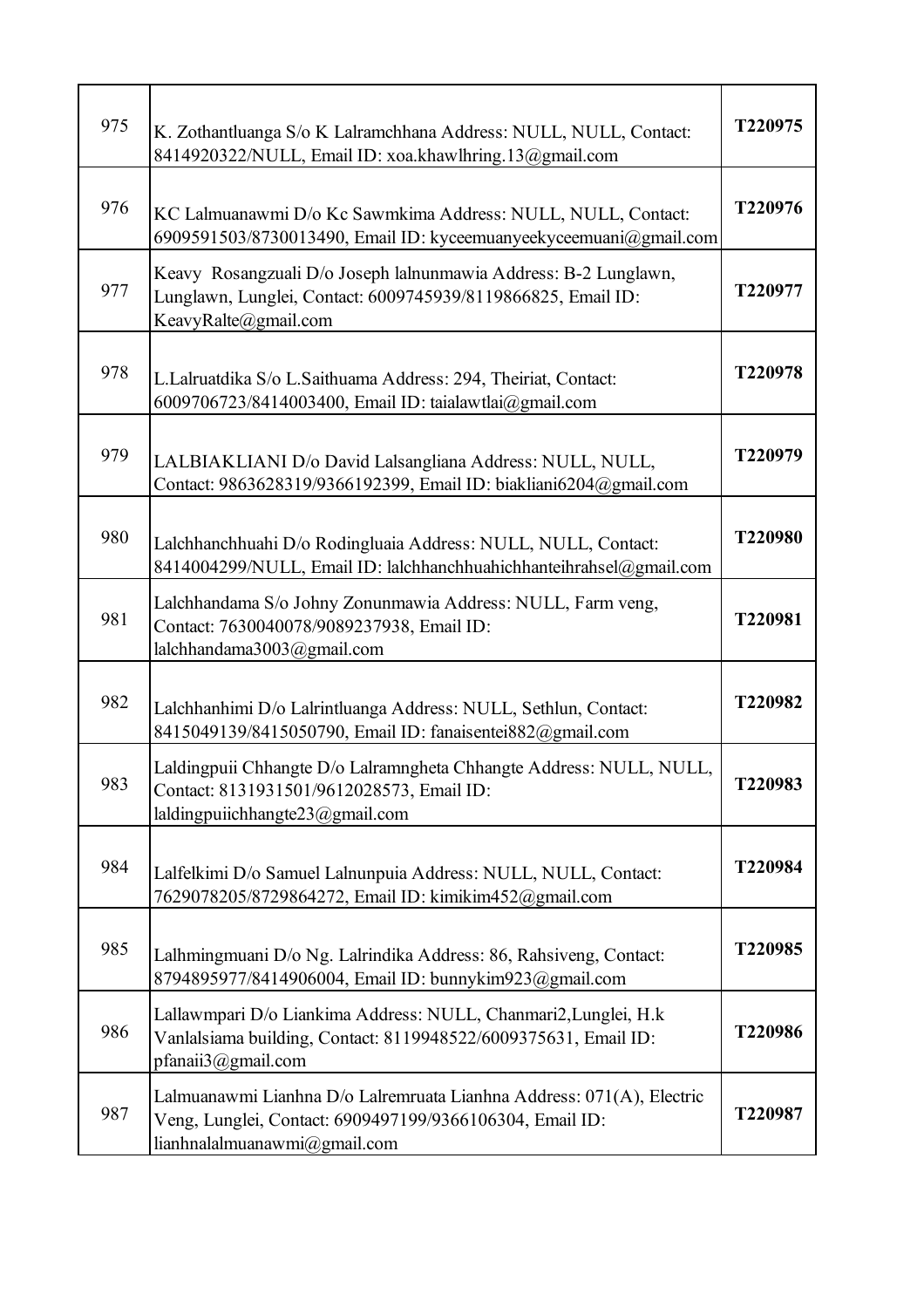| 975 | K. Zothantluanga S/o K Lalramchhana Address: NULL, NULL, Contact:<br>8414920322/NULL, Email ID: xoa.khawlhring.13@gmail.com                                       | T220975 |
|-----|-------------------------------------------------------------------------------------------------------------------------------------------------------------------|---------|
| 976 | KC Lalmuanawmi D/o Kc Sawmkima Address: NULL, NULL, Contact:<br>6909591503/8730013490, Email ID: kyceemuanyeekyceemuani@gmail.com                                 | T220976 |
| 977 | Keavy Rosangzuali D/o Joseph lalnunmawia Address: B-2 Lunglawn,<br>Lunglawn, Lunglei, Contact: 6009745939/8119866825, Email ID:<br>KeavyRalte@gmail.com           | T220977 |
| 978 | L.Lalruatdika S/o L.Saithuama Address: 294, Theiriat, Contact:<br>6009706723/8414003400, Email ID: taialawtlai@gmail.com                                          | T220978 |
| 979 | LALBIAKLIANI D/o David Lalsangliana Address: NULL, NULL,<br>Contact: 9863628319/9366192399, Email ID: biakliani6204@gmail.com                                     | T220979 |
| 980 | Lalchhanchhuahi D/o Rodingluaia Address: NULL, NULL, Contact:<br>8414004299/NULL, Email ID: lalchhanchhuahichhanteihrahsel@gmail.com                              | T220980 |
| 981 | Lalchhandama S/o Johny Zonunmawia Address: NULL, Farm veng,<br>Contact: 7630040078/9089237938, Email ID:<br>lalchhandama3003@gmail.com                            | T220981 |
| 982 | Lalchhanhimi D/o Lalrintluanga Address: NULL, Sethlun, Contact:<br>8415049139/8415050790, Email ID: fanaisentei882@gmail.com                                      | T220982 |
| 983 | Laldingpuii Chhangte D/o Lalramngheta Chhangte Address: NULL, NULL,<br>Contact: 8131931501/9612028573, Email ID:<br>laldingpuiichhangte23@gmail.com               | 1220983 |
| 984 | Lalfelkimi D/o Samuel Lalnunpuia Address: NULL, NULL, Contact:<br>7629078205/8729864272, Email ID: kimikim452@gmail.com                                           | T220984 |
| 985 | Lalhmingmuani D/o Ng. Lalrindika Address: 86, Rahsiveng, Contact:<br>8794895977/8414906004, Email ID: bunnykim923@gmail.com                                       | T220985 |
| 986 | Lallawmpari D/o Liankima Address: NULL, Chanmari2, Lunglei, H.k<br>Vanlalsiama building, Contact: 8119948522/6009375631, Email ID:<br>pfanaii3@gmail.com          | T220986 |
| 987 | Lalmuanawmi Lianhna D/o Lalremruata Lianhna Address: 071(A), Electric<br>Veng, Lunglei, Contact: 6909497199/9366106304, Email ID:<br>lianhnalalmuanawmi@gmail.com | T220987 |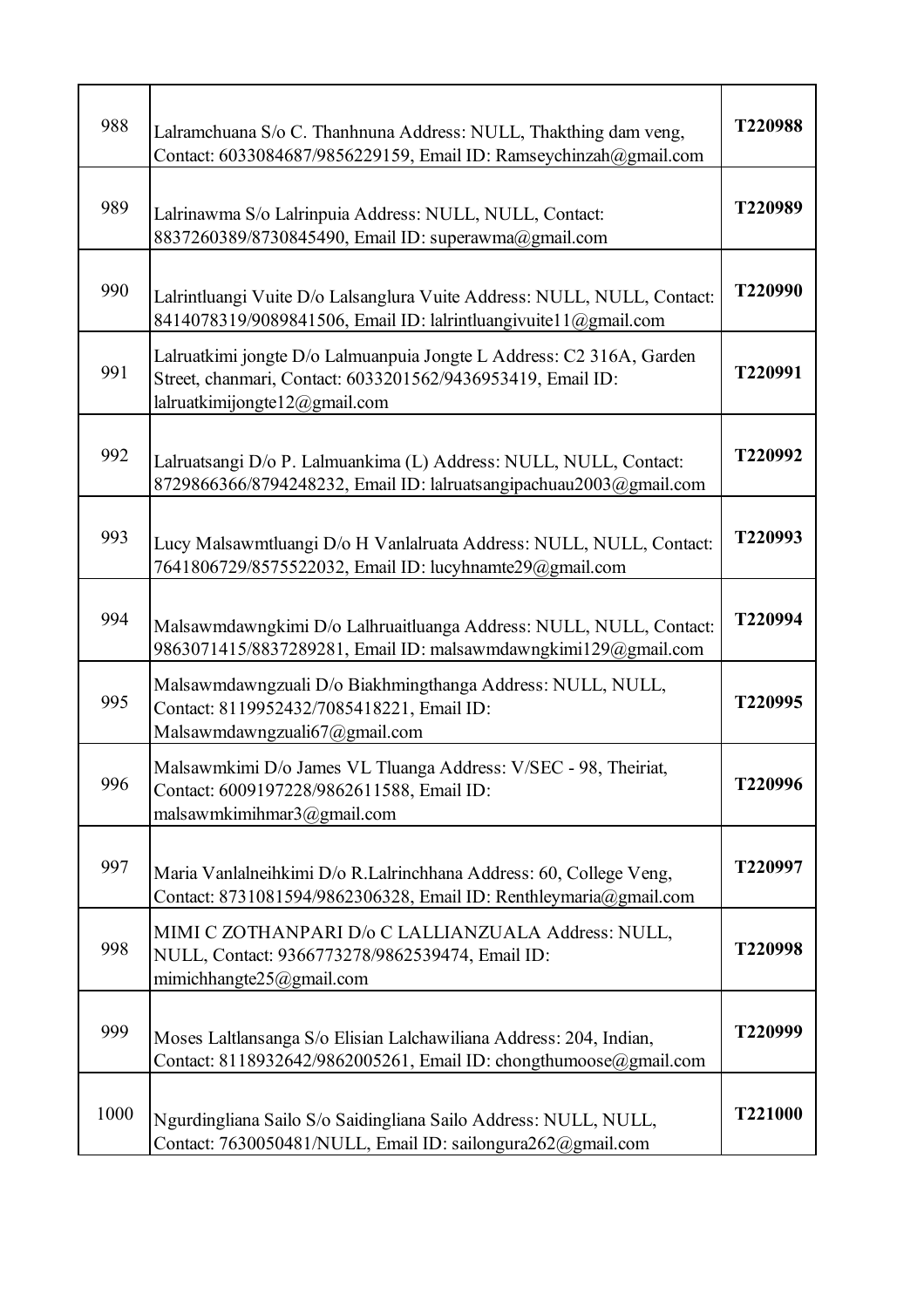| 988  | Lalramchuana S/o C. Thanhnuna Address: NULL, Thakthing dam veng,<br>Contact: 6033084687/9856229159, Email ID: Ramseychinzah@gmail.com                                    | T220988 |
|------|--------------------------------------------------------------------------------------------------------------------------------------------------------------------------|---------|
| 989  | Lalrinawma S/o Lalrinpuia Address: NULL, NULL, Contact:<br>8837260389/8730845490, Email ID: superawma@gmail.com                                                          | T220989 |
| 990  | Lalrintluangi Vuite D/o Lalsanglura Vuite Address: NULL, NULL, Contact:<br>8414078319/9089841506, Email ID: lalrintluangivuitel 1@gmail.com                              | T220990 |
| 991  | Lalruatkimi jongte D/o Lalmuanpuia Jongte L Address: C2 316A, Garden<br>Street, chanmari, Contact: 6033201562/9436953419, Email ID:<br>lalruatkimijongte $12@$ gmail.com | T220991 |
| 992  | Lalruatsangi D/o P. Lalmuankima (L) Address: NULL, NULL, Contact:<br>8729866366/8794248232, Email ID: lalruatsangipachuau2003@gmail.com                                  | T220992 |
| 993  | Lucy Malsawmtluangi D/o H Vanlalruata Address: NULL, NULL, Contact:<br>7641806729/8575522032, Email ID: lucyhnamte29@gmail.com                                           | T220993 |
| 994  | Malsawmdawngkimi D/o Lalhruaitluanga Address: NULL, NULL, Contact:<br>9863071415/8837289281, Email ID: malsawmdawngkimi129@gmail.com                                     | T220994 |
| 995  | Malsawmdawngzuali D/o Biakhmingthanga Address: NULL, NULL,<br>Contact: 8119952432/7085418221, Email ID:<br>Malsawmdawngzuali67@gmail.com                                 | T220995 |
| 996  | Malsawmkimi D/o James VL Tluanga Address: V/SEC - 98, Theiriat,<br>Contact: 6009197228/9862611588, Email ID:<br>malsawmkimihmar3@gmail.com                               | T220996 |
| 997  | Maria Vanlalneihkimi D/o R.Lalrinchhana Address: 60, College Veng,<br>Contact: 8731081594/9862306328, Email ID: Renthleymaria@gmail.com                                  | T220997 |
| 998  | MIMI C ZOTHANPARI D/o C LALLIANZUALA Address: NULL,<br>NULL, Contact: 9366773278/9862539474, Email ID:<br>mimichhangte25@gmail.com                                       | T220998 |
| 999  | Moses Laltlansanga S/o Elisian Lalchawiliana Address: 204, Indian,<br>Contact: 8118932642/9862005261, Email ID: chongthumoose@gmail.com                                  | T220999 |
| 1000 | Ngurdingliana Sailo S/o Saidingliana Sailo Address: NULL, NULL,<br>Contact: 7630050481/NULL, Email ID: sailongura262@gmail.com                                           | T221000 |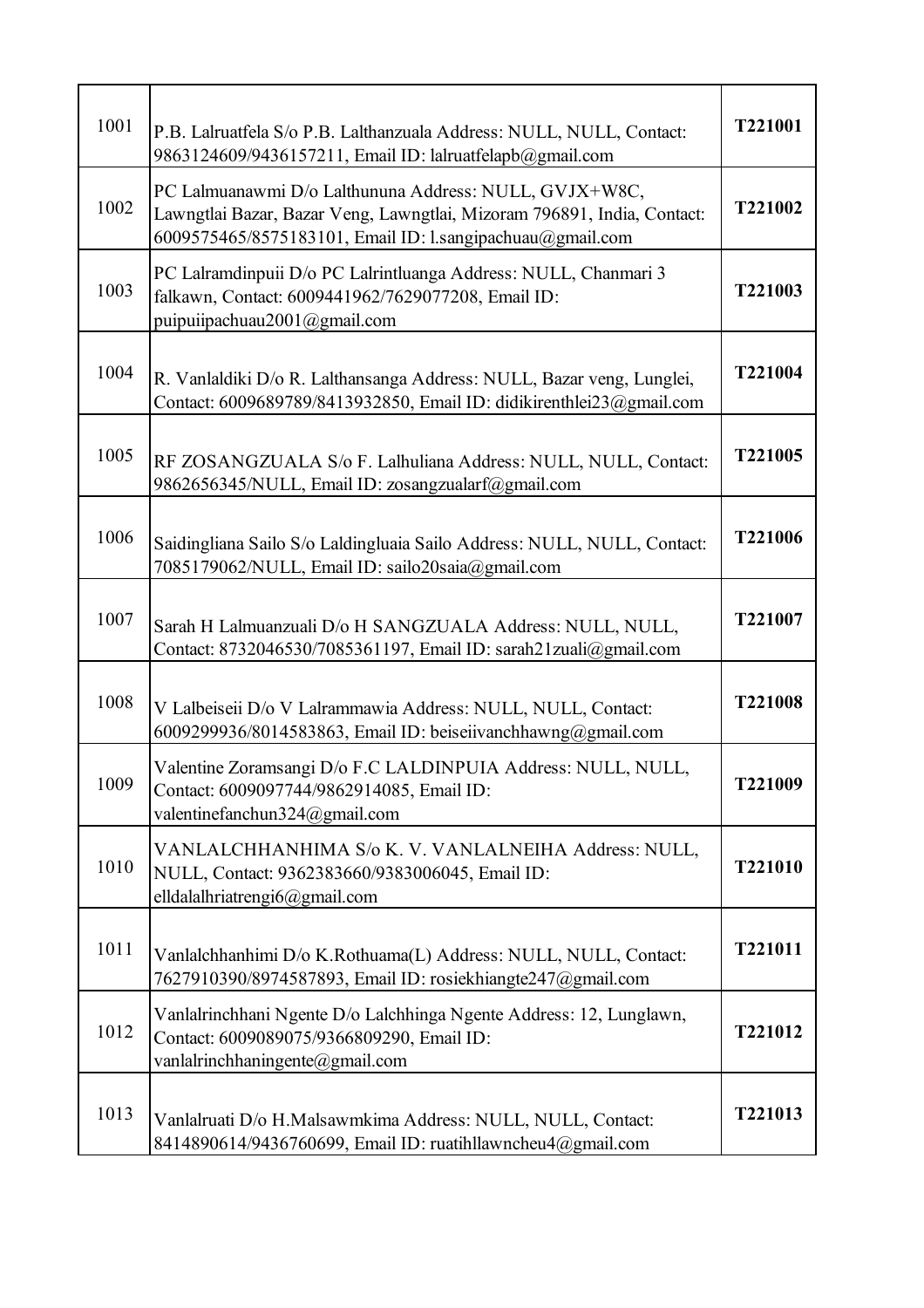| 1001 | P.B. Lalruatfela S/o P.B. Lalthanzuala Address: NULL, NULL, Contact:<br>9863124609/9436157211, Email ID: lalruatfelapb@gmail.com                                                               | T221001        |
|------|------------------------------------------------------------------------------------------------------------------------------------------------------------------------------------------------|----------------|
| 1002 | PC Lalmuanawmi D/o Lalthununa Address: NULL, GVJX+W8C,<br>Lawngtlai Bazar, Bazar Veng, Lawngtlai, Mizoram 796891, India, Contact:<br>6009575465/8575183101, Email ID: l.sangipachuau@gmail.com | T221002        |
| 1003 | PC Lalramdinpuii D/o PC Lalrintluanga Address: NULL, Chanmari 3<br>falkawn, Contact: 6009441962/7629077208, Email ID:<br>puipuiipachuau2001@gmail.com                                          | T221003        |
| 1004 | R. Vanlaldiki D/o R. Lalthansanga Address: NULL, Bazar veng, Lunglei,<br>Contact: 6009689789/8413932850, Email ID: didikirenthlei23@gmail.com                                                  | T221004        |
| 1005 | RF ZOSANGZUALA S/o F. Lalhuliana Address: NULL, NULL, Contact:<br>9862656345/NULL, Email ID: zosangzualarf@gmail.com                                                                           | T221005        |
| 1006 | Saidingliana Sailo S/o Laldingluaia Sailo Address: NULL, NULL, Contact:<br>7085179062/NULL, Email ID: sailo20saia@gmail.com                                                                    | T221006        |
| 1007 | Sarah H Lalmuanzuali D/o H SANGZUALA Address: NULL, NULL,<br>Contact: 8732046530/7085361197, Email ID: sarah21zuali@gmail.com                                                                  | T221007        |
| 1008 | V Lalbeiseii D/o V Lalrammawia Address: NULL, NULL, Contact:<br>6009299936/8014583863, Email ID: beiseiivanchhawng@gmail.com                                                                   | T221008        |
| 1009 | Valentine Zoramsangi D/o F.C LALDINPUIA Address: NULL, NULL,<br>Contact: 6009097744/9862914085, Email ID:<br>valentinefanchun324@gmail.com                                                     | <b>T221009</b> |
| 1010 | VANLALCHHANHIMA S/o K.V. VANLALNEIHA Address: NULL,<br>NULL, Contact: 9362383660/9383006045, Email ID:<br>elldalalhriatrengi6@gmail.com                                                        | T221010        |
| 1011 | Vanlalchhanhimi D/o K.Rothuama(L) Address: NULL, NULL, Contact:<br>7627910390/8974587893, Email ID: rosiekhiangte247@gmail.com                                                                 | T221011        |
| 1012 | Vanlalrinchhani Ngente D/o Lalchhinga Ngente Address: 12, Lunglawn,<br>Contact: 6009089075/9366809290, Email ID:<br>vanlalrinchhaningente@gmail.com                                            | T221012        |
| 1013 | Vanlalruati D/o H.Malsawmkima Address: NULL, NULL, Contact:<br>8414890614/9436760699, Email ID: ruatihllawncheu4@gmail.com                                                                     | T221013        |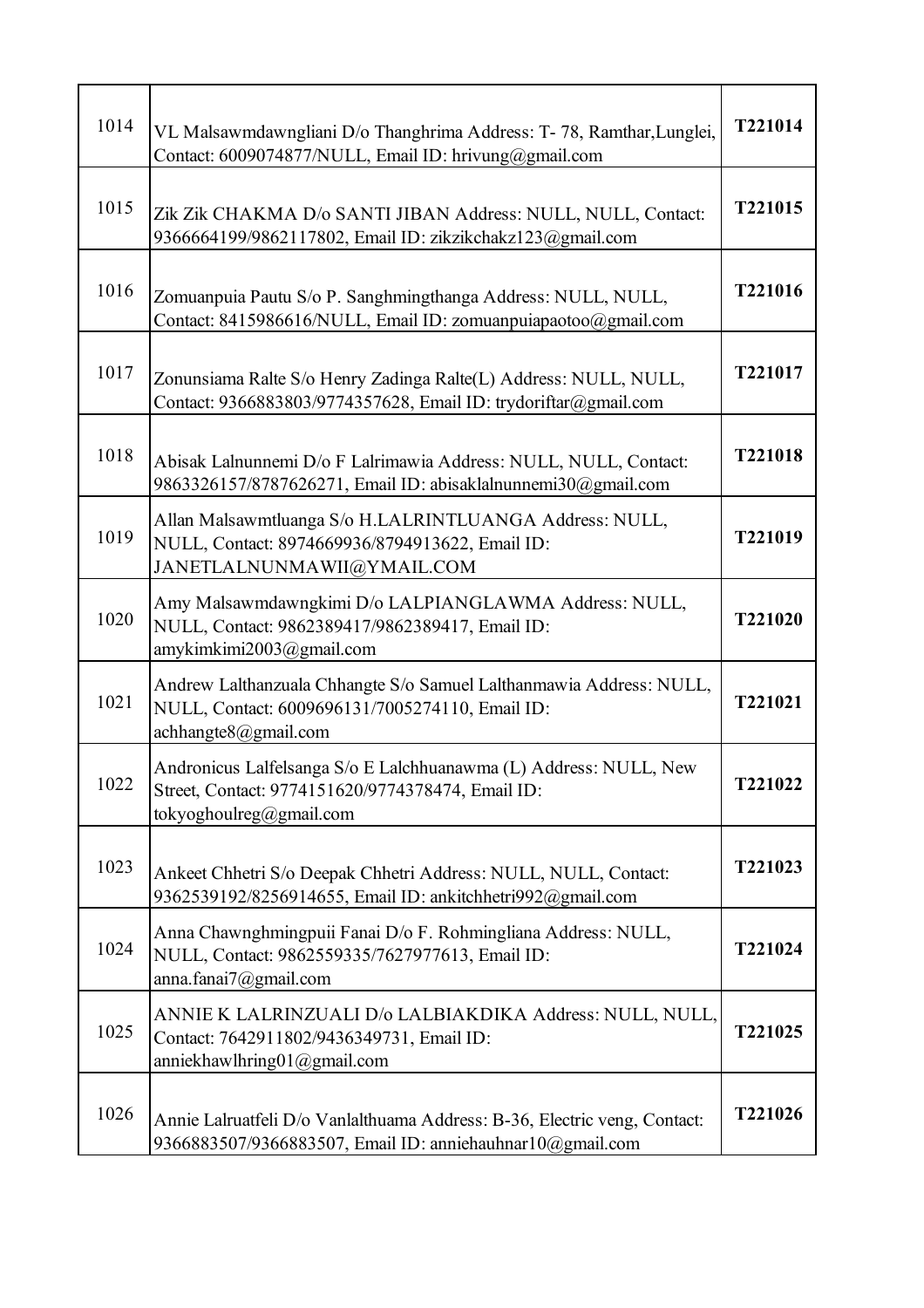| 1014 | VL Malsawmdawngliani D/o Thanghrima Address: T-78, Ramthar, Lunglei,<br>Contact: 6009074877/NULL, Email ID: hrivung@gmail.com                     | T221014 |
|------|---------------------------------------------------------------------------------------------------------------------------------------------------|---------|
| 1015 | Zik Zik CHAKMA D/o SANTI JIBAN Address: NULL, NULL, Contact:<br>9366664199/9862117802, Email ID: zikzikchakz123@gmail.com                         | T221015 |
| 1016 | Zomuanpuia Pautu S/o P. Sanghmingthanga Address: NULL, NULL,<br>Contact: 8415986616/NULL, Email ID: zomuanpuiapaotoo@gmail.com                    | T221016 |
| 1017 | Zonunsiama Ralte S/o Henry Zadinga Ralte(L) Address: NULL, NULL,<br>Contact: 9366883803/9774357628, Email ID: trydoriftar@gmail.com               | T221017 |
| 1018 | Abisak Lalnunnemi D/o F Lalrimawia Address: NULL, NULL, Contact:<br>9863326157/8787626271, Email ID: abisaklalnunnemi30@gmail.com                 | T221018 |
| 1019 | Allan Malsawmtluanga S/o H.LALRINTLUANGA Address: NULL,<br>NULL, Contact: 8974669936/8794913622, Email ID:<br>JANETLALNUNMAWII@YMAIL.COM          | T221019 |
| 1020 | Amy Malsawmdawngkimi D/o LALPIANGLAWMA Address: NULL,<br>NULL, Contact: 9862389417/9862389417, Email ID:<br>amykimkimi2003@gmail.com              | T221020 |
| 1021 | Andrew Lalthanzuala Chhangte S/o Samuel Lalthanmawia Address: NULL,<br>NULL, Contact: 6009696131/7005274110, Email ID:<br>achhangte8@gmail.com    | T221021 |
| 1022 | Andronicus Lalfelsanga S/o E Lalchhuanawma (L) Address: NULL, New<br>Street, Contact: 9774151620/9774378474, Email ID:<br>tokyoghoulreg@gmail.com | T221022 |
| 1023 | Ankeet Chhetri S/o Deepak Chhetri Address: NULL, NULL, Contact:<br>9362539192/8256914655, Email ID: ankitchhetri992@gmail.com                     | T221023 |
| 1024 | Anna Chawnghmingpuii Fanai D/o F. Rohmingliana Address: NULL,<br>NULL, Contact: 9862559335/7627977613, Email ID:<br>anna.fanai7@gmail.com         | T221024 |
| 1025 | ANNIE K LALRINZUALI D/o LALBIAKDIKA Address: NULL, NULL,<br>Contact: 7642911802/9436349731, Email ID:<br>anniekhawlhring01@gmail.com              | T221025 |
| 1026 | Annie Lalruatfeli D/o Vanlalthuama Address: B-36, Electric veng, Contact:<br>9366883507/9366883507, Email ID: anniehauhnar10@gmail.com            | T221026 |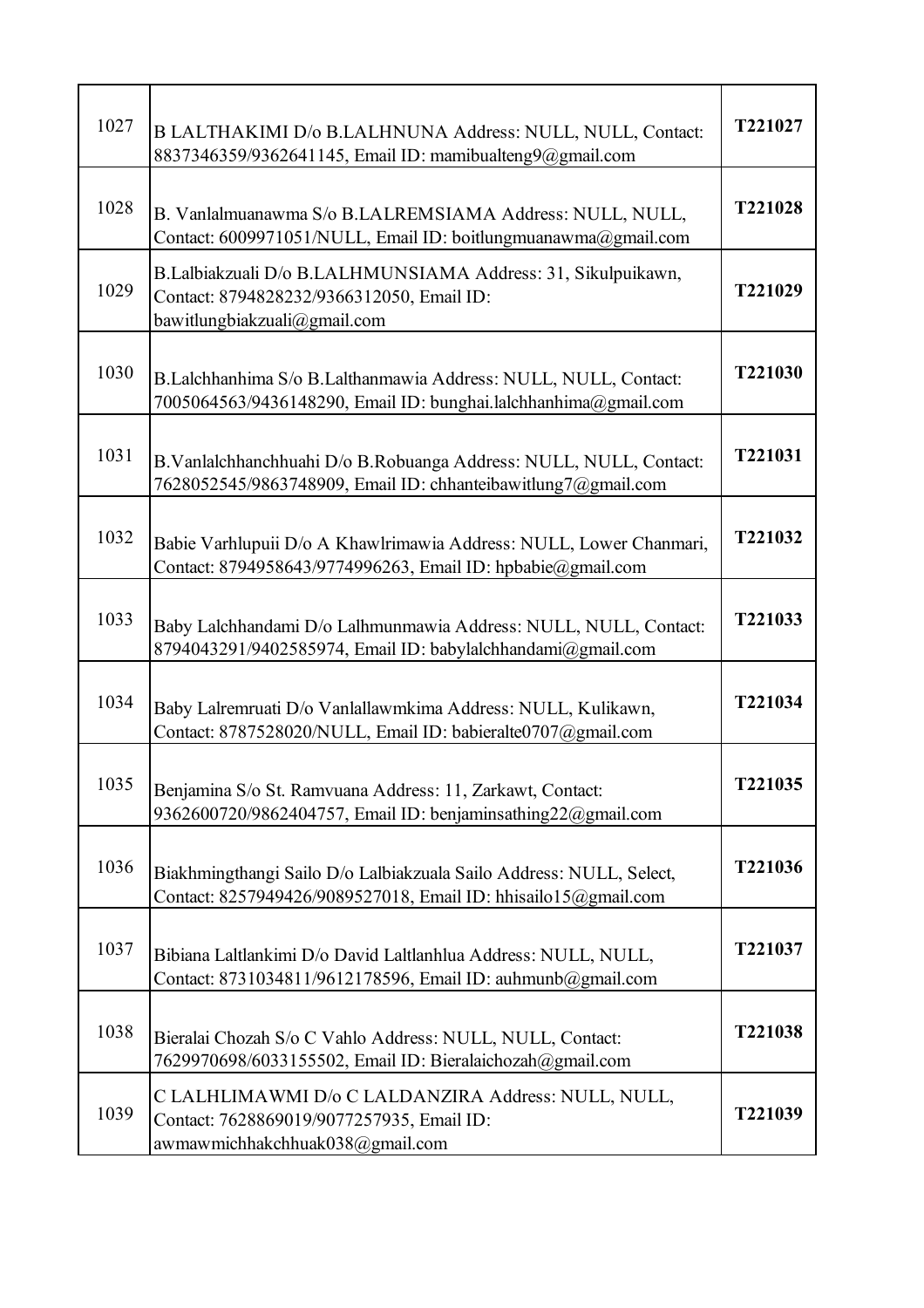| 1027 | B LALTHAKIMI D/o B.LALHNUNA Address: NULL, NULL, Contact:<br>8837346359/9362641145, Email ID: mamibualteng9@gmail.com                     | T221027        |
|------|-------------------------------------------------------------------------------------------------------------------------------------------|----------------|
| 1028 | B. Vanlalmuanawma S/o B.LALREMSIAMA Address: NULL, NULL,<br>Contact: 6009971051/NULL, Email ID: boitlungmuanawma@gmail.com                | T221028        |
| 1029 | B.Lalbiakzuali D/o B.LALHMUNSIAMA Address: 31, Sikulpuikawn,<br>Contact: 8794828232/9366312050, Email ID:<br>bawitlungbiakzuali@gmail.com | T221029        |
| 1030 | B.Lalchhanhima S/o B.Lalthanmawia Address: NULL, NULL, Contact:<br>7005064563/9436148290, Email ID: bunghai.lalchhanhima@gmail.com        | T221030        |
| 1031 | B. Vanlalchhanchhuahi D/o B. Robuanga Address: NULL, NULL, Contact:<br>7628052545/9863748909, Email ID: chhanteibawitlung7@gmail.com      | T221031        |
| 1032 | Babie Varhlupuii D/o A Khawlrimawia Address: NULL, Lower Chanmari,<br>Contact: 8794958643/9774996263, Email ID: hpbabie@gmail.com         | T221032        |
| 1033 | Baby Lalchhandami D/o Lalhmunmawia Address: NULL, NULL, Contact:<br>8794043291/9402585974, Email ID: babylalchhandami@gmail.com           | T221033        |
| 1034 | Baby Lalremruati D/o Vanlallawmkima Address: NULL, Kulikawn,<br>Contact: 8787528020/NULL, Email ID: babieralte0707@gmail.com              | T221034        |
| 1035 | Benjamina S/o St. Ramvuana Address: 11, Zarkawt, Contact:<br>9362600720/9862404757, Email ID: benjaminsathing22@gmail.com                 | <b>T221035</b> |
| 1036 | Biakhmingthangi Sailo D/o Lalbiakzuala Sailo Address: NULL, Select,<br>Contact: 8257949426/9089527018, Email ID: hhisailo15@gmail.com     | T221036        |
| 1037 | Bibiana Laltlankimi D/o David Laltlanhlua Address: NULL, NULL,<br>Contact: 8731034811/9612178596, Email ID: auhmunb@gmail.com             | T221037        |
| 1038 | Bieralai Chozah S/o C Vahlo Address: NULL, NULL, Contact:<br>7629970698/6033155502, Email ID: Bieralaichozah@gmail.com                    | T221038        |
| 1039 | C LALHLIMAWMI D/o C LALDANZIRA Address: NULL, NULL,<br>Contact: 7628869019/9077257935, Email ID:<br>awmawmichhakchhuak038@gmail.com       | T221039        |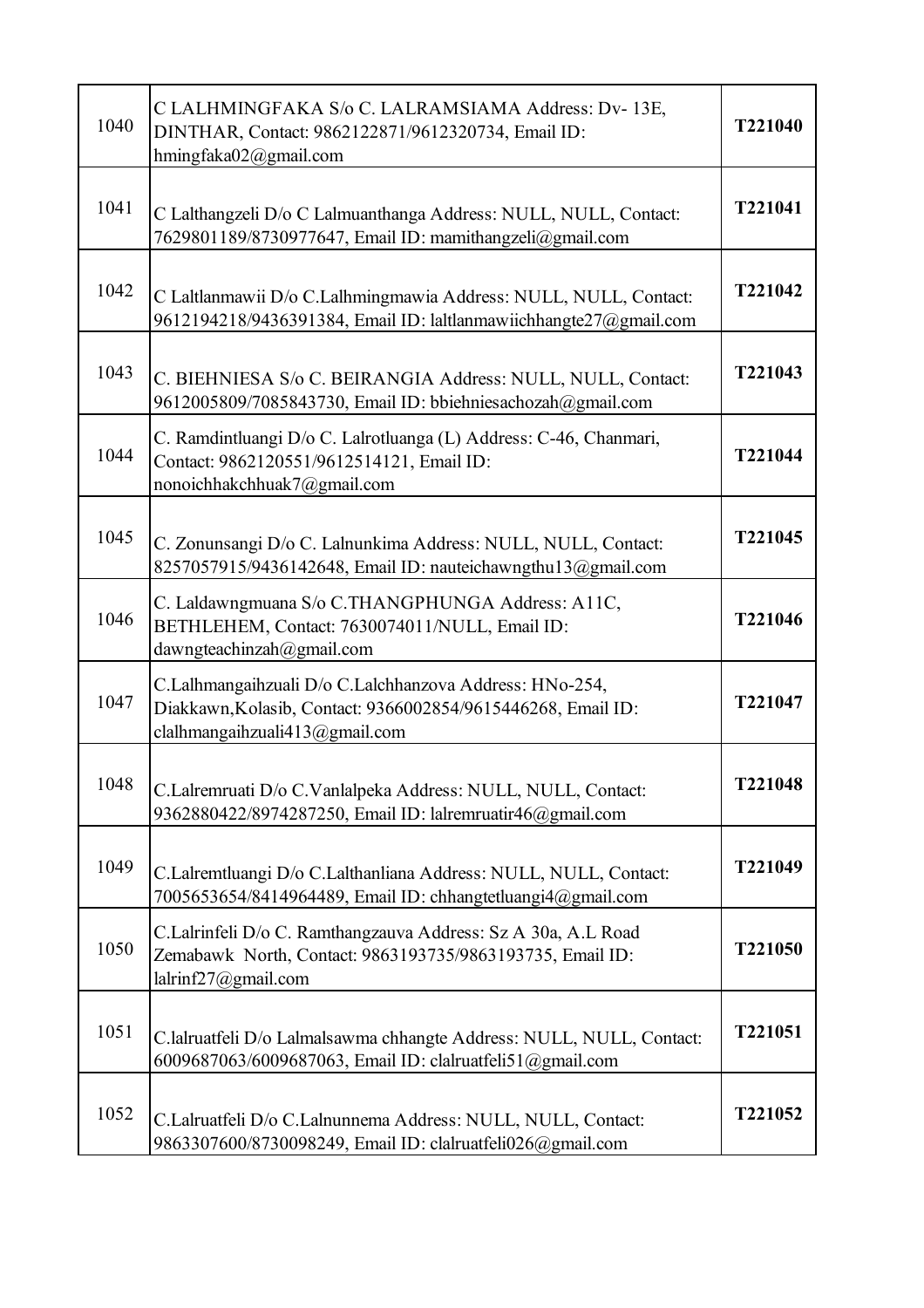| 1040 | C LALHMINGFAKA S/o C. LALRAMSIAMA Address: Dv- 13E,<br>DINTHAR, Contact: 9862122871/9612320734, Email ID:<br>hmingfaka02@gmail.com                        | T221040 |
|------|-----------------------------------------------------------------------------------------------------------------------------------------------------------|---------|
| 1041 | C Lalthangzeli D/o C Lalmuanthanga Address: NULL, NULL, Contact:<br>7629801189/8730977647, Email ID: mamithangzeli@gmail.com                              | T221041 |
| 1042 | C Laltlanmawii D/o C.Lalhmingmawia Address: NULL, NULL, Contact:<br>9612194218/9436391384, Email ID: laltlanmawiichhangte27@gmail.com                     | T221042 |
| 1043 | C. BIEHNIESA S/o C. BEIRANGIA Address: NULL, NULL, Contact:<br>9612005809/7085843730, Email ID: bbiehniesachozah@gmail.com                                | T221043 |
| 1044 | C. Ramdintluangi D/o C. Lalrotluanga (L) Address: C-46, Chanmari,<br>Contact: 9862120551/9612514121, Email ID:<br>nonoichhakchhuak7@gmail.com             | T221044 |
| 1045 | C. Zonunsangi D/o C. Lalnunkima Address: NULL, NULL, Contact:<br>8257057915/9436142648, Email ID: nauteichawngthu13@gmail.com                             | T221045 |
| 1046 | C. Laldawngmuana S/o C.THANGPHUNGA Address: A11C,<br>BETHLEHEM, Contact: 7630074011/NULL, Email ID:<br>dawngteachinzah@gmail.com                          | T221046 |
| 1047 | C.Lalhmangaihzuali D/o C.Lalchhanzova Address: HNo-254,<br>Diakkawn, Kolasib, Contact: 9366002854/9615446268, Email ID:<br>clalhmangaihzuali413@gmail.com | T221047 |
| 1048 | C.Lalremruati D/o C.Vanlalpeka Address: NULL, NULL, Contact:<br>9362880422/8974287250, Email ID: lalremruatir46@gmail.com                                 | T221048 |
| 1049 | C.Lalremtluangi D/o C.Lalthanliana Address: NULL, NULL, Contact:<br>7005653654/8414964489, Email ID: chhangtetluangi4@gmail.com                           | T221049 |
| 1050 | C.Lalrinfeli D/o C. Ramthangzauva Address: Sz A 30a, A.L Road<br>Zemabawk North, Contact: 9863193735/9863193735, Email ID:<br>lalrinf27@gmail.com         | T221050 |
| 1051 | C.lalruatfeli D/o Lalmalsawma chhangte Address: NULL, NULL, Contact:<br>6009687063/6009687063, Email ID: clalruatfeli51@gmail.com                         | T221051 |
| 1052 | C.Lalruatfeli D/o C.Lalnunnema Address: NULL, NULL, Contact:<br>9863307600/8730098249, Email ID: clalruatfeli026@gmail.com                                | T221052 |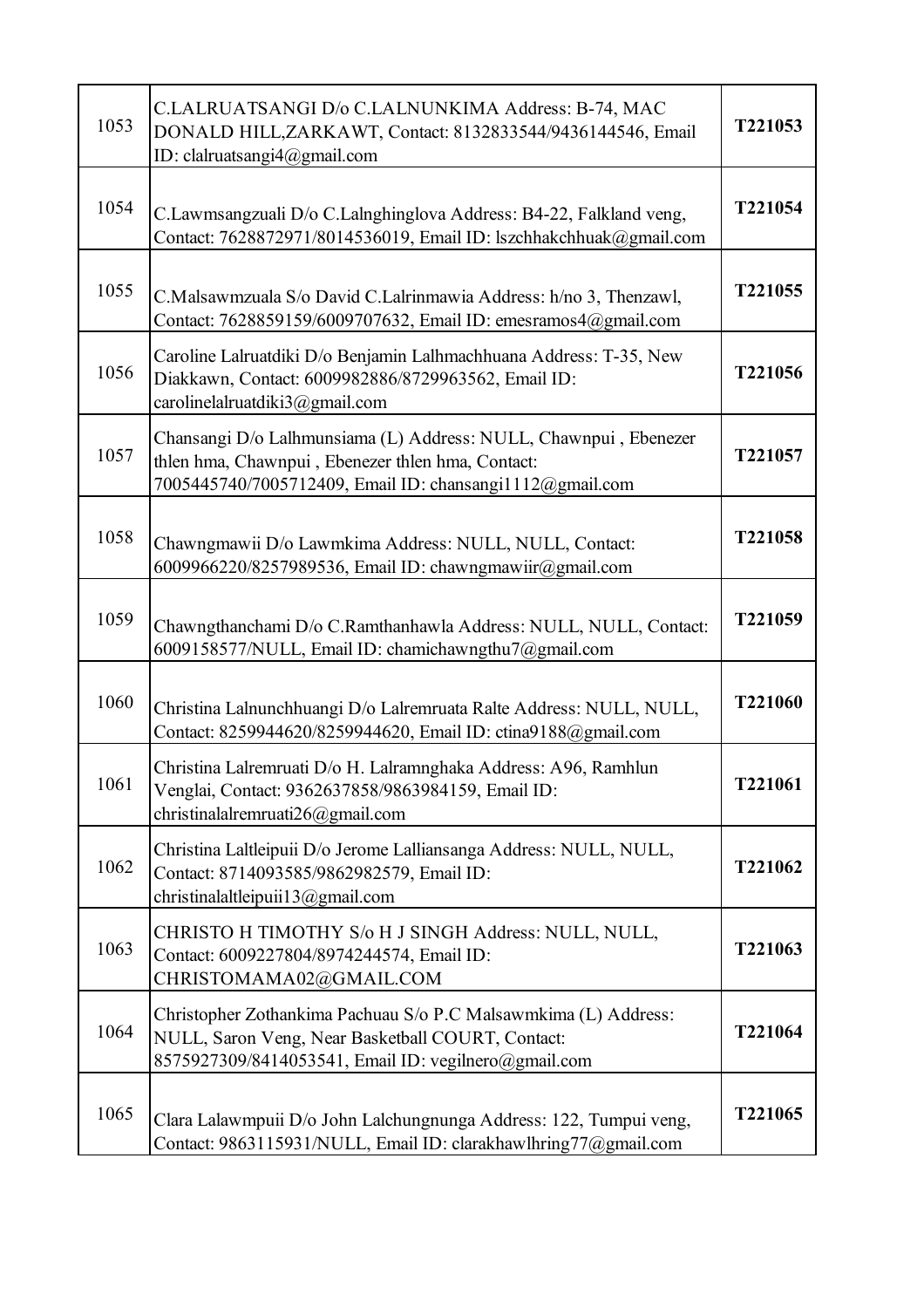| 1053 | C.LALRUATSANGI D/o C.LALNUNKIMA Address: B-74, MAC<br>DONALD HILL, ZARKAWT, Contact: 8132833544/9436144546, Email<br>ID: clalruatsangi4@gmail.com                                 | T221053 |
|------|-----------------------------------------------------------------------------------------------------------------------------------------------------------------------------------|---------|
| 1054 | C.Lawmsangzuali D/o C.Lalnghinglova Address: B4-22, Falkland veng,<br>Contact: 7628872971/8014536019, Email ID: lszchhakchhuak@gmail.com                                          | T221054 |
| 1055 | C.Malsawmzuala S/o David C.Lalrinmawia Address: h/no 3, Thenzawl,<br>Contact: 7628859159/6009707632, Email ID: emesramos4@gmail.com                                               | T221055 |
| 1056 | Caroline Lalruatdiki D/o Benjamin Lalhmachhuana Address: T-35, New<br>Diakkawn, Contact: 6009982886/8729963562, Email ID:<br>carolinelalruatdiki $3@g$ mail.com                   | T221056 |
| 1057 | Chansangi D/o Lalhmunsiama (L) Address: NULL, Chawnpui, Ebenezer<br>thlen hma, Chawnpui, Ebenezer thlen hma, Contact:<br>7005445740/7005712409, Email ID: chansangi1112@gmail.com | T221057 |
| 1058 | Chawngmawii D/o Lawmkima Address: NULL, NULL, Contact:<br>6009966220/8257989536, Email ID: chawngmawiir@gmail.com                                                                 | T221058 |
| 1059 | Chawngthanchami D/o C.Ramthanhawla Address: NULL, NULL, Contact:<br>6009158577/NULL, Email ID: chamichawngthu7@gmail.com                                                          | T221059 |
| 1060 | Christina Lalnunchhuangi D/o Lalremruata Ralte Address: NULL, NULL,<br>Contact: 8259944620/8259944620, Email ID: ctina9188@gmail.com                                              | T221060 |
| 1061 | Christina Lalremruati D/o H. Lalramnghaka Address: A96, Ramhlun<br>Venglai, Contact: 9362637858/9863984159, Email ID:<br>christinalalremruati26@gmail.com                         | T221061 |
| 1062 | Christina Laltleipuii D/o Jerome Lalliansanga Address: NULL, NULL,<br>Contact: 8714093585/9862982579, Email ID:<br>christinalaltleipuii $13@g$ mail.com                           | T221062 |
| 1063 | CHRISTO H TIMOTHY S/o H J SINGH Address: NULL, NULL,<br>Contact: 6009227804/8974244574, Email ID:<br>CHRISTOMAMA02@GMAIL.COM                                                      | T221063 |
| 1064 | Christopher Zothankima Pachuau S/o P.C Malsawmkima (L) Address:<br>NULL, Saron Veng, Near Basketball COURT, Contact:<br>8575927309/8414053541, Email ID: vegilnero@gmail.com      | T221064 |
| 1065 | Clara Lalawmpuii D/o John Lalchungnunga Address: 122, Tumpui veng,<br>Contact: 9863115931/NULL, Email ID: clarakhawlhring77@gmail.com                                             | T221065 |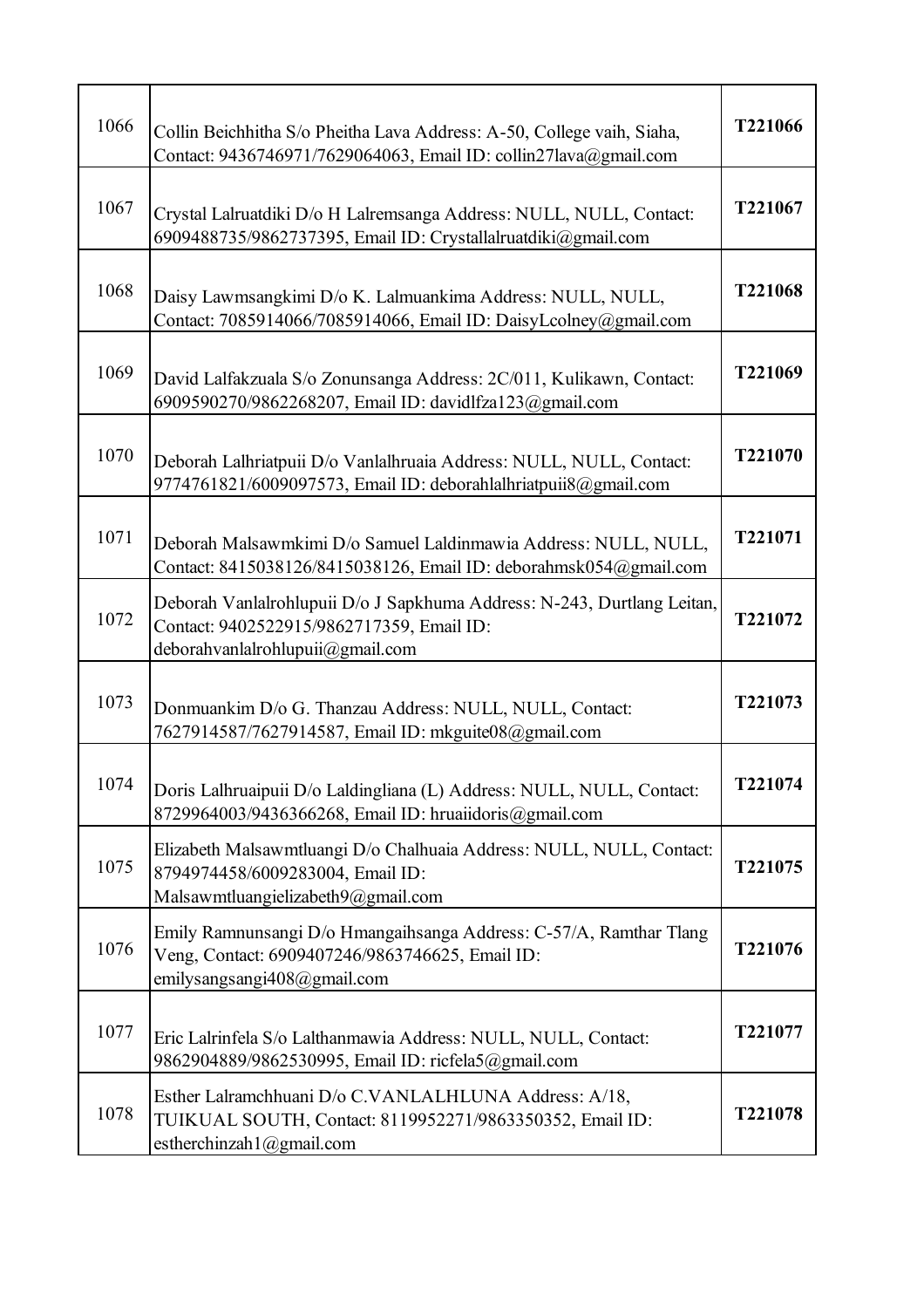| 1066 | Collin Beichhitha S/o Pheitha Lava Address: A-50, College vaih, Siaha,<br>Contact: 9436746971/7629064063, Email ID: collin27lava@gmail.com               | T221066 |
|------|----------------------------------------------------------------------------------------------------------------------------------------------------------|---------|
| 1067 | Crystal Lalruatdiki D/o H Lalremsanga Address: NULL, NULL, Contact:<br>6909488735/9862737395, Email ID: Crystallalruatdiki@gmail.com                     | T221067 |
| 1068 | Daisy Lawmsangkimi D/o K. Lalmuankima Address: NULL, NULL,<br>Contact: 7085914066/7085914066, Email ID: DaisyLcolney@gmail.com                           | T221068 |
| 1069 | David Lalfakzuala S/o Zonunsanga Address: 2C/011, Kulikawn, Contact:<br>6909590270/9862268207, Email ID: davidlfza123@gmail.com                          | T221069 |
| 1070 | Deborah Lalhriatpuii D/o Vanlalhruaia Address: NULL, NULL, Contact:<br>9774761821/6009097573, Email ID: deborahlalhriatpuii8@gmail.com                   | T221070 |
| 1071 | Deborah Malsawmkimi D/o Samuel Laldinmawia Address: NULL, NULL,<br>Contact: 8415038126/8415038126, Email ID: deborahmsk054@gmail.com                     | T221071 |
| 1072 | Deborah Vanlalrohlupuii D/o J Sapkhuma Address: N-243, Durtlang Leitan,<br>Contact: 9402522915/9862717359, Email ID:<br>deborahvanlalrohlupuii@gmail.com | T221072 |
| 1073 | Donmuankim D/o G. Thanzau Address: NULL, NULL, Contact:<br>7627914587/7627914587, Email ID: mkguite08@gmail.com                                          | T221073 |
| 1074 | Doris Lalhruaipuii D/o Laldingliana (L) Address: NULL, NULL, Contact:<br>8729964003/9436366268, Email ID: hruaiidoris@gmail.com                          | T221074 |
| 1075 | Elizabeth Malsawmtluangi D/o Chalhuaia Address: NULL, NULL, Contact:<br>8794974458/6009283004, Email ID:<br>Malsawmtluangielizabeth9@gmail.com           | T221075 |
| 1076 | Emily Ramnunsangi D/o Hmangaihsanga Address: C-57/A, Ramthar Tlang<br>Veng, Contact: 6909407246/9863746625, Email ID:<br>emilysangsangi408@gmail.com     | T221076 |
| 1077 | Eric Lalrinfela S/o Lalthanmawia Address: NULL, NULL, Contact:<br>9862904889/9862530995, Email ID: ricfela5@gmail.com                                    | T221077 |
| 1078 | Esther Lalramchhuani D/o C.VANLALHLUNA Address: A/18,<br>TUIKUAL SOUTH, Contact: 8119952271/9863350352, Email ID:<br>estherchinzah1@gmail.com            | T221078 |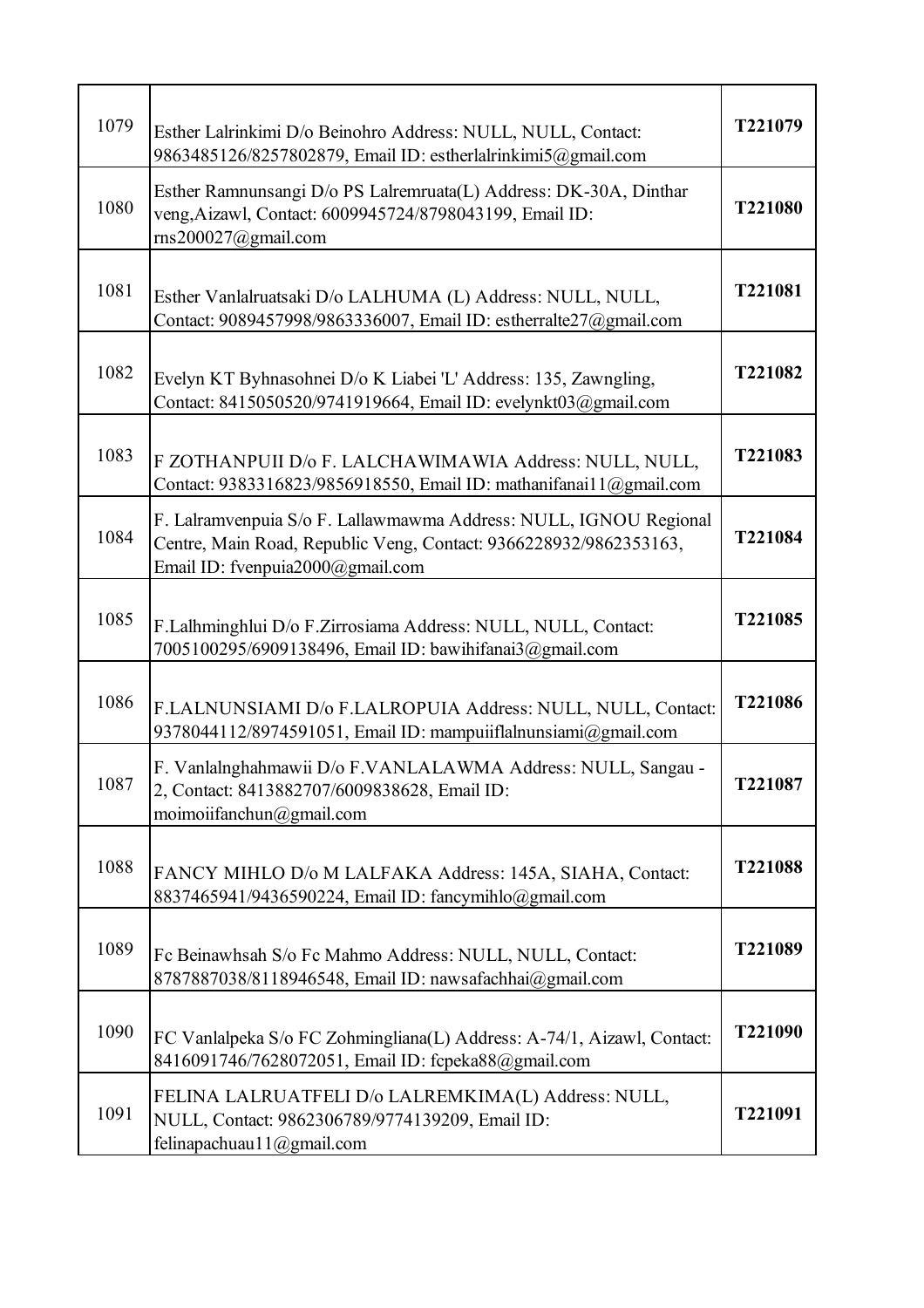| 1079 | Esther Lalrinkimi D/o Beinohro Address: NULL, NULL, Contact:<br>9863485126/8257802879, Email ID: estherlalrinkimi5@gmail.com                                               | T221079        |
|------|----------------------------------------------------------------------------------------------------------------------------------------------------------------------------|----------------|
| 1080 | Esther Ramnunsangi D/o PS Lalremruata(L) Address: DK-30A, Dinthar<br>veng, Aizawl, Contact: 6009945724/8798043199, Email ID:<br>$\text{rms}200027$ @gmail.com              | T221080        |
| 1081 | Esther Vanlalruatsaki D/o LALHUMA (L) Address: NULL, NULL,<br>Contact: 9089457998/9863336007, Email ID: estherralte27@gmail.com                                            | T221081        |
| 1082 | Evelyn KT Byhnasohnei D/o K Liabei 'L' Address: 135, Zawngling,<br>Contact: 8415050520/9741919664, Email ID: evelynkt03@gmail.com                                          | T221082        |
| 1083 | F ZOTHANPUII D/o F. LALCHAWIMAWIA Address: NULL, NULL,<br>Contact: 9383316823/9856918550, Email ID: mathanifanail 1@gmail.com                                              | T221083        |
| 1084 | F. Lalramvenpuia S/o F. Lallawmawma Address: NULL, IGNOU Regional<br>Centre, Main Road, Republic Veng, Contact: 9366228932/9862353163,<br>Email ID: fvenpuia2000@gmail.com | T221084        |
| 1085 | F.Lalhminghlui D/o F.Zirrosiama Address: NULL, NULL, Contact:<br>7005100295/6909138496, Email ID: bawihifanai3@gmail.com                                                   | T221085        |
| 1086 | F.LALNUNSIAMI D/o F.LALROPUIA Address: NULL, NULL, Contact:<br>9378044112/8974591051, Email ID: mampuiiflalnunsiami@gmail.com                                              | T221086        |
| 1087 | F. Vanlalnghahmawii D/o F.VANLALAWMA Address: NULL, Sangau -<br>2, Contact: 8413882707/6009838628, Email ID:<br>moimoiifanchun@gmail.com                                   | <b>T221087</b> |
| 1088 | FANCY MIHLO D/o M LALFAKA Address: 145A, SIAHA, Contact:<br>8837465941/9436590224, Email ID: fancymihlo@gmail.com                                                          | T221088        |
| 1089 | Fc Beinawhsah S/o Fc Mahmo Address: NULL, NULL, Contact:<br>8787887038/8118946548, Email ID: nawsafachhai@gmail.com                                                        | T221089        |
| 1090 | FC Vanlalpeka S/o FC Zohmingliana(L) Address: A-74/1, Aizawl, Contact:<br>8416091746/7628072051, Email ID: fcpeka88@gmail.com                                              | T221090        |
| 1091 | FELINA LALRUATFELI D/o LALREMKIMA(L) Address: NULL,<br>NULL, Contact: 9862306789/9774139209, Email ID:<br>felinapachuau11@gmail.com                                        | T221091        |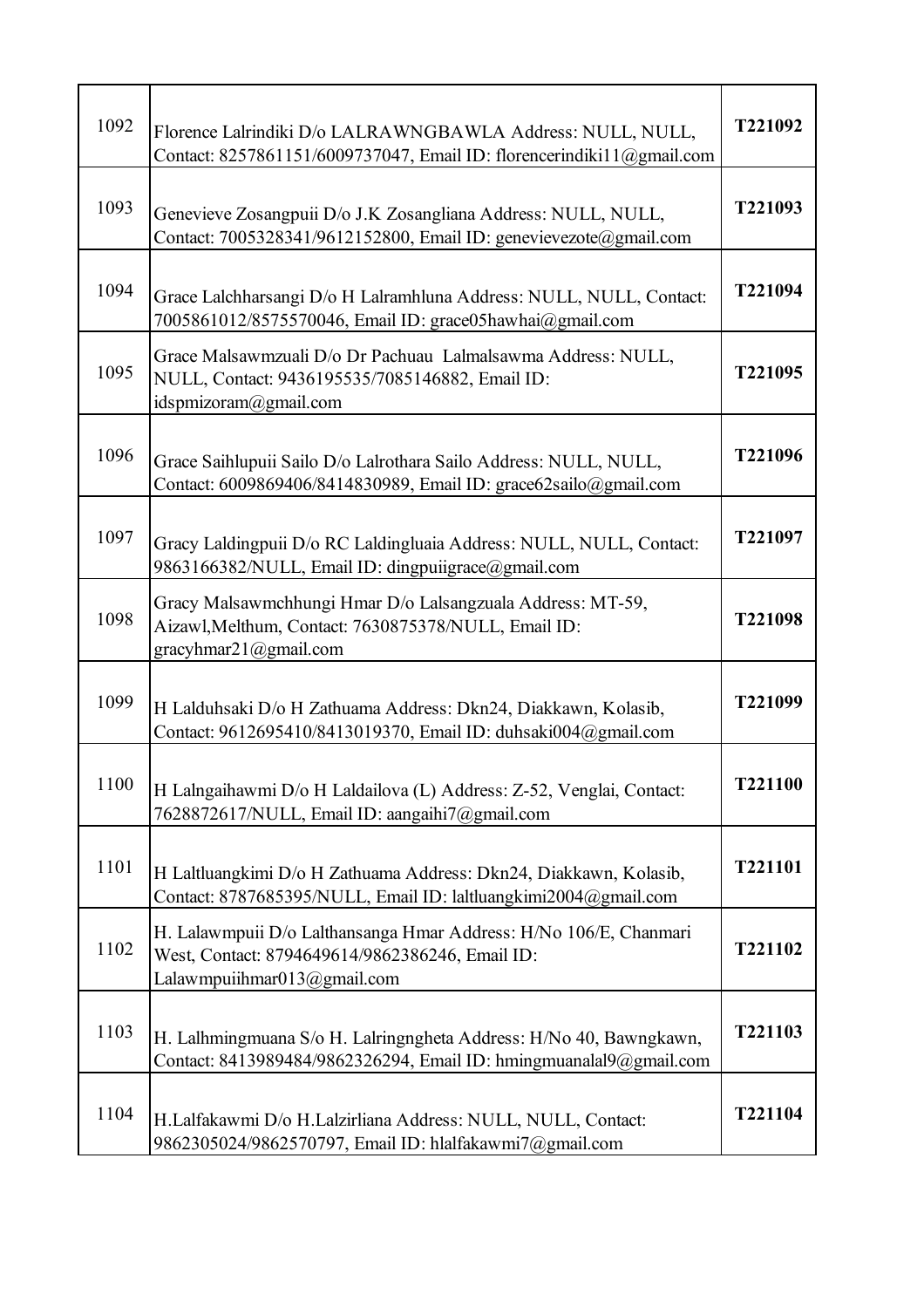| 1092 | Florence Lalrindiki D/o LALRAWNGBAWLA Address: NULL, NULL,<br>Contact: 8257861151/6009737047, Email ID: florencerindiki11@gmail.com                 | T221092 |
|------|-----------------------------------------------------------------------------------------------------------------------------------------------------|---------|
| 1093 | Genevieve Zosangpuii D/o J.K Zosangliana Address: NULL, NULL,<br>Contact: 7005328341/9612152800, Email ID: genevievezote@gmail.com                  | T221093 |
| 1094 | Grace Lalchharsangi D/o H Lalramhluna Address: NULL, NULL, Contact:<br>7005861012/8575570046, Email ID: grace05hawhai@gmail.com                     | T221094 |
| 1095 | Grace Malsawmzuali D/o Dr Pachuau Lalmalsawma Address: NULL,<br>NULL, Contact: 9436195535/7085146882, Email ID:<br>idspmizoram@gmail.com            | T221095 |
| 1096 | Grace Saihlupuii Sailo D/o Lalrothara Sailo Address: NULL, NULL,<br>Contact: 6009869406/8414830989, Email ID: grace62sailo@gmail.com                | T221096 |
| 1097 | Gracy Laldingpuii D/o RC Laldingluaia Address: NULL, NULL, Contact:<br>9863166382/NULL, Email ID: dingpuiigrace@gmail.com                           | T221097 |
| 1098 | Gracy Malsawmchhungi Hmar D/o Lalsangzuala Address: MT-59,<br>Aizawl, Melthum, Contact: 7630875378/NULL, Email ID:<br>gracyhmar $21$ @gmail.com     | T221098 |
| 1099 | H Lalduhsaki D/o H Zathuama Address: Dkn24, Diakkawn, Kolasib,<br>Contact: 9612695410/8413019370, Email ID: duhsaki004@gmail.com                    | T221099 |
| 1100 | H Lalngaihawmi D/o H Laldailova (L) Address: Z-52, Venglai, Contact:<br>7628872617/NULL, Email ID: aangaihi7@gmail.com                              | T221100 |
| 1101 | H Laltluangkimi D/o H Zathuama Address: Dkn24, Diakkawn, Kolasib,<br>Contact: 8787685395/NULL, Email ID: laltluangkimi2004@gmail.com                | T221101 |
| 1102 | H. Lalawmpuii D/o Lalthansanga Hmar Address: H/No 106/E, Chanmari<br>West, Contact: 8794649614/9862386246, Email ID:<br>Lalawmpuiihmar013@gmail.com | T221102 |
| 1103 | H. Lalhmingmuana S/o H. Lalringngheta Address: H/No 40, Bawngkawn,<br>Contact: 8413989484/9862326294, Email ID: hmingmuanalal9@gmail.com            | T221103 |
| 1104 | H.Lalfakawmi D/o H.Lalzirliana Address: NULL, NULL, Contact:<br>9862305024/9862570797, Email ID: hlalfakawmi7@gmail.com                             | T221104 |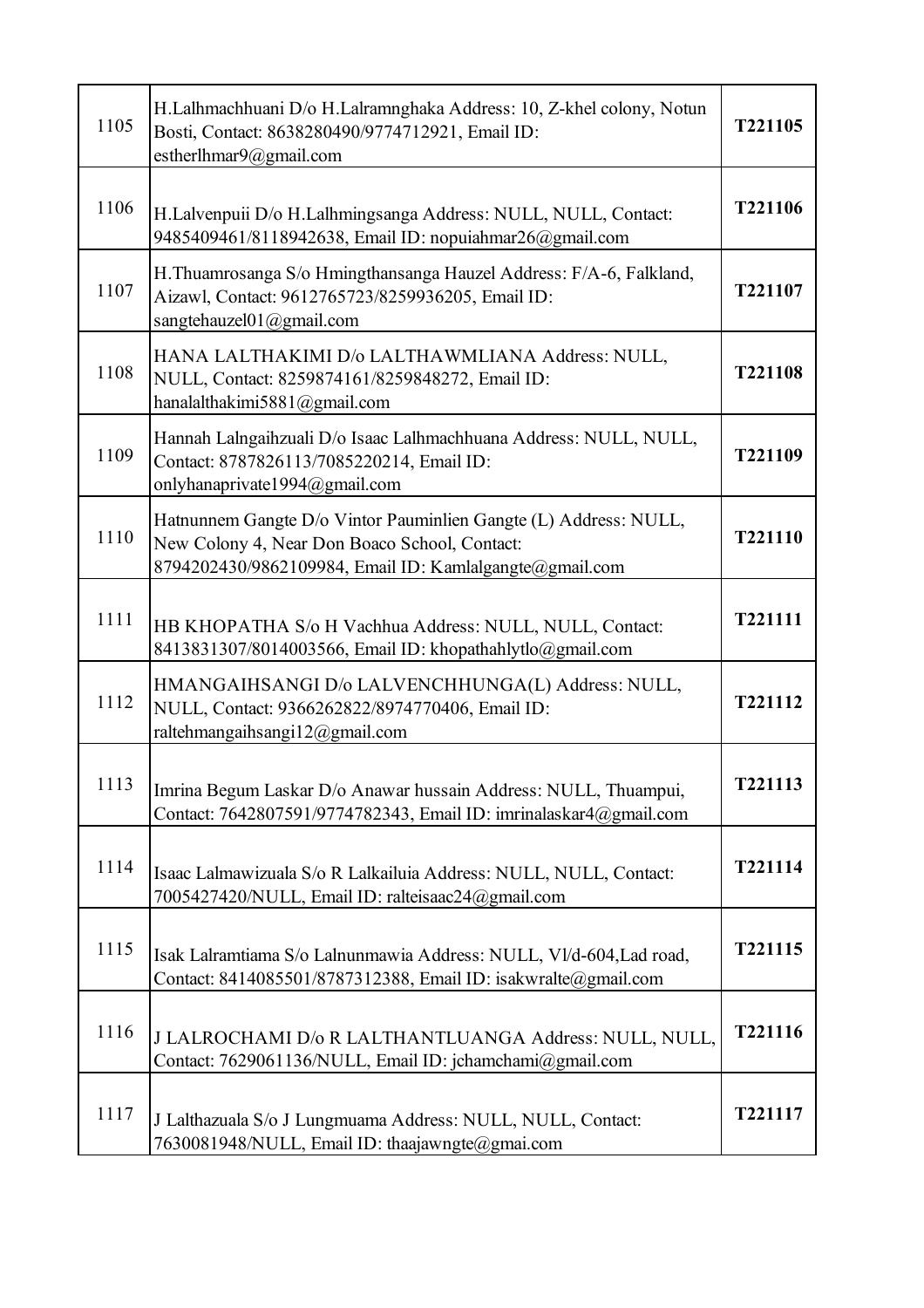| 1105 | H.Lalhmachhuani D/o H.Lalramnghaka Address: 10, Z-khel colony, Notun<br>Bosti, Contact: 8638280490/9774712921, Email ID:<br>estherlhmar9@gmail.com                           | T221105 |
|------|------------------------------------------------------------------------------------------------------------------------------------------------------------------------------|---------|
| 1106 | H.Lalvenpuii D/o H.Lalhmingsanga Address: NULL, NULL, Contact:<br>9485409461/8118942638, Email ID: nopuiahmar26@gmail.com                                                    | T221106 |
| 1107 | H.Thuamrosanga S/o Hmingthansanga Hauzel Address: F/A-6, Falkland,<br>Aizawl, Contact: 9612765723/8259936205, Email ID:<br>sangtehauzel01@gmail.com                          | T221107 |
| 1108 | HANA LALTHAKIMI D/o LALTHAWMLIANA Address: NULL,<br>NULL, Contact: 8259874161/8259848272, Email ID:<br>hanalalthakimi5881@gmail.com                                          | T221108 |
| 1109 | Hannah Lalngaihzuali D/o Isaac Lalhmachhuana Address: NULL, NULL,<br>Contact: 8787826113/7085220214, Email ID:<br>onlyhanaprivate1994@gmail.com                              | T221109 |
| 1110 | Hatnunnem Gangte D/o Vintor Pauminlien Gangte (L) Address: NULL,<br>New Colony 4, Near Don Boaco School, Contact:<br>8794202430/9862109984, Email ID: Kamlalgangte@gmail.com | T221110 |
| 1111 | HB KHOPATHA S/o H Vachhua Address: NULL, NULL, Contact:<br>8413831307/8014003566, Email ID: khopathahlytlo@gmail.com                                                         | T221111 |
| 1112 | HMANGAIHSANGI D/o LALVENCHHUNGA(L) Address: NULL,<br>NULL, Contact: 9366262822/8974770406, Email ID:<br>raltehmangaihsangi12@gmail.com                                       | T221112 |
| 1113 | Imrina Begum Laskar D/o Anawar hussain Address: NULL, Thuampui,<br>Contact: 7642807591/9774782343, Email ID: imrinalaskar4@gmail.com                                         | T221113 |
| 1114 | Isaac Lalmawizuala S/o R Lalkailuia Address: NULL, NULL, Contact:<br>7005427420/NULL, Email ID: ralteisaac24@gmail.com                                                       | T221114 |
| 1115 | Isak Lalramtiama S/o Lalnunmawia Address: NULL, Vl/d-604, Lad road,<br>Contact: 8414085501/8787312388, Email ID: isakwralte@gmail.com                                        | T221115 |
| 1116 | J LALROCHAMI D/o R LALTHANTLUANGA Address: NULL, NULL,<br>Contact: 7629061136/NULL, Email ID: jchamchami@gmail.com                                                           | T221116 |
| 1117 | J Lalthazuala S/o J Lungmuama Address: NULL, NULL, Contact:<br>7630081948/NULL, Email ID: thaajawngte@gmai.com                                                               | T221117 |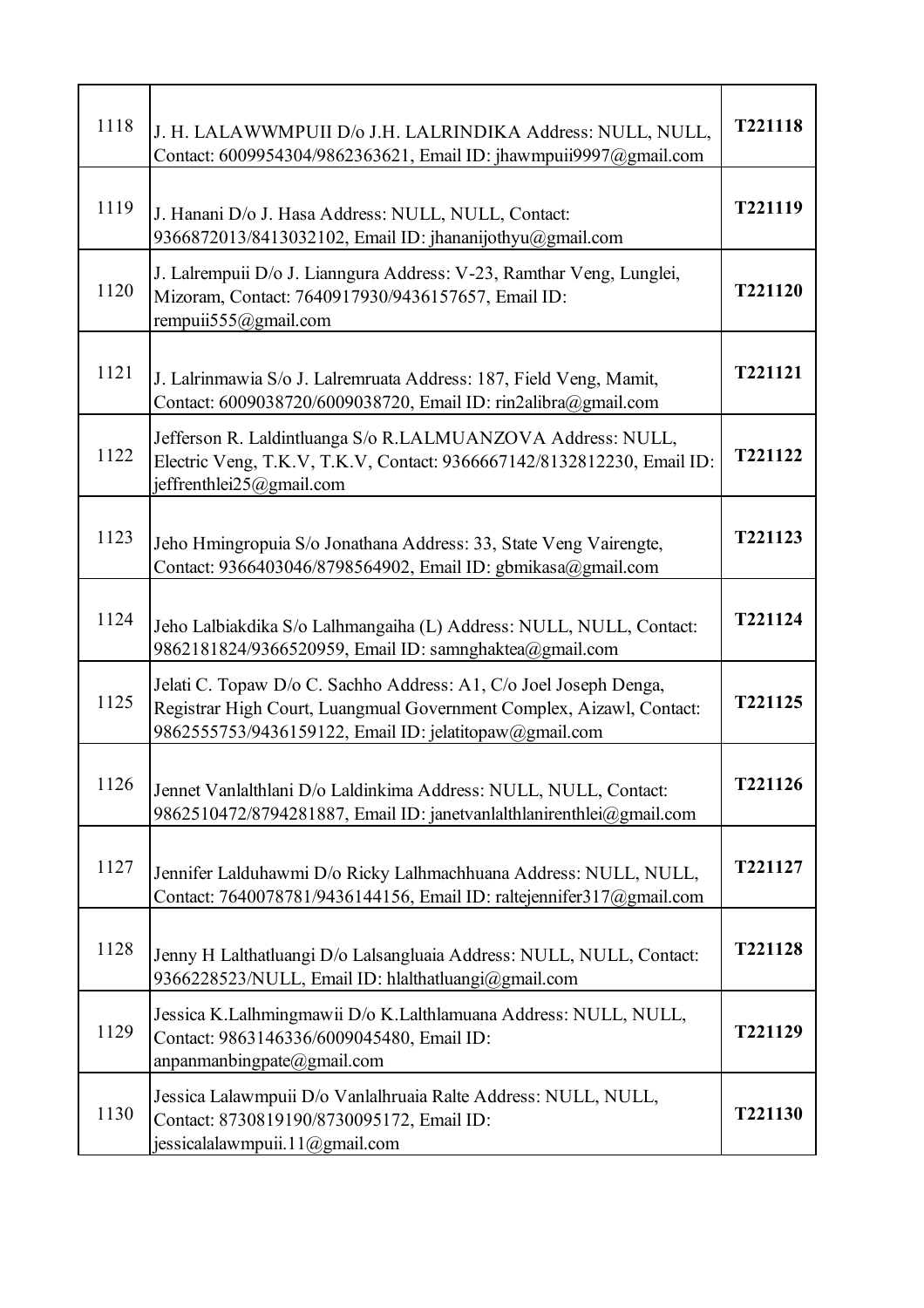| 1118 | J. H. LALAWWMPUII D/o J.H. LALRINDIKA Address: NULL, NULL,<br>Contact: 6009954304/9862363621, Email ID: jhawmpuii9997@gmail.com                                                                     | T221118        |
|------|-----------------------------------------------------------------------------------------------------------------------------------------------------------------------------------------------------|----------------|
| 1119 | J. Hanani D/o J. Hasa Address: NULL, NULL, Contact:<br>9366872013/8413032102, Email ID: jhananijothyu@gmail.com                                                                                     | T221119        |
| 1120 | J. Lalrempuii D/o J. Lianngura Address: V-23, Ramthar Veng, Lunglei,<br>Mizoram, Contact: 7640917930/9436157657, Email ID:<br>rempuii555@gmail.com                                                  | T221120        |
| 1121 | J. Lalrinmawia S/o J. Lalremruata Address: 187, Field Veng, Mamit,<br>Contact: 6009038720/6009038720, Email ID: rin2alibra@gmail.com                                                                | T221121        |
| 1122 | Jefferson R. Laldintluanga S/o R.LALMUANZOVA Address: NULL,<br>Electric Veng, T.K.V, T.K.V, Contact: 9366667142/8132812230, Email ID:<br>jeffrenthlei25@gmail.com                                   | T221122        |
| 1123 | Jeho Hmingropuia S/o Jonathana Address: 33, State Veng Vairengte,<br>Contact: 9366403046/8798564902, Email ID: gbmikasa@gmail.com                                                                   | T221123        |
| 1124 | Jeho Lalbiakdika S/o Lalhmangaiha (L) Address: NULL, NULL, Contact:<br>9862181824/9366520959, Email ID: samnghaktea@gmail.com                                                                       | T221124        |
| 1125 | Jelati C. Topaw D/o C. Sachho Address: A1, C/o Joel Joseph Denga,<br>Registrar High Court, Luangmual Government Complex, Aizawl, Contact:<br>9862555753/9436159122, Email ID: jelatitopaw@gmail.com | T221125        |
| 1126 | Jennet Vanlalthlani D/o Laldinkima Address: NULL, NULL, Contact:<br>9862510472/8794281887, Email ID: janetvanlalthlanirenthlei@gmail.com                                                            | <b>T221126</b> |
| 1127 | Jennifer Lalduhawmi D/o Ricky Lalhmachhuana Address: NULL, NULL,<br>Contact: 7640078781/9436144156, Email ID: raltejennifer317@gmail.com                                                            | T221127        |
| 1128 | Jenny H Lalthatluangi D/o Lalsangluaia Address: NULL, NULL, Contact:<br>9366228523/NULL, Email ID: hlalthatluangi@gmail.com                                                                         | T221128        |
| 1129 | Jessica K.Lalhmingmawii D/o K.Lalthlamuana Address: NULL, NULL,<br>Contact: 9863146336/6009045480, Email ID:<br>anpanmanbingpate $@$ gmail.com                                                      | T221129        |
| 1130 | Jessica Lalawmpuii D/o Vanlalhruaia Ralte Address: NULL, NULL,<br>Contact: 8730819190/8730095172, Email ID:<br>jessicalalawmpuii.11@gmail.com                                                       | T221130        |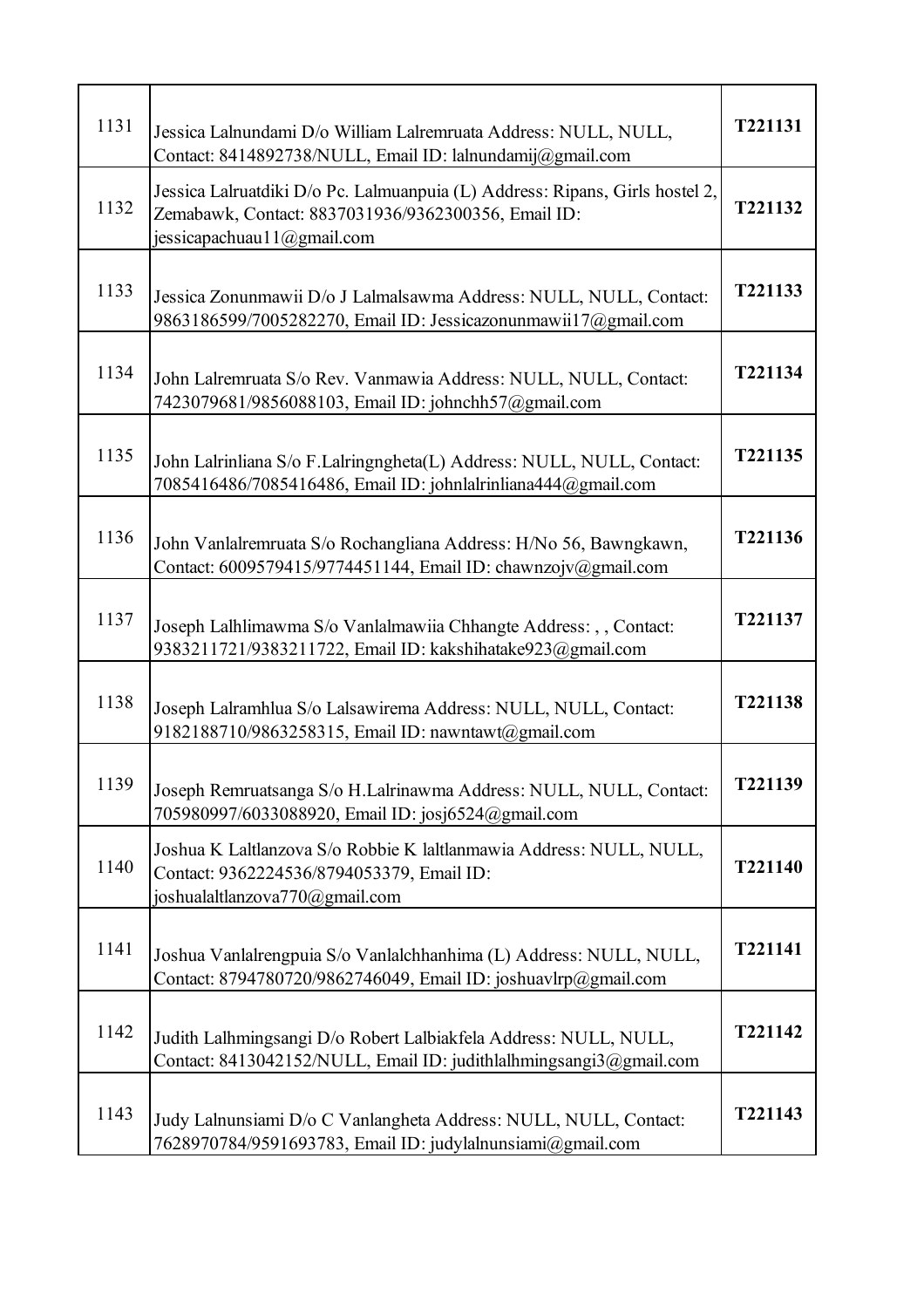| 1131 | Jessica Lalnundami D/o William Lalremruata Address: NULL, NULL,<br>Contact: 8414892738/NULL, Email ID: lalnundamij@gmail.com                                           | T221131        |
|------|------------------------------------------------------------------------------------------------------------------------------------------------------------------------|----------------|
| 1132 | Jessica Lalruatdiki D/o Pc. Lalmuanpuia (L) Address: Ripans, Girls hostel 2,<br>Zemabawk, Contact: 8837031936/9362300356, Email ID:<br>jessicapachuau 1 $1$ @gmail.com | T221132        |
| 1133 | Jessica Zonunmawii D/o J Lalmalsawma Address: NULL, NULL, Contact:<br>9863186599/7005282270, Email ID: Jessicazonunmawii17@gmail.com                                   | T221133        |
| 1134 | John Lalremruata S/o Rev. Vanmawia Address: NULL, NULL, Contact:<br>7423079681/9856088103, Email ID: johnchh57@gmail.com                                               | T221134        |
| 1135 | John Lalrinliana S/o F.Lalringngheta(L) Address: NULL, NULL, Contact:<br>7085416486/7085416486, Email ID: johnlalrinliana444@gmail.com                                 | T221135        |
| 1136 | John Vanlalremruata S/o Rochangliana Address: H/No 56, Bawngkawn,<br>Contact: 6009579415/9774451144, Email ID: chawnzojv@gmail.com                                     | T221136        |
| 1137 | Joseph Lalhlimawma S/o Vanlalmawiia Chhangte Address: , , Contact:<br>9383211721/9383211722, Email ID: kakshihatake923@gmail.com                                       | T221137        |
| 1138 | Joseph Lalramhlua S/o Lalsawirema Address: NULL, NULL, Contact:<br>9182188710/9863258315, Email ID: nawntawt@gmail.com                                                 | T221138        |
| 1139 | Joseph Remruatsanga S/o H.Lalrinawma Address: NULL, NULL, Contact:<br>705980997/6033088920, Email ID: josj6524@gmail.com                                               | <b>T221139</b> |
| 1140 | Joshua K Laltlanzova S/o Robbie K laltlanmawia Address: NULL, NULL,<br>Contact: 9362224536/8794053379, Email ID:<br>joshualaltlanzova770@gmail.com                     | T221140        |
| 1141 | Joshua Vanlalrengpuia S/o Vanlalchhanhima (L) Address: NULL, NULL,<br>Contact: 8794780720/9862746049, Email ID: joshuavlrp@gmail.com                                   | T221141        |
| 1142 | Judith Lalhmingsangi D/o Robert Lalbiakfela Address: NULL, NULL,<br>Contact: 8413042152/NULL, Email ID: judithlalhmingsangi3@gmail.com                                 | T221142        |
| 1143 | Judy Lalnunsiami D/o C Vanlangheta Address: NULL, NULL, Contact:<br>7628970784/9591693783, Email ID: judylalnunsiami@gmail.com                                         | T221143        |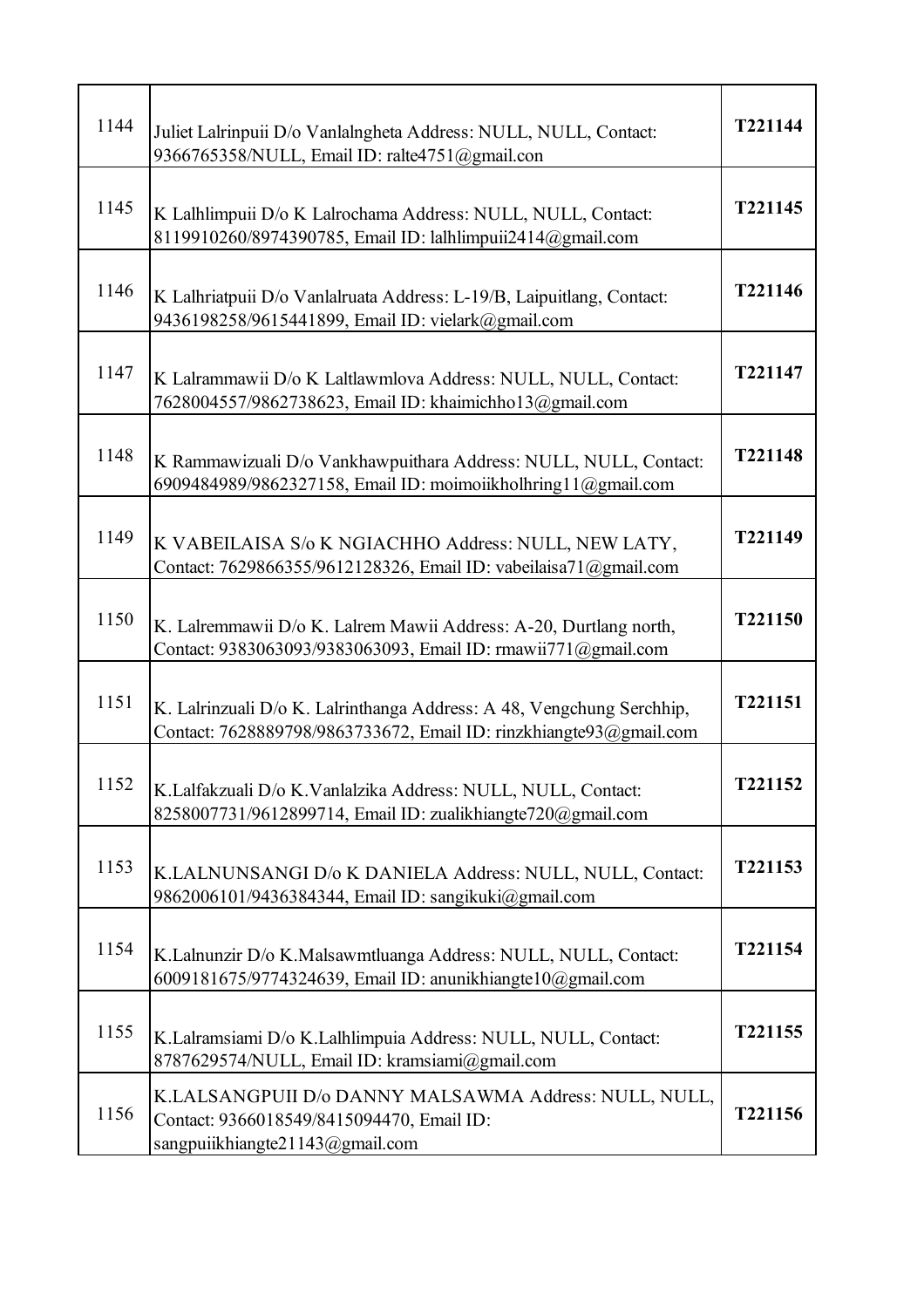| 1144 | Juliet Lalrinpuii D/o Vanlalngheta Address: NULL, NULL, Contact:<br>9366765358/NULL, Email ID: ralte4751@gmail.con                          | T221144 |
|------|---------------------------------------------------------------------------------------------------------------------------------------------|---------|
| 1145 | K Lalhlimpuii D/o K Lalrochama Address: NULL, NULL, Contact:<br>8119910260/8974390785, Email ID: lalhlimpuii2414@gmail.com                  | T221145 |
| 1146 | K Lalhriatpuii D/o Vanlalruata Address: L-19/B, Laipuitlang, Contact:<br>9436198258/9615441899, Email ID: vielark@gmail.com                 | T221146 |
| 1147 | K Lalrammawii D/o K Laltlawmlova Address: NULL, NULL, Contact:<br>7628004557/9862738623, Email ID: khaimichho13@gmail.com                   | T221147 |
| 1148 | K Rammawizuali D/o Vankhawpuithara Address: NULL, NULL, Contact:<br>6909484989/9862327158, Email ID: moimoiikholhring11@gmail.com           | T221148 |
| 1149 | K VABEILAISA S/o K NGIACHHO Address: NULL, NEW LATY,<br>Contact: 7629866355/9612128326, Email ID: vabeilaisa71@gmail.com                    | T221149 |
| 1150 | K. Lalremmawii D/o K. Lalrem Mawii Address: A-20, Durtlang north,<br>Contact: 9383063093/9383063093, Email ID: rmawii771@gmail.com          | T221150 |
| 1151 | K. Lalrinzuali D/o K. Lalrinthanga Address: A 48, Vengchung Serchhip,<br>Contact: 7628889798/9863733672, Email ID: rinzkhiangte93@gmail.com | T221151 |
| 1152 | K.Lalfakzuali D/o K.Vanlalzika Address: NULL, NULL, Contact:<br>8258007731/9612899714, Email ID: zualikhiangte720@gmail.com                 | T221152 |
| 1153 | K.LALNUNSANGI D/o K DANIELA Address: NULL, NULL, Contact:<br>9862006101/9436384344, Email ID: sangikuki@gmail.com                           | T221153 |
| 1154 | K.Lalnunzir D/o K.Malsawmtluanga Address: NULL, NULL, Contact:<br>6009181675/9774324639, Email ID: anunikhiangte10@gmail.com                | T221154 |
| 1155 | K.Lalramsiami D/o K.Lalhlimpuia Address: NULL, NULL, Contact:<br>8787629574/NULL, Email ID: kramsiami@gmail.com                             | T221155 |
| 1156 | K.LALSANGPUII D/o DANNY MALSAWMA Address: NULL, NULL,<br>Contact: 9366018549/8415094470, Email ID:<br>sangpuiikhiangte21143@gmail.com       | T221156 |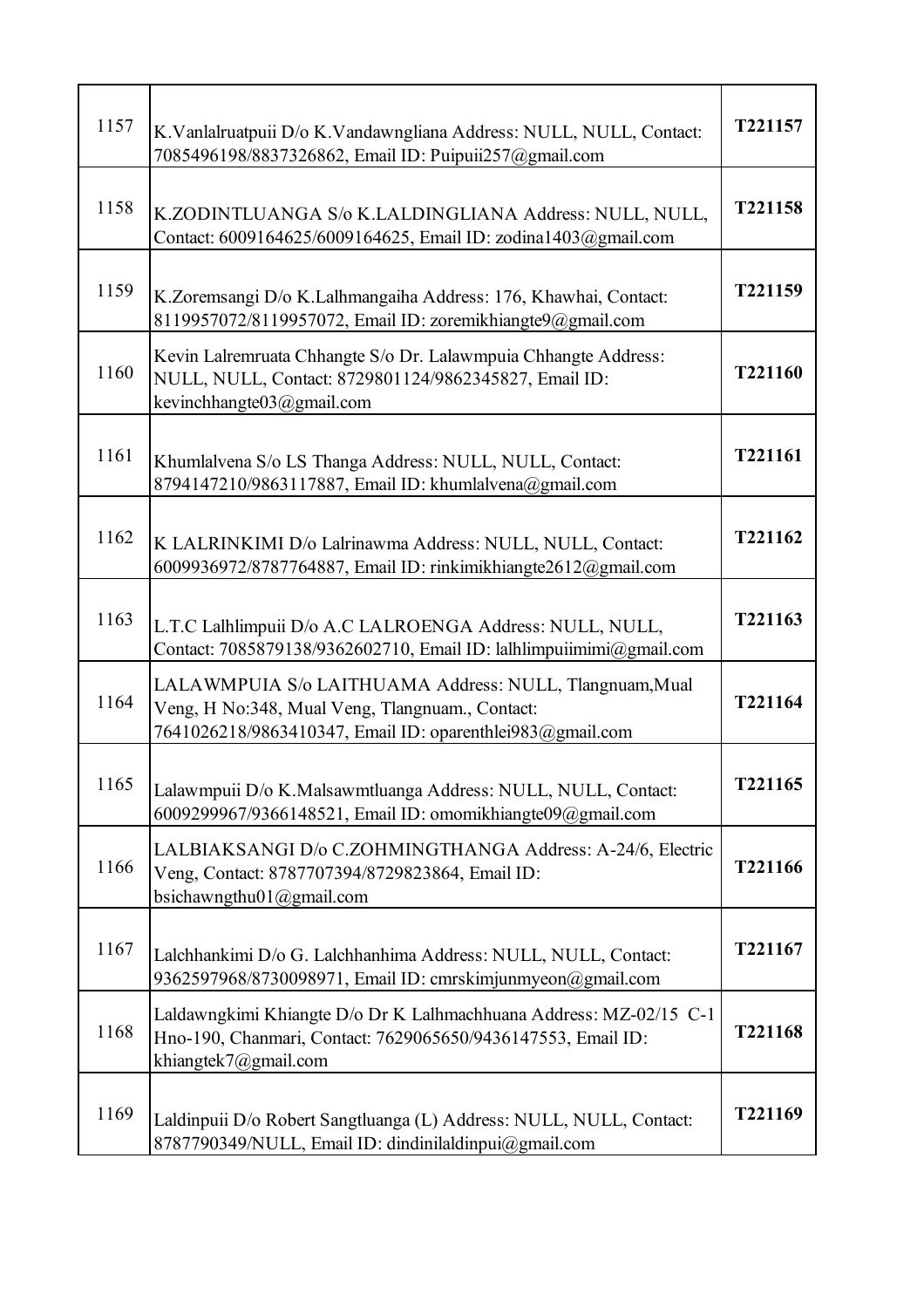| 1157 | K. Vanlalruatpuii D/o K. Vandawngliana Address: NULL, NULL, Contact:<br>7085496198/8837326862, Email ID: Puipuii257@gmail.com                                           | T221157 |
|------|-------------------------------------------------------------------------------------------------------------------------------------------------------------------------|---------|
| 1158 | K.ZODINTLUANGA S/o K.LALDINGLIANA Address: NULL, NULL,<br>Contact: 6009164625/6009164625, Email ID: zodina1403@gmail.com                                                | T221158 |
| 1159 | K.Zoremsangi D/o K.Lalhmangaiha Address: 176, Khawhai, Contact:<br>8119957072/8119957072, Email ID: zoremikhiangte9@gmail.com                                           | T221159 |
| 1160 | Kevin Lalremruata Chhangte S/o Dr. Lalawmpuia Chhangte Address:<br>NULL, NULL, Contact: 8729801124/9862345827, Email ID:<br>kevinchhangte03@gmail.com                   | T221160 |
| 1161 | Khumlalvena S/o LS Thanga Address: NULL, NULL, Contact:<br>8794147210/9863117887, Email ID: khumlalvena@gmail.com                                                       | T221161 |
| 1162 | K LALRINKIMI D/o Lalrinawma Address: NULL, NULL, Contact:<br>6009936972/8787764887, Email ID: rinkimikhiangte2612@gmail.com                                             | T221162 |
| 1163 | L.T.C Lalhlimpuii D/o A.C LALROENGA Address: NULL, NULL,<br>Contact: 7085879138/9362602710, Email ID: lalhlimpuiimimi@gmail.com                                         | T221163 |
| 1164 | LALAWMPUIA S/o LAITHUAMA Address: NULL, Tlangnuam, Mual<br>Veng, H No:348, Mual Veng, Tlangnuam., Contact:<br>7641026218/9863410347, Email ID: oparenthlei983@gmail.com | T221164 |
| 1165 | Lalawmpuii D/o K.Malsawmtluanga Address: NULL, NULL, Contact:<br>6009299967/9366148521, Email ID: omomikhiangte09@gmail.com                                             | T221165 |
| 1166 | LALBIAKSANGI D/o C.ZOHMINGTHANGA Address: A-24/6, Electric<br>Veng, Contact: 8787707394/8729823864, Email ID:<br>bsichawngthu01@gmail.com                               | T221166 |
| 1167 | Lalchhankimi D/o G. Lalchhanhima Address: NULL, NULL, Contact:<br>9362597968/8730098971, Email ID: cmrskimjunmyeon@gmail.com                                            | T221167 |
| 1168 | Laldawngkimi Khiangte D/o Dr K Lalhmachhuana Address: MZ-02/15 C-1<br>Hno-190, Chanmari, Contact: 7629065650/9436147553, Email ID:<br>khiangtek7@gmail.com              | T221168 |
| 1169 | Laldinpuii D/o Robert Sangtluanga (L) Address: NULL, NULL, Contact:<br>8787790349/NULL, Email ID: dindinilaldinpui@gmail.com                                            | T221169 |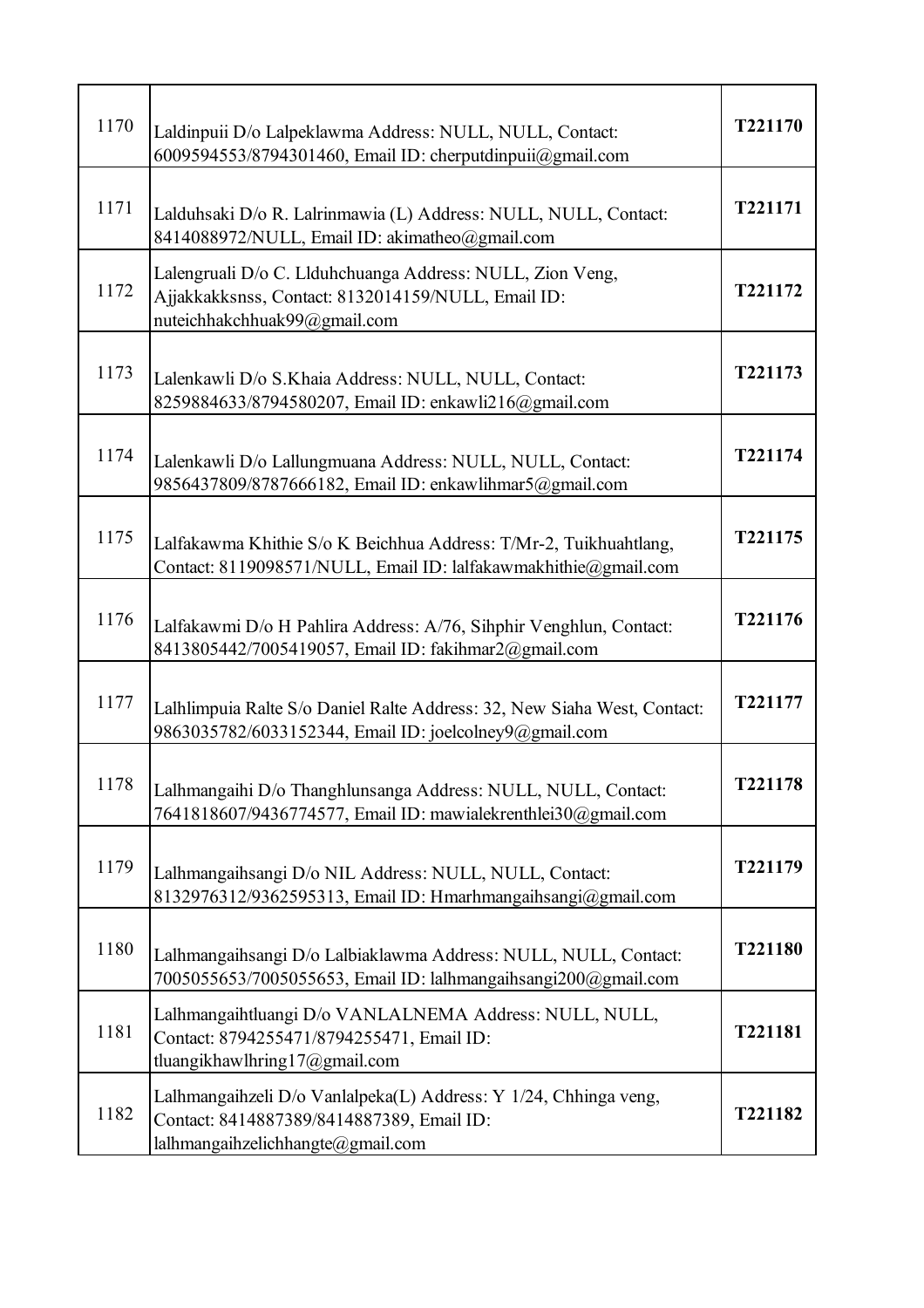| 1170 | Laldinpuii D/o Lalpeklawma Address: NULL, NULL, Contact:<br>6009594553/8794301460, Email ID: cherputdinpuii@gmail.com                              | T221170 |
|------|----------------------------------------------------------------------------------------------------------------------------------------------------|---------|
| 1171 | Lalduhsaki D/o R. Lalrinmawia (L) Address: NULL, NULL, Contact:<br>8414088972/NULL, Email ID: akimatheo@gmail.com                                  | T221171 |
| 1172 | Lalengruali D/o C. Llduhchuanga Address: NULL, Zion Veng,<br>Ajjakkakksnss, Contact: 8132014159/NULL, Email ID:<br>nuteichhakchhuak99@gmail.com    | T221172 |
| 1173 | Lalenkawli D/o S.Khaia Address: NULL, NULL, Contact:<br>8259884633/8794580207, Email ID: enkawli216@gmail.com                                      | T221173 |
| 1174 | Lalenkawli D/o Lallungmuana Address: NULL, NULL, Contact:<br>9856437809/8787666182, Email ID: enkawlihmar5@gmail.com                               | T221174 |
| 1175 | Lalfakawma Khithie S/o K Beichhua Address: T/Mr-2, Tuikhuahtlang,<br>Contact: 8119098571/NULL, Email ID: lalfakawmakhithie@gmail.com               | T221175 |
| 1176 | Lalfakawmi D/o H Pahlira Address: A/76, Sihphir Venghlun, Contact:<br>8413805442/7005419057, Email ID: fakihmar2@gmail.com                         | T221176 |
| 1177 | Lalhlimpuia Ralte S/o Daniel Ralte Address: 32, New Siaha West, Contact:<br>9863035782/6033152344, Email ID: joelcolney9@gmail.com                 | T221177 |
| 1178 | Lalhmangaihi D/o Thanghlunsanga Address: NULL, NULL, Contact:<br>7641818607/9436774577, Email ID: mawialekrenthlei30@gmail.com                     | T221178 |
| 1179 | Lalhmangaihsangi D/o NIL Address: NULL, NULL, Contact:<br>8132976312/9362595313, Email ID: Hmarhmangaihsangi@gmail.com                             | T221179 |
| 1180 | Lalhmangaihsangi D/o Lalbiaklawma Address: NULL, NULL, Contact:<br>7005055653/7005055653, Email ID: lalhmangaihsangi200@gmail.com                  | T221180 |
| 1181 | Lalhmangaihtluangi D/o VANLALNEMA Address: NULL, NULL,<br>Contact: 8794255471/8794255471, Email ID:<br>tluangikhawlhring17@gmail.com               | T221181 |
| 1182 | Lalhmangaihzeli D/o Vanlalpeka(L) Address: Y 1/24, Chhinga veng,<br>Contact: 8414887389/8414887389, Email ID:<br>lalhmangaihzelichhangte@gmail.com | T221182 |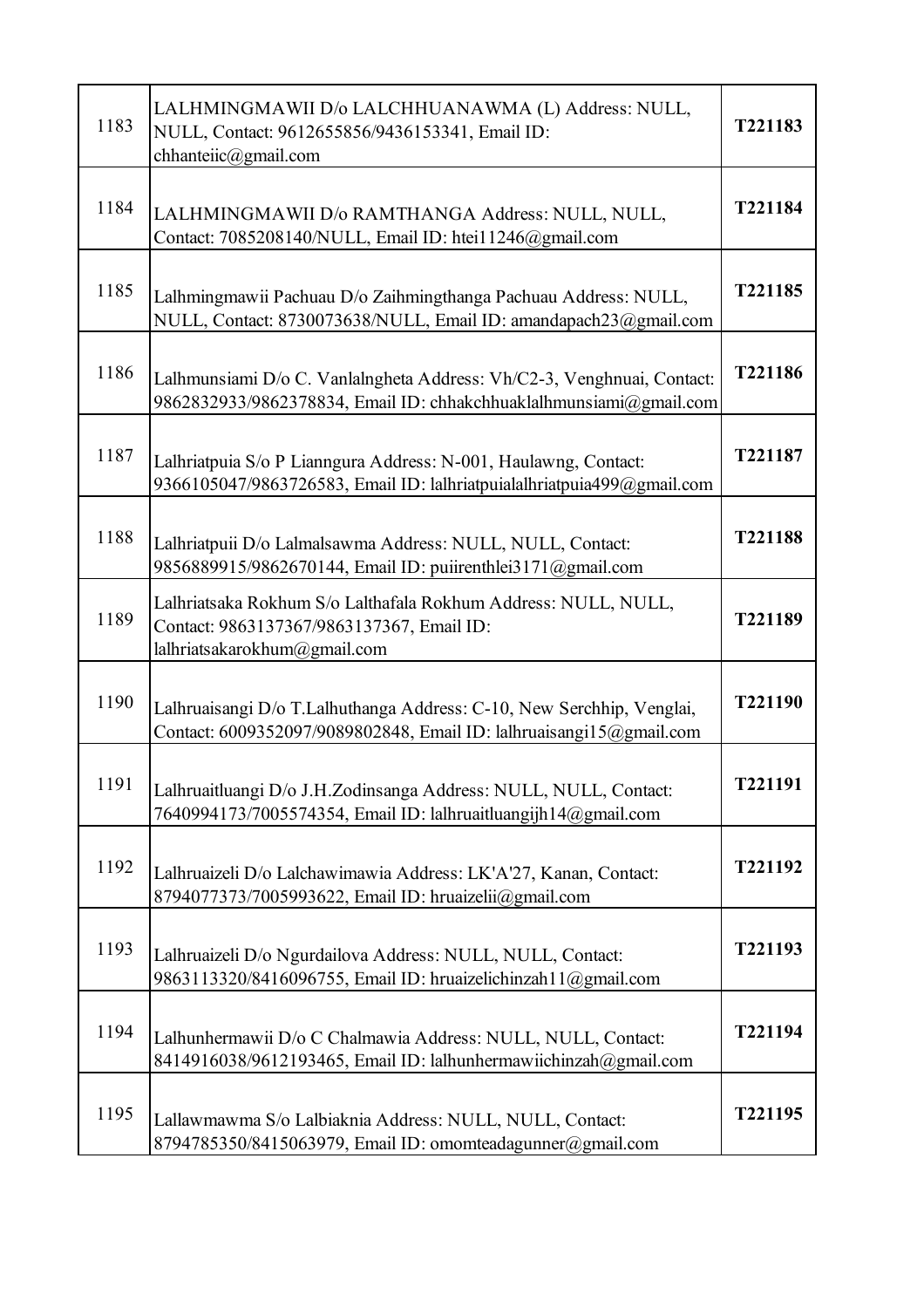| 1183 | LALHMINGMAWII D/o LALCHHUANAWMA (L) Address: NULL,<br>NULL, Contact: 9612655856/9436153341, Email ID:<br>chhanteiic@gmail.com                | T221183 |
|------|----------------------------------------------------------------------------------------------------------------------------------------------|---------|
| 1184 | LALHMINGMAWII D/o RAMTHANGA Address: NULL, NULL,<br>Contact: 7085208140/NULL, Email ID: htei11246@gmail.com                                  | T221184 |
| 1185 | Lalhmingmawii Pachuau D/o Zaihmingthanga Pachuau Address: NULL,<br>NULL, Contact: 8730073638/NULL, Email ID: amandapach23@gmail.com          | T221185 |
| 1186 | Lalhmunsiami D/o C. Vanlalngheta Address: Vh/C2-3, Venghnuai, Contact:<br>9862832933/9862378834, Email ID: chhakchhuaklalhmunsiami@gmail.com | T221186 |
| 1187 | Lalhriatpuia S/o P Lianngura Address: N-001, Haulawng, Contact:<br>9366105047/9863726583, Email ID: lalhriatpuialalhriatpuia499@gmail.com    | T221187 |
| 1188 | Lalhriatpuii D/o Lalmalsawma Address: NULL, NULL, Contact:<br>9856889915/9862670144, Email ID: puiirenthlei3171@gmail.com                    | T221188 |
| 1189 | Lalhriatsaka Rokhum S/o Lalthafala Rokhum Address: NULL, NULL,<br>Contact: 9863137367/9863137367, Email ID:<br>lalhriatsakarokhum@gmail.com  | T221189 |
| 1190 | Lalhruaisangi D/o T.Lalhuthanga Address: C-10, New Serchhip, Venglai,<br>Contact: 6009352097/9089802848, Email ID: lalhruaisangi15@gmail.com | T221190 |
| 1191 | Lalhruaitluangi D/o J.H.Zodinsanga Address: NULL, NULL, Contact:<br>7640994173/7005574354, Email ID: lalhruaitluangijh14@gmail.com           | T221191 |
| 1192 | Lalhruaizeli D/o Lalchawimawia Address: LK'A'27, Kanan, Contact:<br>8794077373/7005993622, Email ID: hruaizelii@gmail.com                    | T221192 |
| 1193 | Lalhruaizeli D/o Ngurdailova Address: NULL, NULL, Contact:<br>9863113320/8416096755, Email ID: hruaizelichinzah11@gmail.com                  | T221193 |
| 1194 | Lalhunhermawii D/o C Chalmawia Address: NULL, NULL, Contact:<br>8414916038/9612193465, Email ID: lalhunhermawiichinzah@gmail.com             | T221194 |
| 1195 | Lallawmawma S/o Lalbiaknia Address: NULL, NULL, Contact:<br>8794785350/8415063979, Email ID: omomteadagunner@gmail.com                       | T221195 |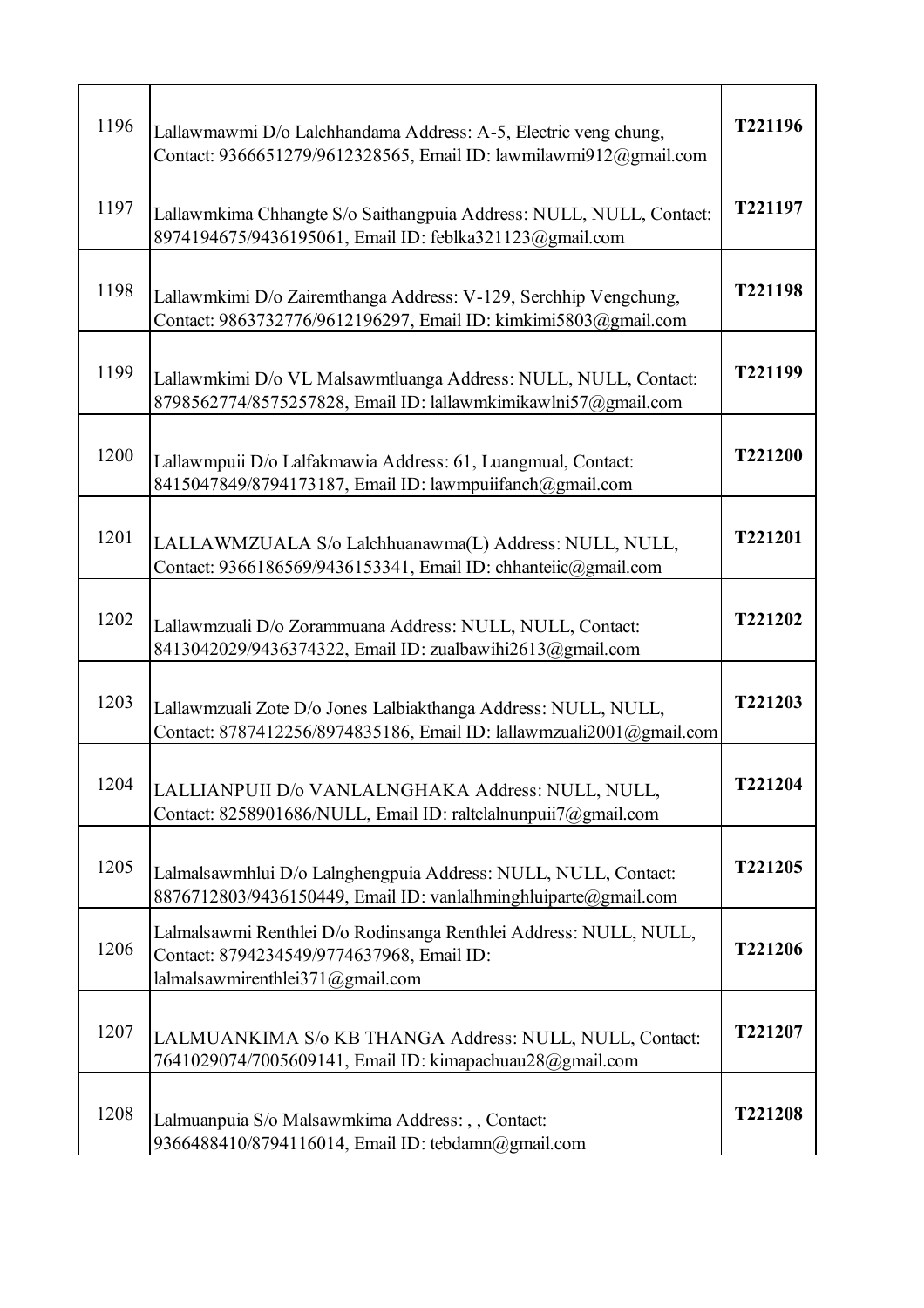| 1196 | Lallawmawmi D/o Lalchhandama Address: A-5, Electric veng chung,<br>Contact: 9366651279/9612328565, Email ID: lawmilawmi912@gmail.com               | T221196 |
|------|----------------------------------------------------------------------------------------------------------------------------------------------------|---------|
| 1197 | Lallawmkima Chhangte S/o Saithangpuia Address: NULL, NULL, Contact:<br>8974194675/9436195061, Email ID: feblka321123@gmail.com                     | T221197 |
| 1198 | Lallawmkimi D/o Zairemthanga Address: V-129, Serchhip Vengchung,<br>Contact: 9863732776/9612196297, Email ID: kimkimi5803@gmail.com                | T221198 |
| 1199 | Lallawmkimi D/o VL Malsawmtluanga Address: NULL, NULL, Contact:<br>8798562774/8575257828, Email ID: lallawmkimikawlni57@gmail.com                  | T221199 |
| 1200 | Lallawmpuii D/o Lalfakmawia Address: 61, Luangmual, Contact:<br>8415047849/8794173187, Email ID: lawmpuiifanch@gmail.com                           | T221200 |
| 1201 | LALLAWMZUALA S/o Lalchhuanawma(L) Address: NULL, NULL,<br>Contact: 9366186569/9436153341, Email ID: chhanteiic@gmail.com                           | T221201 |
| 1202 | Lallawmzuali D/o Zorammuana Address: NULL, NULL, Contact:<br>8413042029/9436374322, Email ID: zualbawihi2613@gmail.com                             | T221202 |
| 1203 | Lallawmzuali Zote D/o Jones Lalbiakthanga Address: NULL, NULL,<br>Contact: 8787412256/8974835186, Email ID: lallawmzuali2001@gmail.com             | T221203 |
| 1204 | LALLIANPUII D/o VANLALNGHAKA Address: NULL, NULL,<br>Contact: 8258901686/NULL, Email ID: raltelalnunpuii7@gmail.com                                | T221204 |
| 1205 | Lalmalsawmhlui D/o Lalnghengpuia Address: NULL, NULL, Contact:<br>8876712803/9436150449, Email ID: vanlalhminghluiparte@gmail.com                  | T221205 |
| 1206 | Lalmalsawmi Renthlei D/o Rodinsanga Renthlei Address: NULL, NULL,<br>Contact: 8794234549/9774637968, Email ID:<br>lalmalsawmirenthlei371@gmail.com | T221206 |
| 1207 | LALMUANKIMA S/o KB THANGA Address: NULL, NULL, Contact:<br>7641029074/7005609141, Email ID: kimapachuau28@gmail.com                                | T221207 |
| 1208 | Lalmuanpuia S/o Malsawmkima Address: , , Contact:<br>9366488410/8794116014, Email ID: tebdamn@gmail.com                                            | T221208 |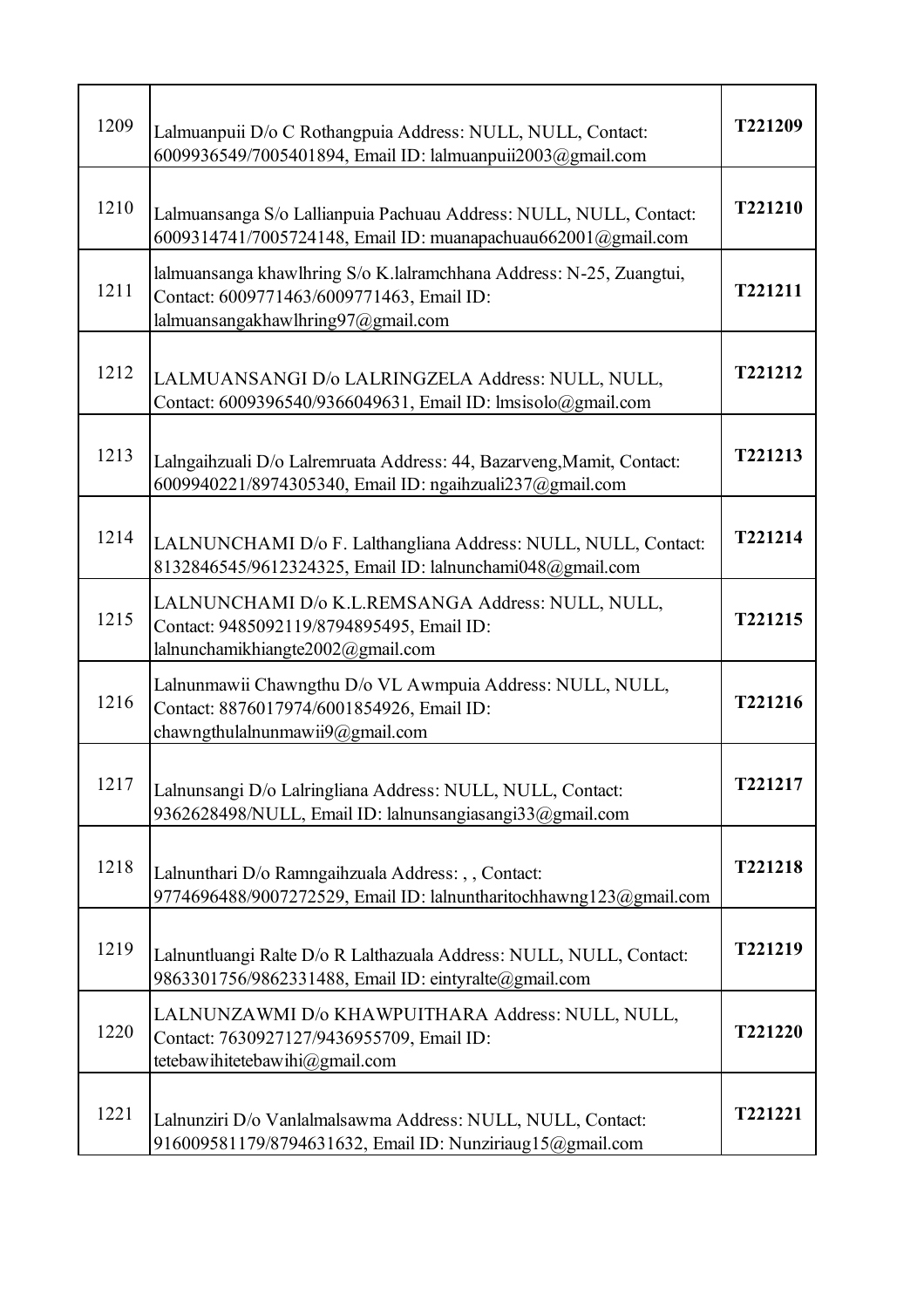| 1209 | Lalmuanpuii D/o C Rothangpuia Address: NULL, NULL, Contact:<br>6009936549/7005401894, Email ID: lalmuanpuii2003@gmail.com                              | T221209 |
|------|--------------------------------------------------------------------------------------------------------------------------------------------------------|---------|
| 1210 | Lalmuansanga S/o Lallianpuia Pachuau Address: NULL, NULL, Contact:<br>6009314741/7005724148, Email ID: muanapachuau662001@gmail.com                    | T221210 |
| 1211 | lalmuansanga khawlhring S/o K.lalramchhana Address: N-25, Zuangtui,<br>Contact: 6009771463/6009771463, Email ID:<br>lalmuansangakhawlhring97@gmail.com | T221211 |
| 1212 | LALMUANSANGI D/o LALRINGZELA Address: NULL, NULL,<br>Contact: 6009396540/9366049631, Email ID: lmsisolo@gmail.com                                      | T221212 |
| 1213 | Lalngaihzuali D/o Lalremruata Address: 44, Bazarveng, Mamit, Contact:<br>6009940221/8974305340, Email ID: ngaihzuali237@gmail.com                      | T221213 |
| 1214 | LALNUNCHAMI D/o F. Lalthangliana Address: NULL, NULL, Contact:<br>8132846545/9612324325, Email ID: lalnunchami048@gmail.com                            | T221214 |
| 1215 | LALNUNCHAMI D/o K.L.REMSANGA Address: NULL, NULL,<br>Contact: 9485092119/8794895495, Email ID:<br>lalnunchamikhiangte2002@gmail.com                    | T221215 |
| 1216 | Lalnunmawii Chawngthu D/o VL Awmpuia Address: NULL, NULL,<br>Contact: 8876017974/6001854926, Email ID:<br>chawngthulalnunmawii9@gmail.com              | T221216 |
| 1217 | Lalnunsangi D/o Lalringliana Address: NULL, NULL, Contact:<br>9362628498/NULL, Email ID: lalnunsangiasangi33@gmail.com                                 | T221217 |
| 1218 | Lalnunthari D/o Ramngaihzuala Address: , , Contact:<br>9774696488/9007272529, Email ID: lalnuntharitochhawng123@gmail.com                              | T221218 |
| 1219 | Lalnuntluangi Ralte D/o R Lalthazuala Address: NULL, NULL, Contact:<br>9863301756/9862331488, Email ID: eintyralte@gmail.com                           | T221219 |
| 1220 | LALNUNZAWMI D/o KHAWPUITHARA Address: NULL, NULL,<br>Contact: 7630927127/9436955709, Email ID:<br>tetebawihitetebawihi@gmail.com                       | T221220 |
| 1221 | Lalnunziri D/o Vanlalmalsawma Address: NULL, NULL, Contact:<br>916009581179/8794631632, Email ID: Nunziriaug15@gmail.com                               | T221221 |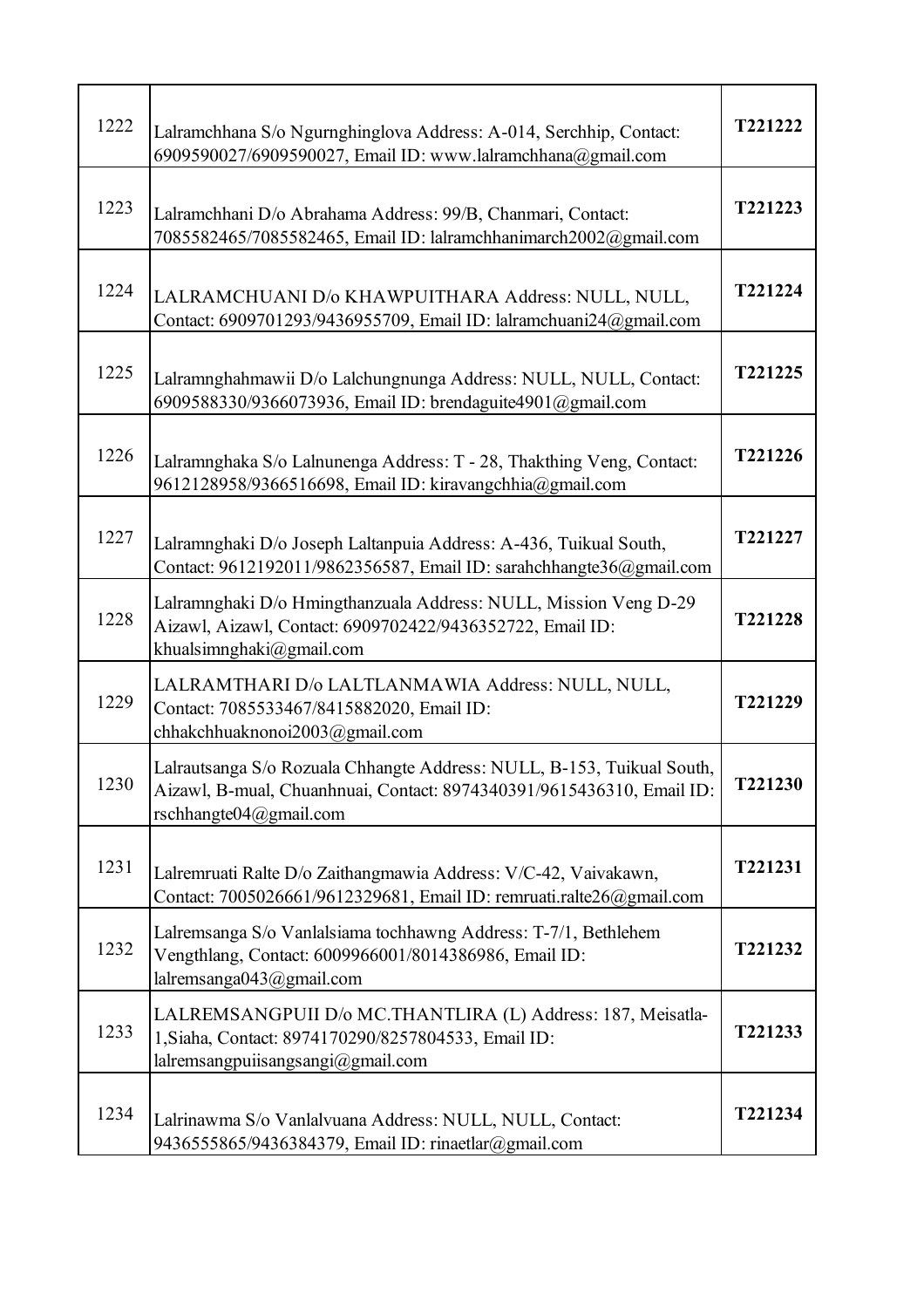| 1222 | Lalramchhana S/o Ngurnghinglova Address: A-014, Serchhip, Contact:<br>6909590027/6909590027, Email ID: www.lalramchhana@gmail.com                                             | T221222 |
|------|-------------------------------------------------------------------------------------------------------------------------------------------------------------------------------|---------|
| 1223 | Lalramchhani D/o Abrahama Address: 99/B, Chanmari, Contact:<br>7085582465/7085582465, Email ID: lalramchhanimarch2002@gmail.com                                               | T221223 |
| 1224 | LALRAMCHUANI D/o KHAWPUITHARA Address: NULL, NULL,<br>Contact: 6909701293/9436955709, Email ID: lalramchuani24@gmail.com                                                      | T221224 |
| 1225 | Lalramnghahmawii D/o Lalchungnunga Address: NULL, NULL, Contact:<br>6909588330/9366073936, Email ID: brendaguite4901@gmail.com                                                | T221225 |
| 1226 | Lalramnghaka S/o Lalnunenga Address: T - 28, Thakthing Veng, Contact:<br>9612128958/9366516698, Email ID: kiravangchhia@gmail.com                                             | T221226 |
| 1227 | Lalramnghaki D/o Joseph Laltanpuia Address: A-436, Tuikual South,<br>Contact: 9612192011/9862356587, Email ID: sarahchhangte36@gmail.com                                      | T221227 |
| 1228 | Lalramnghaki D/o Hmingthanzuala Address: NULL, Mission Veng D-29<br>Aizawl, Aizawl, Contact: 6909702422/9436352722, Email ID:<br>khualsimnghaki@gmail.com                     | T221228 |
| 1229 | LALRAMTHARI D/o LALTLANMAWIA Address: NULL, NULL,<br>Contact: 7085533467/8415882020, Email ID:<br>chhakchhuaknonoi2003@gmail.com                                              | T221229 |
| 1230 | Lalrautsanga S/o Rozuala Chhangte Address: NULL, B-153, Tuikual South,<br>Aizawl, B-mual, Chuanhnuai, Contact: 8974340391/9615436310, Email ID:<br>rschhangte $04@g$ mail.com | T221230 |
| 1231 | Lalremruati Ralte D/o Zaithangmawia Address: V/C-42, Vaivakawn,<br>Contact: 7005026661/9612329681, Email ID: remruati.ralte26@gmail.com                                       | T221231 |
| 1232 | Lalremsanga S/o Vanlalsiama tochhawng Address: T-7/1, Bethlehem<br>Vengthlang, Contact: 6009966001/8014386986, Email ID:<br>lalremsanga043@gmail.com                          | T221232 |
| 1233 | LALREMSANGPUII D/o MC.THANTLIRA (L) Address: 187, Meisatla-<br>1, Siaha, Contact: 8974170290/8257804533, Email ID:<br>lalremsangpuiisangsangi@gmail.com                       | T221233 |
| 1234 | Lalrinawma S/o Vanlalvuana Address: NULL, NULL, Contact:<br>9436555865/9436384379, Email ID: rinaetlar@gmail.com                                                              | T221234 |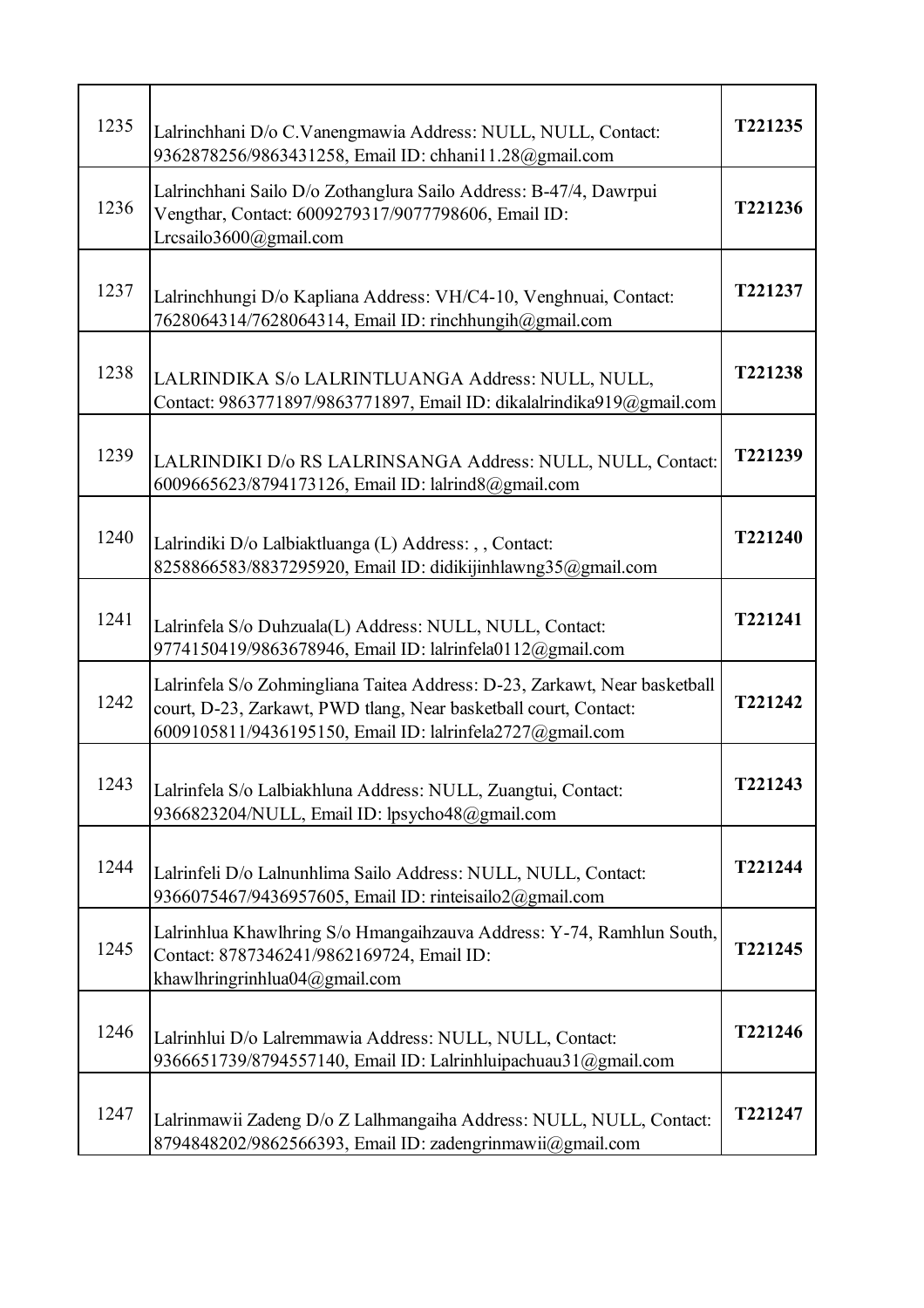| 1235 | Lalrinchhani D/o C.Vanengmawia Address: NULL, NULL, Contact:<br>9362878256/9863431258, Email ID: chhani11.28@gmail.com                                                                                      | T221235        |
|------|-------------------------------------------------------------------------------------------------------------------------------------------------------------------------------------------------------------|----------------|
| 1236 | Lalrinchhani Sailo D/o Zothanglura Sailo Address: B-47/4, Dawrpui<br>Vengthar, Contact: 6009279317/9077798606, Email ID:<br>Lrcsailo3600@gmail.com                                                          | T221236        |
| 1237 | Lalrinchhungi D/o Kapliana Address: VH/C4-10, Venghnuai, Contact:<br>7628064314/7628064314, Email ID: rinchhungih@gmail.com                                                                                 | T221237        |
| 1238 | LALRINDIKA S/o LALRINTLUANGA Address: NULL, NULL,<br>Contact: 9863771897/9863771897, Email ID: dikalalrindika919@gmail.com                                                                                  | T221238        |
| 1239 | LALRINDIKI D/o RS LALRINSANGA Address: NULL, NULL, Contact:<br>6009665623/8794173126, Email ID: lalrind8@gmail.com                                                                                          | T221239        |
| 1240 | Lalrindiki D/o Lalbiaktluanga (L) Address: , , Contact:<br>8258866583/8837295920, Email ID: didikijinhlawng35@gmail.com                                                                                     | T221240        |
| 1241 | Lalrinfela S/o Duhzuala(L) Address: NULL, NULL, Contact:<br>9774150419/9863678946, Email ID: lalrinfela0112@gmail.com                                                                                       | T221241        |
| 1242 | Lalrinfela S/o Zohmingliana Taitea Address: D-23, Zarkawt, Near basketball<br>court, D-23, Zarkawt, PWD tlang, Near basketball court, Contact:<br>6009105811/9436195150, Email ID: lalrinfela2727@gmail.com | T221242        |
| 1243 | Lalrinfela S/o Lalbiakhluna Address: NULL, Zuangtui, Contact:<br>9366823204/NULL, Email ID: lpsycho48@gmail.com                                                                                             | <b>T221243</b> |
| 1244 | Lalrinfeli D/o Lalnunhlima Sailo Address: NULL, NULL, Contact:<br>9366075467/9436957605, Email ID: rinteisailo2@gmail.com                                                                                   | T221244        |
| 1245 | Lalrinhlua Khawlhring S/o Hmangaihzauva Address: Y-74, Ramhlun South,<br>Contact: 8787346241/9862169724, Email ID:<br>khawlhringrinhlua04@gmail.com                                                         | T221245        |
| 1246 | Lalrinhlui D/o Lalremmawia Address: NULL, NULL, Contact:<br>9366651739/8794557140, Email ID: Lalrinhluipachuau31@gmail.com                                                                                  | T221246        |
| 1247 | Lalrinmawii Zadeng D/o Z Lalhmangaiha Address: NULL, NULL, Contact:<br>8794848202/9862566393, Email ID: zadengrinmawii@gmail.com                                                                            | T221247        |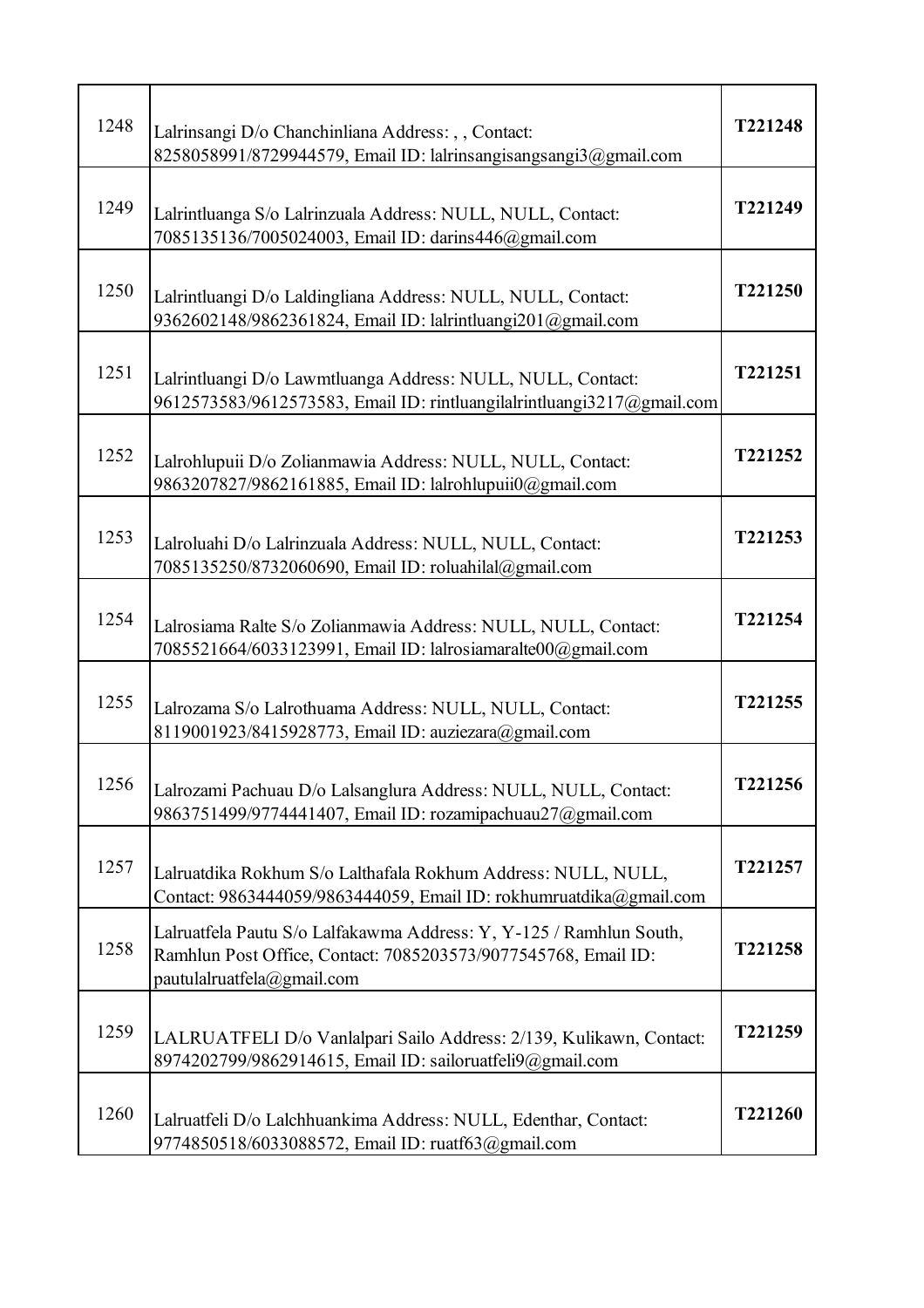| 1248 | Lalrinsangi D/o Chanchinliana Address: , , Contact:<br>8258058991/8729944579, Email ID: lalrinsangisangsangi3@gmail.com                                             | T221248 |
|------|---------------------------------------------------------------------------------------------------------------------------------------------------------------------|---------|
| 1249 | Lalrintluanga S/o Lalrinzuala Address: NULL, NULL, Contact:<br>7085135136/7005024003, Email ID: darins446@gmail.com                                                 | T221249 |
| 1250 | Lalrintluangi D/o Laldingliana Address: NULL, NULL, Contact:<br>9362602148/9862361824, Email ID: lalrintluangi201@gmail.com                                         | T221250 |
| 1251 | Lalrintluangi D/o Lawmtluanga Address: NULL, NULL, Contact:<br>9612573583/9612573583, Email ID: rintluangilalrintluangi3217@gmail.com                               | T221251 |
| 1252 | Lalrohlupuii D/o Zolianmawia Address: NULL, NULL, Contact:<br>9863207827/9862161885, Email ID: lalrohlupuii0@gmail.com                                              | T221252 |
| 1253 | Lalroluahi D/o Lalrinzuala Address: NULL, NULL, Contact:<br>7085135250/8732060690, Email ID: roluahilal@gmail.com                                                   | T221253 |
| 1254 | Lalrosiama Ralte S/o Zolianmawia Address: NULL, NULL, Contact:<br>7085521664/6033123991, Email ID: lalrosiamaralte00@gmail.com                                      | T221254 |
| 1255 | Lalrozama S/o Lalrothuama Address: NULL, NULL, Contact:<br>8119001923/8415928773, Email ID: auziezara@gmail.com                                                     | T221255 |
| 1256 | Lalrozami Pachuau D/o Lalsanglura Address: NULL, NULL, Contact:<br>9863751499/9774441407, Email ID: rozamipachuau27@gmail.com                                       | T221256 |
| 1257 | Lalruatdika Rokhum S/o Lalthafala Rokhum Address: NULL, NULL,<br>Contact: 9863444059/9863444059, Email ID: rokhumruatdika@gmail.com                                 | T221257 |
| 1258 | Lalruatfela Pautu S/o Lalfakawma Address: Y, Y-125 / Ramhlun South,<br>Ramhlun Post Office, Contact: 7085203573/9077545768, Email ID:<br>pautulalruatfela@gmail.com | T221258 |
| 1259 | LALRUATFELI D/o Vanlalpari Sailo Address: 2/139, Kulikawn, Contact:<br>8974202799/9862914615, Email ID: sailoruatfeli9@gmail.com                                    | T221259 |
| 1260 | Lalruatfeli D/o Lalchhuankima Address: NULL, Edenthar, Contact:<br>9774850518/6033088572, Email ID: ruatf63@gmail.com                                               | T221260 |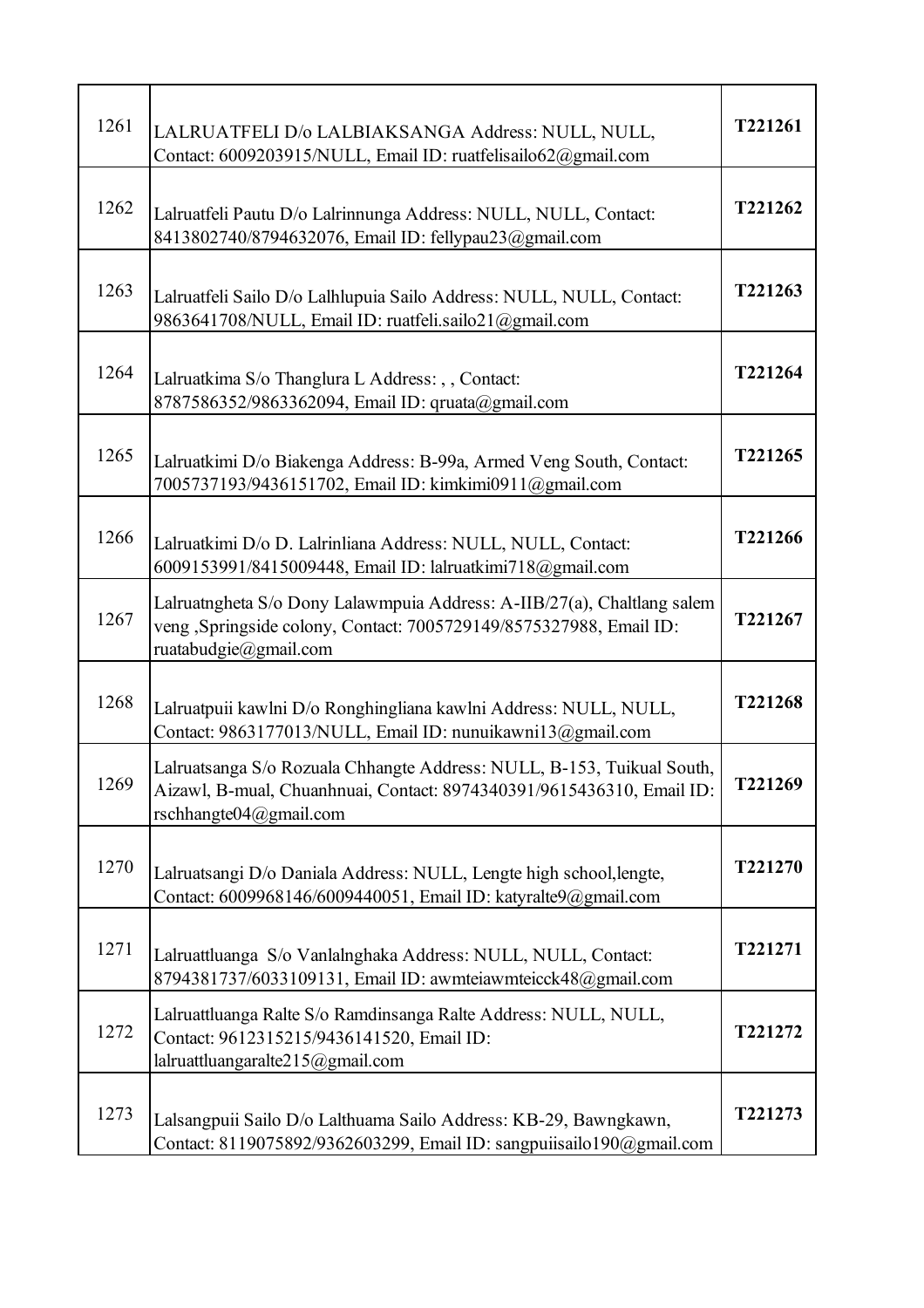| 1261 | LALRUATFELI D/o LALBIAKSANGA Address: NULL, NULL,<br>Contact: 6009203915/NULL, Email ID: ruatfelisailo62@gmail.com                                                        | T221261 |
|------|---------------------------------------------------------------------------------------------------------------------------------------------------------------------------|---------|
| 1262 | Lalruatfeli Pautu D/o Lalrinnunga Address: NULL, NULL, Contact:<br>8413802740/8794632076, Email ID: fellypau23@gmail.com                                                  | T221262 |
| 1263 | Lalruatfeli Sailo D/o Lalhlupuia Sailo Address: NULL, NULL, Contact:<br>9863641708/NULL, Email ID: ruatfeli.sailo21@gmail.com                                             | T221263 |
| 1264 | Lalruatkima S/o Thanglura L Address: , , Contact:<br>8787586352/9863362094, Email ID: qruata@gmail.com                                                                    | T221264 |
| 1265 | Lalruatkimi D/o Biakenga Address: B-99a, Armed Veng South, Contact:<br>7005737193/9436151702, Email ID: kimkimi0911@gmail.com                                             | T221265 |
| 1266 | Lalruatkimi D/o D. Lalrinliana Address: NULL, NULL, Contact:<br>6009153991/8415009448, Email ID: lalruatkimi718@gmail.com                                                 | T221266 |
| 1267 | Lalruatngheta S/o Dony Lalawmpuia Address: A-IIB/27(a), Chaltlang salem<br>veng ,Springside colony, Contact: 7005729149/8575327988, Email ID:<br>ruatabudgie@gmail.com    | T221267 |
| 1268 | Lalruatpuii kawlni D/o Ronghingliana kawlni Address: NULL, NULL,<br>Contact: 9863177013/NULL, Email ID: nunuikawni13@gmail.com                                            | T221268 |
| 1269 | Lalruatsanga S/o Rozuala Chhangte Address: NULL, B-153, Tuikual South,<br>Aizawl, B-mual, Chuanhnuai, Contact: 8974340391/9615436310, Email ID:<br>rschhangte04@gmail.com | T221269 |
| 1270 | Lalruatsangi D/o Daniala Address: NULL, Lengte high school, lengte,<br>Contact: 6009968146/6009440051, Email ID: katyralte9@gmail.com                                     | T221270 |
| 1271 | Lalruattluanga S/o Vanlalnghaka Address: NULL, NULL, Contact:<br>8794381737/6033109131, Email ID: awmteiawmteicck48@gmail.com                                             | T221271 |
| 1272 | Lalruattluanga Ralte S/o Ramdinsanga Ralte Address: NULL, NULL,<br>Contact: 9612315215/9436141520, Email ID:<br>lalruattluangaralte215@gmail.com                          | T221272 |
| 1273 | Lalsangpuii Sailo D/o Lalthuama Sailo Address: KB-29, Bawngkawn,<br>Contact: 8119075892/9362603299, Email ID: sangpuiisailo190@gmail.com                                  | T221273 |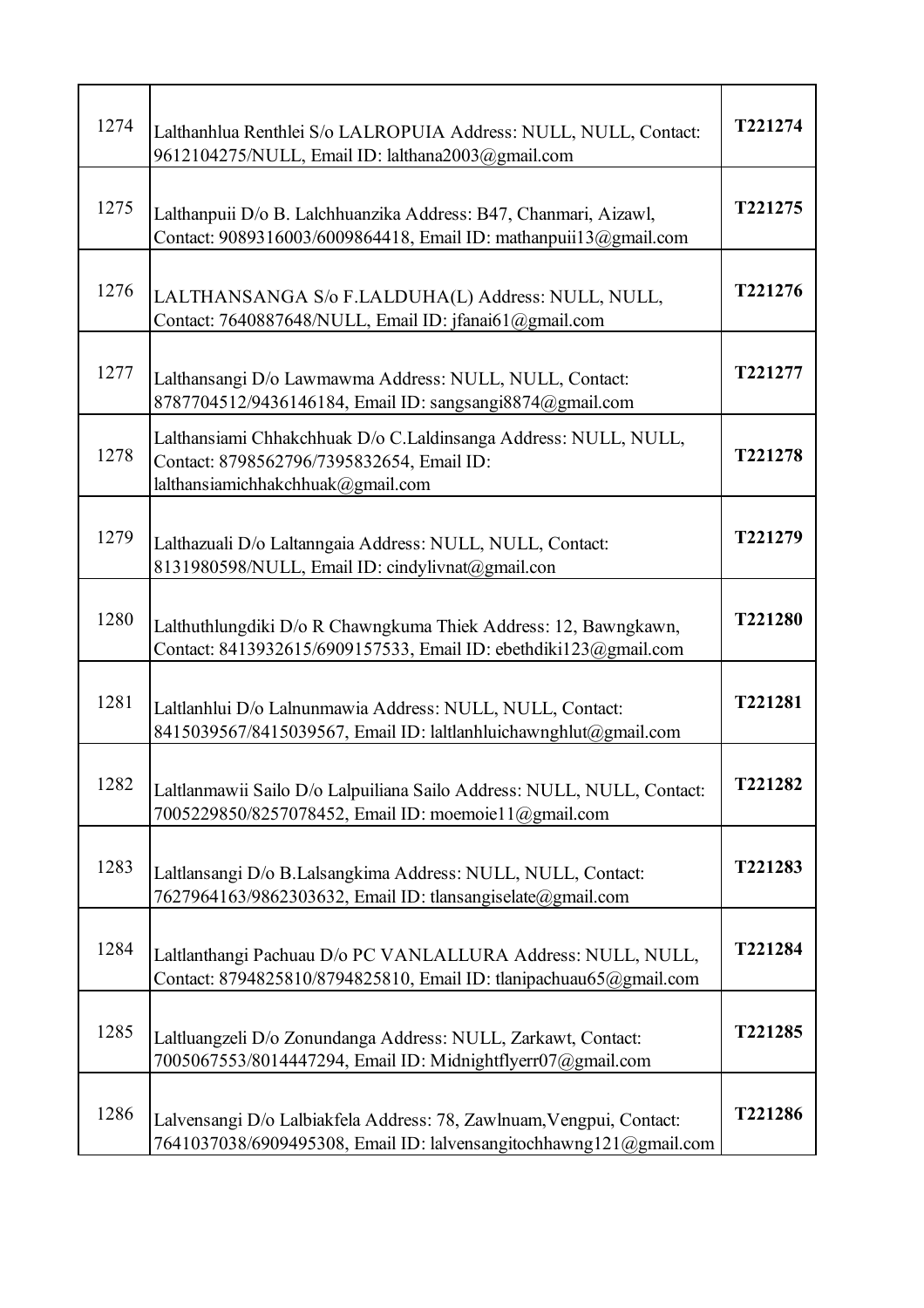| 1274 | Lalthanhlua Renthlei S/o LALROPUIA Address: NULL, NULL, Contact:<br>9612104275/NULL, Email ID: lalthana2003@gmail.com                             | T221274 |
|------|---------------------------------------------------------------------------------------------------------------------------------------------------|---------|
| 1275 | Lalthanpuii D/o B. Lalchhuanzika Address: B47, Chanmari, Aizawl,<br>Contact: 9089316003/6009864418, Email ID: mathanpuii13@gmail.com              | T221275 |
| 1276 | LALTHANSANGA S/o F.LALDUHA(L) Address: NULL, NULL,<br>Contact: 7640887648/NULL, Email ID: jfanai61@gmail.com                                      | T221276 |
| 1277 | Lalthansangi D/o Lawmawma Address: NULL, NULL, Contact:<br>8787704512/9436146184, Email ID: sangsangi8874@gmail.com                               | T221277 |
| 1278 | Lalthansiami Chhakchhuak D/o C.Laldinsanga Address: NULL, NULL,<br>Contact: 8798562796/7395832654, Email ID:<br>lalthansiamichhakchhuak@gmail.com | T221278 |
| 1279 | Lalthazuali D/o Laltanngaia Address: NULL, NULL, Contact:<br>8131980598/NULL, Email ID: cindylivnat@gmail.con                                     | T221279 |
| 1280 | Lalthuthlungdiki D/o R Chawngkuma Thiek Address: 12, Bawngkawn,<br>Contact: 8413932615/6909157533, Email ID: ebethdiki123@gmail.com               | T221280 |
| 1281 | Laltlanhlui D/o Lalnunmawia Address: NULL, NULL, Contact:<br>8415039567/8415039567, Email ID: laltlanhluichawnghlut@gmail.com                     | T221281 |
| 1282 | Laltlanmawii Sailo D/o Lalpuiliana Sailo Address: NULL, NULL, Contact:<br>7005229850/8257078452, Email ID: moemoie11@gmail.com                    | T221282 |
| 1283 | Laltlansangi D/o B.Lalsangkima Address: NULL, NULL, Contact:<br>7627964163/9862303632, Email ID: tlansangiselate@gmail.com                        | T221283 |
| 1284 | Laltlanthangi Pachuau D/o PC VANLALLURA Address: NULL, NULL,<br>Contact: 8794825810/8794825810, Email ID: tlanipachuau65@gmail.com                | T221284 |
| 1285 | Laltluangzeli D/o Zonundanga Address: NULL, Zarkawt, Contact:<br>7005067553/8014447294, Email ID: Midnightflyerr07@gmail.com                      | T221285 |
| 1286 | Lalvensangi D/o Lalbiakfela Address: 78, Zawlnuam, Vengpui, Contact:<br>7641037038/6909495308, Email ID: lalvensangitochhawng121@gmail.com        | T221286 |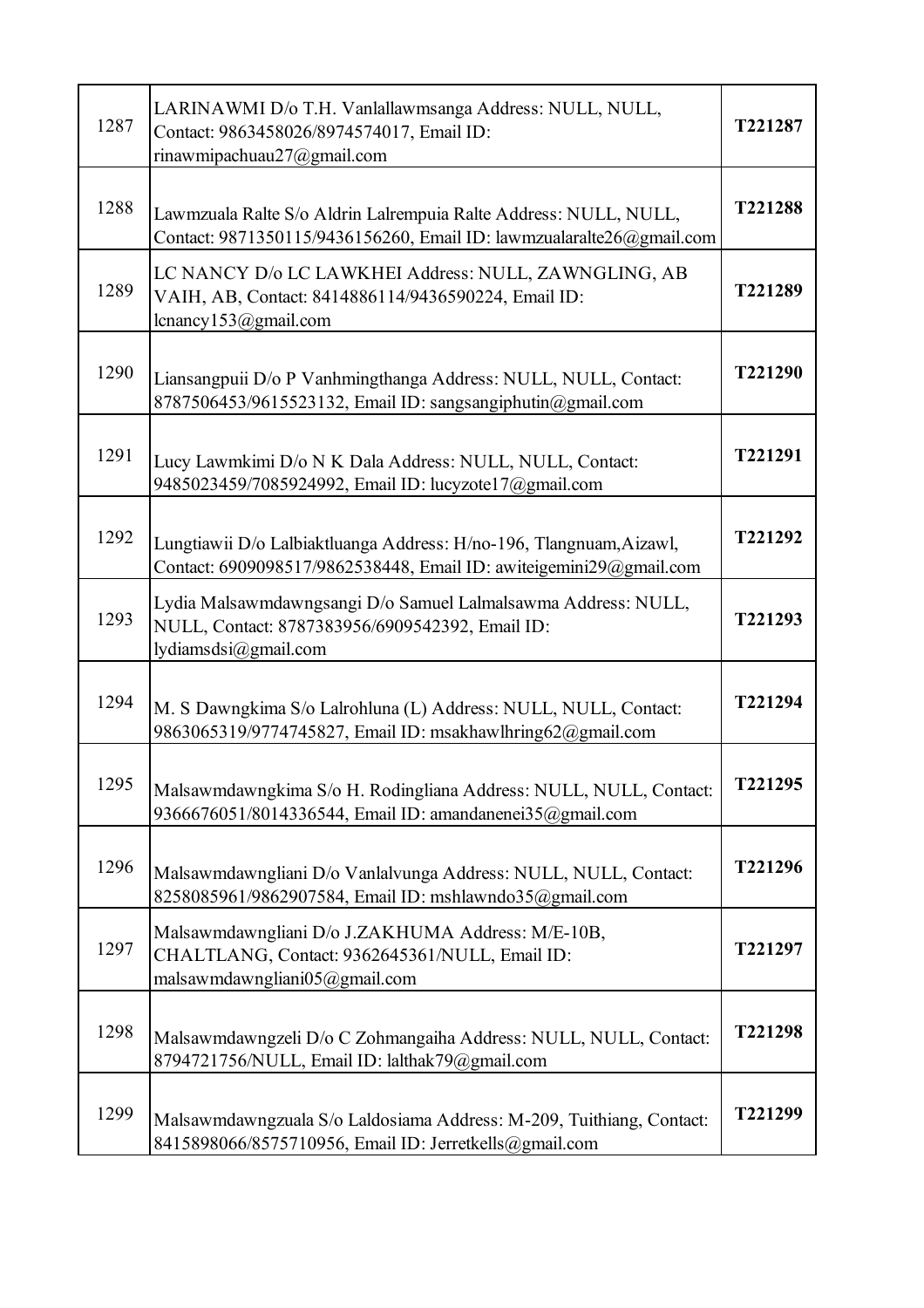| 1287 | LARINAWMI D/o T.H. Vanlallawmsanga Address: NULL, NULL,<br>Contact: 9863458026/8974574017, Email ID:<br>rinawmipachuau27@gmail.com        | T221287        |
|------|-------------------------------------------------------------------------------------------------------------------------------------------|----------------|
| 1288 | Lawmzuala Ralte S/o Aldrin Lalrempuia Ralte Address: NULL, NULL,<br>Contact: 9871350115/9436156260, Email ID: lawmzualaralte26@gmail.com  | T221288        |
| 1289 | LC NANCY D/o LC LAWKHEI Address: NULL, ZAWNGLING, AB<br>VAIH, AB, Contact: 8414886114/9436590224, Email ID:<br>lcnancy153@gmail.com       | T221289        |
| 1290 | Liansangpuii D/o P Vanhmingthanga Address: NULL, NULL, Contact:<br>8787506453/9615523132, Email ID: sangsangiphutin@gmail.com             | T221290        |
| 1291 | Lucy Lawmkimi D/o N K Dala Address: NULL, NULL, Contact:<br>9485023459/7085924992, Email ID: lucyzote17@gmail.com                         | T221291        |
| 1292 | Lungtiawii D/o Lalbiaktluanga Address: H/no-196, Tlangnuam, Aizawl,<br>Contact: 6909098517/9862538448, Email ID: awiteigemini29@gmail.com | T221292        |
| 1293 | Lydia Malsawmdawngsangi D/o Samuel Lalmalsawma Address: NULL,<br>NULL, Contact: 8787383956/6909542392, Email ID:<br>lydiamsdsi@gmail.com  | T221293        |
| 1294 | M. S Dawngkima S/o Lalrohluna (L) Address: NULL, NULL, Contact:<br>9863065319/9774745827, Email ID: msakhawlhring62@gmail.com             | T221294        |
| 1295 | Malsawmdawngkima S/o H. Rodingliana Address: NULL, NULL, Contact:<br>9366676051/8014336544, Email ID: amandanenei35@gmail.com             | <b>T221295</b> |
| 1296 | Malsawmdawngliani D/o Vanlalvunga Address: NULL, NULL, Contact:<br>8258085961/9862907584, Email ID: mshlawndo35@gmail.com                 | T221296        |
| 1297 | Malsawmdawngliani D/o J.ZAKHUMA Address: M/E-10B,<br>CHALTLANG, Contact: 9362645361/NULL, Email ID:<br>malsawmdawngliani05@gmail.com      | T221297        |
| 1298 | Malsawmdawngzeli D/o C Zohmangaiha Address: NULL, NULL, Contact:<br>8794721756/NULL, Email ID: lalthak79@gmail.com                        | T221298        |
| 1299 | Malsawmdawngzuala S/o Laldosiama Address: M-209, Tuithiang, Contact:<br>8415898066/8575710956, Email ID: Jerretkells@gmail.com            | T221299        |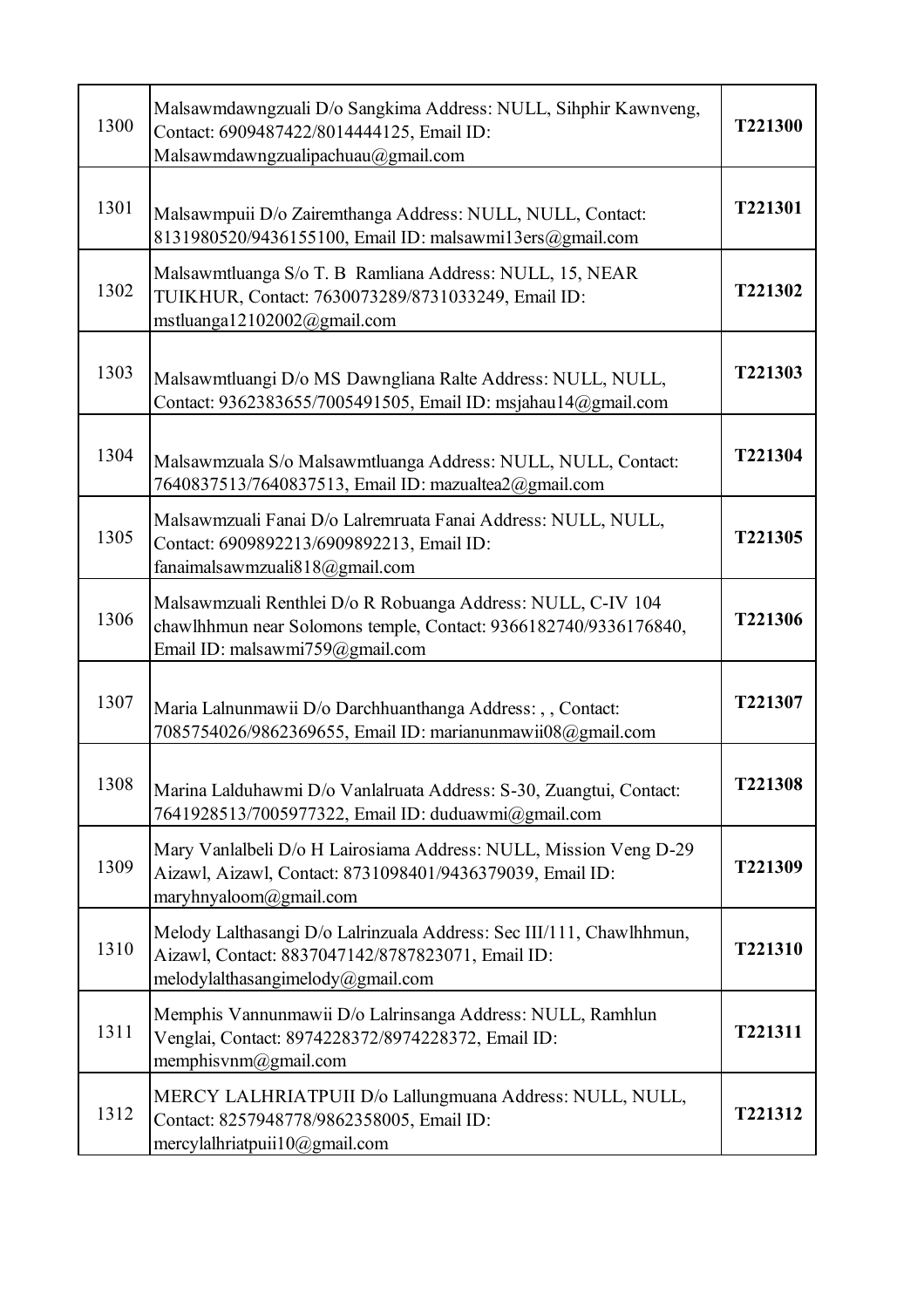| 1300 | Malsawmdawngzuali D/o Sangkima Address: NULL, Sihphir Kawnveng,<br>Contact: 6909487422/8014444125, Email ID:<br>Malsawmdawngzualipachuau@gmail.com                  | T221300 |
|------|---------------------------------------------------------------------------------------------------------------------------------------------------------------------|---------|
| 1301 | Malsawmpuii D/o Zairemthanga Address: NULL, NULL, Contact:<br>8131980520/9436155100, Email ID: malsawmi13ers@gmail.com                                              | T221301 |
| 1302 | Malsawmtluanga S/o T. B Ramliana Address: NULL, 15, NEAR<br>TUIKHUR, Contact: 7630073289/8731033249, Email ID:<br>mstluanga12102002@gmail.com                       | T221302 |
| 1303 | Malsawmtluangi D/o MS Dawngliana Ralte Address: NULL, NULL,<br>Contact: 9362383655/7005491505, Email ID: msjahau14@gmail.com                                        | T221303 |
| 1304 | Malsawmzuala S/o Malsawmtluanga Address: NULL, NULL, Contact:<br>7640837513/7640837513, Email ID: mazualtea2@gmail.com                                              | T221304 |
| 1305 | Malsawmzuali Fanai D/o Lalremruata Fanai Address: NULL, NULL,<br>Contact: 6909892213/6909892213, Email ID:<br>fanaimalsawmzuali $818@g$ mail.com                    | T221305 |
| 1306 | Malsawmzuali Renthlei D/o R Robuanga Address: NULL, C-IV 104<br>chawlhhmun near Solomons temple, Contact: 9366182740/9336176840,<br>Email ID: malsawmi759@gmail.com | T221306 |
| 1307 | Maria Lalnunmawii D/o Darchhuanthanga Address: , , Contact:<br>7085754026/9862369655, Email ID: marianunmawii08@gmail.com                                           | T221307 |
| 1308 | Marina Lalduhawmi D/o Vanlalruata Address: S-30, Zuangtui, Contact:<br>7641928513/7005977322, Email ID: duduawmi@gmail.com                                          | T221308 |
| 1309 | Mary Vanlalbeli D/o H Lairosiama Address: NULL, Mission Veng D-29<br>Aizawl, Aizawl, Contact: 8731098401/9436379039, Email ID:<br>maryhnyaloom@gmail.com            | T221309 |
| 1310 | Melody Lalthasangi D/o Lalrinzuala Address: Sec III/111, Chawlhhmun,<br>Aizawl, Contact: 8837047142/8787823071, Email ID:<br>melodylalthasangimelody@gmail.com      | T221310 |
| 1311 | Memphis Vannunmawii D/o Lalrinsanga Address: NULL, Ramhlun<br>Venglai, Contact: 8974228372/8974228372, Email ID:<br>memphisvnm@gmail.com                            | T221311 |
| 1312 | MERCY LALHRIATPUII D/o Lallungmuana Address: NULL, NULL,<br>Contact: 8257948778/9862358005, Email ID:<br>mercylalhriatpuii10@gmail.com                              | T221312 |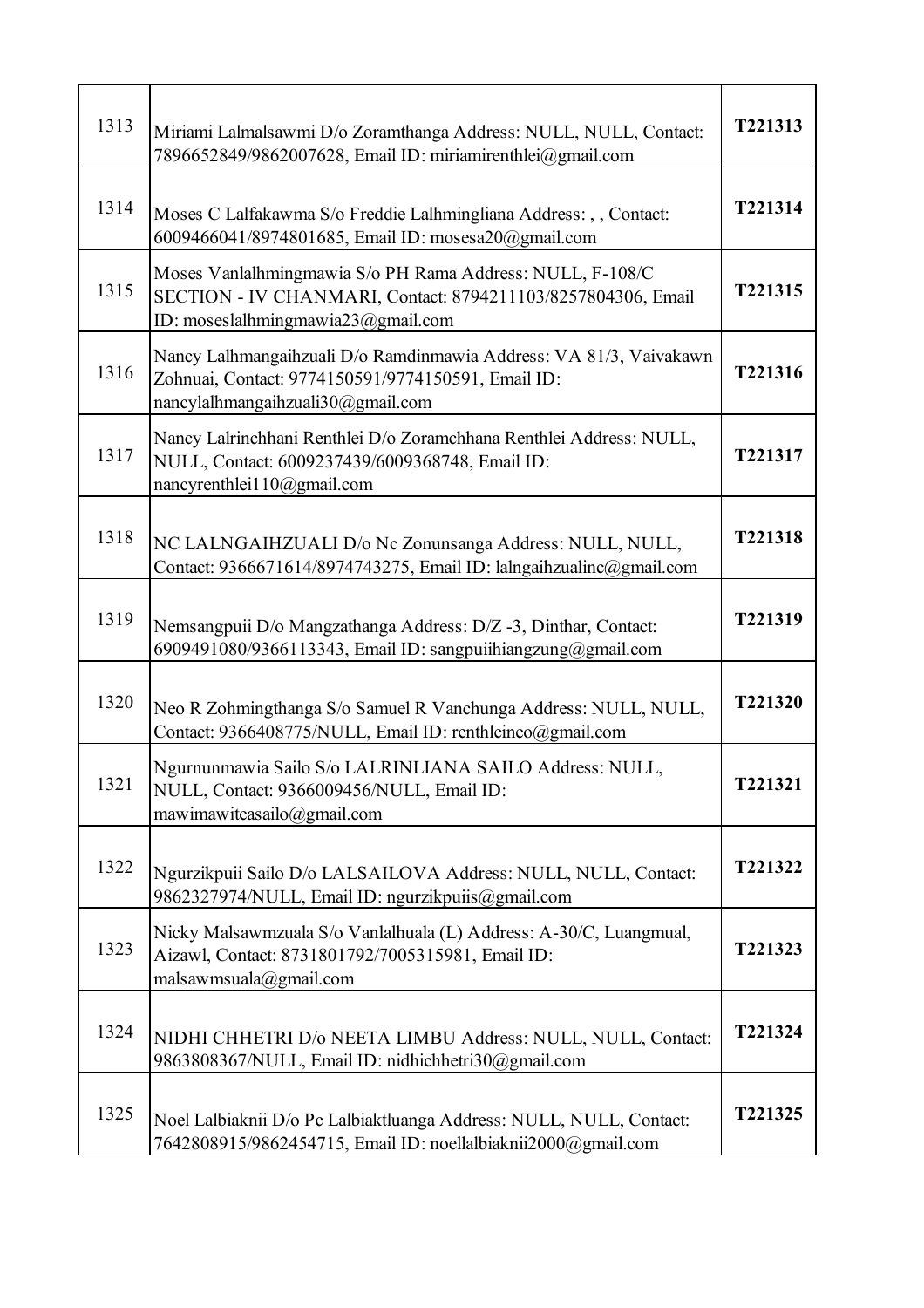| 1313 | Miriami Lalmalsawmi D/o Zoramthanga Address: NULL, NULL, Contact:<br>7896652849/9862007628, Email ID: miriamirenthlei@gmail.com                                 | T221313 |
|------|-----------------------------------------------------------------------------------------------------------------------------------------------------------------|---------|
| 1314 | Moses C Lalfakawma S/o Freddie Lalhmingliana Address: , , Contact:<br>6009466041/8974801685, Email ID: mosesa20@gmail.com                                       | T221314 |
| 1315 | Moses Vanlalhmingmawia S/o PH Rama Address: NULL, F-108/C<br>SECTION - IV CHANMARI, Contact: 8794211103/8257804306, Email<br>ID: moseslalhmingmawia23@gmail.com | T221315 |
| 1316 | Nancy Lalhmangaihzuali D/o Ramdinmawia Address: VA 81/3, Vaivakawn<br>Zohnuai, Contact: 9774150591/9774150591, Email ID:<br>nancylalhmangaihzuali30@gmail.com   | T221316 |
| 1317 | Nancy Lalrinchhani Renthlei D/o Zoramchhana Renthlei Address: NULL,<br>NULL, Contact: 6009237439/6009368748, Email ID:<br>nancyrenthlei110@gmail.com            | T221317 |
| 1318 | NC LALNGAIHZUALI D/o Nc Zonunsanga Address: NULL, NULL,<br>Contact: 9366671614/8974743275, Email ID: lalngaihzualinc@gmail.com                                  | T221318 |
| 1319 | Nemsangpuii D/o Mangzathanga Address: D/Z -3, Dinthar, Contact:<br>6909491080/9366113343, Email ID: sangpuiihiangzung@gmail.com                                 | T221319 |
| 1320 | Neo R Zohmingthanga S/o Samuel R Vanchunga Address: NULL, NULL,<br>Contact: 9366408775/NULL, Email ID: renthleineo@gmail.com                                    | T221320 |
| 1321 | Ngurnunmawia Sailo S/o LALRINLIANA SAILO Address: NULL,<br>NULL, Contact: 9366009456/NULL, Email ID:<br>mawimawiteasailo@gmail.com                              | T221321 |
| 1322 | Ngurzikpuii Sailo D/o LALSAILOVA Address: NULL, NULL, Contact:<br>9862327974/NULL, Email ID: ngurzikpuiis@gmail.com                                             | T221322 |
| 1323 | Nicky Malsawmzuala S/o Vanlalhuala (L) Address: A-30/C, Luangmual,<br>Aizawl, Contact: 8731801792/7005315981, Email ID:<br>malsawmsuala@gmail.com               | T221323 |
| 1324 | NIDHI CHHETRI D/o NEETA LIMBU Address: NULL, NULL, Contact:<br>9863808367/NULL, Email ID: nidhichhetri30@gmail.com                                              | T221324 |
| 1325 | Noel Lalbiaknii D/o Pc Lalbiaktluanga Address: NULL, NULL, Contact:<br>7642808915/9862454715, Email ID: noellalbiaknii2000@gmail.com                            | T221325 |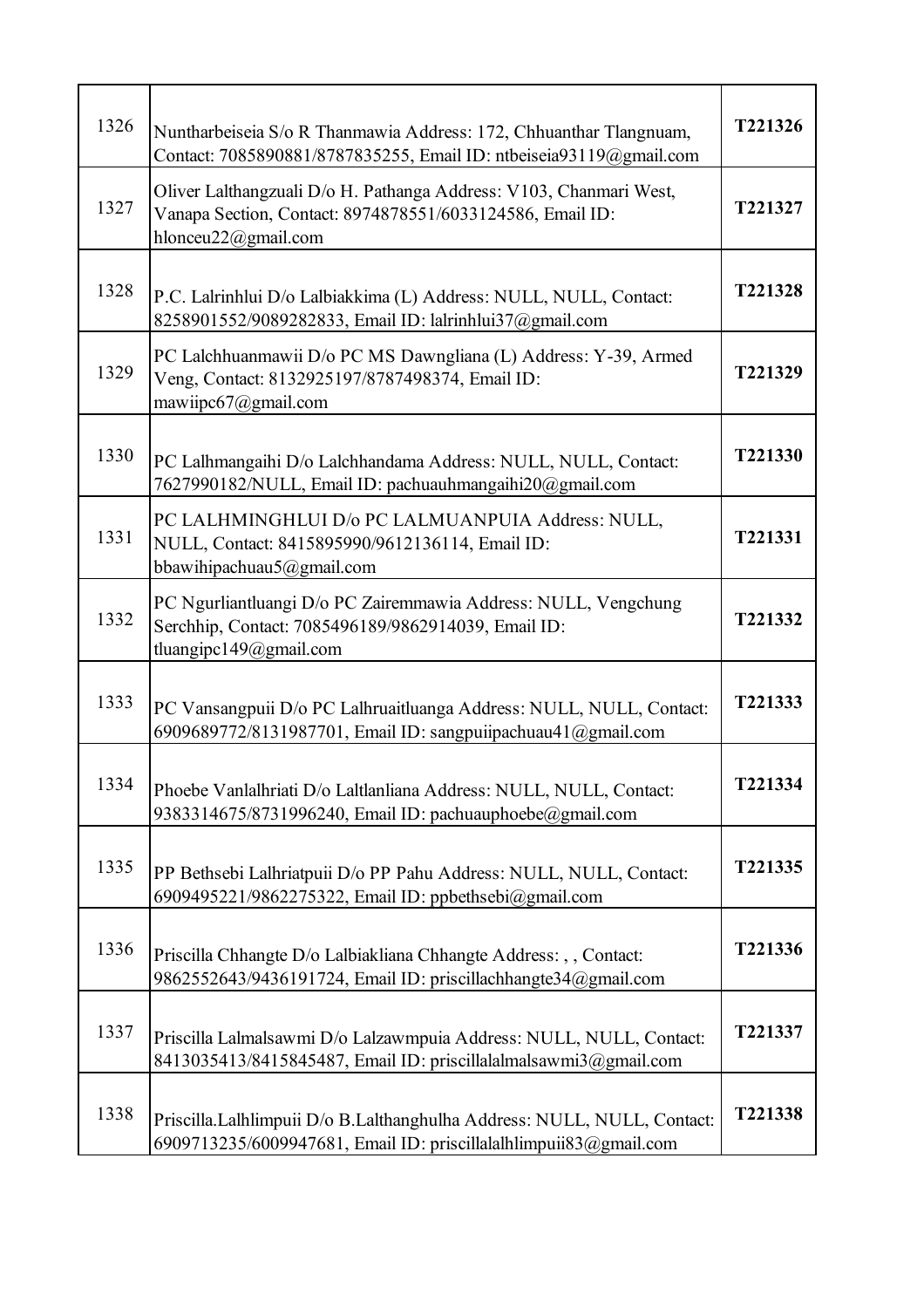| 1326 | Nuntharbeiseia S/o R Thanmawia Address: 172, Chhuanthar Tlangnuam,<br>Contact: 7085890881/8787835255, Email ID: ntbeiseia93119@gmail.com               | T221326        |
|------|--------------------------------------------------------------------------------------------------------------------------------------------------------|----------------|
| 1327 | Oliver Lalthangzuali D/o H. Pathanga Address: V103, Chanmari West,<br>Vanapa Section, Contact: 8974878551/6033124586, Email ID:<br>hlonceu22@gmail.com | T221327        |
| 1328 | P.C. Lalrinhlui D/o Lalbiakkima (L) Address: NULL, NULL, Contact:<br>8258901552/9089282833, Email ID: lalrinhlui37@gmail.com                           | T221328        |
| 1329 | PC Lalchhuanmawii D/o PC MS Dawngliana (L) Address: Y-39, Armed<br>Veng, Contact: 8132925197/8787498374, Email ID:<br>mawiipc $67$ @gmail.com          | T221329        |
| 1330 | PC Lalhmangaihi D/o Lalchhandama Address: NULL, NULL, Contact:<br>7627990182/NULL, Email ID: pachuauhmangaihi20@gmail.com                              | T221330        |
| 1331 | PC LALHMINGHLUI D/o PC LALMUANPUIA Address: NULL,<br>NULL, Contact: 8415895990/9612136114, Email ID:<br>bbawihipachuau5@gmail.com                      | T221331        |
| 1332 | PC Ngurliantluangi D/o PC Zairemmawia Address: NULL, Vengchung<br>Serchhip, Contact: 7085496189/9862914039, Email ID:<br>tluangipc149@gmail.com        | T221332        |
| 1333 | PC Vansangpuii D/o PC Lalhruaitluanga Address: NULL, NULL, Contact:<br>6909689772/8131987701, Email ID: sangpuiipachuau41@gmail.com                    | T221333        |
| 1334 | Phoebe Vanlalhriati D/o Laltlanliana Address: NULL, NULL, Contact:<br>9383314675/8731996240, Email ID: pachuauphoebe@gmail.com                         | <b>T221334</b> |
| 1335 | PP Bethsebi Lalhriatpuii D/o PP Pahu Address: NULL, NULL, Contact:<br>6909495221/9862275322, Email ID: ppbethsebi@gmail.com                            | T221335        |
| 1336 | Priscilla Chhangte D/o Lalbiakliana Chhangte Address: , , Contact:<br>9862552643/9436191724, Email ID: priscillachhangte34@gmail.com                   | T221336        |
| 1337 | Priscilla Lalmalsawmi D/o Lalzawmpuia Address: NULL, NULL, Contact:<br>8413035413/8415845487, Email ID: priscillalalmalsawmi3@gmail.com                | T221337        |
| 1338 | Priscilla.Lalhlimpuii D/o B.Lalthanghulha Address: NULL, NULL, Contact:<br>6909713235/6009947681, Email ID: priscillalalhlimpuii83@gmail.com           | T221338        |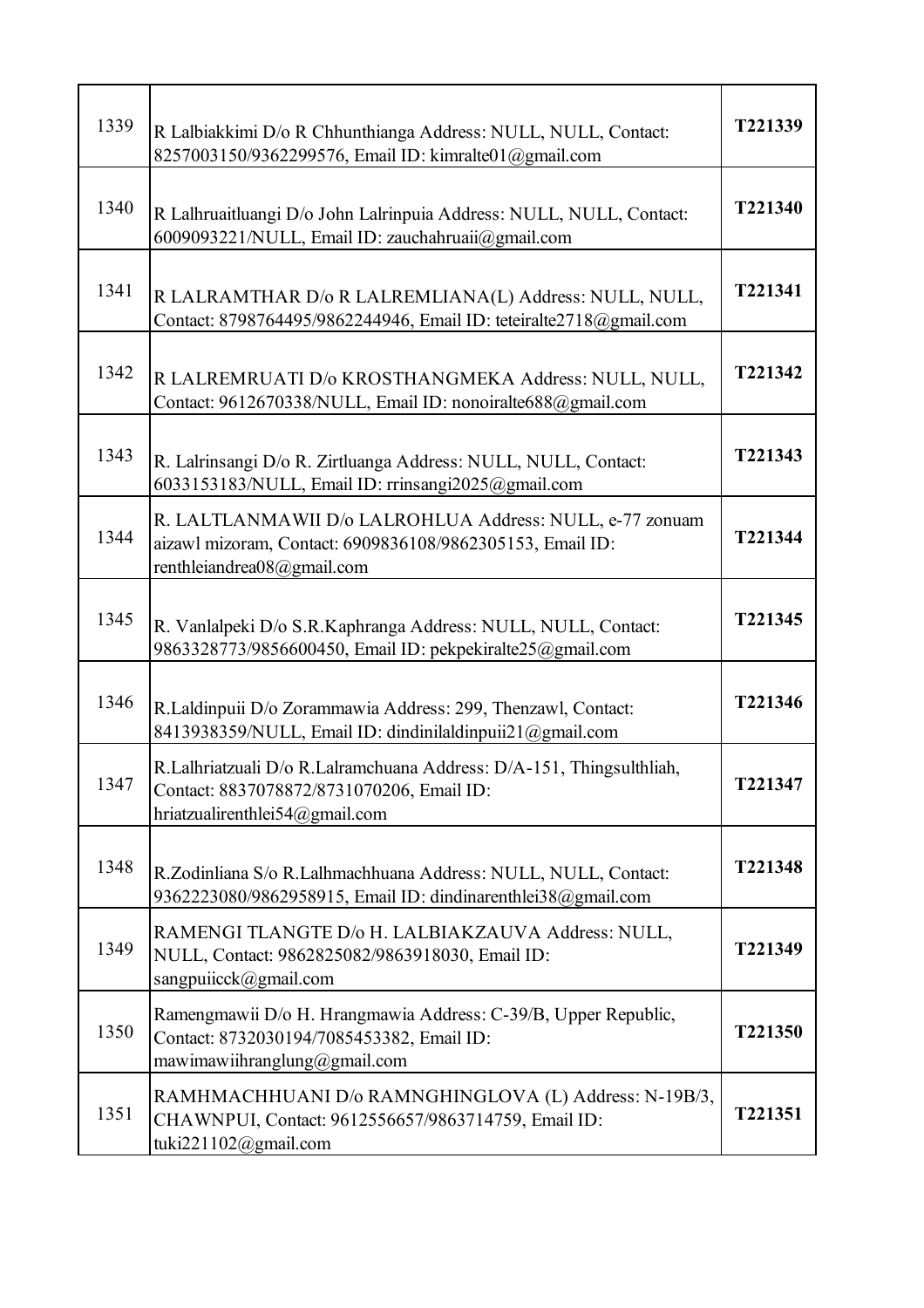| 1339 | R Lalbiakkimi D/o R Chhunthianga Address: NULL, NULL, Contact:<br>8257003150/9362299576, Email ID: kimralte01@gmail.com                             | T221339 |
|------|-----------------------------------------------------------------------------------------------------------------------------------------------------|---------|
| 1340 | R Lalhruaitluangi D/o John Lalrinpuia Address: NULL, NULL, Contact:<br>6009093221/NULL, Email ID: zauchahruaii@gmail.com                            | T221340 |
| 1341 | R LALRAMTHAR D/o R LALREMLIANA(L) Address: NULL, NULL,<br>Contact: 8798764495/9862244946, Email ID: teteiralte2718@gmail.com                        | T221341 |
| 1342 | R LALREMRUATI D/o KROSTHANGMEKA Address: NULL, NULL,<br>Contact: 9612670338/NULL, Email ID: nonoiralte688@gmail.com                                 | T221342 |
| 1343 | R. Lalrinsangi D/o R. Zirtluanga Address: NULL, NULL, Contact:<br>6033153183/NULL, Email ID: rrinsangi2025@gmail.com                                | T221343 |
| 1344 | R. LALTLANMAWII D/o LALROHLUA Address: NULL, e-77 zonuam<br>aizawl mizoram, Contact: 6909836108/9862305153, Email ID:<br>renthleiandrea08@gmail.com | T221344 |
| 1345 | R. Vanlalpeki D/o S.R.Kaphranga Address: NULL, NULL, Contact:<br>9863328773/9856600450, Email ID: pekpekiralte25@gmail.com                          | T221345 |
| 1346 | R.Laldinpuii D/o Zorammawia Address: 299, Thenzawl, Contact:<br>8413938359/NULL, Email ID: dindinilaldinpuii21@gmail.com                            | T221346 |
| 1347 | R.Lalhriatzuali D/o R.Lalramchuana Address: D/A-151, Thingsulthliah,<br>Contact: 8837078872/8731070206, Email ID:<br>hriatzualirenthlei54@gmail.com | T221347 |
| 1348 | R.Zodinliana S/o R.Lalhmachhuana Address: NULL, NULL, Contact:<br>9362223080/9862958915, Email ID: dindinarenthlei38@gmail.com                      | T221348 |
| 1349 | RAMENGI TLANGTE D/o H. LALBIAKZAUVA Address: NULL,<br>NULL, Contact: 9862825082/9863918030, Email ID:<br>sangpuiicck@gmail.com                      | T221349 |
| 1350 | Ramengmawii D/o H. Hrangmawia Address: C-39/B, Upper Republic,<br>Contact: 8732030194/7085453382, Email ID:<br>mawimawiihranglung@gmail.com         | T221350 |
| 1351 | RAMHMACHHUANI D/o RAMNGHINGLOVA (L) Address: N-19B/3,<br>CHAWNPUI, Contact: 9612556657/9863714759, Email ID:<br>tuki221102@gmail.com                | T221351 |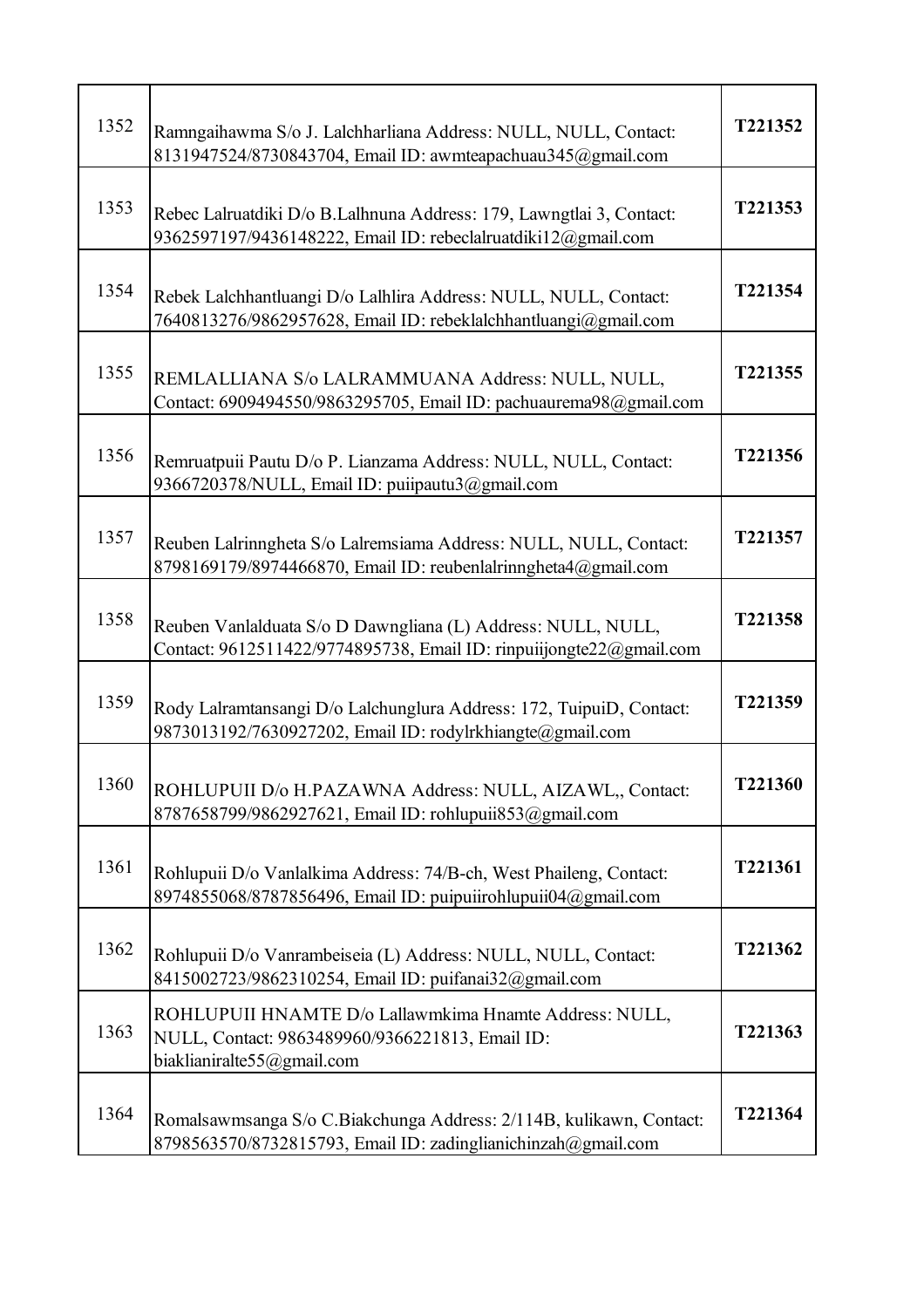| 1352 | Ramngaihawma S/o J. Lalchharliana Address: NULL, NULL, Contact:<br>8131947524/8730843704, Email ID: awmteapachuau345@gmail.com          | T221352 |
|------|-----------------------------------------------------------------------------------------------------------------------------------------|---------|
| 1353 | Rebec Lalruatdiki D/o B.Lalhnuna Address: 179, Lawngtlai 3, Contact:<br>9362597197/9436148222, Email ID: rebeclalruatdiki12@gmail.com   | T221353 |
| 1354 | Rebek Lalchhantluangi D/o Lalhlira Address: NULL, NULL, Contact:<br>7640813276/9862957628, Email ID: rebeklalchhantluangi@gmail.com     | T221354 |
| 1355 | REMLALLIANA S/o LALRAMMUANA Address: NULL, NULL,<br>Contact: 6909494550/9863295705, Email ID: pachuaurema98@gmail.com                   | T221355 |
| 1356 | Remruatpuii Pautu D/o P. Lianzama Address: NULL, NULL, Contact:<br>9366720378/NULL, Email ID: puiipautu3@gmail.com                      | T221356 |
| 1357 | Reuben Lalrinngheta S/o Lalremsiama Address: NULL, NULL, Contact:<br>8798169179/8974466870, Email ID: reubenlalrinngheta4@gmail.com     | T221357 |
| 1358 | Reuben Vanlalduata S/o D Dawngliana (L) Address: NULL, NULL,<br>Contact: 9612511422/9774895738, Email ID: rinpuiijongte22@gmail.com     | T221358 |
| 1359 | Rody Lalramtansangi D/o Lalchunglura Address: 172, TuipuiD, Contact:<br>9873013192/7630927202, Email ID: rodylrkhiangte@gmail.com       | T221359 |
| 1360 | ROHLUPUII D/o H.PAZAWNA Address: NULL, AIZAWL,, Contact:<br>8787658799/9862927621, Email ID: rohlupuii853@gmail.com                     | T221360 |
| 1361 | Rohlupuii D/o Vanlalkima Address: 74/B-ch, West Phaileng, Contact:<br>8974855068/8787856496, Email ID: puipuiirohlupuii04@gmail.com     | T221361 |
| 1362 | Rohlupuii D/o Vanrambeiseia (L) Address: NULL, NULL, Contact:<br>8415002723/9862310254, Email ID: puifanai32@gmail.com                  | T221362 |
| 1363 | ROHLUPUII HNAMTE D/o Lallawmkima Hnamte Address: NULL,<br>NULL, Contact: 9863489960/9366221813, Email ID:<br>biaklianiralte55@gmail.com | T221363 |
| 1364 | Romalsawmsanga S/o C.Biakchunga Address: 2/114B, kulikawn, Contact:<br>8798563570/8732815793, Email ID: zadinglianichinzah@gmail.com    | T221364 |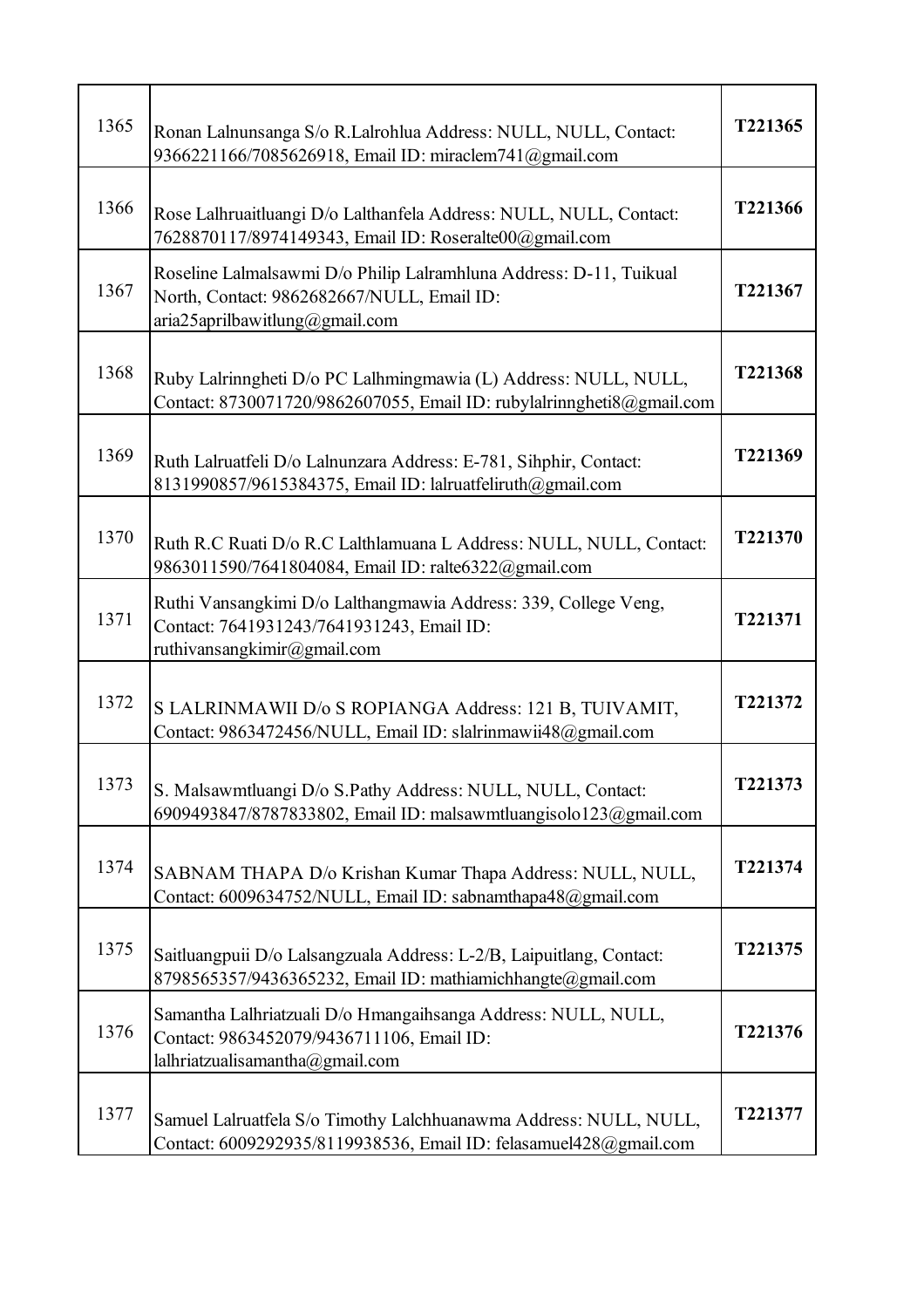| 1365 | Ronan Lalnunsanga S/o R.Lalrohlua Address: NULL, NULL, Contact:<br>9366221166/7085626918, Email ID: miraclem741@gmail.com                          | T221365 |
|------|----------------------------------------------------------------------------------------------------------------------------------------------------|---------|
| 1366 | Rose Lalhruaitluangi D/o Lalthanfela Address: NULL, NULL, Contact:<br>7628870117/8974149343, Email ID: Roseralte00@gmail.com                       | T221366 |
| 1367 | Roseline Lalmalsawmi D/o Philip Lalramhluna Address: D-11, Tuikual<br>North, Contact: 9862682667/NULL, Email ID:<br>aria25aprilbawitlung@gmail.com | T221367 |
| 1368 | Ruby Lalrinngheti D/o PC Lalhmingmawia (L) Address: NULL, NULL,<br>Contact: 8730071720/9862607055, Email ID: rubylalrinngheti8@gmail.com           | T221368 |
| 1369 | Ruth Lalruatfeli D/o Lalnunzara Address: E-781, Sihphir, Contact:<br>8131990857/9615384375, Email ID: lalruatfeliruth@gmail.com                    | T221369 |
| 1370 | Ruth R.C Ruati D/o R.C Lalthlamuana L Address: NULL, NULL, Contact:<br>9863011590/7641804084, Email ID: ralte6322@gmail.com                        | T221370 |
| 1371 | Ruthi Vansangkimi D/o Lalthangmawia Address: 339, College Veng,<br>Contact: 7641931243/7641931243, Email ID:<br>ruthivansangkimir@gmail.com        | T221371 |
| 1372 | S LALRINMAWII D/o S ROPIANGA Address: 121 B, TUIVAMIT,<br>Contact: 9863472456/NULL, Email ID: slalrinmawii48@gmail.com                             | T221372 |
| 1373 | S. Malsawmtluangi D/o S.Pathy Address: NULL, NULL, Contact:<br>6909493847/8787833802, Email ID: malsawmtluangisolo123@gmail.com                    | T221373 |
| 1374 | SABNAM THAPA D/o Krishan Kumar Thapa Address: NULL, NULL,<br>Contact: 6009634752/NULL, Email ID: sabnamthapa48@gmail.com                           | T221374 |
| 1375 | Saitluangpuii D/o Lalsangzuala Address: L-2/B, Laipuitlang, Contact:<br>8798565357/9436365232, Email ID: mathiamichhangte@gmail.com                | T221375 |
| 1376 | Samantha Lalhriatzuali D/o Hmangaihsanga Address: NULL, NULL,<br>Contact: 9863452079/9436711106, Email ID:<br>lalhriatzualisamantha@gmail.com      | T221376 |
| 1377 | Samuel Lalruatfela S/o Timothy Lalchhuanawma Address: NULL, NULL,<br>Contact: 6009292935/8119938536, Email ID: felasamuel428@gmail.com             | T221377 |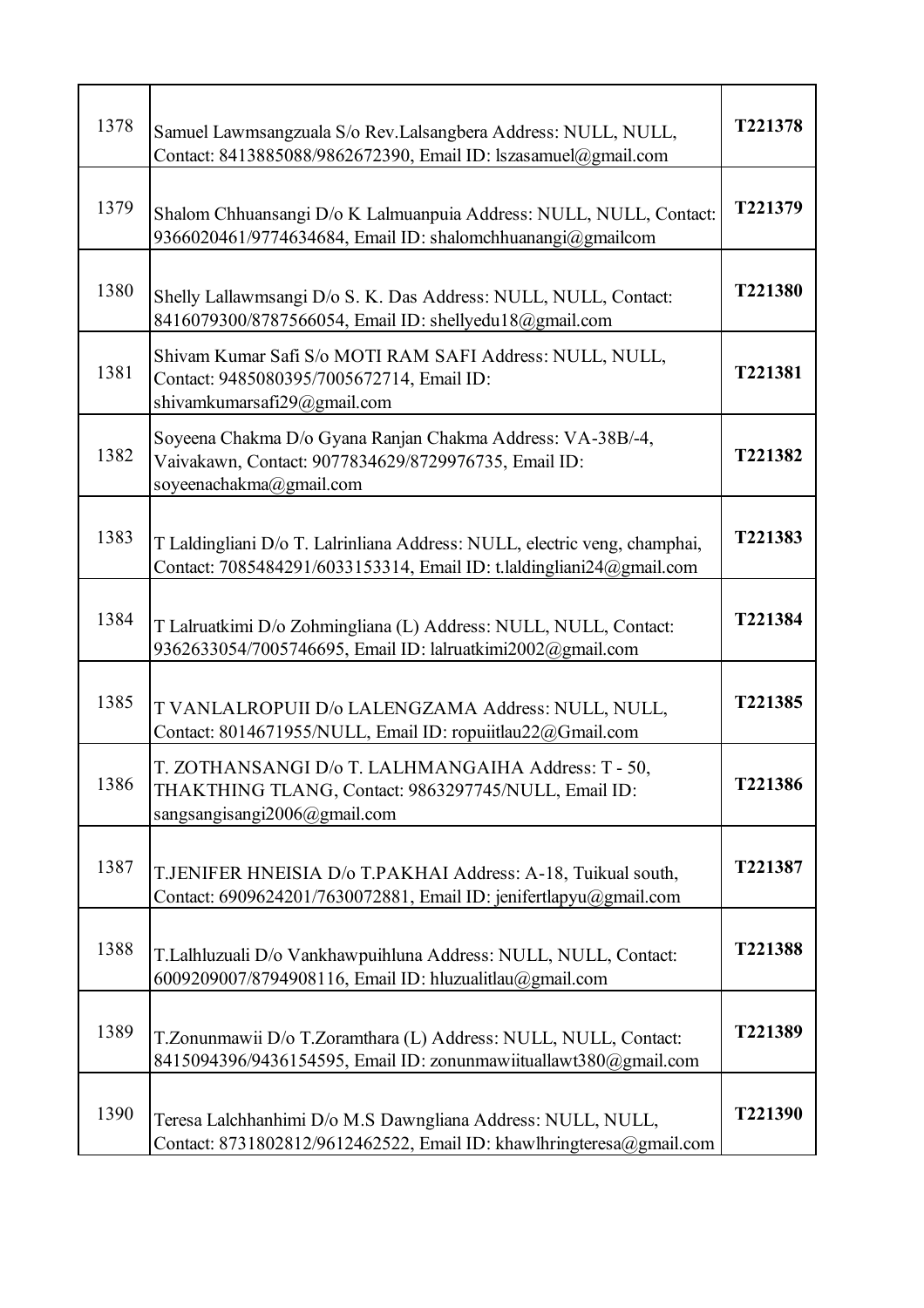| 1378 | Samuel Lawmsangzuala S/o Rev.Lalsangbera Address: NULL, NULL,<br>Contact: 8413885088/9862672390, Email ID: lszasamuel@gmail.com                   | T221378 |
|------|---------------------------------------------------------------------------------------------------------------------------------------------------|---------|
| 1379 | Shalom Chhuansangi D/o K Lalmuanpuia Address: NULL, NULL, Contact:<br>9366020461/9774634684, Email ID: shalomchhuanangi@gmailcom                  | T221379 |
| 1380 | Shelly Lallawmsangi D/o S. K. Das Address: NULL, NULL, Contact:<br>8416079300/8787566054, Email ID: shellyedu18@gmail.com                         | T221380 |
| 1381 | Shivam Kumar Safi S/o MOTI RAM SAFI Address: NULL, NULL,<br>Contact: 9485080395/7005672714, Email ID:<br>shivamkumarsafi29@gmail.com              | T221381 |
| 1382 | Soyeena Chakma D/o Gyana Ranjan Chakma Address: VA-38B/-4,<br>Vaivakawn, Contact: 9077834629/8729976735, Email ID:<br>soyeenachakma@gmail.com     | T221382 |
| 1383 | T Laldingliani D/o T. Lalrinliana Address: NULL, electric veng, champhai,<br>Contact: 7085484291/6033153314, Email ID: t.laldingliani24@gmail.com | T221383 |
| 1384 | T Lalruatkimi D/o Zohmingliana (L) Address: NULL, NULL, Contact:<br>9362633054/7005746695, Email ID: lalruatkimi2002@gmail.com                    | T221384 |
| 1385 | T VANLALROPUII D/o LALENGZAMA Address: NULL, NULL,<br>Contact: 8014671955/NULL, Email ID: ropuiitlau22@Gmail.com                                  | T221385 |
| 1386 | T. ZOTHANSANGI D/o T. LALHMANGAIHA Address: T - 50,<br>THAKTHING TLANG, Contact: 9863297745/NULL, Email ID:<br>sangsangisangi2006@gmail.com       | T221386 |
| 1387 | T.JENIFER HNEISIA D/o T.PAKHAI Address: A-18, Tuikual south,<br>Contact: 6909624201/7630072881, Email ID: jenifertlapyu@gmail.com                 | T221387 |
| 1388 | T.Lalhluzuali D/o Vankhawpuihluna Address: NULL, NULL, Contact:<br>6009209007/8794908116, Email ID: hluzualitlau@gmail.com                        | T221388 |
| 1389 | T.Zonunmawii D/o T.Zoramthara (L) Address: NULL, NULL, Contact:<br>8415094396/9436154595, Email ID: zonunmawiituallawt380@gmail.com               | T221389 |
| 1390 | Teresa Lalchhanhimi D/o M.S Dawngliana Address: NULL, NULL,<br>Contact: 8731802812/9612462522, Email ID: khawlhringteresa@gmail.com               | T221390 |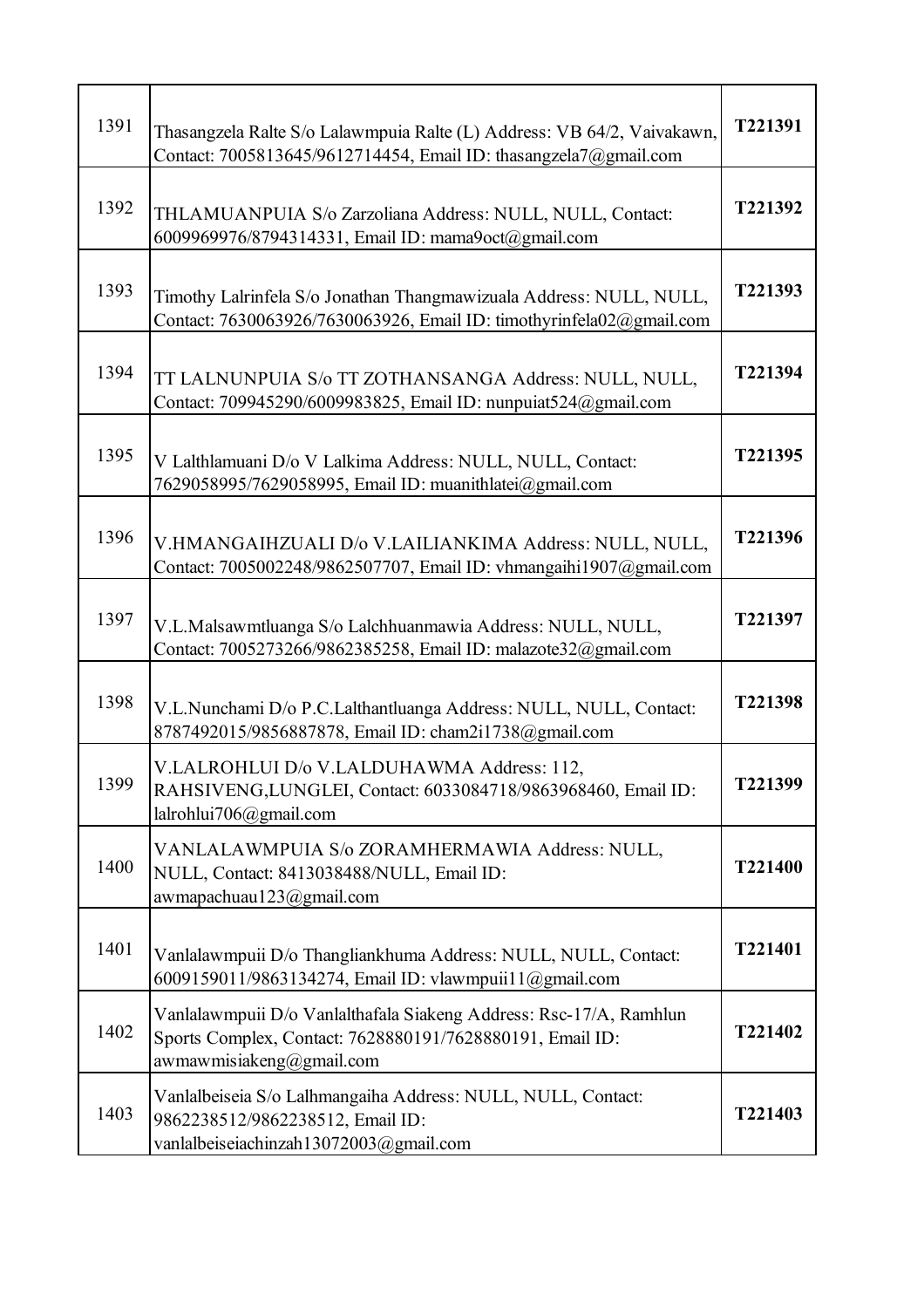| 1391 | Thasangzela Ralte S/o Lalawmpuia Ralte (L) Address: VB 64/2, Vaivakawn,<br>Contact: 7005813645/9612714454, Email ID: thasangzela7@gmail.com                 | T221391 |
|------|-------------------------------------------------------------------------------------------------------------------------------------------------------------|---------|
| 1392 | THLAMUANPUIA S/o Zarzoliana Address: NULL, NULL, Contact:<br>6009969976/8794314331, Email ID: mama9oct@gmail.com                                            | T221392 |
| 1393 | Timothy Lalrinfela S/o Jonathan Thangmawizuala Address: NULL, NULL,<br>Contact: 7630063926/7630063926, Email ID: timothyrinfela02@gmail.com                 | T221393 |
| 1394 | TT LALNUNPUIA S/o TT ZOTHANSANGA Address: NULL, NULL,<br>Contact: 709945290/6009983825, Email ID: nunpuiat524@gmail.com                                     | T221394 |
| 1395 | V Lalthlamuani D/o V Lalkima Address: NULL, NULL, Contact:<br>7629058995/7629058995, Email ID: muanithlatei@gmail.com                                       | T221395 |
| 1396 | V.HMANGAIHZUALI D/o V.LAILIANKIMA Address: NULL, NULL,<br>Contact: 7005002248/9862507707, Email ID: vhmangaihi1907@gmail.com                                | T221396 |
| 1397 | V.L.Malsawmtluanga S/o Lalchhuanmawia Address: NULL, NULL,<br>Contact: 7005273266/9862385258, Email ID: malazote32@gmail.com                                | T221397 |
| 1398 | V.L.Nunchami D/o P.C.Lalthantluanga Address: NULL, NULL, Contact:<br>8787492015/9856887878, Email ID: cham2i1738@gmail.com                                  | T221398 |
| 1399 | V.LALROHLUI D/o V.LALDUHAWMA Address: 112,<br>RAHSIVENG, LUNGLEI, Contact: 6033084718/9863968460, Email ID:<br>lalrohlui706@gmail.com                       | T221399 |
| 1400 | VANLALAWMPUIA S/o ZORAMHERMAWIA Address: NULL,<br>NULL, Contact: 8413038488/NULL, Email ID:<br>awmapachuau123@gmail.com                                     | T221400 |
| 1401 | Vanlalawmpuii D/o Thangliankhuma Address: NULL, NULL, Contact:<br>6009159011/9863134274, Email ID: vlawmpuii11@gmail.com                                    | T221401 |
| 1402 | Vanlalawmpuii D/o Vanlalthafala Siakeng Address: Rsc-17/A, Ramhlun<br>Sports Complex, Contact: 7628880191/7628880191, Email ID:<br>awmawmisiakeng@gmail.com | T221402 |
| 1403 | Vanlalbeiseia S/o Lalhmangaiha Address: NULL, NULL, Contact:<br>9862238512/9862238512, Email ID:<br>vanlalbeiseiachinzah13072003@gmail.com                  | T221403 |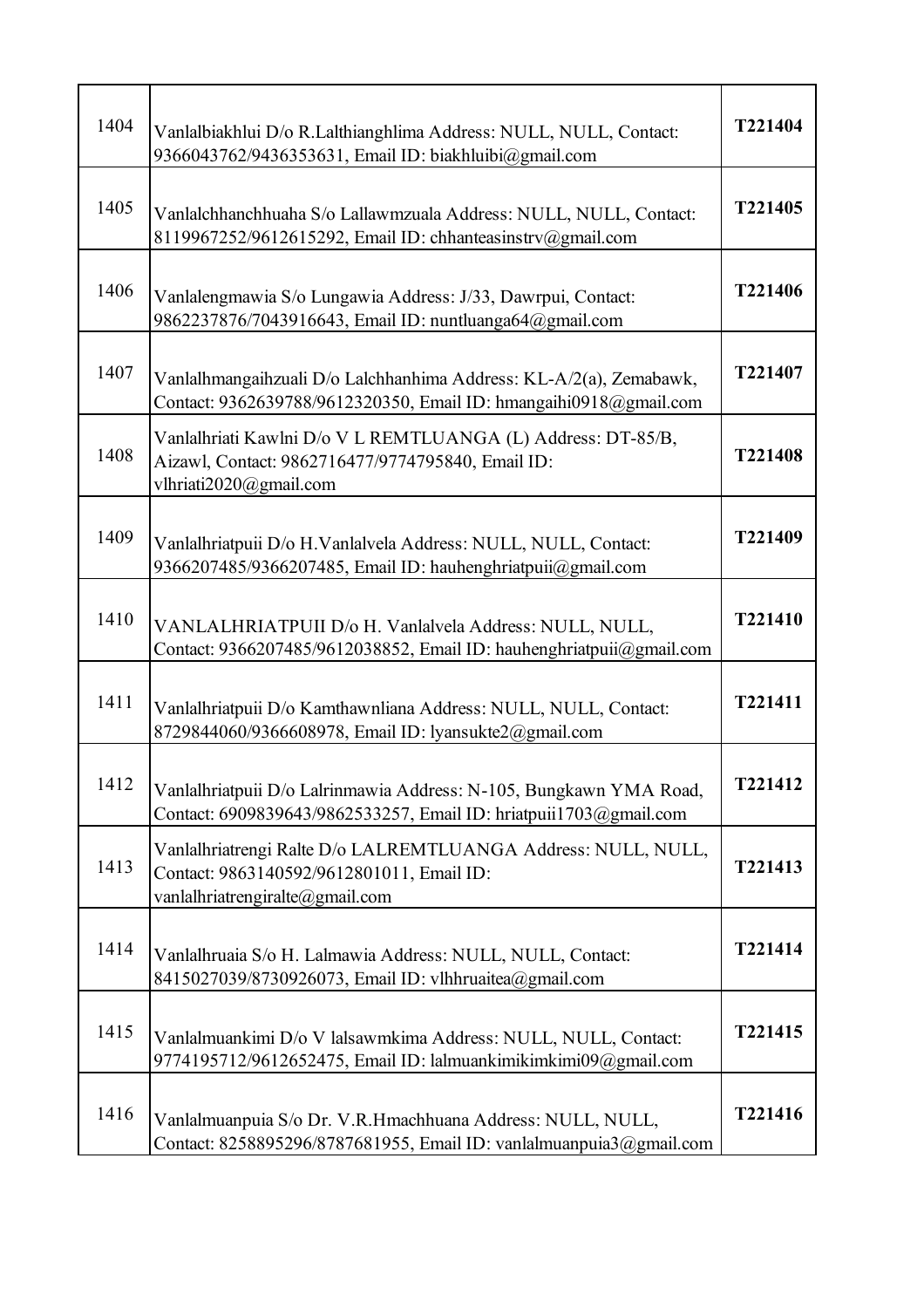| 1404 | Vanlalbiakhlui D/o R.Lalthianghlima Address: NULL, NULL, Contact:<br>9366043762/9436353631, Email ID: biakhluibi@gmail.com                    | T221404 |
|------|-----------------------------------------------------------------------------------------------------------------------------------------------|---------|
| 1405 | Vanlalchhanchhuaha S/o Lallawmzuala Address: NULL, NULL, Contact:<br>8119967252/9612615292, Email ID: chhanteasinstrv@gmail.com               | T221405 |
| 1406 | Vanlalengmawia S/o Lungawia Address: J/33, Dawrpui, Contact:<br>9862237876/7043916643, Email ID: nuntluanga64@gmail.com                       | T221406 |
| 1407 | Vanlalhmangaihzuali D/o Lalchhanhima Address: KL-A/2(a), Zemabawk,<br>Contact: 9362639788/9612320350, Email ID: hmangaihi0918@gmail.com       | T221407 |
| 1408 | Vanlalhriati Kawlni D/o V L REMTLUANGA (L) Address: DT-85/B,<br>Aizawl, Contact: 9862716477/9774795840, Email ID:<br>vlhriati2020@gmail.com   | T221408 |
| 1409 | Vanlalhriatpuii D/o H.Vanlalvela Address: NULL, NULL, Contact:<br>9366207485/9366207485, Email ID: hauhenghriatpuii@gmail.com                 | T221409 |
| 1410 | VANLALHRIATPUII D/o H. Vanlalvela Address: NULL, NULL,<br>Contact: 9366207485/9612038852, Email ID: hauhenghriatpuii@gmail.com                | T221410 |
| 1411 | Vanlalhriatpuii D/o Kamthawnliana Address: NULL, NULL, Contact:<br>8729844060/9366608978, Email ID: lyansukte2@gmail.com                      | T221411 |
| 1412 | Vanlalhriatpuii D/o Lalrinmawia Address: N-105, Bungkawn YMA Road,<br>Contact: 6909839643/9862533257, Email ID: hriatpuii1703@gmail.com       | T221412 |
| 1413 | Vanlalhriatrengi Ralte D/o LALREMTLUANGA Address: NULL, NULL,<br>Contact: 9863140592/9612801011, Email ID:<br>vanlalhriatrengiralte@gmail.com | T221413 |
| 1414 | Vanlalhruaia S/o H. Lalmawia Address: NULL, NULL, Contact:<br>8415027039/8730926073, Email ID: vlhhruaitea@gmail.com                          | T221414 |
| 1415 | Vanlalmuankimi D/o V lalsawmkima Address: NULL, NULL, Contact:<br>9774195712/9612652475, Email ID: lalmuankimikimkimi09@gmail.com             | T221415 |
| 1416 | Vanlalmuanpuia S/o Dr. V.R.Hmachhuana Address: NULL, NULL,<br>Contact: 8258895296/8787681955, Email ID: vanlalmuanpuia3@gmail.com             | T221416 |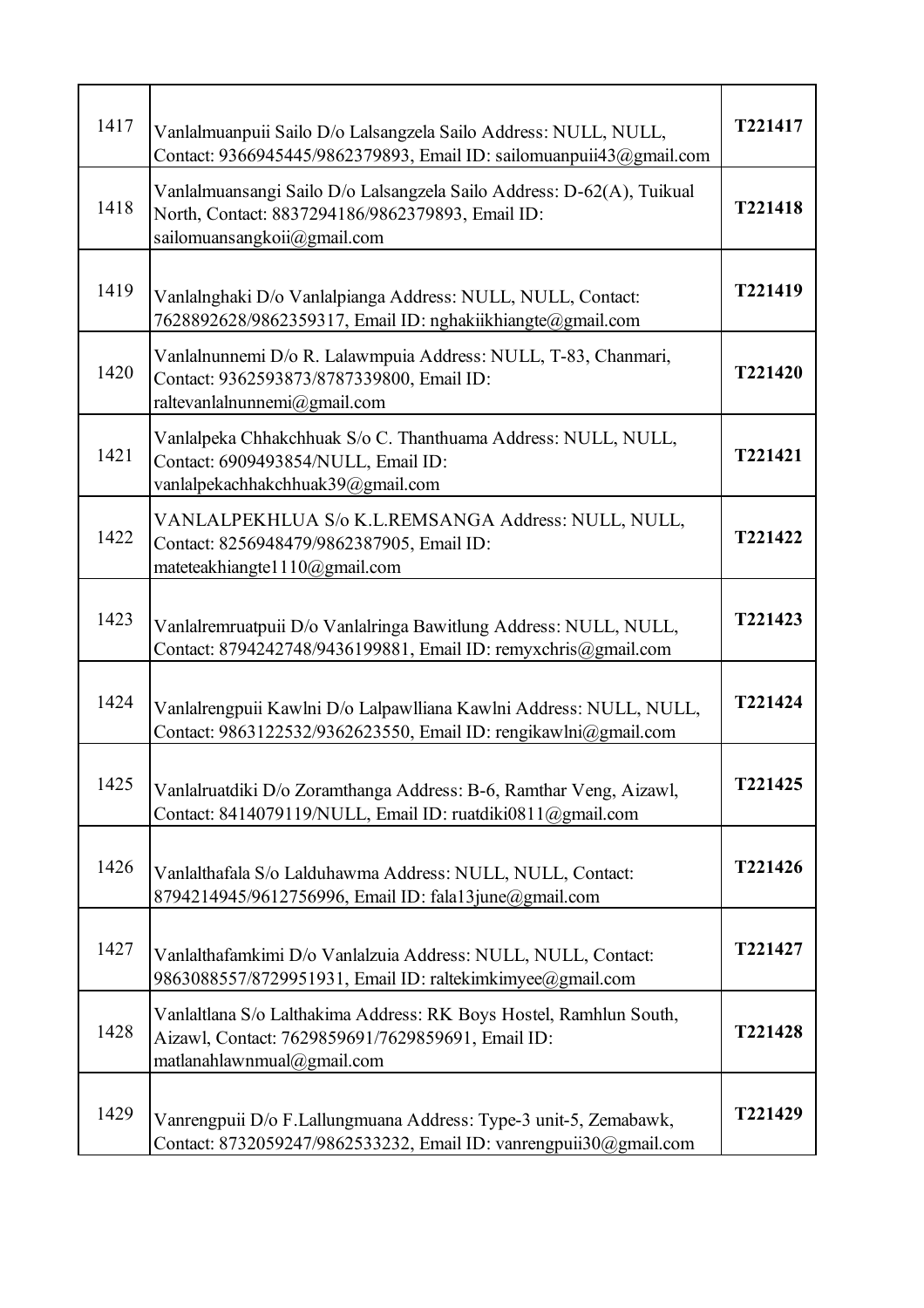| 1417 | Vanlalmuanpuii Sailo D/o Lalsangzela Sailo Address: NULL, NULL,<br>Contact: 9366945445/9862379893, Email ID: sailomuanpuii43@gmail.com                   | T221417 |
|------|----------------------------------------------------------------------------------------------------------------------------------------------------------|---------|
| 1418 | Vanlalmuansangi Sailo D/o Lalsangzela Sailo Address: D-62(A), Tuikual<br>North, Contact: 8837294186/9862379893, Email ID:<br>sailomuansangkoii@gmail.com | T221418 |
| 1419 | Vanlalnghaki D/o Vanlalpianga Address: NULL, NULL, Contact:<br>7628892628/9862359317, Email ID: nghakiikhiangte@gmail.com                                | T221419 |
| 1420 | Vanlalnunnemi D/o R. Lalawmpuia Address: NULL, T-83, Chanmari,<br>Contact: 9362593873/8787339800, Email ID:<br>raltevanlalnunnemi@gmail.com              | T221420 |
| 1421 | Vanlalpeka Chhakchhuak S/o C. Thanthuama Address: NULL, NULL,<br>Contact: 6909493854/NULL, Email ID:<br>vanlalpekachhakchhuak39@gmail.com                | T221421 |
| 1422 | VANLALPEKHLUA S/o K.L.REMSANGA Address: NULL, NULL,<br>Contact: 8256948479/9862387905, Email ID:<br>mateteakhiangte1110@gmail.com                        | T221422 |
| 1423 | Vanlalremruatpuii D/o Vanlalringa Bawitlung Address: NULL, NULL,<br>Contact: 8794242748/9436199881, Email ID: remyxchris@gmail.com                       | T221423 |
| 1424 | Vanlalrengpuii Kawlni D/o Lalpawlliana Kawlni Address: NULL, NULL,<br>Contact: 9863122532/9362623550, Email ID: rengikawlni@gmail.com                    | T221424 |
| 1425 | Vanlalruatdiki D/o Zoramthanga Address: B-6, Ramthar Veng, Aizawl,<br>Contact: 8414079119/NULL, Email ID: ruatdiki0811@gmail.com                         | T221425 |
| 1426 | Vanlalthafala S/o Lalduhawma Address: NULL, NULL, Contact:<br>8794214945/9612756996, Email ID: fala13june@gmail.com                                      | T221426 |
| 1427 | Vanlalthafamkimi D/o Vanlalzuia Address: NULL, NULL, Contact:<br>9863088557/8729951931, Email ID: raltekimkimyee@gmail.com                               | T221427 |
| 1428 | Vanlaltlana S/o Lalthakima Address: RK Boys Hostel, Ramhlun South,<br>Aizawl, Contact: 7629859691/7629859691, Email ID:<br>matlanahlawnmual@gmail.com    | T221428 |
| 1429 | Vanrengpuii D/o F.Lallungmuana Address: Type-3 unit-5, Zemabawk,<br>Contact: 8732059247/9862533232, Email ID: vanrengpuii30@gmail.com                    | T221429 |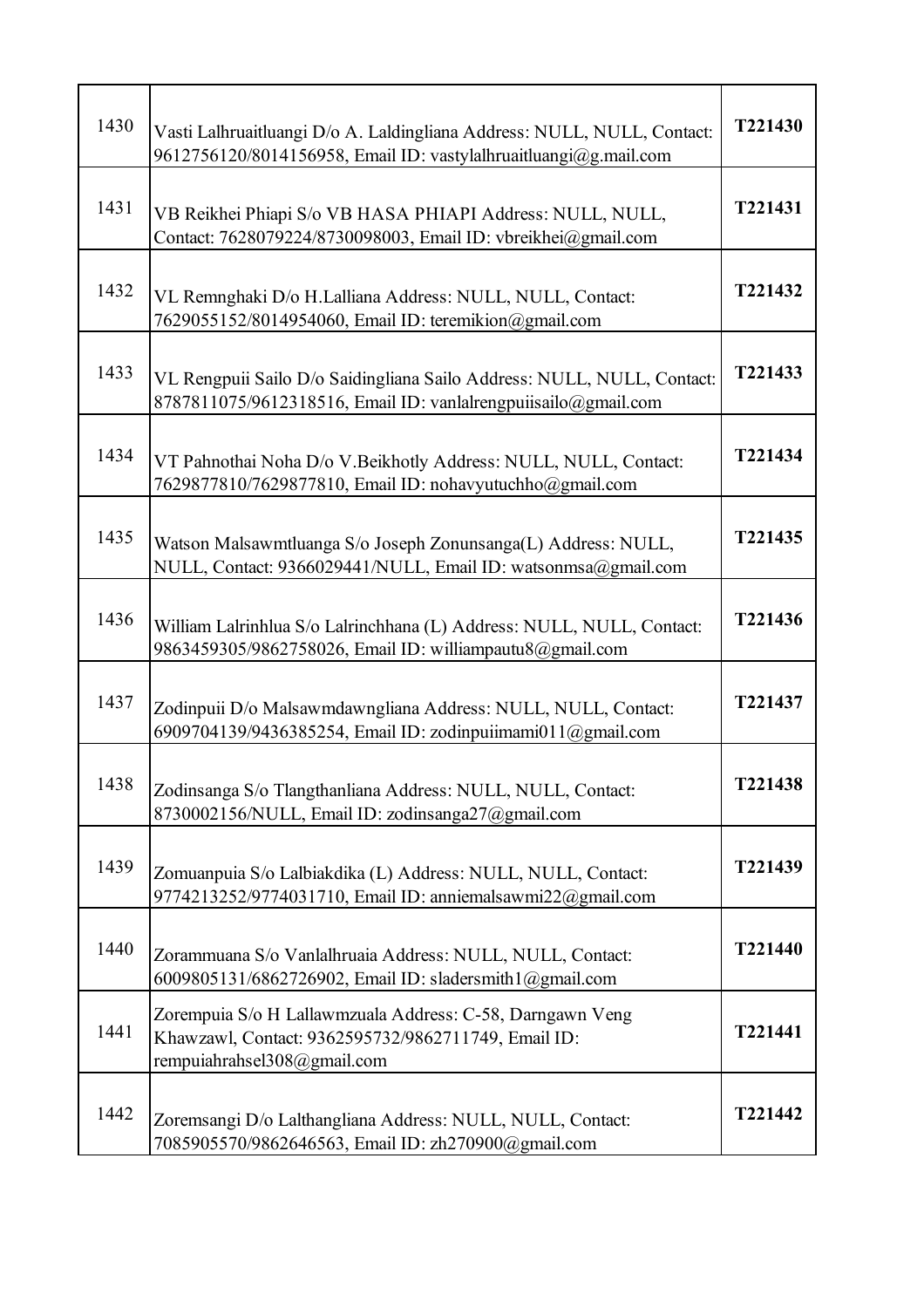| 1430 | Vasti Lalhruaitluangi D/o A. Laldingliana Address: NULL, NULL, Contact:<br>9612756120/8014156958, Email ID: vastylalhruaitluangi@g.mail.com     | T221430 |
|------|-------------------------------------------------------------------------------------------------------------------------------------------------|---------|
| 1431 | VB Reikhei Phiapi S/o VB HASA PHIAPI Address: NULL, NULL,<br>Contact: 7628079224/8730098003, Email ID: vbreikhei@gmail.com                      | T221431 |
| 1432 | VL Remnghaki D/o H.Lalliana Address: NULL, NULL, Contact:<br>7629055152/8014954060, Email ID: teremikion@gmail.com                              | T221432 |
| 1433 | VL Rengpuii Sailo D/o Saidingliana Sailo Address: NULL, NULL, Contact:<br>8787811075/9612318516, Email ID: vanlalrengpuiisailo@gmail.com        | T221433 |
| 1434 | VT Pahnothai Noha D/o V.Beikhotly Address: NULL, NULL, Contact:<br>7629877810/7629877810, Email ID: nohavyutuchho@gmail.com                     | T221434 |
| 1435 | Watson Malsawmtluanga S/o Joseph Zonunsanga(L) Address: NULL,<br>NULL, Contact: 9366029441/NULL, Email ID: watsonmsa@gmail.com                  | T221435 |
| 1436 | William Lalrinhlua S/o Lalrinchhana (L) Address: NULL, NULL, Contact:<br>9863459305/9862758026, Email ID: williampautu8@gmail.com               | T221436 |
| 1437 | Zodinpuii D/o Malsawmdawngliana Address: NULL, NULL, Contact:<br>6909704139/9436385254, Email ID: zodinpuiimami011@gmail.com                    | T221437 |
| 1438 | Zodinsanga S/o Tlangthanliana Address: NULL, NULL, Contact:<br>8730002156/NULL, Email ID: zodinsanga27@gmail.com                                | T221438 |
| 1439 | Zomuanpuia S/o Lalbiakdika (L) Address: NULL, NULL, Contact:<br>9774213252/9774031710, Email ID: anniemalsawmi22@gmail.com                      | T221439 |
| 1440 | Zorammuana S/o Vanlalhruaia Address: NULL, NULL, Contact:<br>6009805131/6862726902, Email ID: sladersmith1@gmail.com                            | T221440 |
| 1441 | Zorempuia S/o H Lallawmzuala Address: C-58, Darngawn Veng<br>Khawzawl, Contact: 9362595732/9862711749, Email ID:<br>rempuiahrahsel308@gmail.com | T221441 |
| 1442 | Zoremsangi D/o Lalthangliana Address: NULL, NULL, Contact:<br>7085905570/9862646563, Email ID: zh270900@gmail.com                               | T221442 |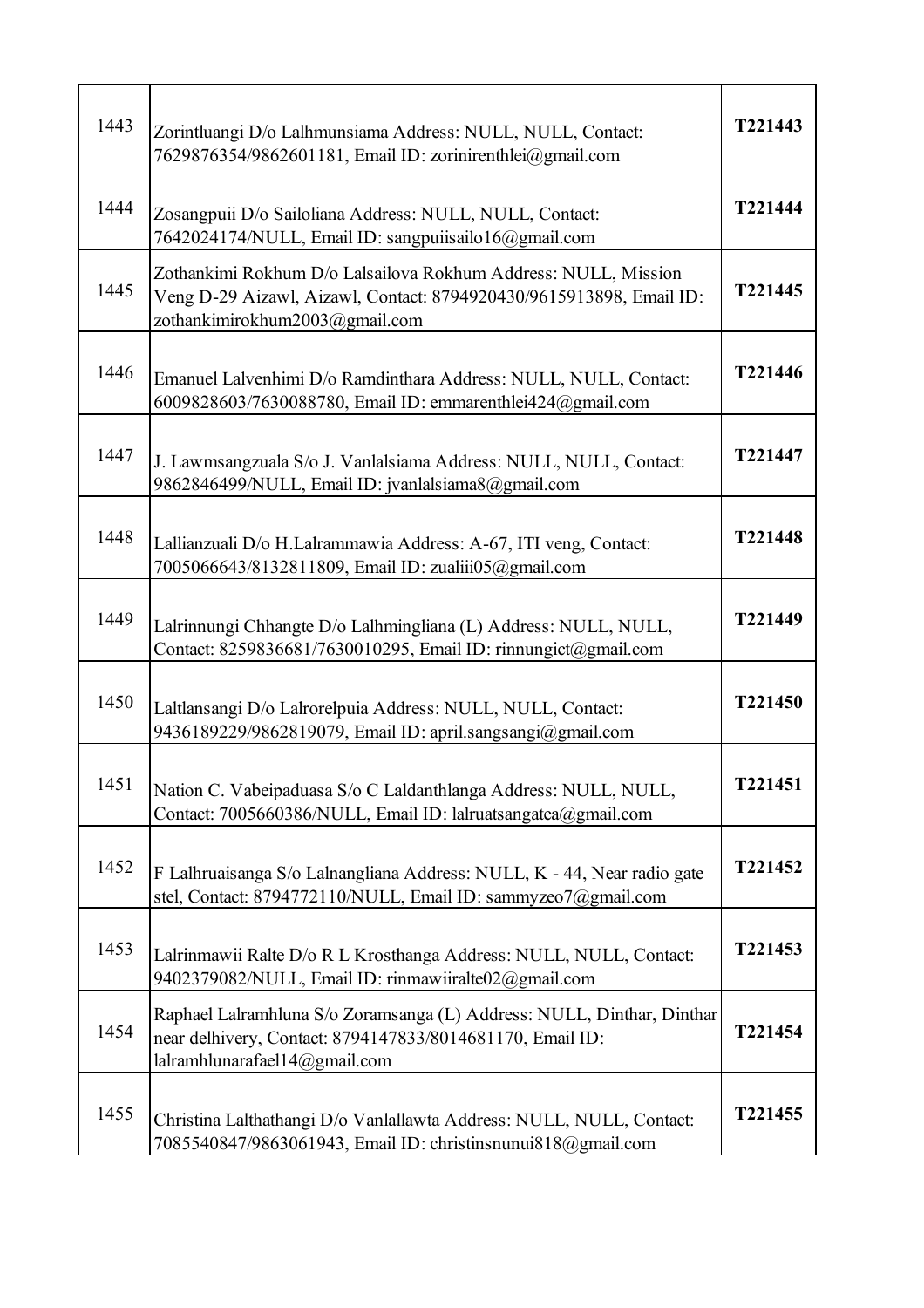| 1443 | Zorintluangi D/o Lalhmunsiama Address: NULL, NULL, Contact:<br>7629876354/9862601181, Email ID: zorinirenthlei@gmail.com                                                | T221443 |
|------|-------------------------------------------------------------------------------------------------------------------------------------------------------------------------|---------|
| 1444 | Zosangpuii D/o Sailoliana Address: NULL, NULL, Contact:<br>7642024174/NULL, Email ID: sangpuiisailo16@gmail.com                                                         | T221444 |
| 1445 | Zothankimi Rokhum D/o Lalsailova Rokhum Address: NULL, Mission<br>Veng D-29 Aizawl, Aizawl, Contact: 8794920430/9615913898, Email ID:<br>zothankimirokhum2003@gmail.com | T221445 |
| 1446 | Emanuel Lalvenhimi D/o Ramdinthara Address: NULL, NULL, Contact:<br>6009828603/7630088780, Email ID: emmarenthlei424@gmail.com                                          | T221446 |
| 1447 | J. Lawmsangzuala S/o J. Vanlalsiama Address: NULL, NULL, Contact:<br>9862846499/NULL, Email ID: jvanlalsiama8@gmail.com                                                 | T221447 |
| 1448 | Lallianzuali D/o H.Lalrammawia Address: A-67, ITI veng, Contact:<br>7005066643/8132811809, Email ID: zualiii05@gmail.com                                                | T221448 |
| 1449 | Lalrinnungi Chhangte D/o Lalhmingliana (L) Address: NULL, NULL,<br>Contact: 8259836681/7630010295, Email ID: rinnungict@gmail.com                                       | T221449 |
| 1450 | Laltlansangi D/o Lalrorelpuia Address: NULL, NULL, Contact:<br>9436189229/9862819079, Email ID: april.sangsangi@gmail.com                                               | T221450 |
| 1451 | Nation C. Vabeipaduasa S/o C Laldanthlanga Address: NULL, NULL,<br>Contact: 7005660386/NULL, Email ID: lalruatsangatea@gmail.com                                        | T221451 |
| 1452 | F Lalhruaisanga S/o Lalnangliana Address: NULL, K - 44, Near radio gate<br>stel, Contact: 8794772110/NULL, Email ID: sammyzeo7@gmail.com                                | T221452 |
| 1453 | Lalrinmawii Ralte D/o R L Krosthanga Address: NULL, NULL, Contact:<br>9402379082/NULL, Email ID: rinmawiiralte02@gmail.com                                              | T221453 |
| 1454 | Raphael Lalramhluna S/o Zoramsanga (L) Address: NULL, Dinthar, Dinthar<br>near delhivery, Contact: 8794147833/8014681170, Email ID:<br>lalramhlunarafael14@gmail.com    | T221454 |
| 1455 | Christina Lalthathangi D/o Vanlallawta Address: NULL, NULL, Contact:<br>7085540847/9863061943, Email ID: christinsnunui818@gmail.com                                    | T221455 |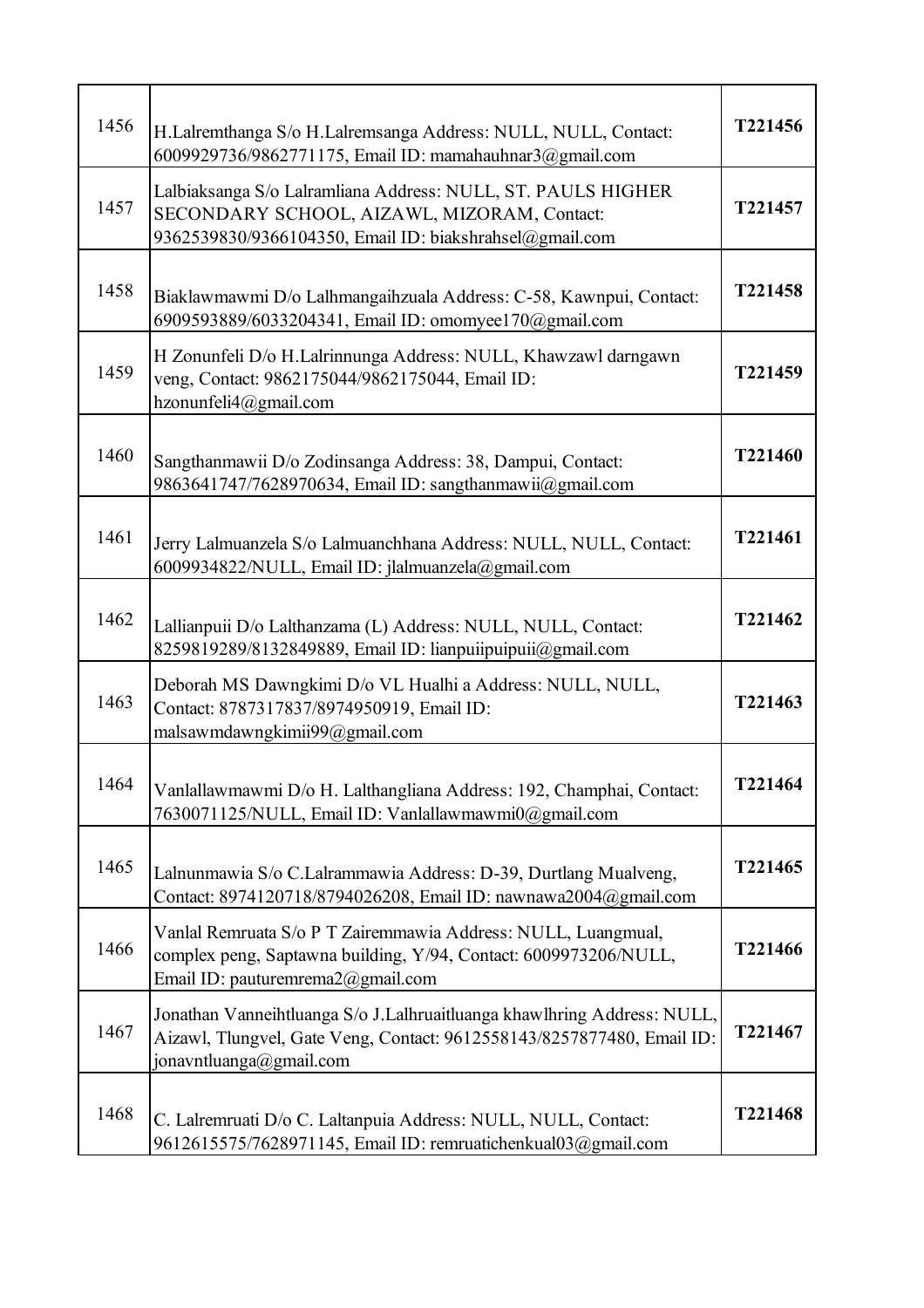| 1456 | H.Lalremthanga S/o H.Lalremsanga Address: NULL, NULL, Contact:<br>6009929736/9862771175, Email ID: mamahauhnar3@gmail.com                                                    | T221456 |
|------|------------------------------------------------------------------------------------------------------------------------------------------------------------------------------|---------|
| 1457 | Lalbiaksanga S/o Lalramliana Address: NULL, ST. PAULS HIGHER<br>SECONDARY SCHOOL, AIZAWL, MIZORAM, Contact:<br>9362539830/9366104350, Email ID: biakshrahsel@gmail.com       | T221457 |
| 1458 | Biaklawmawmi D/o Lalhmangaihzuala Address: C-58, Kawnpui, Contact:<br>6909593889/6033204341, Email ID: omomyee170@gmail.com                                                  | T221458 |
| 1459 | H Zonunfeli D/o H.Lalrinnunga Address: NULL, Khawzawl darngawn<br>veng, Contact: 9862175044/9862175044, Email ID:<br>hzonunfeli4@gmail.com                                   | T221459 |
| 1460 | Sangthanmawii D/o Zodinsanga Address: 38, Dampui, Contact:<br>9863641747/7628970634, Email ID: sangthanmawii@gmail.com                                                       | T221460 |
| 1461 | Jerry Lalmuanzela S/o Lalmuanchhana Address: NULL, NULL, Contact:<br>6009934822/NULL, Email ID: jlalmuanzela@gmail.com                                                       | T221461 |
| 1462 | Lallianpuii D/o Lalthanzama (L) Address: NULL, NULL, Contact:<br>8259819289/8132849889, Email ID: lianpuiipuipuii@gmail.com                                                  | T221462 |
| 1463 | Deborah MS Dawngkimi D/o VL Hualhi a Address: NULL, NULL,<br>Contact: 8787317837/8974950919, Email ID:<br>malsawmdawngkimii99@gmail.com                                      | T221463 |
| 1464 | Vanlallawmawmi D/o H. Lalthangliana Address: 192, Champhai, Contact:<br>7630071125/NULL, Email ID: Vanlallawmawmi0@gmail.com                                                 | T221464 |
| 1465 | Lalnunmawia S/o C.Lalrammawia Address: D-39, Durtlang Mualveng,<br>Contact: 8974120718/8794026208, Email ID: nawnawa2004@gmail.com                                           | T221465 |
| 1466 | Vanlal Remruata S/o P T Zairemmawia Address: NULL, Luangmual,<br>complex peng, Saptawna building, Y/94, Contact: 6009973206/NULL,<br>Email ID: pauturemrema $2@$ gmail.com   | T221466 |
| 1467 | Jonathan Vanneihtluanga S/o J.Lalhruaitluanga khawlhring Address: NULL,<br>Aizawl, Tlungvel, Gate Veng, Contact: 9612558143/8257877480, Email ID:<br>jonavntluanga@gmail.com | T221467 |
| 1468 | C. Lalremruati D/o C. Laltanpuia Address: NULL, NULL, Contact:<br>9612615575/7628971145, Email ID: remruatichenkual03@gmail.com                                              | T221468 |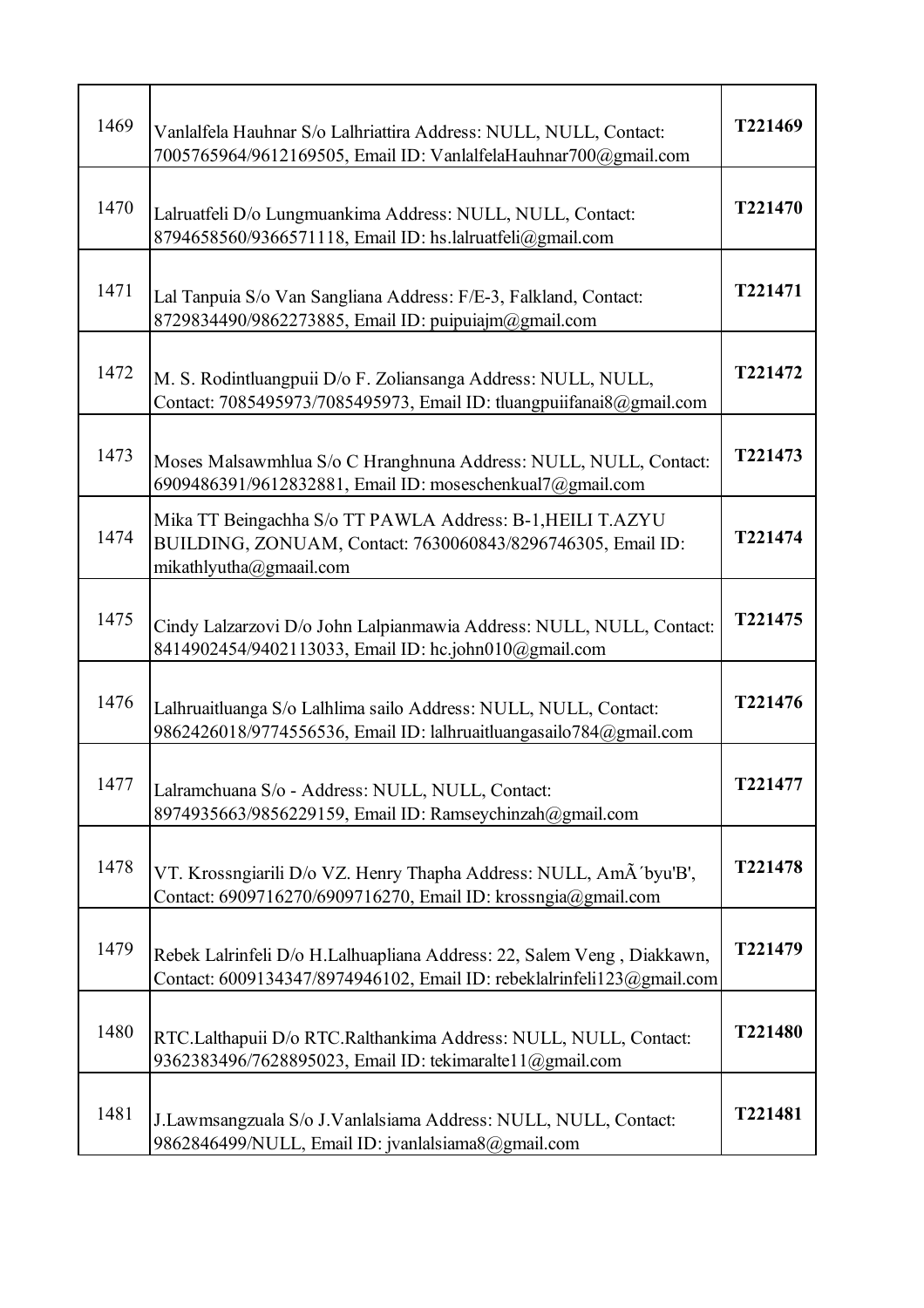| 1469 | Vanlalfela Hauhnar S/o Lalhriattira Address: NULL, NULL, Contact:<br>7005765964/9612169505, Email ID: VanlalfelaHauhnar700@gmail.com                 | T221469 |
|------|------------------------------------------------------------------------------------------------------------------------------------------------------|---------|
| 1470 | Lalruatfeli D/o Lungmuankima Address: NULL, NULL, Contact:<br>8794658560/9366571118, Email ID: hs.lalruatfeli@gmail.com                              | T221470 |
| 1471 | Lal Tanpuia S/o Van Sangliana Address: F/E-3, Falkland, Contact:<br>8729834490/9862273885, Email ID: puipuiajm@gmail.com                             | T221471 |
| 1472 | M. S. Rodintluangpuii D/o F. Zoliansanga Address: NULL, NULL,<br>Contact: 7085495973/7085495973, Email ID: tluangpuiifanai8@gmail.com                | T221472 |
| 1473 | Moses Malsawmhlua S/o C Hranghnuna Address: NULL, NULL, Contact:<br>6909486391/9612832881, Email ID: moseschenkual7@gmail.com                        | T221473 |
| 1474 | Mika TT Beingachha S/o TT PAWLA Address: B-1, HEILI T.AZYU<br>BUILDING, ZONUAM, Contact: 7630060843/8296746305, Email ID:<br>mikathlyutha@gmaail.com | T221474 |
| 1475 | Cindy Lalzarzovi D/o John Lalpianmawia Address: NULL, NULL, Contact:<br>8414902454/9402113033, Email ID: hc.john010@gmail.com                        | T221475 |
| 1476 | Lalhruaitluanga S/o Lalhlima sailo Address: NULL, NULL, Contact:<br>9862426018/9774556536, Email ID: lalhruaitluangasailo784@gmail.com               | T221476 |
| 1477 | Lalramchuana S/o - Address: NULL, NULL, Contact:<br>8974935663/9856229159, Email ID: Ramseychinzah@gmail.com                                         | T221477 |
| 1478 | VT. Krossngiarili D/o VZ. Henry Thapha Address: NULL, Amà 'byu'B',<br>Contact: 6909716270/6909716270, Email ID: krossngia@gmail.com                  | T221478 |
| 1479 | Rebek Lalrinfeli D/o H.Lalhuapliana Address: 22, Salem Veng, Diakkawn,<br>Contact: 6009134347/8974946102, Email ID: rebeklalrinfeli123@gmail.com     | T221479 |
| 1480 | RTC.Lalthapuii D/o RTC.Ralthankima Address: NULL, NULL, Contact:<br>9362383496/7628895023, Email ID: tekimaralte11@gmail.com                         | T221480 |
| 1481 | J.Lawmsangzuala S/o J.Vanlalsiama Address: NULL, NULL, Contact:<br>9862846499/NULL, Email ID: jvanlalsiama8@gmail.com                                | T221481 |